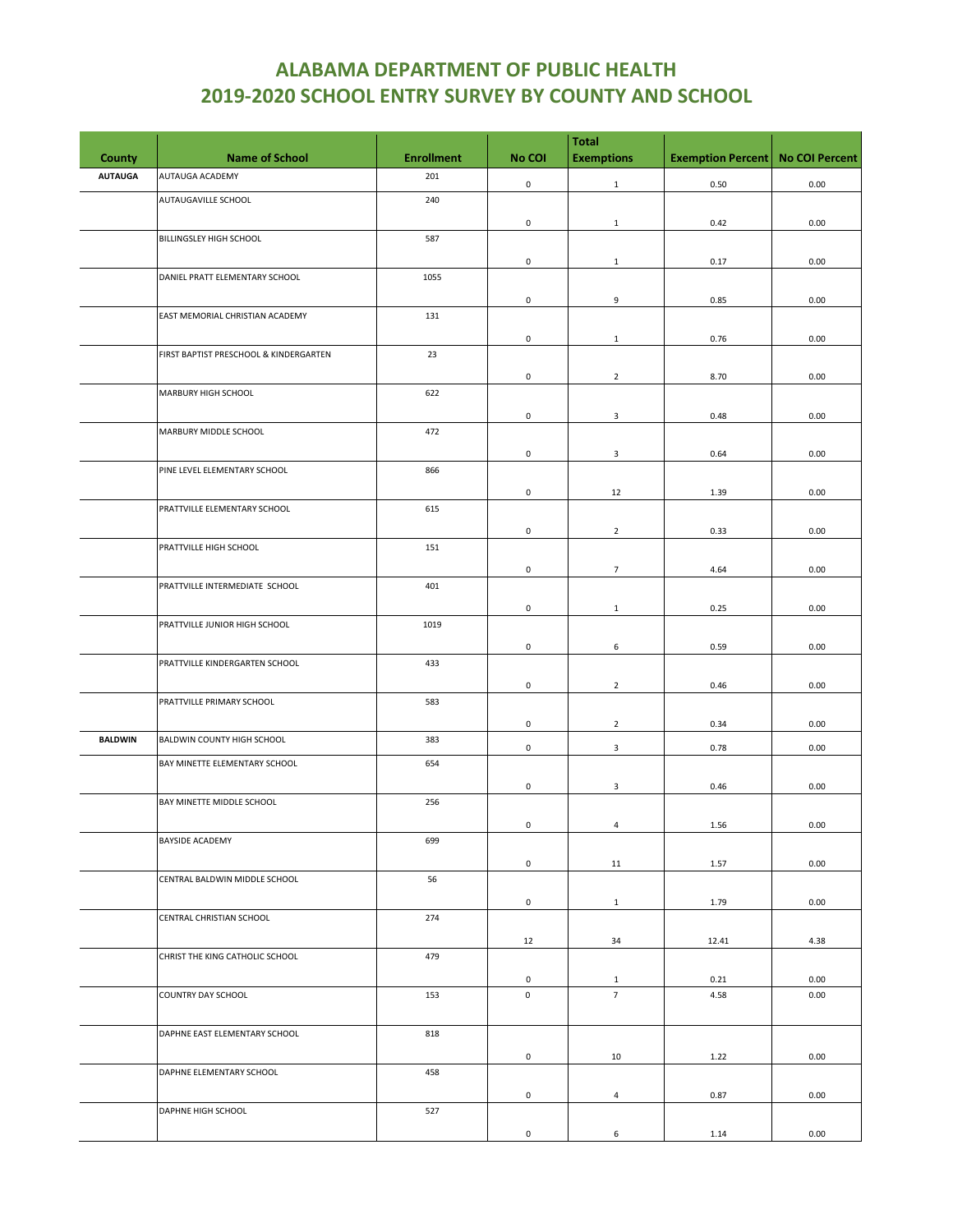|                |                                        |                   |                     | <b>Total</b>      |                          |                       |
|----------------|----------------------------------------|-------------------|---------------------|-------------------|--------------------------|-----------------------|
| County         | <b>Name of School</b>                  | <b>Enrollment</b> | No COI              | <b>Exemptions</b> | <b>Exemption Percent</b> | <b>No COI Percent</b> |
| <b>AUTAUGA</b> | AUTAUGA ACADEMY                        | 201               | $\mathsf{O}\xspace$ | $\mathbf 1$       | 0.50                     | 0.00                  |
|                | AUTAUGAVILLE SCHOOL                    | 240               |                     |                   |                          |                       |
|                |                                        |                   | 0                   | $\mathbf{1}$      | 0.42                     | 0.00                  |
|                | BILLINGSLEY HIGH SCHOOL                | 587               |                     |                   |                          |                       |
|                |                                        |                   | $\mathsf{O}\xspace$ | $\mathbf{1}$      | 0.17                     | 0.00                  |
|                | DANIEL PRATT ELEMENTARY SCHOOL         | 1055              |                     |                   |                          |                       |
|                |                                        |                   | 0                   | 9                 | 0.85                     | 0.00                  |
|                | EAST MEMORIAL CHRISTIAN ACADEMY        | 131               |                     |                   |                          |                       |
|                |                                        |                   | 0                   | $\mathbf{1}$      | 0.76                     | 0.00                  |
|                | FIRST BAPTIST PRESCHOOL & KINDERGARTEN | 23                |                     |                   |                          |                       |
|                |                                        |                   | 0                   | $\overline{2}$    | 8.70                     | 0.00                  |
|                | MARBURY HIGH SCHOOL                    | 622               |                     |                   |                          |                       |
|                |                                        |                   | $\mathsf{O}\xspace$ | $\mathbf{3}$      | 0.48                     | 0.00                  |
|                | MARBURY MIDDLE SCHOOL                  | 472               |                     |                   |                          |                       |
|                |                                        |                   | 0                   | 3                 | 0.64                     | 0.00                  |
|                | PINE LEVEL ELEMENTARY SCHOOL           | 866               |                     |                   |                          |                       |
|                |                                        |                   | $\mathsf{O}\xspace$ | 12                | 1.39                     | 0.00                  |
|                | PRATTVILLE ELEMENTARY SCHOOL           | 615               |                     |                   |                          |                       |
|                |                                        |                   | 0                   | $\overline{2}$    | 0.33                     | 0.00                  |
|                | PRATTVILLE HIGH SCHOOL                 | 151               |                     |                   |                          |                       |
|                |                                        |                   | $\mathsf 0$         | $\overline{7}$    | 4.64                     | 0.00                  |
|                | PRATTVILLE INTERMEDIATE SCHOOL         | 401               |                     |                   |                          |                       |
|                |                                        |                   | $\mathsf{O}\xspace$ | $\mathbf{1}$      | 0.25                     | 0.00                  |
|                | PRATTVILLE JUNIOR HIGH SCHOOL          | 1019              |                     |                   |                          |                       |
|                |                                        |                   | 0                   | 6                 | 0.59                     | 0.00                  |
|                | PRATTVILLE KINDERGARTEN SCHOOL         | 433               |                     |                   |                          |                       |
|                |                                        |                   | $\mathsf{O}\xspace$ | $\overline{2}$    | 0.46                     | 0.00                  |
|                | PRATTVILLE PRIMARY SCHOOL              | 583               |                     |                   |                          |                       |
|                |                                        |                   | 0                   | $\overline{2}$    | 0.34                     | 0.00                  |
| <b>BALDWIN</b> | BALDWIN COUNTY HIGH SCHOOL             | 383               | $\mathsf 0$         | 3                 | 0.78                     | 0.00                  |
|                | BAY MINETTE ELEMENTARY SCHOOL          | 654               |                     |                   |                          |                       |
|                |                                        |                   | $\mathsf{O}\xspace$ | $\mathbf{3}$      | 0.46                     | 0.00                  |
|                | BAY MINETTE MIDDLE SCHOOL              | 256               |                     |                   |                          |                       |
|                |                                        |                   | $\mathsf 0$         | $\overline{4}$    | 1.56                     | 0.00                  |
|                | BAYSIDE ACADEMY                        | 699               |                     |                   |                          |                       |
|                |                                        |                   | $\mathsf{O}\xspace$ | 11                | 1.57                     | 0.00                  |
|                | CENTRAL BALDWIN MIDDLE SCHOOL          | 56                |                     |                   |                          |                       |
|                |                                        |                   | 0                   | $\mathbf{1}$      | 1.79                     | 0.00                  |
|                | CENTRAL CHRISTIAN SCHOOL               | 274               |                     |                   |                          |                       |
|                |                                        |                   | 12                  | 34                | 12.41                    | 4.38                  |
|                | CHRIST THE KING CATHOLIC SCHOOL        | 479               |                     |                   |                          |                       |
|                |                                        |                   | 0                   | $\mathbf{1}$      | 0.21                     | 0.00                  |
|                | COUNTRY DAY SCHOOL                     | 153               | 0                   | $\overline{7}$    | 4.58                     | 0.00                  |
|                |                                        |                   |                     |                   |                          |                       |
|                | DAPHNE EAST ELEMENTARY SCHOOL          | 818               |                     |                   |                          |                       |
|                |                                        |                   | 0                   | 10                | 1.22                     | 0.00                  |
|                | DAPHNE ELEMENTARY SCHOOL               | 458               |                     |                   |                          |                       |
|                |                                        |                   | 0                   | 4                 | 0.87                     | 0.00                  |
|                | DAPHNE HIGH SCHOOL                     | 527               |                     |                   |                          |                       |
|                |                                        |                   | $\mathsf{O}\xspace$ | 6                 | 1.14                     | 0.00                  |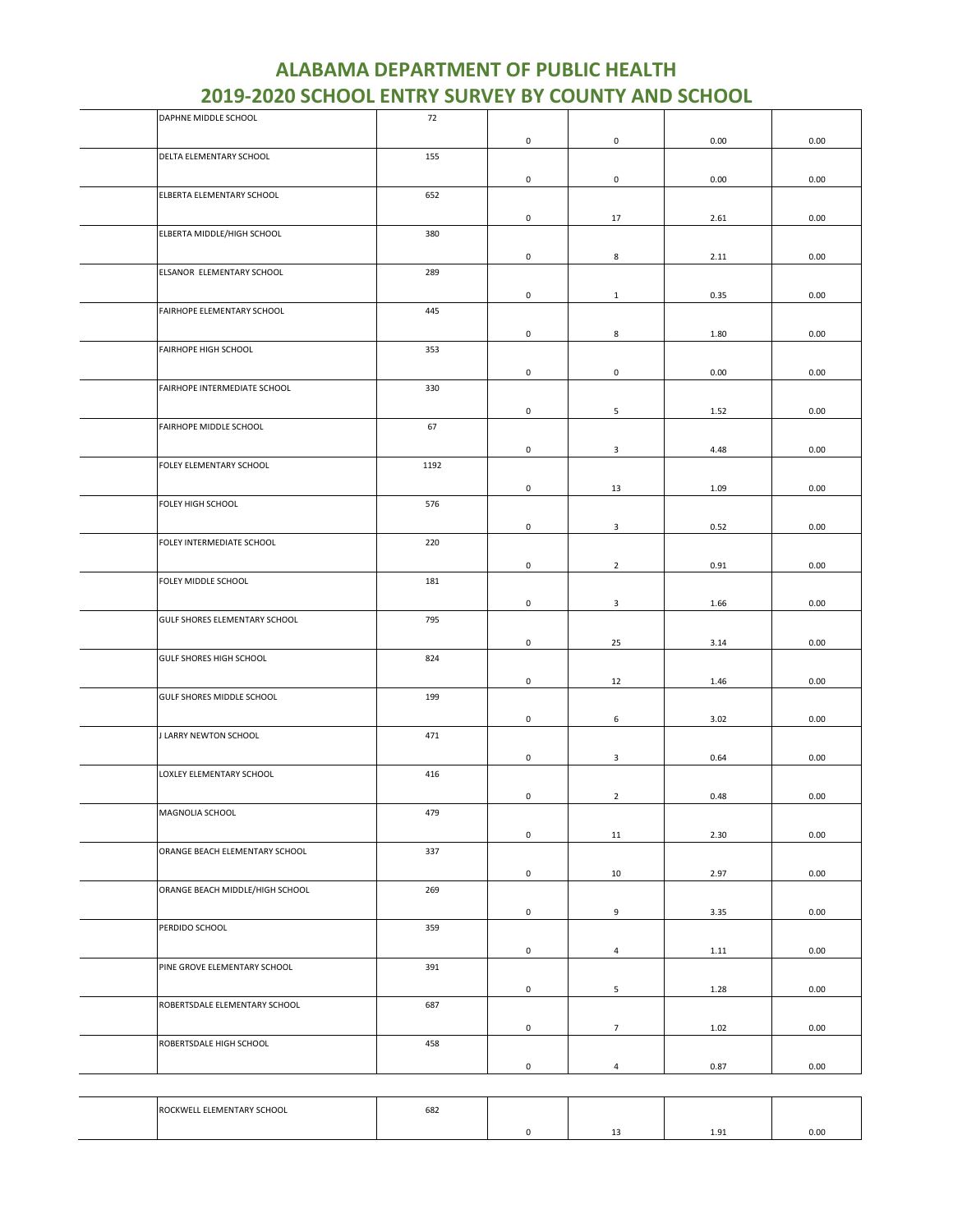| DAPHNE MIDDLE SCHOOL            | 72   |                     |                         |      |      |
|---------------------------------|------|---------------------|-------------------------|------|------|
|                                 |      | $\mathsf 0$         | $\mathsf{O}\xspace$     | 0.00 | 0.00 |
| DELTA ELEMENTARY SCHOOL         | 155  |                     |                         |      |      |
|                                 |      |                     |                         |      |      |
|                                 |      | 0                   | $\mathsf{o}$            | 0.00 | 0.00 |
| ELBERTA ELEMENTARY SCHOOL       | 652  |                     |                         |      |      |
|                                 |      | $\mathsf{O}\xspace$ | 17                      | 2.61 | 0.00 |
|                                 |      |                     |                         |      |      |
| ELBERTA MIDDLE/HIGH SCHOOL      | 380  |                     |                         |      |      |
|                                 |      | 0                   | 8                       | 2.11 | 0.00 |
| ELSANOR ELEMENTARY SCHOOL       | 289  |                     |                         |      |      |
|                                 |      |                     |                         |      |      |
|                                 |      | 0                   | $\mathbf{1}$            | 0.35 | 0.00 |
| FAIRHOPE ELEMENTARY SCHOOL      | 445  |                     |                         |      |      |
|                                 |      | 0                   | 8                       | 1.80 | 0.00 |
|                                 |      |                     |                         |      |      |
| FAIRHOPE HIGH SCHOOL            | 353  |                     |                         |      |      |
|                                 |      | 0                   | $\mathbf 0$             | 0.00 | 0.00 |
| FAIRHOPE INTERMEDIATE SCHOOL    | 330  |                     |                         |      |      |
|                                 |      |                     |                         |      |      |
|                                 |      | 0                   | 5                       | 1.52 | 0.00 |
| FAIRHOPE MIDDLE SCHOOL          | 67   |                     |                         |      |      |
|                                 |      | 0                   | 3                       | 4.48 | 0.00 |
| FOLEY ELEMENTARY SCHOOL         | 1192 |                     |                         |      |      |
|                                 |      |                     |                         |      |      |
|                                 |      | 0                   | 13                      | 1.09 | 0.00 |
| FOLEY HIGH SCHOOL               | 576  |                     |                         |      |      |
|                                 |      |                     |                         |      |      |
|                                 |      | 0                   | $\overline{\mathbf{3}}$ | 0.52 | 0.00 |
| FOLEY INTERMEDIATE SCHOOL       | 220  |                     |                         |      |      |
|                                 |      | $\mathsf{O}\xspace$ | $\overline{2}$          | 0.91 | 0.00 |
|                                 |      |                     |                         |      |      |
| FOLEY MIDDLE SCHOOL             | 181  |                     |                         |      |      |
|                                 |      | 0                   | $\overline{\mathbf{3}}$ | 1.66 | 0.00 |
| GULF SHORES ELEMENTARY SCHOOL   | 795  |                     |                         |      |      |
|                                 |      |                     |                         |      |      |
|                                 |      | 0                   | 25                      | 3.14 | 0.00 |
| <b>GULF SHORES HIGH SCHOOL</b>  | 824  |                     |                         |      |      |
|                                 |      | 0                   | 12                      | 1.46 | 0.00 |
| GULF SHORES MIDDLE SCHOOL       | 199  |                     |                         |      |      |
|                                 |      |                     |                         |      |      |
|                                 |      | 0                   | 6                       | 3.02 | 0.00 |
| <b>J LARRY NEWTON SCHOOL</b>    | 471  |                     |                         |      |      |
|                                 |      |                     |                         |      |      |
|                                 |      | 0                   | 3                       | 0.64 | 0.00 |
| LOXLEY ELEMENTARY SCHOOL        | 416  |                     |                         |      |      |
|                                 |      | $\mathsf{O}\xspace$ | $\overline{2}$          | 0.48 | 0.00 |
| MAGNOLIA SCHOOL                 | 479  |                     |                         |      |      |
|                                 |      |                     |                         |      |      |
|                                 |      | $\mathsf 0$         | 11                      | 2.30 | 0.00 |
| ORANGE BEACH ELEMENTARY SCHOOL  | 337  |                     |                         |      |      |
|                                 |      |                     |                         |      |      |
|                                 |      | $\mathbf 0$         | 10                      | 2.97 | 0.00 |
| ORANGE BEACH MIDDLE/HIGH SCHOOL | 269  |                     |                         |      |      |
|                                 |      | $\mathsf{O}\xspace$ | 9                       | 3.35 | 0.00 |
| PERDIDO SCHOOL                  | 359  |                     |                         |      |      |
|                                 |      |                     |                         |      |      |
|                                 |      | $\mathsf 0$         | $\overline{4}$          | 1.11 | 0.00 |
| PINE GROVE ELEMENTARY SCHOOL    | 391  |                     |                         |      |      |
|                                 |      |                     |                         |      |      |
|                                 |      | $\mathsf{O}\xspace$ | 5                       | 1.28 | 0.00 |
| ROBERTSDALE ELEMENTARY SCHOOL   | 687  |                     |                         |      |      |
|                                 |      | $\mathsf{O}\xspace$ | $7\overline{ }$         | 1.02 | 0.00 |
| ROBERTSDALE HIGH SCHOOL         | 458  |                     |                         |      |      |
|                                 |      |                     |                         |      |      |
|                                 |      | 0                   | $\overline{a}$          | 0.87 | 0.00 |
|                                 |      |                     |                         |      |      |

| ELEMENTARY SCHOOL<br><b>DOCUMP</b><br>. | 682 |  |               |      |
|-----------------------------------------|-----|--|---------------|------|
|                                         |     |  | $\Omega$<br>. | 0.00 |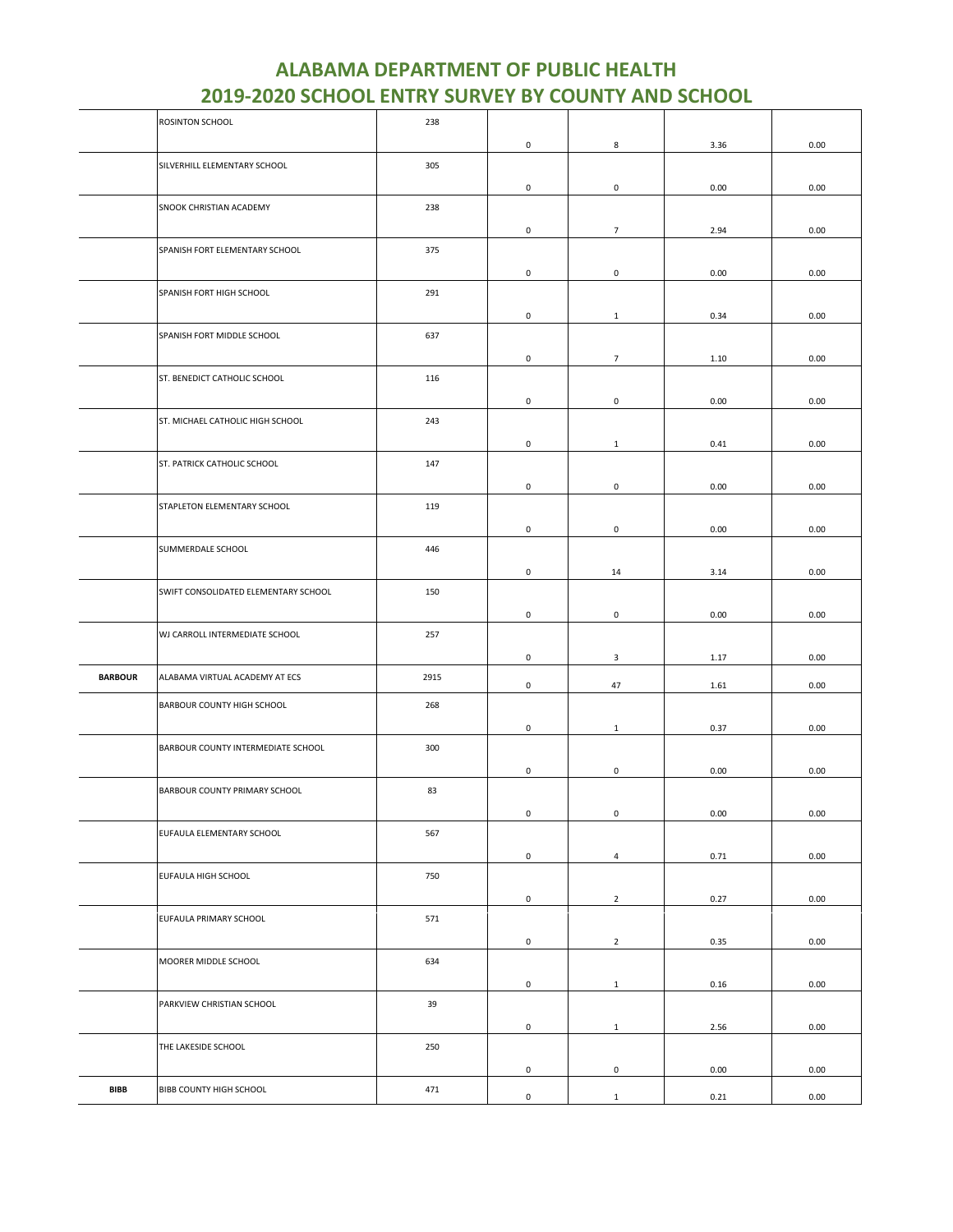|                | ROSINTON SCHOOL                      | 238  |                     |                     |      |          |
|----------------|--------------------------------------|------|---------------------|---------------------|------|----------|
|                |                                      |      | $\mathsf 0$         | 8                   | 3.36 | 0.00     |
|                | SILVERHILL ELEMENTARY SCHOOL         | 305  |                     |                     |      |          |
|                |                                      |      | 0                   | $\mathsf 0$         | 0.00 | 0.00     |
|                | SNOOK CHRISTIAN ACADEMY              | 238  |                     |                     |      |          |
|                |                                      |      | 0                   | $\overline{7}$      | 2.94 | 0.00     |
|                | SPANISH FORT ELEMENTARY SCHOOL       | 375  |                     |                     |      |          |
|                |                                      |      | $\mathsf 0$         | $\mathsf{O}\xspace$ | 0.00 | 0.00     |
|                | SPANISH FORT HIGH SCHOOL             | 291  |                     |                     |      |          |
|                |                                      |      | 0                   | $\mathbf{1}$        | 0.34 | 0.00     |
|                | SPANISH FORT MIDDLE SCHOOL           | 637  |                     |                     |      |          |
|                |                                      |      | 0                   | $\overline{7}$      | 1.10 | 0.00     |
|                | ST. BENEDICT CATHOLIC SCHOOL         | 116  |                     |                     |      |          |
|                |                                      |      |                     |                     |      |          |
|                |                                      |      | 0                   | $\mathsf 0$         | 0.00 | 0.00     |
|                | ST. MICHAEL CATHOLIC HIGH SCHOOL     | 243  |                     |                     |      |          |
|                |                                      |      | 0                   | $\mathbf{1}$        | 0.41 | 0.00     |
|                | ST. PATRICK CATHOLIC SCHOOL          | 147  |                     |                     |      |          |
|                |                                      |      | 0                   | $\mathsf 0$         | 0.00 | 0.00     |
|                | STAPLETON ELEMENTARY SCHOOL          | 119  |                     |                     |      |          |
|                |                                      |      | 0                   | 0                   | 0.00 | 0.00     |
|                | SUMMERDALE SCHOOL                    | 446  |                     |                     |      |          |
|                |                                      |      | $\mathsf 0$         | 14                  | 3.14 | 0.00     |
|                | SWIFT CONSOLIDATED ELEMENTARY SCHOOL | 150  |                     |                     |      |          |
|                |                                      |      | 0                   | $\mathbf 0$         | 0.00 | 0.00     |
|                | WJ CARROLL INTERMEDIATE SCHOOL       | 257  |                     |                     |      |          |
|                |                                      |      | 0                   | 3                   | 1.17 | 0.00     |
| <b>BARBOUR</b> | ALABAMA VIRTUAL ACADEMY AT ECS       | 2915 | 0                   | 47                  | 1.61 | 0.00     |
|                | BARBOUR COUNTY HIGH SCHOOL           | 268  |                     |                     |      |          |
|                |                                      |      | 0                   | $\mathbf{1}$        | 0.37 | 0.00     |
|                | BARBOUR COUNTY INTERMEDIATE SCHOOL   | 300  |                     |                     |      |          |
|                |                                      |      | $\mathsf 0$         | $\pmb{0}$           | 0.00 | 0.00     |
|                | BARBOUR COUNTY PRIMARY SCHOOL        | 83   |                     |                     |      |          |
|                |                                      |      | $\mathsf{O}\xspace$ | 0                   | 0.00 | $0.00\,$ |
|                | EUFAULA ELEMENTARY SCHOOL            | 567  |                     |                     |      |          |
|                |                                      |      | $\mathsf 0$         | $\overline{a}$      | 0.71 | 0.00     |
|                | EUFAULA HIGH SCHOOL                  | 750  |                     |                     |      |          |
|                |                                      |      | $\mathsf 0$         | $\overline{2}$      | 0.27 | 0.00     |
|                | EUFAULA PRIMARY SCHOOL               | 571  |                     |                     |      |          |
|                |                                      |      | $\mathsf 0$         | $\overline{2}$      | 0.35 | 0.00     |
|                | MOORER MIDDLE SCHOOL                 | 634  |                     |                     |      |          |
|                |                                      |      | $\mathsf 0$         | $\mathbf{1}$        | 0.16 | 0.00     |
|                | PARKVIEW CHRISTIAN SCHOOL            | 39   |                     |                     |      |          |
|                |                                      |      |                     |                     |      |          |
|                |                                      |      | $\mathsf 0$         | $\mathbf{1}$        | 2.56 | 0.00     |
|                | THE LAKESIDE SCHOOL                  | 250  |                     |                     |      |          |
|                |                                      |      | $\mathsf 0$         | $\mathsf 0$         | 0.00 | 0.00     |
| <b>BIBB</b>    | BIBB COUNTY HIGH SCHOOL              | 471  | $\mathsf{O}\xspace$ | $\mathbf{1}$        | 0.21 | 0.00     |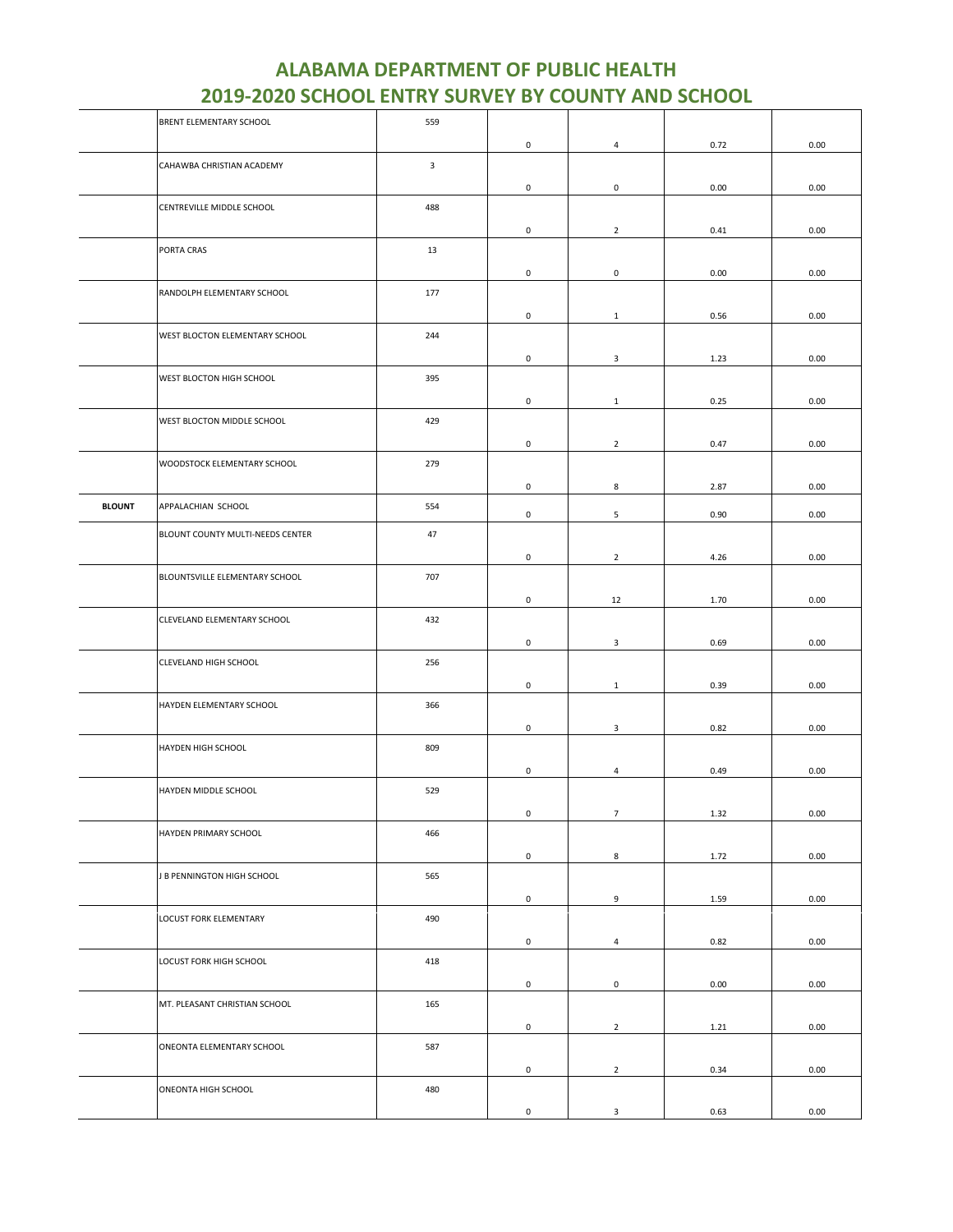|               | BRENT ELEMENTARY SCHOOL          | 559            |                     |                         |      |      |
|---------------|----------------------------------|----------------|---------------------|-------------------------|------|------|
|               |                                  |                | $\mathsf 0$         | $\overline{4}$          | 0.72 | 0.00 |
|               | CAHAWBA CHRISTIAN ACADEMY        | $\overline{3}$ |                     |                         |      |      |
|               |                                  |                |                     |                         |      |      |
|               |                                  |                | 0                   | $\mathsf 0$             | 0.00 | 0.00 |
|               | CENTREVILLE MIDDLE SCHOOL        | 488            |                     |                         |      |      |
|               |                                  |                | $\mathsf 0$         | $\overline{2}$          | 0.41 | 0.00 |
|               | PORTA CRAS                       | 13             |                     |                         |      |      |
|               |                                  |                | $\mathsf{O}\xspace$ | $\mathsf 0$             | 0.00 | 0.00 |
|               |                                  |                |                     |                         |      |      |
|               | RANDOLPH ELEMENTARY SCHOOL       | 177            |                     |                         |      |      |
|               |                                  |                | 0                   | $\mathbf{1}$            | 0.56 | 0.00 |
|               | WEST BLOCTON ELEMENTARY SCHOOL   | 244            |                     |                         |      |      |
|               |                                  |                | 0                   | 3                       | 1.23 | 0.00 |
|               | WEST BLOCTON HIGH SCHOOL         | 395            |                     |                         |      |      |
|               |                                  |                |                     |                         |      |      |
|               |                                  |                | $\mathsf 0$         | $\mathbf{1}$            | 0.25 | 0.00 |
|               | WEST BLOCTON MIDDLE SCHOOL       | 429            |                     |                         |      |      |
|               |                                  |                | 0                   | $\overline{2}$          | 0.47 | 0.00 |
|               | WOODSTOCK ELEMENTARY SCHOOL      | 279            |                     |                         |      |      |
|               |                                  |                | 0                   | 8                       | 2.87 | 0.00 |
|               |                                  |                |                     |                         |      |      |
| <b>BLOUNT</b> | APPALACHIAN SCHOOL               | 554            | $\mathsf 0$         | 5                       | 0.90 | 0.00 |
|               | BLOUNT COUNTY MULTI-NEEDS CENTER | 47             |                     |                         |      |      |
|               |                                  |                | $\mathsf 0$         | $\overline{2}$          | 4.26 | 0.00 |
|               |                                  |                |                     |                         |      |      |
|               | BLOUNTSVILLE ELEMENTARY SCHOOL   | 707            |                     |                         |      |      |
|               |                                  |                | 0                   | 12                      | 1.70 | 0.00 |
|               | CLEVELAND ELEMENTARY SCHOOL      | 432            |                     |                         |      |      |
|               |                                  |                | $\mathsf 0$         | $\mathbf{3}$            | 0.69 | 0.00 |
|               | CLEVELAND HIGH SCHOOL            | 256            |                     |                         |      |      |
|               |                                  |                |                     |                         |      |      |
|               |                                  |                | 0                   | $\mathbf{1}$            | 0.39 | 0.00 |
|               | HAYDEN ELEMENTARY SCHOOL         | 366            |                     |                         |      |      |
|               |                                  |                | $\mathsf 0$         | 3                       | 0.82 | 0.00 |
|               | HAYDEN HIGH SCHOOL               | 809            |                     |                         |      |      |
|               |                                  |                | 0                   | $\overline{4}$          | 0.49 | 0.00 |
|               |                                  |                |                     |                         |      |      |
|               | HAYDEN MIDDLE SCHOOL             | 529            |                     |                         |      |      |
|               |                                  |                | $\mathsf{O}\xspace$ | $\overline{\mathbf{7}}$ | 1.32 | 0.00 |
|               | HAYDEN PRIMARY SCHOOL            | 466            |                     |                         |      |      |
|               |                                  |                | $\mathsf{O}\xspace$ | 8                       | 1.72 | 0.00 |
|               | J B PENNINGTON HIGH SCHOOL       | 565            |                     |                         |      |      |
|               |                                  |                |                     |                         |      |      |
|               |                                  |                | $\mathsf{O}\xspace$ | 9                       | 1.59 | 0.00 |
|               | LOCUST FORK ELEMENTARY           | 490            |                     |                         |      |      |
|               |                                  |                | $\mathsf 0$         | $\overline{4}$          | 0.82 | 0.00 |
|               | LOCUST FORK HIGH SCHOOL          | 418            |                     |                         |      |      |
|               |                                  |                | $\mathsf 0$         | $\mathsf 0$             | 0.00 | 0.00 |
|               |                                  |                |                     |                         |      |      |
|               | MT. PLEASANT CHRISTIAN SCHOOL    | 165            |                     |                         |      |      |
|               |                                  |                | $\mathsf{O}\xspace$ | $\overline{2}$          | 1.21 | 0.00 |
|               | ONEONTA ELEMENTARY SCHOOL        | 587            |                     |                         |      |      |
|               |                                  |                | 0                   | $\overline{2}$          | 0.34 | 0.00 |
|               | ONEONTA HIGH SCHOOL              | 480            |                     |                         |      |      |
|               |                                  |                |                     |                         |      |      |
|               |                                  |                | 0                   | $\mathbf{3}$            | 0.63 | 0.00 |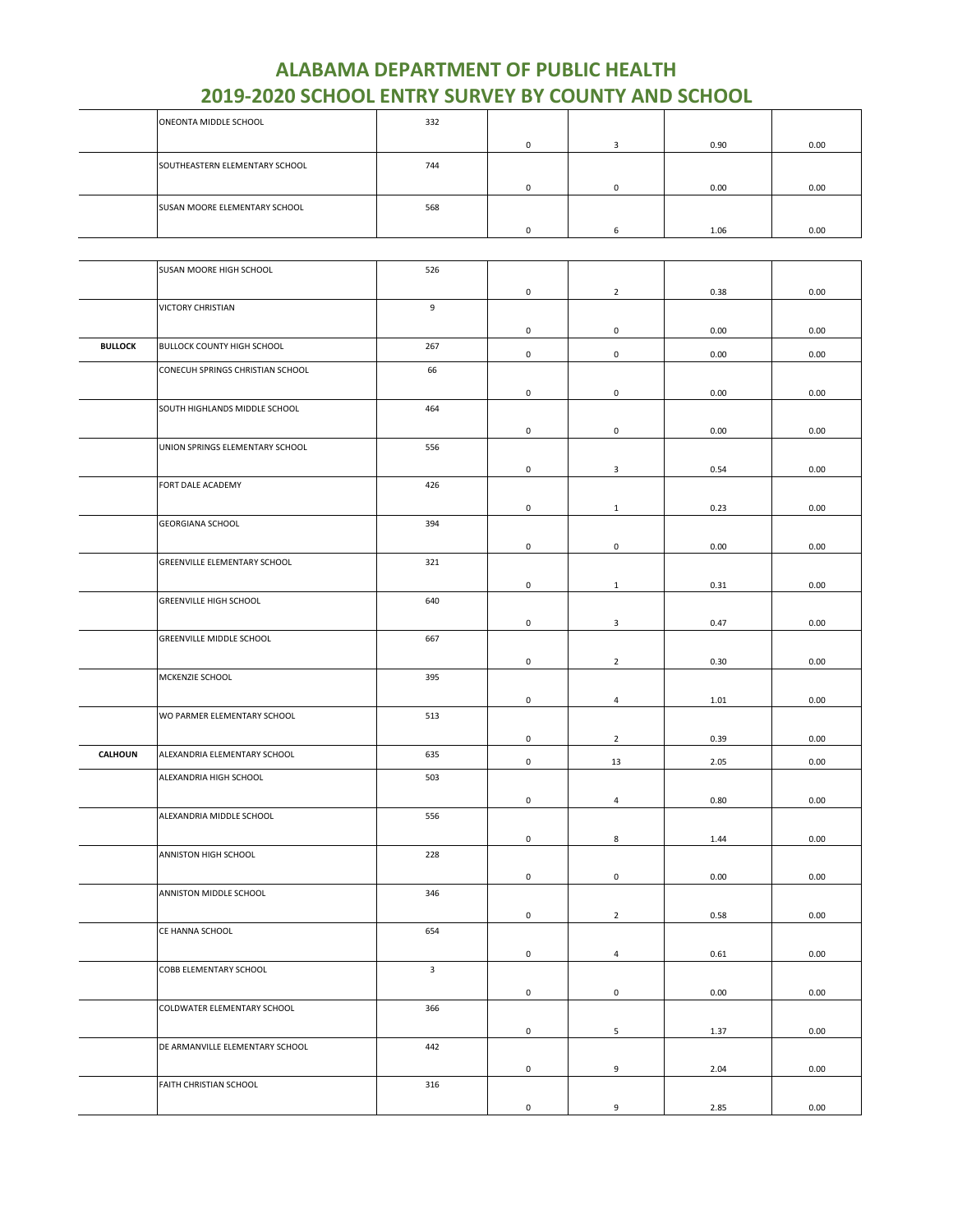| ONEONTA MIDDLE SCHOOL          | 332 |  |      |      |
|--------------------------------|-----|--|------|------|
|                                |     |  | 0.90 | 0.00 |
| SOUTHEASTERN ELEMENTARY SCHOOL | 744 |  |      |      |
|                                |     |  | 0.00 | 0.00 |
| SUSAN MOORE ELEMENTARY SCHOOL  | 568 |  |      |      |
|                                |     |  | 1.06 | 0.00 |

|                | SUSAN MOORE HIGH SCHOOL           | 526          |                     |                     |      |          |
|----------------|-----------------------------------|--------------|---------------------|---------------------|------|----------|
|                |                                   |              | 0                   | $\overline{2}$      | 0.38 | 0.00     |
|                | <b>VICTORY CHRISTIAN</b>          | 9            |                     |                     |      |          |
|                |                                   |              | 0                   | 0                   | 0.00 | 0.00     |
| <b>BULLOCK</b> | <b>BULLOCK COUNTY HIGH SCHOOL</b> | 267          | $\mathsf{O}\xspace$ | $\mathsf 0$         | 0.00 | 0.00     |
|                | CONECUH SPRINGS CHRISTIAN SCHOOL  | 66           |                     |                     |      |          |
|                |                                   |              | 0                   | $\mathsf 0$         | 0.00 | 0.00     |
|                | SOUTH HIGHLANDS MIDDLE SCHOOL     | 464          |                     |                     |      |          |
|                |                                   |              | $\mathsf{O}\xspace$ | $\mathsf{O}\xspace$ | 0.00 | 0.00     |
|                | UNION SPRINGS ELEMENTARY SCHOOL   | 556          |                     |                     |      |          |
|                |                                   |              |                     |                     |      |          |
|                | FORT DALE ACADEMY                 | 426          | 0                   | 3                   | 0.54 | 0.00     |
|                |                                   |              |                     |                     |      |          |
|                | <b>GEORGIANA SCHOOL</b>           | 394          | $\mathsf 0$         | $\mathbf{1}$        | 0.23 | 0.00     |
|                |                                   |              |                     |                     |      |          |
|                |                                   |              | $\mathsf 0$         | $\mathsf 0$         | 0.00 | 0.00     |
|                | GREENVILLE ELEMENTARY SCHOOL      | 321          |                     |                     |      |          |
|                |                                   |              | $\mathsf{O}\xspace$ | $\mathbf{1}$        | 0.31 | 0.00     |
|                | <b>GREENVILLE HIGH SCHOOL</b>     | 640          |                     |                     |      |          |
|                |                                   |              | 0                   | 3                   | 0.47 | 0.00     |
|                | GREENVILLE MIDDLE SCHOOL          | 667          |                     |                     |      |          |
|                |                                   |              | $\mathsf{O}\xspace$ | $\overline{2}$      | 0.30 | 0.00     |
|                | MCKENZIE SCHOOL                   | 395          |                     |                     |      |          |
|                |                                   |              | 0                   | $\overline{4}$      | 1.01 | 0.00     |
|                | WO PARMER ELEMENTARY SCHOOL       | 513          |                     |                     |      |          |
|                |                                   |              | $\mathsf{O}\xspace$ | $\overline{2}$      | 0.39 | 0.00     |
| CALHOUN        | ALEXANDRIA ELEMENTARY SCHOOL      | 635          |                     |                     |      |          |
|                | ALEXANDRIA HIGH SCHOOL            | 503          | $\mathsf{O}\xspace$ | 13                  | 2.05 | 0.00     |
|                |                                   |              |                     |                     |      |          |
|                |                                   |              | $\mathsf{O}\xspace$ | $\overline{4}$      | 0.80 | 0.00     |
|                | ALEXANDRIA MIDDLE SCHOOL          | 556          |                     |                     |      |          |
|                |                                   |              | $\mathsf{O}\xspace$ | 8                   | 1.44 | 0.00     |
|                | ANNISTON HIGH SCHOOL              | 228          |                     |                     |      |          |
|                |                                   |              | $\mathsf{O}\xspace$ | $\mathsf{O}\xspace$ | 0.00 | 0.00     |
|                | ANNISTON MIDDLE SCHOOL            | 346          |                     |                     |      |          |
|                |                                   |              | 0                   | $\overline{2}$      | 0.58 | 0.00     |
|                | CE HANNA SCHOOL                   | 654          |                     |                     |      |          |
|                |                                   |              | $\mathsf 0$         | $\overline{4}$      | 0.61 | $0.00\,$ |
|                | COBB ELEMENTARY SCHOOL            | $\mathbf{3}$ |                     |                     |      |          |
|                |                                   |              | $\mathsf{O}\xspace$ | $\mathsf{O}\xspace$ | 0.00 | 0.00     |
|                | COLDWATER ELEMENTARY SCHOOL       | 366          |                     |                     |      |          |
|                |                                   |              | 0                   | 5                   | 1.37 | 0.00     |
|                | DE ARMANVILLE ELEMENTARY SCHOOL   | 442          |                     |                     |      |          |
|                |                                   |              | 0                   | 9                   | 2.04 | 0.00     |
|                | FAITH CHRISTIAN SCHOOL            | 316          |                     |                     |      |          |
|                |                                   |              |                     |                     |      |          |
|                |                                   |              | $\mathsf{O}\xspace$ | 9                   | 2.85 | 0.00     |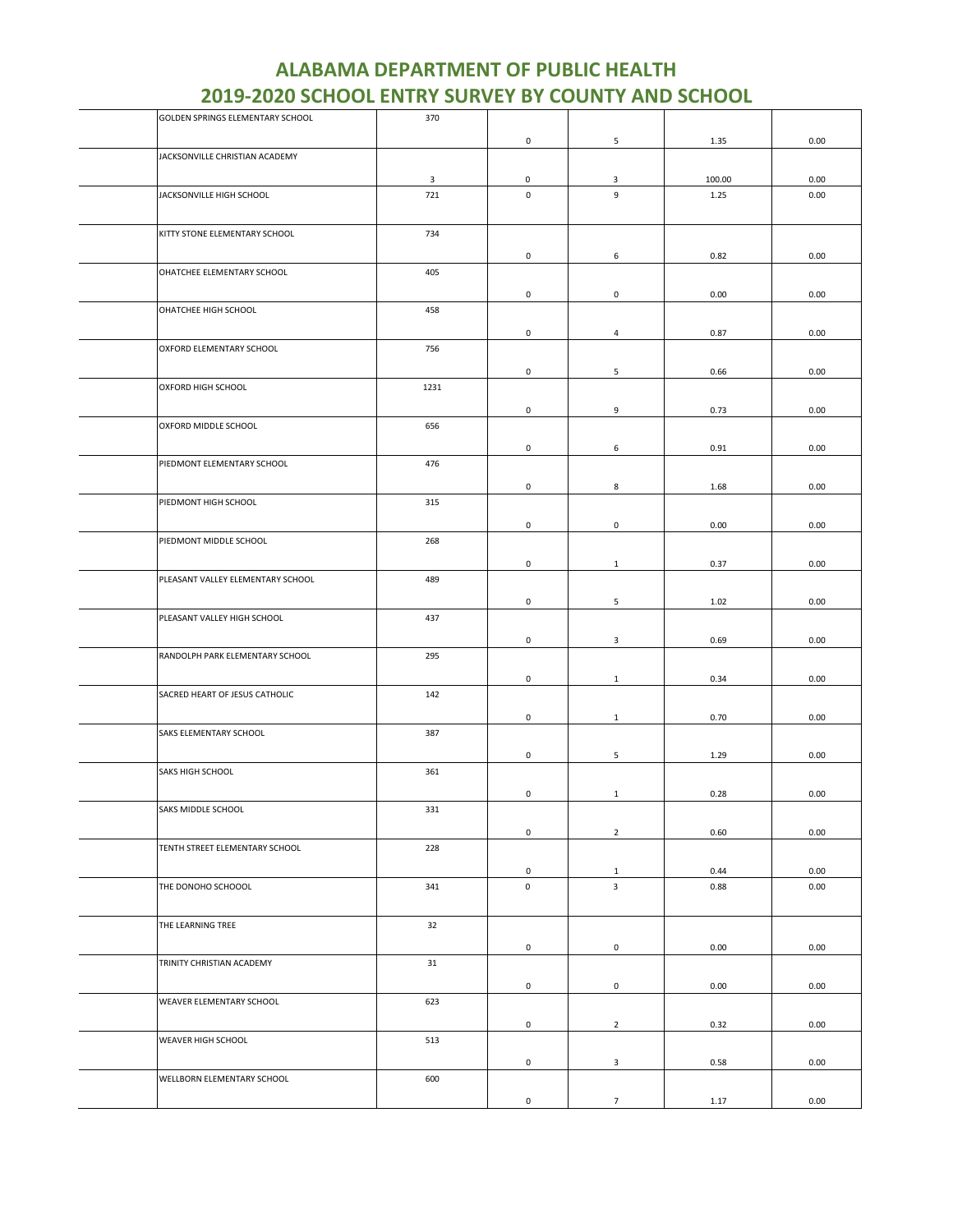| GOLDEN SPRINGS ELEMENTARY SCHOOL  | 370            |                     |                         |        |      |
|-----------------------------------|----------------|---------------------|-------------------------|--------|------|
|                                   |                | $\mathsf{O}\xspace$ | 5                       | 1.35   | 0.00 |
| JACKSONVILLE CHRISTIAN ACADEMY    |                |                     |                         |        |      |
|                                   |                |                     |                         |        |      |
|                                   | $\overline{3}$ | 0                   | 3                       | 100.00 | 0.00 |
| JACKSONVILLE HIGH SCHOOL          | 721            | $\mathsf 0$         | 9                       | 1.25   | 0.00 |
|                                   |                |                     |                         |        |      |
| KITTY STONE ELEMENTARY SCHOOL     | 734            |                     |                         |        |      |
|                                   |                |                     |                         |        |      |
|                                   |                | 0                   | 6                       | 0.82   | 0.00 |
| OHATCHEE ELEMENTARY SCHOOL        | 405            |                     |                         |        |      |
|                                   |                | 0                   | 0                       | 0.00   | 0.00 |
|                                   |                |                     |                         |        |      |
| OHATCHEE HIGH SCHOOL              | 458            |                     |                         |        |      |
|                                   |                | 0                   | $\overline{4}$          | 0.87   | 0.00 |
| OXFORD ELEMENTARY SCHOOL          | 756            |                     |                         |        |      |
|                                   |                |                     |                         |        |      |
|                                   |                | 0                   | 5                       | 0.66   | 0.00 |
| OXFORD HIGH SCHOOL                | 1231           |                     |                         |        |      |
|                                   |                | 0                   | 9                       | 0.73   | 0.00 |
| OXFORD MIDDLE SCHOOL              | 656            |                     |                         |        |      |
|                                   |                |                     |                         |        |      |
|                                   |                | 0                   | 6                       | 0.91   | 0.00 |
| PIEDMONT ELEMENTARY SCHOOL        | 476            |                     |                         |        |      |
|                                   |                | 0                   | 8                       | 1.68   | 0.00 |
| PIEDMONT HIGH SCHOOL              | 315            |                     |                         |        |      |
|                                   |                |                     |                         |        |      |
|                                   |                | 0                   | $\mathsf{o}$            | 0.00   | 0.00 |
| PIEDMONT MIDDLE SCHOOL            | 268            |                     |                         |        |      |
|                                   |                | 0                   | $\mathbf{1}$            | 0.37   | 0.00 |
|                                   |                |                     |                         |        |      |
| PLEASANT VALLEY ELEMENTARY SCHOOL | 489            |                     |                         |        |      |
|                                   |                | 0                   | 5                       | 1.02   | 0.00 |
| PLEASANT VALLEY HIGH SCHOOL       | 437            |                     |                         |        |      |
|                                   |                |                     |                         |        |      |
|                                   |                | $\mathsf{O}\xspace$ | $\mathbf{3}$            | 0.69   | 0.00 |
| RANDOLPH PARK ELEMENTARY SCHOOL   | 295            |                     |                         |        |      |
|                                   |                | 0                   | $\mathbf{1}$            | 0.34   | 0.00 |
| SACRED HEART OF JESUS CATHOLIC    | 142            |                     |                         |        |      |
|                                   |                |                     |                         |        |      |
|                                   |                | $\mathsf 0$         | $\mathbf{1}$            | 0.70   | 0.00 |
| SAKS ELEMENTARY SCHOOL            | 387            |                     |                         |        |      |
|                                   |                | 0                   | 5                       | 1.29   | 0.00 |
| SAKS HIGH SCHOOL                  | 361            |                     |                         |        |      |
|                                   |                |                     |                         |        |      |
|                                   |                | 0                   | $\mathbf{1}$            | 0.28   | 0.00 |
| SAKS MIDDLE SCHOOL                | 331            |                     |                         |        |      |
|                                   |                | 0                   | $\overline{2}$          | 0.60   | 0.00 |
| TENTH STREET ELEMENTARY SCHOOL    | 228            |                     |                         |        |      |
|                                   |                |                     |                         |        |      |
|                                   |                | 0                   | $\mathbf{1}$            | 0.44   | 0.00 |
| THE DONOHO SCHOOOL                | 341            | $\mathsf 0$         | $\overline{\mathbf{3}}$ | 0.88   | 0.00 |
|                                   |                |                     |                         |        |      |
| THE LEARNING TREE                 | 32             |                     |                         |        |      |
|                                   |                |                     |                         |        |      |
|                                   |                | 0                   | $\mathsf 0$             | 0.00   | 0.00 |
| TRINITY CHRISTIAN ACADEMY         | 31             |                     |                         |        |      |
|                                   |                | $\mathsf{O}\xspace$ | $\mathsf 0$             | 0.00   | 0.00 |
|                                   |                |                     |                         |        |      |
| WEAVER ELEMENTARY SCHOOL          | 623            |                     |                         |        |      |
|                                   |                | $\mathsf{O}\xspace$ | $\overline{2}$          | 0.32   | 0.00 |
| WEAVER HIGH SCHOOL                | 513            |                     |                         |        |      |
|                                   |                |                     |                         |        |      |
|                                   |                | $\mathsf{O}\xspace$ | $\mathbf{3}$            | 0.58   | 0.00 |
| WELLBORN ELEMENTARY SCHOOL        | 600            |                     |                         |        |      |
|                                   |                | $\mathsf 0$         | $\overline{7}$          | 1.17   | 0.00 |
|                                   |                |                     |                         |        |      |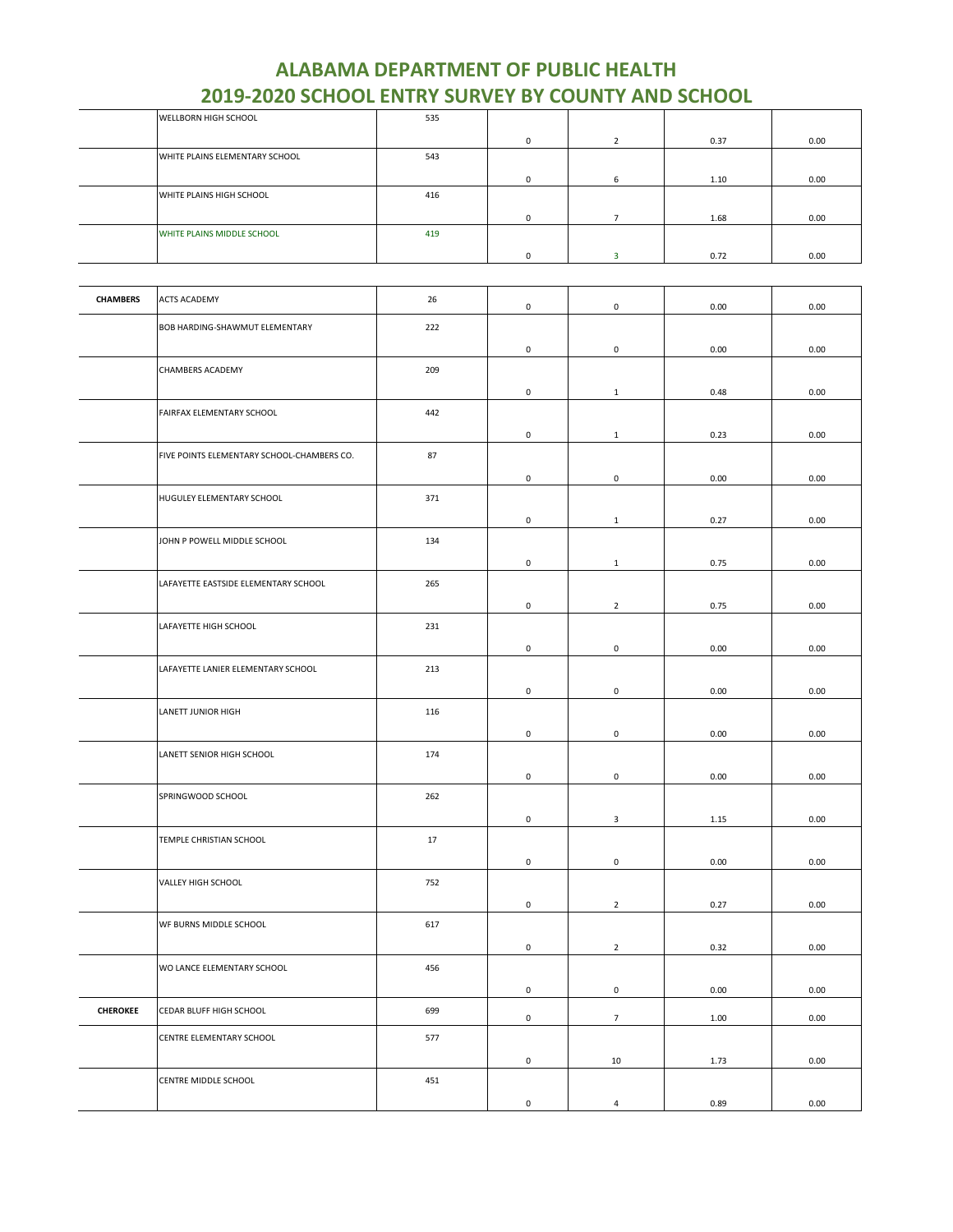| WELLBORN HIGH SCHOOL           | 535 |          |   |      |      |
|--------------------------------|-----|----------|---|------|------|
|                                |     | 0        |   | 0.37 | 0.00 |
| WHITE PLAINS ELEMENTARY SCHOOL | 543 |          |   |      |      |
|                                |     | ŋ        | 6 | 1.10 | 0.00 |
| WHITE PLAINS HIGH SCHOOL       | 416 |          |   |      |      |
|                                |     | 0        |   | 1.68 | 0.00 |
| WHITE PLAINS MIDDLE SCHOOL     | 419 |          |   |      |      |
|                                |     | $\Omega$ |   | 0.72 | 0.00 |

| <b>CHAMBERS</b> | <b>ACTS ACADEMY</b>                        | 26  | $\mathsf 0$         | $\mathsf{O}\xspace$ | 0.00 | 0.00 |
|-----------------|--------------------------------------------|-----|---------------------|---------------------|------|------|
|                 | BOB HARDING-SHAWMUT ELEMENTARY             | 222 |                     |                     |      |      |
|                 |                                            |     | 0                   | $\mathsf 0$         | 0.00 | 0.00 |
|                 | CHAMBERS ACADEMY                           | 209 |                     |                     |      |      |
|                 |                                            |     | 0                   | $\mathbf{1}$        | 0.48 | 0.00 |
|                 | FAIRFAX ELEMENTARY SCHOOL                  | 442 |                     |                     |      |      |
|                 |                                            |     | $\mathsf{O}\xspace$ | $\mathbf{1}$        | 0.23 | 0.00 |
|                 | FIVE POINTS ELEMENTARY SCHOOL-CHAMBERS CO. | 87  |                     |                     |      |      |
|                 |                                            |     | $\mathsf{O}\xspace$ | $\mathsf 0$         | 0.00 | 0.00 |
|                 | HUGULEY ELEMENTARY SCHOOL                  | 371 |                     |                     |      |      |
|                 |                                            |     | 0                   | $\mathbf{1}$        | 0.27 | 0.00 |
|                 | JOHN P POWELL MIDDLE SCHOOL                | 134 |                     |                     |      |      |
|                 |                                            |     | 0                   | $\mathbf{1}$        | 0.75 | 0.00 |
|                 | LAFAYETTE EASTSIDE ELEMENTARY SCHOOL       | 265 |                     |                     |      |      |
|                 |                                            | 231 | $\mathsf 0$         | $\overline{2}$      | 0.75 | 0.00 |
|                 | LAFAYETTE HIGH SCHOOL                      |     |                     | $\mathsf 0$         |      |      |
|                 | LAFAYETTE LANIER ELEMENTARY SCHOOL         | 213 | 0                   |                     | 0.00 | 0.00 |
|                 |                                            |     | 0                   | 0                   | 0.00 | 0.00 |
|                 | LANETT JUNIOR HIGH                         | 116 |                     |                     |      |      |
|                 |                                            |     | $\mathsf{O}\xspace$ | $\mathbf 0$         | 0.00 | 0.00 |
|                 | LANETT SENIOR HIGH SCHOOL                  | 174 |                     |                     |      |      |
|                 |                                            |     | $\mathsf{O}\xspace$ | $\mathsf{O}\xspace$ | 0.00 | 0.00 |
|                 | SPRINGWOOD SCHOOL                          | 262 |                     |                     |      |      |
|                 |                                            |     | 0                   | 3                   | 1.15 | 0.00 |
|                 | TEMPLE CHRISTIAN SCHOOL                    | 17  |                     |                     |      |      |
|                 |                                            |     | $\mathsf{O}\xspace$ | $\mathsf 0$         | 0.00 | 0.00 |
|                 | VALLEY HIGH SCHOOL                         | 752 |                     |                     |      |      |
|                 |                                            |     | $\mathsf 0$         | $\overline{2}$      | 0.27 | 0.00 |
|                 | WF BURNS MIDDLE SCHOOL                     | 617 |                     |                     |      |      |
|                 |                                            |     | 0                   | $\overline{2}$      | 0.32 | 0.00 |
|                 | WO LANCE ELEMENTARY SCHOOL                 | 456 |                     |                     |      |      |
|                 |                                            |     | $\mathsf{O}\xspace$ | $\mathsf 0$         | 0.00 | 0.00 |
| <b>CHEROKEE</b> | CEDAR BLUFF HIGH SCHOOL                    | 699 | 0                   | $\overline{7}$      | 1.00 | 0.00 |
|                 | CENTRE ELEMENTARY SCHOOL                   | 577 |                     |                     |      |      |
|                 |                                            |     | $\mathsf{O}\xspace$ | $10\,$              | 1.73 | 0.00 |
|                 | CENTRE MIDDLE SCHOOL                       | 451 |                     |                     |      |      |
|                 |                                            |     | $\mathsf 0$         | $\overline{a}$      | 0.89 | 0.00 |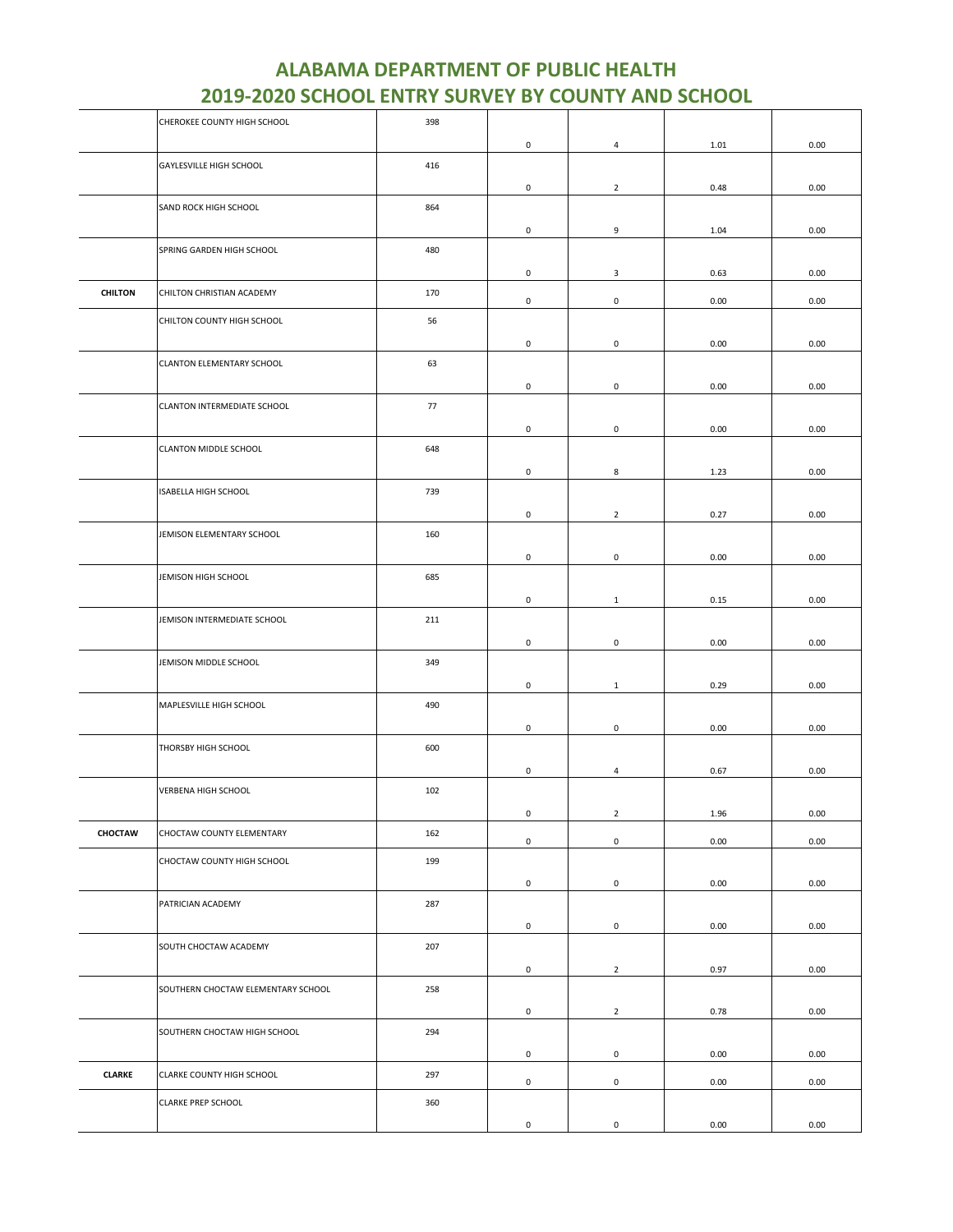| <b>ALABAMA DEPARTMENT OF PUBLIC HEALTH</b>                |
|-----------------------------------------------------------|
| <b>2019-2020 SCHOOL ENTRY SURVEY BY COUNTY AND SCHOOL</b> |

|                | CHEROKEE COUNTY HIGH SCHOOL        | 398 |                                    |                                       |              |              |
|----------------|------------------------------------|-----|------------------------------------|---------------------------------------|--------------|--------------|
|                |                                    |     | 0                                  | $\overline{4}$                        | 1.01         | 0.00         |
|                | GAYLESVILLE HIGH SCHOOL            | 416 | $\mathsf 0$                        | $\overline{2}$                        | 0.48         | 0.00         |
|                | SAND ROCK HIGH SCHOOL              | 864 |                                    |                                       |              |              |
|                | SPRING GARDEN HIGH SCHOOL          | 480 | 0                                  | 9                                     | 1.04         | 0.00         |
| <b>CHILTON</b> | CHILTON CHRISTIAN ACADEMY          | 170 | 0<br>0                             | 3<br>$\mathsf{O}\xspace$              | 0.63<br>0.00 | 0.00<br>0.00 |
|                | CHILTON COUNTY HIGH SCHOOL         | 56  |                                    |                                       |              |              |
|                | CLANTON ELEMENTARY SCHOOL          | 63  | $\mathsf 0$<br>$\mathsf 0$         | $\mathsf{O}\xspace$<br>$\mathsf 0$    | 0.00<br>0.00 | 0.00<br>0.00 |
|                | CLANTON INTERMEDIATE SCHOOL        | 77  | $\mathsf{O}\xspace$                | $\mathsf{O}\xspace$                   | 0.00         | 0.00         |
|                | CLANTON MIDDLE SCHOOL              | 648 | 0                                  | 8                                     |              |              |
|                | ISABELLA HIGH SCHOOL               | 739 |                                    |                                       | 1.23         | 0.00         |
|                | JEMISON ELEMENTARY SCHOOL          | 160 | $\mathsf 0$                        | $\overline{2}$                        | 0.27         | 0.00         |
|                | JEMISON HIGH SCHOOL                | 685 | 0                                  | $\mathsf 0$                           | 0.00         | 0.00         |
|                | JEMISON INTERMEDIATE SCHOOL        | 211 | 0                                  | $\mathbf{1}$                          | 0.15         | 0.00         |
|                | JEMISON MIDDLE SCHOOL              | 349 | $\mathsf{O}\xspace$                | $\mathbf 0$                           | 0.00         | 0.00         |
|                | MAPLESVILLE HIGH SCHOOL            | 490 | $\mathsf 0$                        | $\mathbf{1}$                          | 0.29         | 0.00         |
|                | THORSBY HIGH SCHOOL                | 600 | $\mathsf{O}\xspace$                | 0                                     | 0.00         | 0.00         |
|                | VERBENA HIGH SCHOOL                | 102 | $\mathsf{O}\xspace$                | $\overline{4}$                        | 0.67         | 0.00         |
| CHOCTAW        | CHOCTAW COUNTY ELEMENTARY          | 162 | $\mathsf{O}\xspace$<br>$\mathsf 0$ | $\overline{2}$<br>$\mathsf{O}\xspace$ | 1.96<br>0.00 | 0.00<br>0.00 |
|                | CHOCTAW COUNTY HIGH SCHOOL         | 199 |                                    |                                       |              |              |
|                | PATRICIAN ACADEMY                  | 287 | 0                                  | $\mathbf 0$                           | 0.00         | 0.00         |
|                | SOUTH CHOCTAW ACADEMY              | 207 | 0                                  | $\mathsf{O}\xspace$                   | 0.00         | 0.00         |
|                | SOUTHERN CHOCTAW ELEMENTARY SCHOOL | 258 | $\mathsf{O}\xspace$                | $\overline{2}$                        | 0.97         | 0.00         |
|                |                                    |     | $\mathsf{O}\xspace$                | $\overline{2}$                        | 0.78         | 0.00         |
|                | SOUTHERN CHOCTAW HIGH SCHOOL       | 294 | $\mathsf{O}\xspace$                | $\mathsf{O}\xspace$                   | 0.00         | 0.00         |
| <b>CLARKE</b>  | CLARKE COUNTY HIGH SCHOOL          | 297 | $\mathsf{O}\xspace$                | $\mathsf{O}\xspace$                   | 0.00         | 0.00         |
|                | CLARKE PREP SCHOOL                 | 360 |                                    |                                       |              |              |
|                |                                    |     | 0                                  | $\mathsf 0$                           | 0.00         | 0.00         |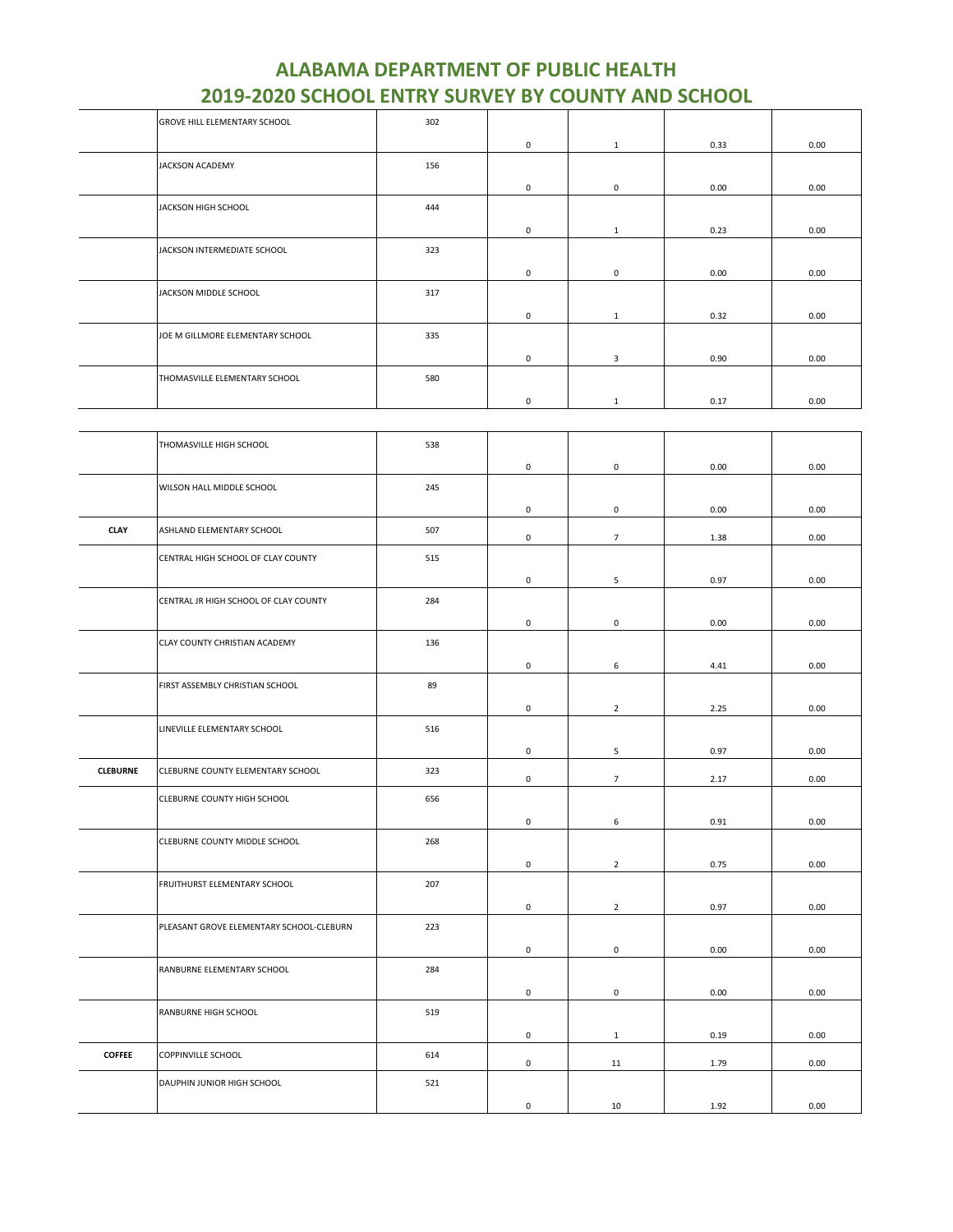| <b>GROVE HILL ELEMENTARY SCHOOL</b> | 302 |             |              |      |      |
|-------------------------------------|-----|-------------|--------------|------|------|
|                                     |     | $\mathbf 0$ | $\mathbf{1}$ | 0.33 | 0.00 |
| <b>JACKSON ACADEMY</b>              | 156 |             |              |      |      |
|                                     |     | $\mathbf 0$ | 0            | 0.00 | 0.00 |
| JACKSON HIGH SCHOOL                 | 444 |             |              |      |      |
|                                     |     | $\mathbf 0$ | $\mathbf{1}$ | 0.23 | 0.00 |
| JACKSON INTERMEDIATE SCHOOL         | 323 |             |              |      |      |
|                                     |     | 0           | 0            | 0.00 | 0.00 |
| JACKSON MIDDLE SCHOOL               | 317 |             |              |      |      |
|                                     |     | 0           | $\mathbf{1}$ | 0.32 | 0.00 |
| JOE M GILLMORE ELEMENTARY SCHOOL    | 335 |             |              |      |      |
|                                     |     | $\mathbf 0$ | 3            | 0.90 | 0.00 |
| THOMASVILLE ELEMENTARY SCHOOL       | 580 |             |              |      |      |
|                                     |     | 0           | 1            | 0.17 | 0.00 |

|                 | THOMASVILLE HIGH SCHOOL                  | 538 |                     |                 |      |      |
|-----------------|------------------------------------------|-----|---------------------|-----------------|------|------|
|                 |                                          |     | $\mathbf 0$         | $\mathbf 0$     | 0.00 | 0.00 |
|                 | WILSON HALL MIDDLE SCHOOL                | 245 |                     |                 |      |      |
|                 |                                          |     | $\mathbf 0$         | $\pmb{0}$       | 0.00 | 0.00 |
| <b>CLAY</b>     | ASHLAND ELEMENTARY SCHOOL                | 507 | $\mathsf 0$         | $\overline{7}$  | 1.38 | 0.00 |
|                 | CENTRAL HIGH SCHOOL OF CLAY COUNTY       | 515 |                     |                 |      |      |
|                 |                                          |     | $\mathbf 0$         | 5               | 0.97 | 0.00 |
|                 | CENTRAL JR HIGH SCHOOL OF CLAY COUNTY    | 284 |                     |                 |      |      |
|                 |                                          |     | $\mathsf{O}\xspace$ | 0               | 0.00 | 0.00 |
|                 | CLAY COUNTY CHRISTIAN ACADEMY            | 136 | 0                   | 6               | 4.41 | 0.00 |
|                 | FIRST ASSEMBLY CHRISTIAN SCHOOL          | 89  |                     |                 |      |      |
|                 |                                          |     | 0                   | $\overline{2}$  | 2.25 | 0.00 |
|                 | LINEVILLE ELEMENTARY SCHOOL              | 516 |                     |                 |      |      |
|                 |                                          |     |                     |                 |      |      |
|                 |                                          |     | $\mathsf{O}\xspace$ | 5               | 0.97 | 0.00 |
| <b>CLEBURNE</b> | CLEBURNE COUNTY ELEMENTARY SCHOOL        | 323 | $\mathbf 0$         | $7\overline{ }$ | 2.17 | 0.00 |
|                 | CLEBURNE COUNTY HIGH SCHOOL              | 656 |                     |                 |      |      |
|                 |                                          |     | $\mathbf 0$         | 6               | 0.91 | 0.00 |
|                 | CLEBURNE COUNTY MIDDLE SCHOOL            | 268 |                     |                 |      |      |
|                 |                                          |     | $\mathsf 0$         | $\overline{2}$  | 0.75 | 0.00 |
|                 | FRUITHURST ELEMENTARY SCHOOL             | 207 |                     |                 |      |      |
|                 |                                          |     | $\mathsf 0$         | $\overline{2}$  | 0.97 | 0.00 |
|                 | PLEASANT GROVE ELEMENTARY SCHOOL-CLEBURN | 223 |                     |                 |      |      |
|                 |                                          |     | $\mathbf 0$         | $\pmb{0}$       | 0.00 | 0.00 |
|                 | RANBURNE ELEMENTARY SCHOOL               | 284 |                     |                 |      |      |
|                 |                                          |     | $\mathbf 0$         | 0               | 0.00 | 0.00 |
|                 | RANBURNE HIGH SCHOOL                     | 519 |                     |                 |      |      |
|                 |                                          |     | $\mathsf 0$         | $\mathbf{1}$    | 0.19 | 0.00 |
| <b>COFFEE</b>   | COPPINVILLE SCHOOL                       | 614 | $\mathbf 0$         | 11              | 1.79 | 0.00 |
|                 | DAUPHIN JUNIOR HIGH SCHOOL               | 521 |                     |                 |      |      |
|                 |                                          |     | $\mathbf 0$         | 10              | 1.92 | 0.00 |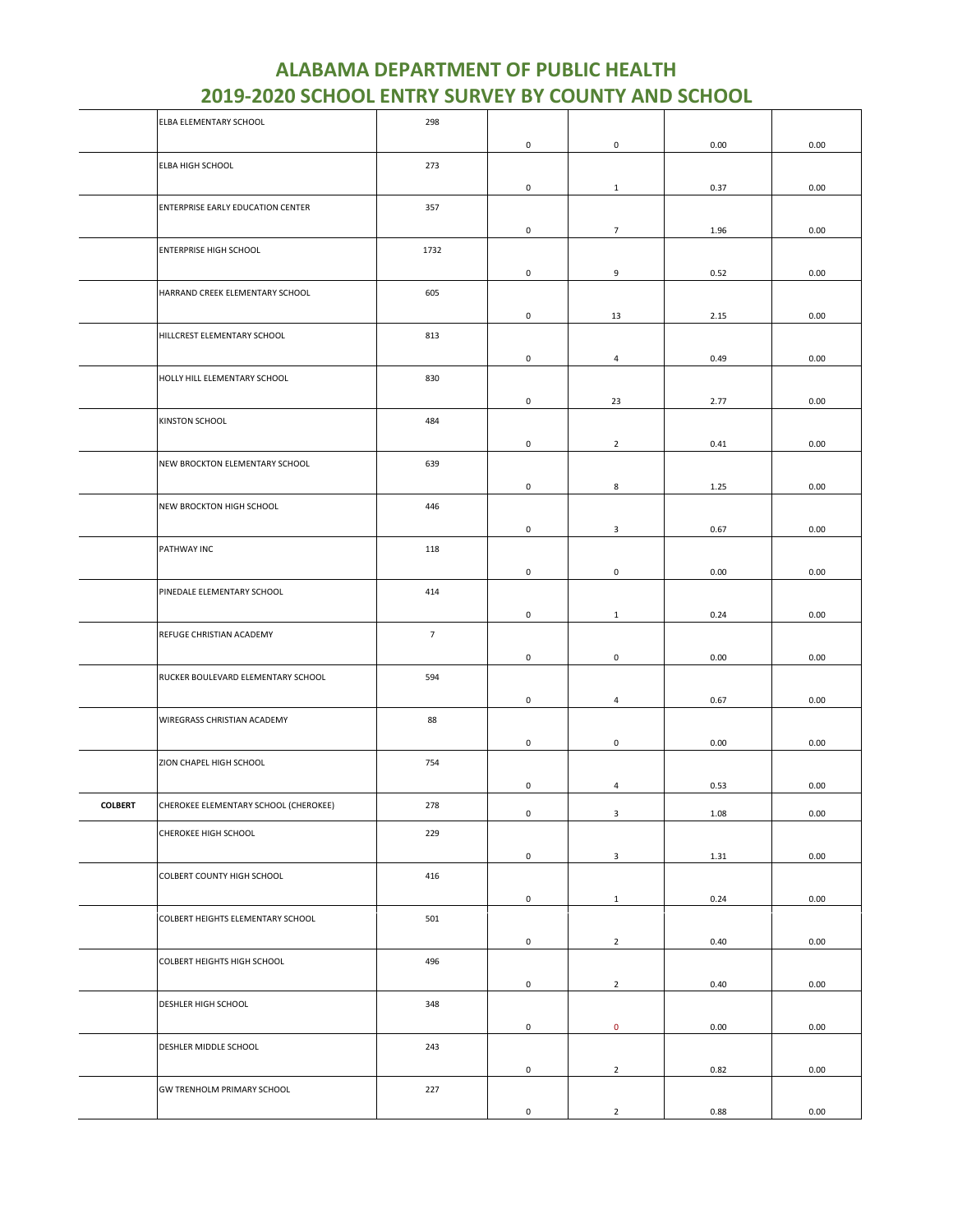|                | ELBA ELEMENTARY SCHOOL                | 298            |                     |                     |      |      |
|----------------|---------------------------------------|----------------|---------------------|---------------------|------|------|
|                |                                       |                | $\mathsf{O}\xspace$ | $\mathsf{O}\xspace$ | 0.00 | 0.00 |
|                | ELBA HIGH SCHOOL                      | 273            |                     |                     |      |      |
|                |                                       |                | $\mathsf{O}\xspace$ |                     |      |      |
|                |                                       |                |                     | $\mathbf{1}$        | 0.37 | 0.00 |
|                | ENTERPRISE EARLY EDUCATION CENTER     | 357            |                     |                     |      |      |
|                |                                       |                | $\mathsf{O}\xspace$ | $\overline{7}$      | 1.96 | 0.00 |
|                | <b>ENTERPRISE HIGH SCHOOL</b>         | 1732           |                     |                     |      |      |
|                |                                       |                | 0                   | 9                   | 0.52 | 0.00 |
|                | HARRAND CREEK ELEMENTARY SCHOOL       | 605            |                     |                     |      |      |
|                |                                       |                | 0                   | 13                  | 2.15 | 0.00 |
|                | HILLCREST ELEMENTARY SCHOOL           | 813            |                     |                     |      |      |
|                |                                       |                |                     |                     |      |      |
|                |                                       |                | 0                   | $\overline{a}$      | 0.49 | 0.00 |
|                | HOLLY HILL ELEMENTARY SCHOOL          | 830            |                     |                     |      |      |
|                |                                       |                | $\mathsf{O}\xspace$ | 23                  | 2.77 | 0.00 |
|                | KINSTON SCHOOL                        | 484            |                     |                     |      |      |
|                |                                       |                | 0                   | $\overline{2}$      | 0.41 | 0.00 |
|                | NEW BROCKTON ELEMENTARY SCHOOL        | 639            |                     |                     |      |      |
|                |                                       |                |                     |                     |      |      |
|                |                                       |                | 0                   | 8                   | 1.25 | 0.00 |
|                | NEW BROCKTON HIGH SCHOOL              | 446            |                     |                     |      |      |
|                |                                       |                | $\mathsf{O}\xspace$ | 3                   | 0.67 | 0.00 |
|                | PATHWAY INC                           | 118            |                     |                     |      |      |
|                |                                       |                | 0                   | $\mathsf{O}\xspace$ | 0.00 | 0.00 |
|                | PINEDALE ELEMENTARY SCHOOL            | 414            |                     |                     |      |      |
|                |                                       |                | 0                   | $\mathbf{1}$        | 0.24 | 0.00 |
|                |                                       |                |                     |                     |      |      |
|                | REFUGE CHRISTIAN ACADEMY              | $\overline{7}$ |                     |                     |      |      |
|                |                                       |                | 0                   | 0                   | 0.00 | 0.00 |
|                | RUCKER BOULEVARD ELEMENTARY SCHOOL    | 594            |                     |                     |      |      |
|                |                                       |                | 0                   | $\overline{4}$      | 0.67 | 0.00 |
|                | WIREGRASS CHRISTIAN ACADEMY           | 88             |                     |                     |      |      |
|                |                                       |                | 0                   | 0                   | 0.00 | 0.00 |
|                | ZION CHAPEL HIGH SCHOOL               | 754            |                     |                     |      |      |
|                |                                       |                |                     |                     |      |      |
|                |                                       |                | 0                   | $\overline{4}$      | 0.53 | 0.00 |
| <b>COLBERT</b> | CHEROKEE ELEMENTARY SCHOOL (CHEROKEE) | 278            | $\mathsf{O}\xspace$ | 3                   | 1.08 | 0.00 |
|                | CHEROKEE HIGH SCHOOL                  | 229            |                     |                     |      |      |
|                |                                       |                | $\mathsf 0$         | $\mathbf{3}$        | 1.31 | 0.00 |
|                | COLBERT COUNTY HIGH SCHOOL            | 416            |                     |                     |      |      |
|                |                                       |                |                     |                     |      |      |
|                |                                       |                | $\mathsf{O}\xspace$ | $1\,$               | 0.24 | 0.00 |
|                | COLBERT HEIGHTS ELEMENTARY SCHOOL     | 501            |                     |                     |      |      |
|                |                                       |                | 0                   | $\overline{2}$      | 0.40 | 0.00 |
|                | COLBERT HEIGHTS HIGH SCHOOL           | 496            |                     |                     |      |      |
|                |                                       |                | 0                   | $\overline{2}$      | 0.40 | 0.00 |
|                | DESHLER HIGH SCHOOL                   | 348            |                     |                     |      |      |
|                |                                       |                |                     |                     |      |      |
|                |                                       |                | $\mathsf{O}\xspace$ | $\mathbf 0$         | 0.00 | 0.00 |
|                | DESHLER MIDDLE SCHOOL                 | 243            |                     |                     |      |      |
|                |                                       |                | 0                   | $\overline{2}$      | 0.82 | 0.00 |
|                | GW TRENHOLM PRIMARY SCHOOL            | 227            |                     |                     |      |      |
|                |                                       |                | 0                   | $\overline{2}$      | 0.88 | 0.00 |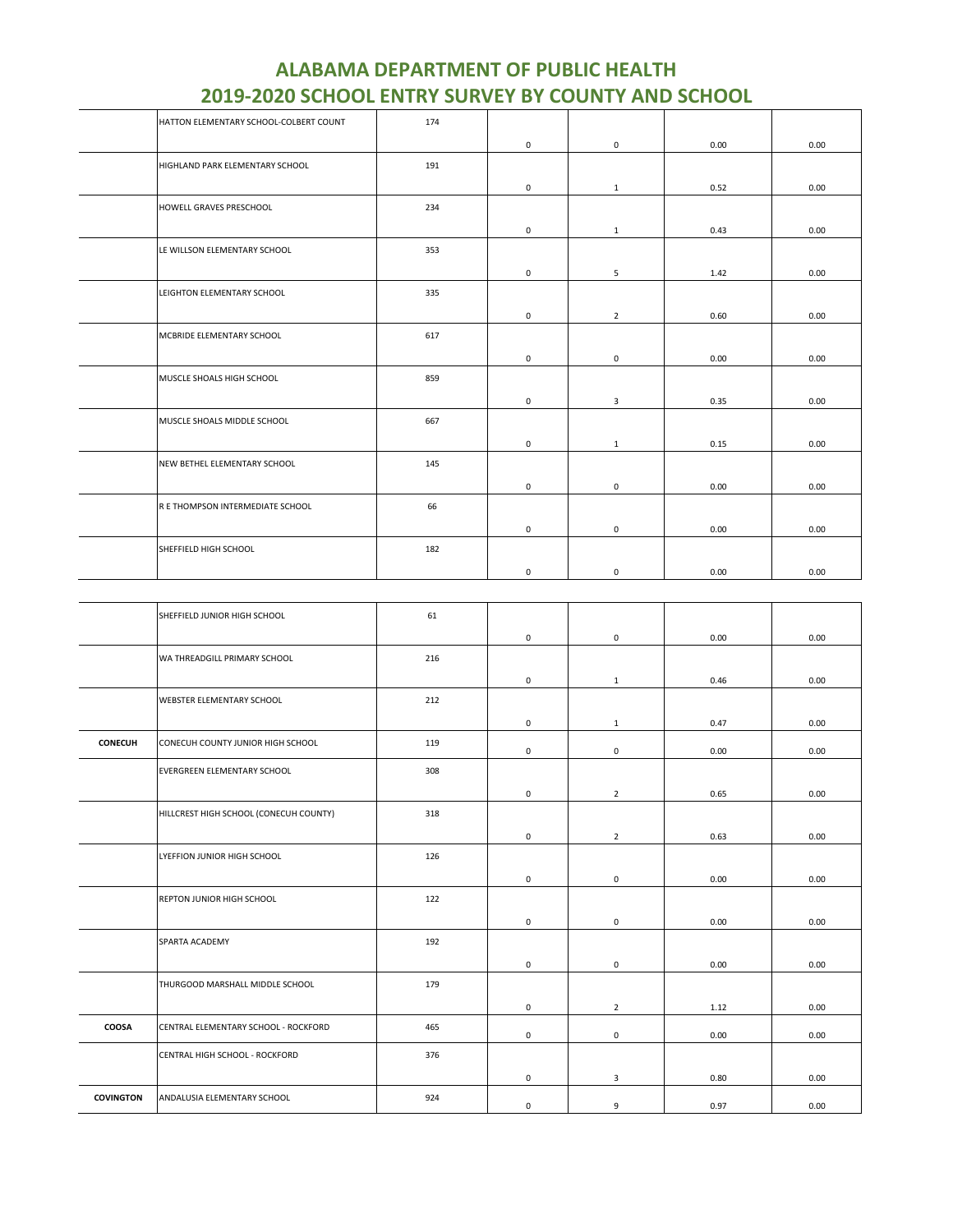| HATTON ELEMENTARY SCHOOL-COLBERT COUNT | 174 |              |                |      |      |
|----------------------------------------|-----|--------------|----------------|------|------|
|                                        |     | $\mathbf 0$  | $\mathsf 0$    | 0.00 | 0.00 |
| HIGHLAND PARK ELEMENTARY SCHOOL        | 191 |              |                |      |      |
|                                        |     | $\mathbf 0$  | $\mathbf{1}$   | 0.52 | 0.00 |
| HOWELL GRAVES PRESCHOOL                | 234 |              |                |      |      |
|                                        |     | $\mathbf 0$  | $\mathbf{1}$   | 0.43 | 0.00 |
| LE WILLSON ELEMENTARY SCHOOL           | 353 |              |                |      |      |
|                                        |     | $\mathsf 0$  | 5              | 1.42 | 0.00 |
| LEIGHTON ELEMENTARY SCHOOL             | 335 |              |                |      |      |
|                                        |     | $\mathbf{0}$ | $\overline{2}$ | 0.60 | 0.00 |
| MCBRIDE ELEMENTARY SCHOOL              | 617 |              |                |      |      |
|                                        |     | $\mathbf 0$  | $\mathsf 0$    | 0.00 | 0.00 |
| MUSCLE SHOALS HIGH SCHOOL              | 859 |              |                |      |      |
|                                        |     | 0            | 3              | 0.35 | 0.00 |
| MUSCLE SHOALS MIDDLE SCHOOL            | 667 |              |                |      |      |
|                                        |     | $\mathsf 0$  | $\mathbf{1}$   | 0.15 | 0.00 |
| NEW BETHEL ELEMENTARY SCHOOL           | 145 |              |                |      |      |
|                                        |     | 0            | 0              | 0.00 | 0.00 |
| R E THOMPSON INTERMEDIATE SCHOOL       | 66  |              |                |      |      |
|                                        |     | $\mathbf 0$  | $\mathsf 0$    | 0.00 | 0.00 |
| SHEFFIELD HIGH SCHOOL                  | 182 |              |                |      |      |
|                                        |     | $\mathbf 0$  | $\mathbf 0$    | 0.00 | 0.00 |

| <b>ALABAMA DEPARTMENT OF PUBLIC HEALTH</b>                |
|-----------------------------------------------------------|
| <b>2019-2020 SCHOOL ENTRY SURVEY BY COUNTY AND SCHOOL</b> |

|                  | SHEFFIELD JUNIOR HIGH SCHOOL           | 61  |              |                |      |      |
|------------------|----------------------------------------|-----|--------------|----------------|------|------|
|                  |                                        |     | 0            | $\mathsf 0$    | 0.00 | 0.00 |
|                  | WA THREADGILL PRIMARY SCHOOL           | 216 |              |                |      |      |
|                  |                                        |     | 0            | $\mathbf{1}$   | 0.46 | 0.00 |
|                  | WEBSTER ELEMENTARY SCHOOL              | 212 |              |                |      |      |
|                  |                                        |     | $\mathbf 0$  | $\mathbf{1}$   | 0.47 | 0.00 |
| <b>CONECUH</b>   | CONECUH COUNTY JUNIOR HIGH SCHOOL      | 119 | $\mathbf{0}$ | $\mathbf 0$    | 0.00 | 0.00 |
|                  | EVERGREEN ELEMENTARY SCHOOL            | 308 |              |                |      |      |
|                  |                                        |     | 0            | $\overline{2}$ | 0.65 | 0.00 |
|                  | HILLCREST HIGH SCHOOL (CONECUH COUNTY) | 318 |              |                |      |      |
|                  |                                        |     | 0            | $\overline{2}$ | 0.63 | 0.00 |
|                  | LYEFFION JUNIOR HIGH SCHOOL            | 126 |              |                |      |      |
|                  |                                        |     | 0            | $\mathsf 0$    | 0.00 | 0.00 |
|                  | REPTON JUNIOR HIGH SCHOOL              | 122 |              |                |      |      |
|                  |                                        |     | 0            | 0              | 0.00 | 0.00 |
|                  | SPARTA ACADEMY                         | 192 |              |                |      |      |
|                  |                                        |     | 0            | $\mathsf 0$    | 0.00 | 0.00 |
|                  | THURGOOD MARSHALL MIDDLE SCHOOL        | 179 |              |                |      |      |
|                  |                                        |     | 0            | $\overline{2}$ | 1.12 | 0.00 |
| COOSA            | CENTRAL ELEMENTARY SCHOOL - ROCKFORD   | 465 | $\mathbf 0$  | 0              | 0.00 | 0.00 |
|                  | CENTRAL HIGH SCHOOL - ROCKFORD         | 376 |              |                |      |      |
|                  |                                        |     | 0            | 3              | 0.80 | 0.00 |
| <b>COVINGTON</b> | ANDALUSIA ELEMENTARY SCHOOL            | 924 | 0            | 9              | 0.97 | 0.00 |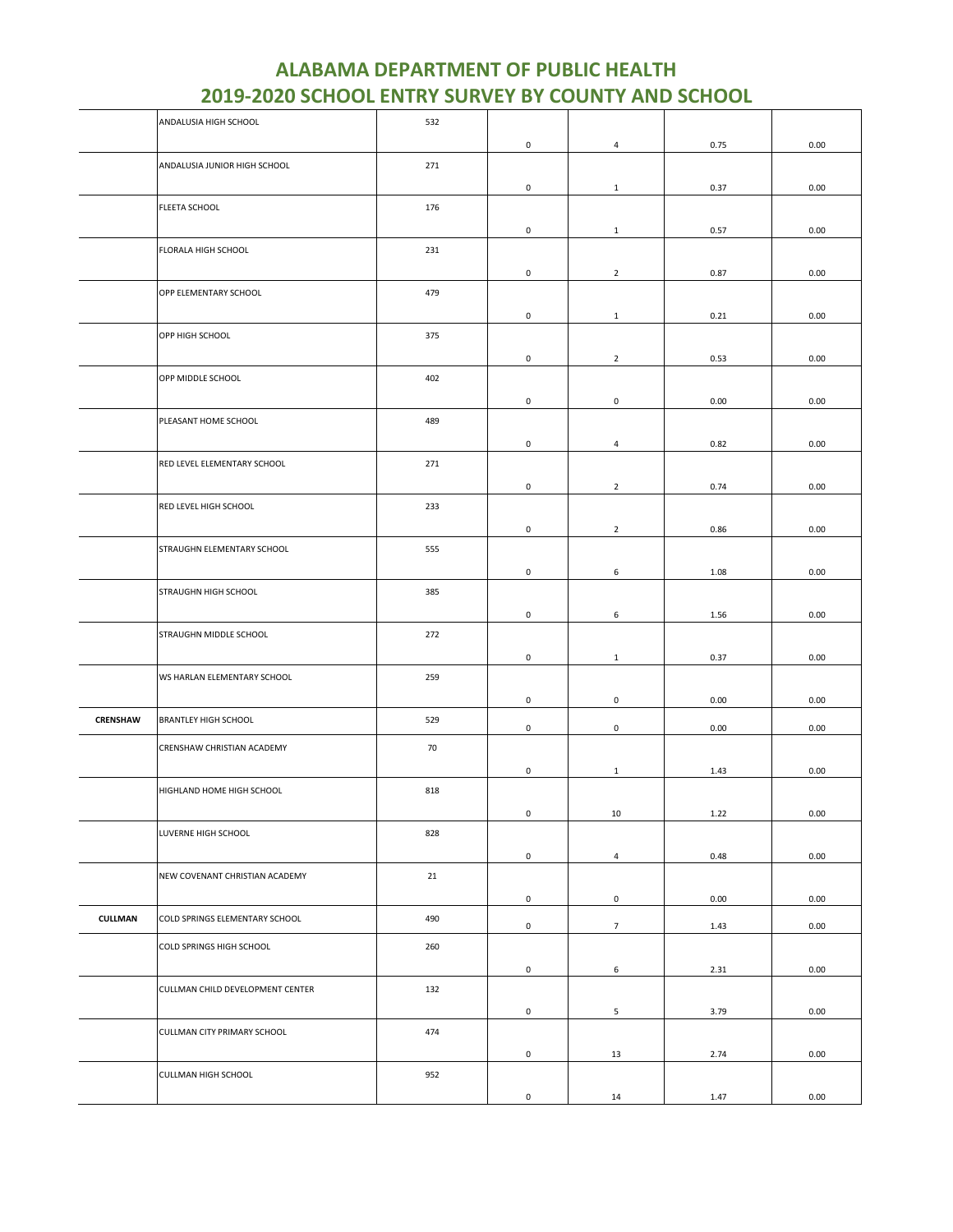|                | ANDALUSIA HIGH SCHOOL            | 532 |                     |                     |      |      |
|----------------|----------------------------------|-----|---------------------|---------------------|------|------|
|                |                                  |     | $\mathsf 0$         | $\overline{4}$      | 0.75 | 0.00 |
|                | ANDALUSIA JUNIOR HIGH SCHOOL     | 271 |                     |                     |      |      |
|                |                                  |     | 0                   | $\mathbf{1}$        | 0.37 | 0.00 |
|                | FLEETA SCHOOL                    | 176 |                     |                     |      |      |
|                |                                  |     | 0                   | $\mathbf{1}$        | 0.57 | 0.00 |
|                | FLORALA HIGH SCHOOL              | 231 |                     |                     |      |      |
|                |                                  |     | 0                   | $\overline{2}$      | 0.87 | 0.00 |
|                | OPP ELEMENTARY SCHOOL            | 479 |                     |                     |      |      |
|                |                                  |     | 0                   | $\mathbf{1}$        | 0.21 | 0.00 |
|                | OPP HIGH SCHOOL                  | 375 |                     |                     |      |      |
|                |                                  |     | $\mathsf{O}\xspace$ | $\overline{2}$      | 0.53 | 0.00 |
|                | OPP MIDDLE SCHOOL                | 402 |                     |                     |      |      |
|                |                                  |     | $\mathsf 0$         | $\mathsf{O}\xspace$ | 0.00 | 0.00 |
|                | PLEASANT HOME SCHOOL             | 489 |                     |                     |      |      |
|                |                                  |     | 0                   | $\overline{4}$      | 0.82 | 0.00 |
|                | RED LEVEL ELEMENTARY SCHOOL      | 271 |                     |                     |      |      |
|                |                                  |     | $\mathsf 0$         | $\overline{2}$      | 0.74 | 0.00 |
|                | RED LEVEL HIGH SCHOOL            | 233 |                     |                     |      |      |
|                |                                  |     | $\mathsf 0$         | $\overline{2}$      | 0.86 | 0.00 |
|                | STRAUGHN ELEMENTARY SCHOOL       | 555 |                     |                     |      |      |
|                |                                  |     | 0                   | 6                   | 1.08 | 0.00 |
|                | STRAUGHN HIGH SCHOOL             | 385 |                     |                     |      |      |
|                |                                  |     | 0                   | 6                   | 1.56 | 0.00 |
|                | STRAUGHN MIDDLE SCHOOL           | 272 |                     |                     |      |      |
|                |                                  |     | $\mathsf{O}\xspace$ | $\mathbf{1}$        | 0.37 | 0.00 |
|                | WS HARLAN ELEMENTARY SCHOOL      | 259 |                     |                     |      |      |
|                |                                  |     | 0                   | 0                   | 0.00 | 0.00 |
| CRENSHAW       | <b>BRANTLEY HIGH SCHOOL</b>      | 529 |                     |                     |      |      |
|                |                                  |     | $\mathsf 0$         | $\mathsf{O}\xspace$ | 0.00 | 0.00 |
|                | CRENSHAW CHRISTIAN ACADEMY       | 70  |                     |                     |      |      |
|                |                                  |     | 0                   | $\mathbf{1}$        | 1.43 | 0.00 |
|                | HIGHLAND HOME HIGH SCHOOL        | 818 |                     |                     |      |      |
|                |                                  |     | $\pmb{0}$           | 10                  | 1.22 | 0.00 |
|                | LUVERNE HIGH SCHOOL              | 828 |                     |                     |      |      |
|                |                                  |     | $\mathsf{O}\xspace$ | $\overline{4}$      | 0.48 | 0.00 |
|                | NEW COVENANT CHRISTIAN ACADEMY   | 21  |                     |                     |      |      |
|                |                                  |     | $\mathsf 0$         | $\mathsf 0$         | 0.00 | 0.00 |
| <b>CULLMAN</b> | COLD SPRINGS ELEMENTARY SCHOOL   | 490 | $\mathsf 0$         | $7\overline{ }$     | 1.43 | 0.00 |
|                | COLD SPRINGS HIGH SCHOOL         | 260 |                     |                     |      |      |
|                |                                  |     | 0                   | 6                   | 2.31 | 0.00 |
|                | CULLMAN CHILD DEVELOPMENT CENTER | 132 |                     |                     |      |      |
|                |                                  |     | $\mathsf{O}\xspace$ | 5                   | 3.79 | 0.00 |
|                | CULLMAN CITY PRIMARY SCHOOL      | 474 |                     |                     |      |      |
|                |                                  |     | $\mathsf 0$         | 13                  | 2.74 | 0.00 |
|                | CULLMAN HIGH SCHOOL              | 952 |                     |                     |      |      |
|                |                                  |     | $\mathsf{O}\xspace$ | 14                  | 1.47 | 0.00 |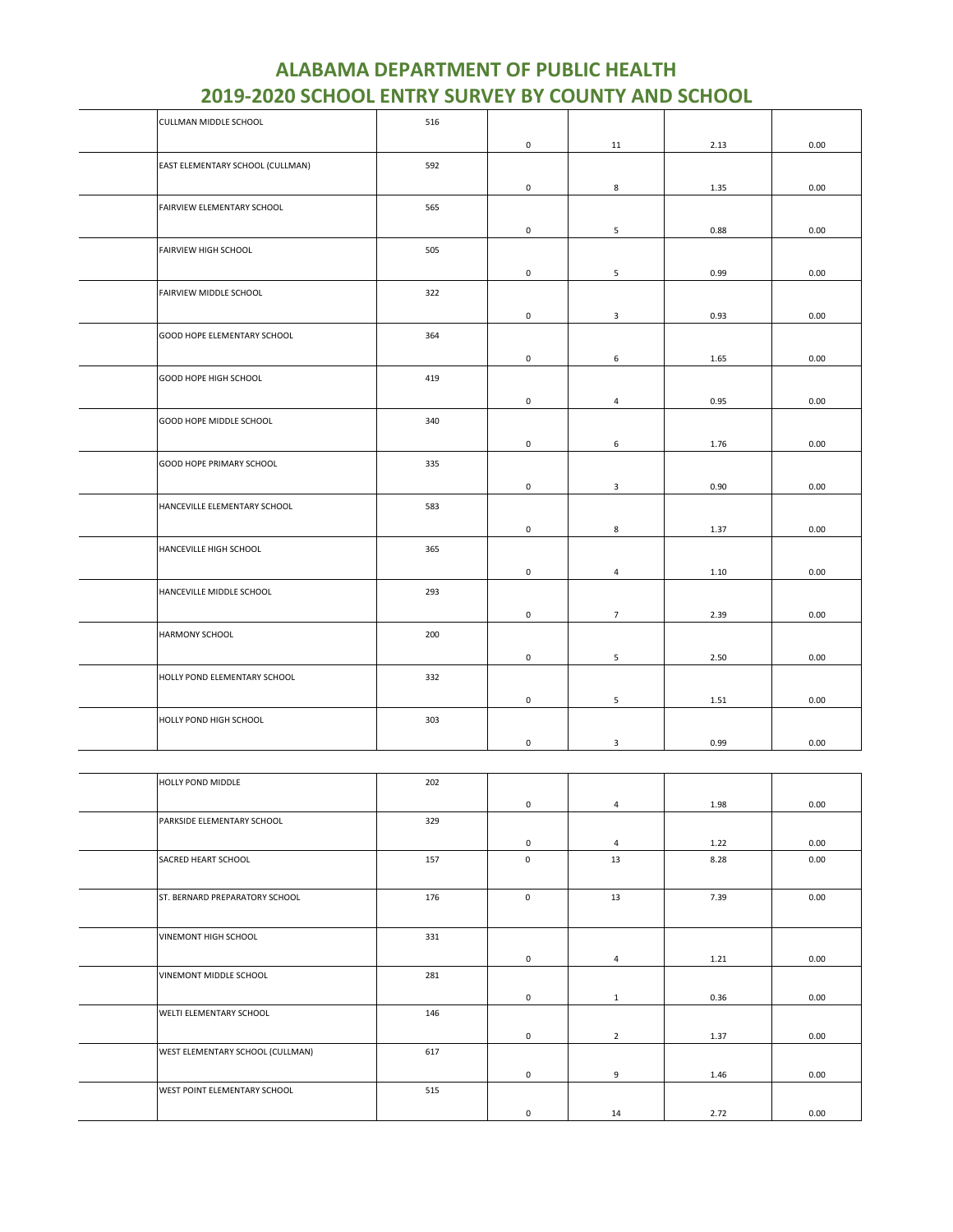| <u>2015-2020 SCHOOL ENTRY SURVET BY COUNTY AND SCHOOL</u> |     |                     |                |      |      |
|-----------------------------------------------------------|-----|---------------------|----------------|------|------|
| CULLMAN MIDDLE SCHOOL                                     | 516 |                     |                |      |      |
|                                                           |     | $\mathsf 0$         | 11             | 2.13 | 0.00 |
| EAST ELEMENTARY SCHOOL (CULLMAN)                          | 592 |                     |                |      |      |
|                                                           |     | $\mathsf 0$         | 8              | 1.35 | 0.00 |
| FAIRVIEW ELEMENTARY SCHOOL                                | 565 |                     |                |      |      |
|                                                           |     | $\mathsf 0$         | 5              | 0.88 | 0.00 |
| FAIRVIEW HIGH SCHOOL                                      | 505 |                     |                |      |      |
|                                                           |     | $\mathsf 0$         | 5              | 0.99 | 0.00 |
| FAIRVIEW MIDDLE SCHOOL                                    | 322 |                     |                |      |      |
|                                                           |     | $\mathsf 0$         | 3              | 0.93 | 0.00 |
| GOOD HOPE ELEMENTARY SCHOOL                               | 364 |                     |                |      |      |
|                                                           |     | $\mathsf 0$         | 6              | 1.65 | 0.00 |
| GOOD HOPE HIGH SCHOOL                                     | 419 |                     |                |      |      |
|                                                           |     | 0                   | 4              | 0.95 | 0.00 |
| GOOD HOPE MIDDLE SCHOOL                                   | 340 |                     |                |      |      |
|                                                           |     | 0                   | 6              | 1.76 | 0.00 |
| GOOD HOPE PRIMARY SCHOOL                                  | 335 |                     |                |      |      |
|                                                           |     | $\mathsf 0$         | $\mathbf{3}$   | 0.90 | 0.00 |
| HANCEVILLE ELEMENTARY SCHOOL                              | 583 |                     |                |      |      |
|                                                           |     | 0                   | 8              | 1.37 | 0.00 |
| HANCEVILLE HIGH SCHOOL                                    | 365 |                     |                |      |      |
|                                                           |     | $\mathsf{O}\xspace$ | 4              | 1.10 | 0.00 |
| HANCEVILLE MIDDLE SCHOOL                                  | 293 |                     |                |      |      |
|                                                           |     | 0                   | $\overline{7}$ | 2.39 | 0.00 |
| HARMONY SCHOOL                                            | 200 |                     |                |      |      |
|                                                           |     | 0                   | 5              | 2.50 | 0.00 |
| HOLLY POND ELEMENTARY SCHOOL                              | 332 |                     |                |      |      |
|                                                           |     | $\mathsf 0$         | 5              | 1.51 | 0.00 |
| HOLLY POND HIGH SCHOOL                                    | 303 |                     |                |      |      |
|                                                           |     | $\mathsf{O}\xspace$ | 3              | 0.99 | 0.00 |
|                                                           |     |                     |                |      |      |

| HOLLY POND MIDDLE                | 202 |             |                |      |      |
|----------------------------------|-----|-------------|----------------|------|------|
|                                  |     | $\mathbf 0$ | $\overline{4}$ | 1.98 | 0.00 |
| PARKSIDE ELEMENTARY SCHOOL       | 329 |             |                |      |      |
|                                  |     | $\mathbf 0$ | $\overline{4}$ | 1.22 | 0.00 |
| SACRED HEART SCHOOL              | 157 | $\mathbf 0$ | 13             | 8.28 | 0.00 |
|                                  |     |             |                |      |      |
| ST. BERNARD PREPARATORY SCHOOL   | 176 | $\mathbf 0$ | 13             | 7.39 | 0.00 |
|                                  |     |             |                |      |      |
| VINEMONT HIGH SCHOOL             | 331 |             |                |      |      |
|                                  |     | $\mathbf 0$ | 4              | 1.21 | 0.00 |
| VINEMONT MIDDLE SCHOOL           | 281 |             |                |      |      |
|                                  |     | 0           | 1              | 0.36 | 0.00 |
| WELTI ELEMENTARY SCHOOL          | 146 |             |                |      |      |
|                                  |     | $\mathbf 0$ | $\overline{2}$ | 1.37 | 0.00 |
| WEST ELEMENTARY SCHOOL (CULLMAN) | 617 |             |                |      |      |
|                                  |     | $\mathbf 0$ | 9              | 1.46 | 0.00 |
| WEST POINT ELEMENTARY SCHOOL     | 515 |             |                |      |      |
|                                  |     | $\mathsf 0$ | 14             | 2.72 | 0.00 |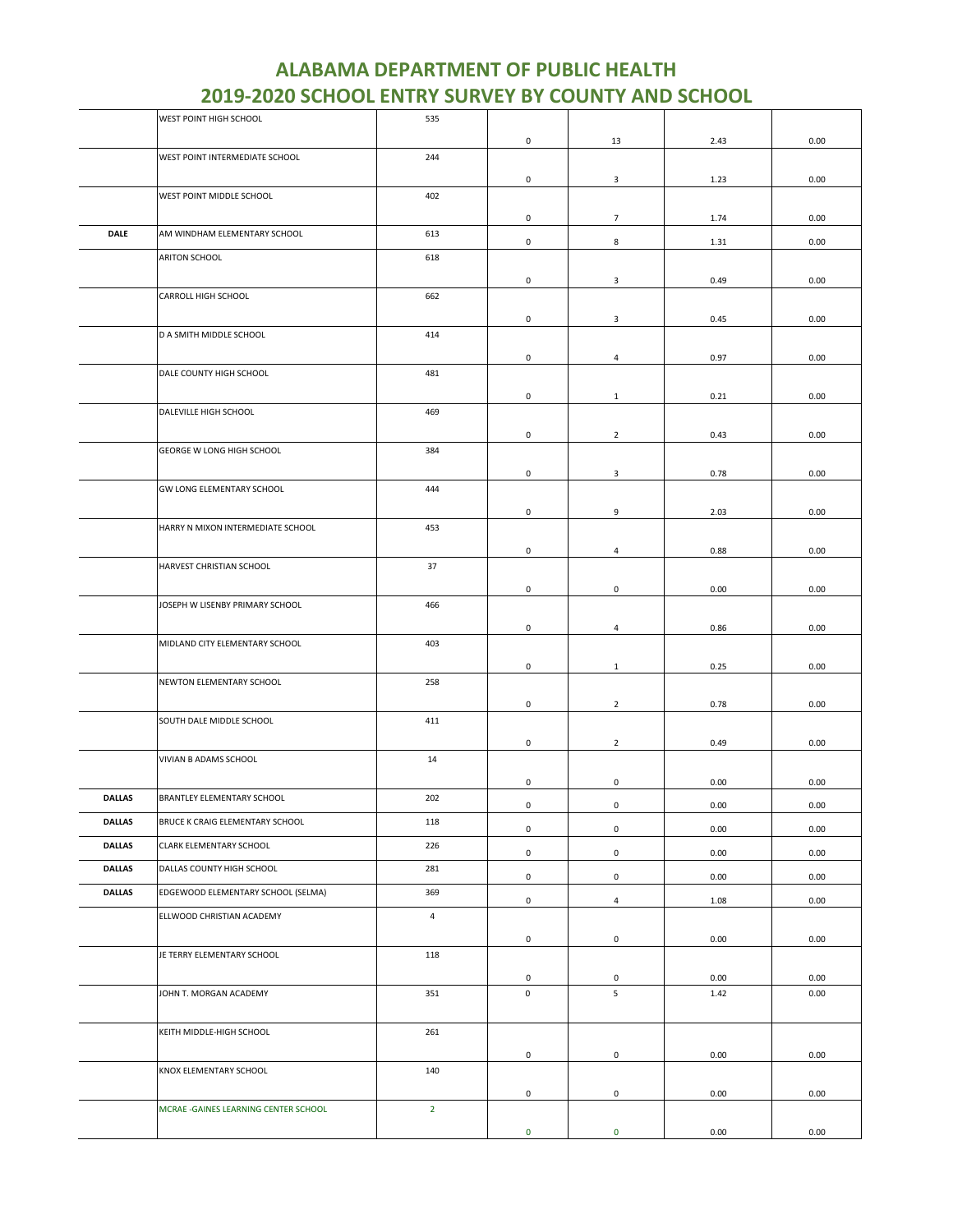|               | WEST POINT HIGH SCHOOL                | 535            |             |                |      |      |
|---------------|---------------------------------------|----------------|-------------|----------------|------|------|
|               |                                       |                | 0           | 13             | 2.43 | 0.00 |
|               | WEST POINT INTERMEDIATE SCHOOL        | 244            |             |                |      |      |
|               |                                       |                |             |                |      |      |
|               | WEST POINT MIDDLE SCHOOL              | 402            | 0           | 3              | 1.23 | 0.00 |
|               |                                       |                |             |                |      |      |
|               |                                       |                | 0           | $\overline{7}$ | 1.74 | 0.00 |
| <b>DALE</b>   | AM WINDHAM ELEMENTARY SCHOOL          | 613            | 0           | 8              | 1.31 | 0.00 |
|               | ARITON SCHOOL                         | 618            |             |                |      |      |
|               |                                       |                |             |                |      |      |
|               |                                       |                | 0           | 3              | 0.49 | 0.00 |
|               | CARROLL HIGH SCHOOL                   | 662            |             |                |      |      |
|               |                                       |                | 0           | 3              | 0.45 | 0.00 |
|               | D A SMITH MIDDLE SCHOOL               | 414            |             |                |      |      |
|               |                                       |                | 0           | 4              | 0.97 | 0.00 |
|               | DALE COUNTY HIGH SCHOOL               | 481            |             |                |      |      |
|               |                                       |                | 0           | $\mathbf{1}$   | 0.21 | 0.00 |
|               | DALEVILLE HIGH SCHOOL                 | 469            |             |                |      |      |
|               |                                       |                |             |                |      |      |
|               |                                       |                | 0           | $\overline{2}$ | 0.43 | 0.00 |
|               | GEORGE W LONG HIGH SCHOOL             | 384            |             |                |      |      |
|               |                                       |                | 0           | 3              | 0.78 | 0.00 |
|               | GW LONG ELEMENTARY SCHOOL             | 444            |             |                |      |      |
|               |                                       |                | 0           | 9              | 2.03 | 0.00 |
|               | HARRY N MIXON INTERMEDIATE SCHOOL     | 453            |             |                |      |      |
|               |                                       |                | 0           | $\overline{4}$ | 0.88 | 0.00 |
|               | HARVEST CHRISTIAN SCHOOL              | 37             |             |                |      |      |
|               |                                       |                |             |                |      |      |
|               |                                       |                | 0           | 0              | 0.00 | 0.00 |
|               | JOSEPH W LISENBY PRIMARY SCHOOL       | 466            |             |                |      |      |
|               |                                       |                | 0           | $\overline{4}$ | 0.86 | 0.00 |
|               | MIDLAND CITY ELEMENTARY SCHOOL        | 403            |             |                |      |      |
|               |                                       |                | 0           | 1              | 0.25 | 0.00 |
|               | NEWTON ELEMENTARY SCHOOL              | 258            |             |                |      |      |
|               |                                       |                |             |                |      |      |
|               | SOUTH DALE MIDDLE SCHOOL              | 411            | 0           | $\overline{2}$ | 0.78 | 0.00 |
|               |                                       |                |             |                |      |      |
|               |                                       |                | 0           | $\overline{2}$ | 0.49 | 0.00 |
|               | VIVIAN B ADAMS SCHOOL                 | 14             |             |                |      |      |
|               |                                       |                | 0           | 0              | 0.00 | 0.00 |
| <b>DALLAS</b> | BRANTLEY ELEMENTARY SCHOOL            | 202            | 0           | $\mathsf 0$    | 0.00 | 0.00 |
| <b>DALLAS</b> | BRUCE K CRAIG ELEMENTARY SCHOOL       | 118            |             |                |      |      |
|               |                                       |                | 0           | $\mathsf 0$    | 0.00 | 0.00 |
| <b>DALLAS</b> | CLARK ELEMENTARY SCHOOL               | 226            | 0           | $\mathbf 0$    | 0.00 | 0.00 |
| <b>DALLAS</b> | DALLAS COUNTY HIGH SCHOOL             | 281            |             |                |      |      |
| <b>DALLAS</b> | EDGEWOOD ELEMENTARY SCHOOL (SELMA)    | 369            | 0           | $\mathbf 0$    | 0.00 | 0.00 |
|               |                                       |                | 0           | $\overline{4}$ | 1.08 | 0.00 |
|               | ELLWOOD CHRISTIAN ACADEMY             | $\overline{4}$ |             |                |      |      |
|               |                                       |                | 0           | $\mathbf 0$    | 0.00 | 0.00 |
|               | JE TERRY ELEMENTARY SCHOOL            | 118            |             |                |      |      |
|               |                                       |                | 0           | $\mathbf 0$    | 0.00 | 0.00 |
|               | JOHN T. MORGAN ACADEMY                | 351            | $\mathsf 0$ | 5              | 1.42 | 0.00 |
|               |                                       |                |             |                |      |      |
|               |                                       |                |             |                |      |      |
|               | KEITH MIDDLE-HIGH SCHOOL              | 261            |             |                |      |      |
|               |                                       |                | 0           | $\mathbf 0$    | 0.00 | 0.00 |
|               | KNOX ELEMENTARY SCHOOL                | 140            |             |                |      |      |
|               |                                       |                | 0           | $\mathbf 0$    | 0.00 | 0.00 |
|               | MCRAE - GAINES LEARNING CENTER SCHOOL | $2^{\circ}$    |             |                |      |      |
|               |                                       |                | $\mathbf 0$ | $\pmb{0}$      | 0.00 | 0.00 |
|               |                                       |                |             |                |      |      |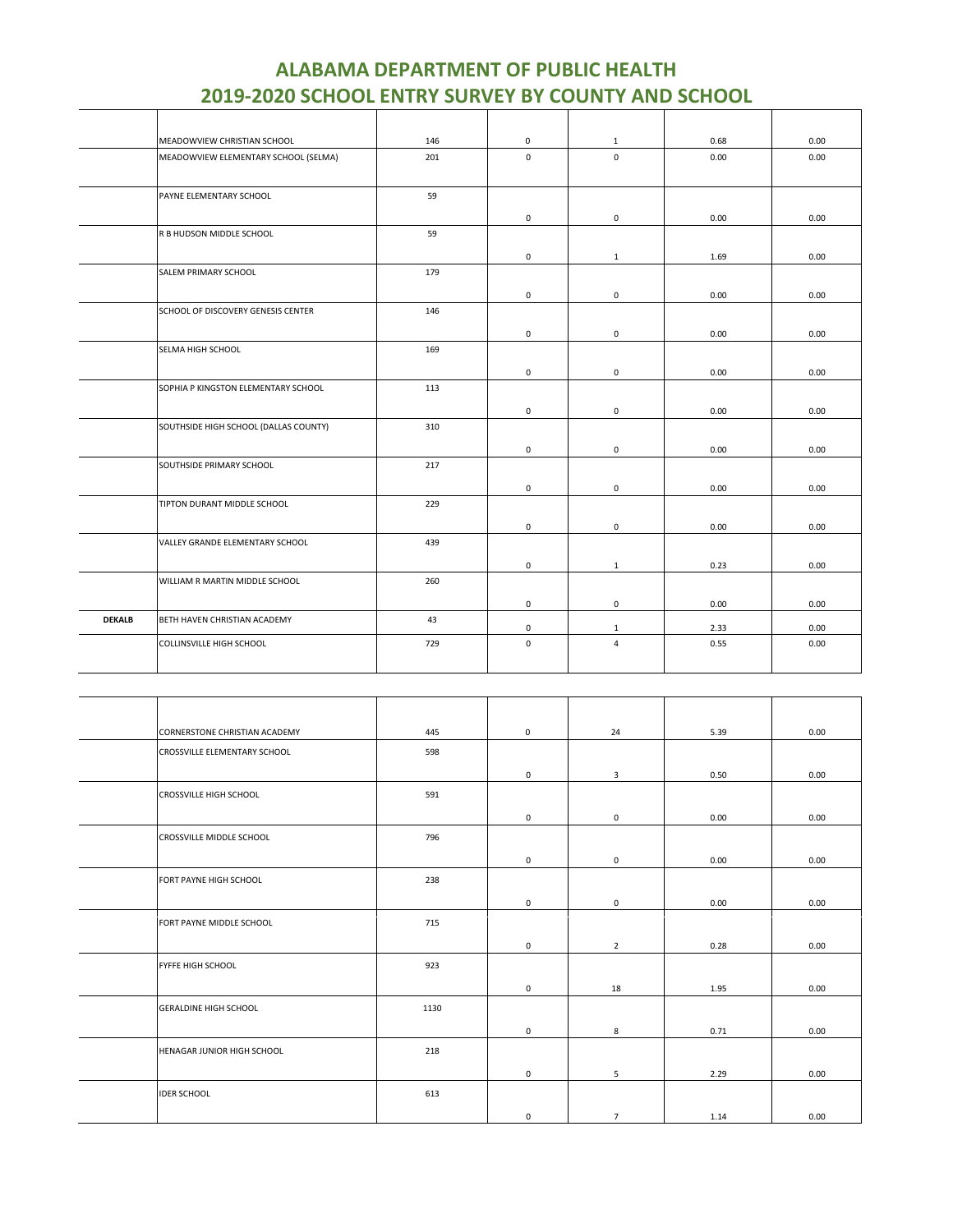|               | MEADOWVIEW CHRISTIAN SCHOOL           | 146 | 0           | $\mathbf{1}$        | 0.68 | 0.00 |
|---------------|---------------------------------------|-----|-------------|---------------------|------|------|
|               | MEADOWVIEW ELEMENTARY SCHOOL (SELMA)  | 201 | $\mathbf 0$ | $\mathbf 0$         | 0.00 | 0.00 |
|               |                                       |     |             |                     |      |      |
|               | PAYNE ELEMENTARY SCHOOL               | 59  |             |                     |      |      |
|               |                                       |     | 0           | $\mathsf 0$         | 0.00 | 0.00 |
|               | R B HUDSON MIDDLE SCHOOL              | 59  |             |                     |      |      |
|               |                                       |     | 0           | $\mathbf{1}$        | 1.69 | 0.00 |
|               | SALEM PRIMARY SCHOOL                  | 179 |             |                     |      |      |
|               |                                       |     | 0           | $\mathsf 0$         | 0.00 | 0.00 |
|               | SCHOOL OF DISCOVERY GENESIS CENTER    | 146 |             |                     |      |      |
|               |                                       |     | 0           | $\mathsf 0$         | 0.00 | 0.00 |
|               | SELMA HIGH SCHOOL                     | 169 |             |                     |      |      |
|               |                                       |     | 0           | 0                   | 0.00 | 0.00 |
|               | SOPHIA P KINGSTON ELEMENTARY SCHOOL   | 113 |             |                     |      |      |
|               |                                       |     |             |                     |      |      |
|               | SOUTHSIDE HIGH SCHOOL (DALLAS COUNTY) | 310 | 0           | $\mathsf 0$         | 0.00 | 0.00 |
|               |                                       |     |             |                     |      |      |
|               |                                       |     | 0           | $\mathsf 0$         | 0.00 | 0.00 |
|               | SOUTHSIDE PRIMARY SCHOOL              | 217 |             |                     |      |      |
|               |                                       |     | 0           | $\mathbf 0$         | 0.00 | 0.00 |
|               | TIPTON DURANT MIDDLE SCHOOL           | 229 |             |                     |      |      |
|               |                                       |     | 0           | $\mathsf 0$         | 0.00 | 0.00 |
|               | VALLEY GRANDE ELEMENTARY SCHOOL       | 439 |             |                     |      |      |
|               |                                       |     | 0           | $\mathbf{1}$        | 0.23 | 0.00 |
|               | WILLIAM R MARTIN MIDDLE SCHOOL        | 260 |             |                     |      |      |
|               |                                       |     | 0           | $\mathsf{O}\xspace$ | 0.00 | 0.00 |
| <b>DEKALB</b> | BETH HAVEN CHRISTIAN ACADEMY          | 43  | 0           | $\mathbf{1}$        | 2.33 | 0.00 |
|               | COLLINSVILLE HIGH SCHOOL              | 729 | $\mathbf 0$ | $\overline{4}$      | 0.55 | 0.00 |
|               |                                       |     |             |                     |      |      |

| CORNERSTONE CHRISTIAN ACADEMY | 445  | $\mathbf 0$  | 24             | 5.39 | 0.00 |
|-------------------------------|------|--------------|----------------|------|------|
| CROSSVILLE ELEMENTARY SCHOOL  | 598  |              |                |      |      |
|                               |      | $\mathbf 0$  | 3              | 0.50 | 0.00 |
| CROSSVILLE HIGH SCHOOL        | 591  |              |                |      |      |
|                               |      | $\mathbf{0}$ | $\mathsf 0$    | 0.00 | 0.00 |
| CROSSVILLE MIDDLE SCHOOL      | 796  |              |                |      |      |
|                               |      | $\mathbf 0$  | $\mathbf 0$    | 0.00 | 0.00 |
| FORT PAYNE HIGH SCHOOL        | 238  |              |                |      |      |
|                               |      | $\mathbf 0$  | $\mathbf 0$    | 0.00 | 0.00 |
| FORT PAYNE MIDDLE SCHOOL      | 715  |              |                |      |      |
|                               |      | $\mathbf 0$  | $\overline{2}$ | 0.28 | 0.00 |
| FYFFE HIGH SCHOOL             | 923  |              |                |      |      |
|                               |      | $\mathbf 0$  | 18             | 1.95 | 0.00 |
| <b>GERALDINE HIGH SCHOOL</b>  | 1130 |              |                |      |      |
|                               |      | 0            | 8              | 0.71 | 0.00 |
| HENAGAR JUNIOR HIGH SCHOOL    | 218  |              |                |      |      |
|                               |      | $\mathbf 0$  | 5              | 2.29 | 0.00 |
| <b>IDER SCHOOL</b>            | 613  |              |                |      |      |
|                               |      | 0            | $\overline{7}$ | 1.14 | 0.00 |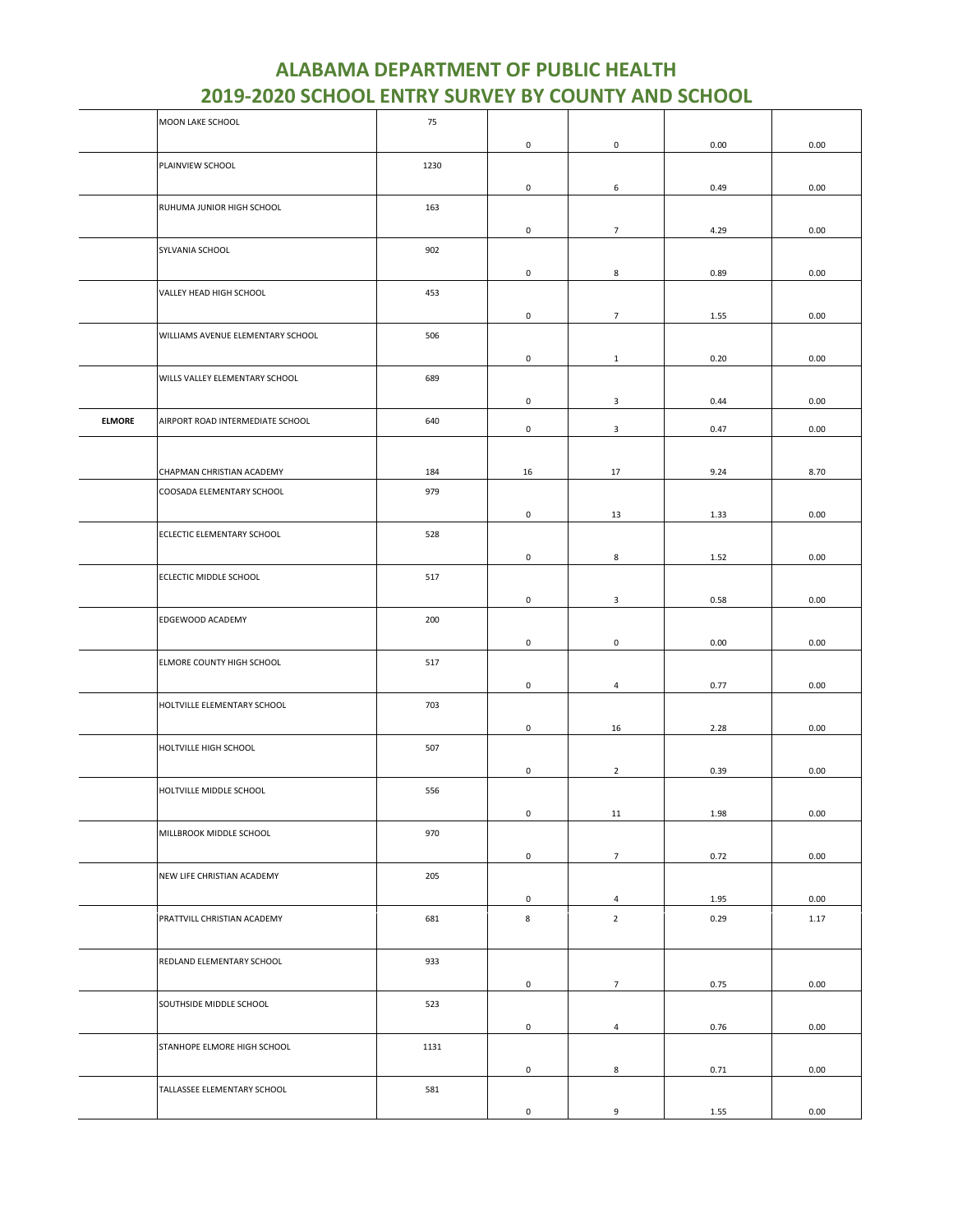|               | MOON LAKE SCHOOL                  | 75   |                     |                     |      |          |
|---------------|-----------------------------------|------|---------------------|---------------------|------|----------|
|               |                                   |      | $\mathsf 0$         | $\mathsf{O}\xspace$ | 0.00 | 0.00     |
|               | PLAINVIEW SCHOOL                  | 1230 |                     |                     |      |          |
|               |                                   |      | 0                   | 6                   | 0.49 | 0.00     |
|               |                                   |      |                     |                     |      |          |
|               | RUHUMA JUNIOR HIGH SCHOOL         | 163  |                     |                     |      |          |
|               |                                   |      | $\mathsf 0$         | $\overline{7}$      | 4.29 | 0.00     |
|               | SYLVANIA SCHOOL                   | 902  |                     |                     |      |          |
|               |                                   |      | 0                   | 8                   | 0.89 | 0.00     |
|               | VALLEY HEAD HIGH SCHOOL           | 453  |                     |                     |      |          |
|               |                                   |      | 0                   | $\overline{7}$      | 1.55 | 0.00     |
|               | WILLIAMS AVENUE ELEMENTARY SCHOOL | 506  |                     |                     |      |          |
|               |                                   |      |                     |                     |      |          |
|               |                                   |      | $\mathsf{O}\xspace$ | $\mathbf{1}$        | 0.20 | 0.00     |
|               | WILLS VALLEY ELEMENTARY SCHOOL    | 689  |                     |                     |      |          |
|               |                                   |      | $\mathsf{O}\xspace$ | $\mathbf{3}$        | 0.44 | 0.00     |
| <b>ELMORE</b> | AIRPORT ROAD INTERMEDIATE SCHOOL  | 640  | $\mathsf{O}\xspace$ | 3                   | 0.47 | 0.00     |
|               |                                   |      |                     |                     |      |          |
|               |                                   |      |                     |                     |      |          |
|               | CHAPMAN CHRISTIAN ACADEMY         | 184  | 16                  | 17                  | 9.24 | 8.70     |
|               | COOSADA ELEMENTARY SCHOOL         | 979  |                     |                     |      |          |
|               |                                   |      | 0                   | 13                  | 1.33 | 0.00     |
|               | ECLECTIC ELEMENTARY SCHOOL        | 528  |                     |                     |      |          |
|               |                                   |      | 0                   | 8                   | 1.52 | 0.00     |
|               | ECLECTIC MIDDLE SCHOOL            | 517  |                     |                     |      |          |
|               |                                   |      | 0                   | 3                   | 0.58 | 0.00     |
|               | EDGEWOOD ACADEMY                  | 200  |                     |                     |      |          |
|               |                                   |      |                     |                     |      |          |
|               |                                   |      | 0                   | 0                   | 0.00 | 0.00     |
|               | ELMORE COUNTY HIGH SCHOOL         | 517  |                     |                     |      |          |
|               |                                   |      | $\mathsf{O}\xspace$ | $\overline{a}$      | 0.77 | 0.00     |
|               | HOLTVILLE ELEMENTARY SCHOOL       | 703  |                     |                     |      |          |
|               |                                   |      | $\mathsf{O}\xspace$ | 16                  | 2.28 | 0.00     |
|               | HOLTVILLE HIGH SCHOOL             | 507  |                     |                     |      |          |
|               |                                   |      |                     |                     |      | 0.00     |
|               |                                   |      | 0                   | $\overline{2}$      | 0.39 |          |
|               | HOLTVILLE MIDDLE SCHOOL           | 556  |                     |                     |      |          |
|               |                                   |      | $\pmb{0}$           | 11                  | 1.98 | 0.00     |
|               | MILLBROOK MIDDLE SCHOOL           | 970  |                     |                     |      |          |
|               |                                   |      | $\mathsf{O}\xspace$ | 7 <sup>7</sup>      | 0.72 | 0.00     |
|               | NEW LIFE CHRISTIAN ACADEMY        | 205  |                     |                     |      |          |
|               |                                   |      | $\mathsf 0$         | $\overline{4}$      | 1.95 | 0.00     |
|               | PRATTVILL CHRISTIAN ACADEMY       | 681  | 8                   | $\overline{2}$      | 0.29 | 1.17     |
|               |                                   |      |                     |                     |      |          |
|               |                                   |      |                     |                     |      |          |
|               | REDLAND ELEMENTARY SCHOOL         | 933  |                     |                     |      |          |
|               |                                   |      | $\mathsf{O}\xspace$ | $7\overline{ }$     | 0.75 | 0.00     |
|               | SOUTHSIDE MIDDLE SCHOOL           | 523  |                     |                     |      |          |
|               |                                   |      | $\mathsf 0$         | $\overline{4}$      | 0.76 | $0.00\,$ |
|               | STANHOPE ELMORE HIGH SCHOOL       | 1131 |                     |                     |      |          |
|               |                                   |      | 0                   | 8                   | 0.71 | 0.00     |
|               | TALLASSEE ELEMENTARY SCHOOL       | 581  |                     |                     |      |          |
|               |                                   |      |                     |                     |      |          |
|               |                                   |      | $\mathsf{O}\xspace$ | 9                   | 1.55 | 0.00     |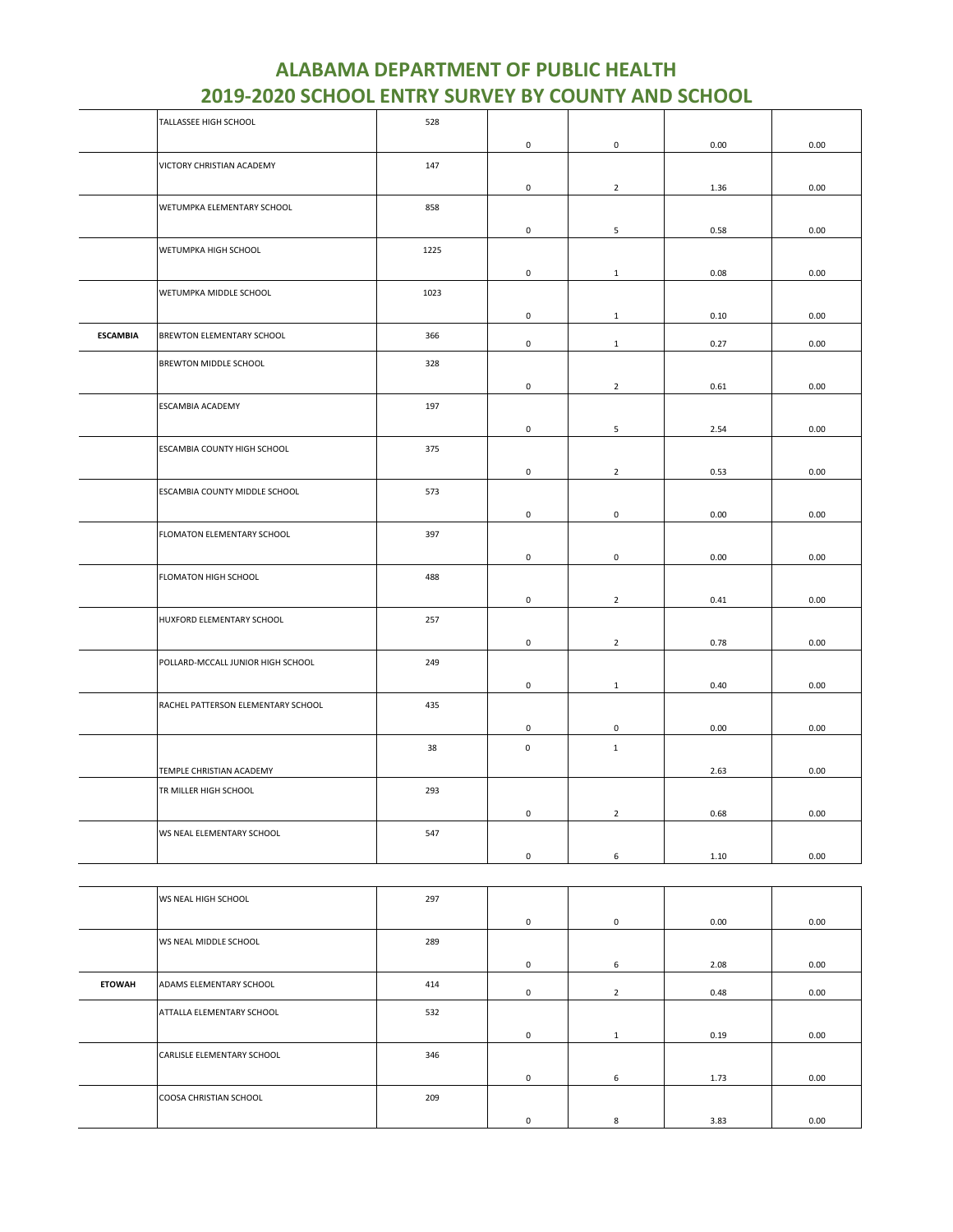|                 | TALLASSEE HIGH SCHOOL              | 528  |             |                |      |      |
|-----------------|------------------------------------|------|-------------|----------------|------|------|
|                 |                                    |      | $\mathsf 0$ | $\mathsf 0$    | 0.00 | 0.00 |
|                 | VICTORY CHRISTIAN ACADEMY          | 147  |             |                |      |      |
|                 |                                    |      | $\mathsf 0$ | $\overline{2}$ | 1.36 | 0.00 |
|                 | WETUMPKA ELEMENTARY SCHOOL         | 858  |             |                |      |      |
|                 |                                    |      | 0           | 5              | 0.58 | 0.00 |
|                 | WETUMPKA HIGH SCHOOL               | 1225 |             |                |      |      |
|                 |                                    |      | 0           | $\mathbf{1}$   | 0.08 | 0.00 |
|                 | WETUMPKA MIDDLE SCHOOL             | 1023 |             |                |      |      |
|                 |                                    |      | 0           | $\mathbf{1}$   | 0.10 | 0.00 |
| <b>ESCAMBIA</b> | BREWTON ELEMENTARY SCHOOL          | 366  | 0           | $\mathbf{1}$   | 0.27 | 0.00 |
|                 | BREWTON MIDDLE SCHOOL              | 328  |             |                |      |      |
|                 |                                    |      | 0           | $\overline{2}$ | 0.61 | 0.00 |
|                 | ESCAMBIA ACADEMY                   | 197  |             |                |      |      |
|                 |                                    |      | $\mathsf 0$ | 5              | 2.54 | 0.00 |
|                 | ESCAMBIA COUNTY HIGH SCHOOL        | 375  |             |                |      |      |
|                 |                                    |      | $\mathsf 0$ | $\overline{2}$ | 0.53 | 0.00 |
|                 | ESCAMBIA COUNTY MIDDLE SCHOOL      | 573  |             |                |      |      |
|                 |                                    |      | 0           | 0              | 0.00 | 0.00 |
|                 | FLOMATON ELEMENTARY SCHOOL         | 397  |             |                |      |      |
|                 |                                    |      | 0           | $\mathsf 0$    | 0.00 | 0.00 |
|                 | FLOMATON HIGH SCHOOL               | 488  |             |                |      |      |
|                 |                                    |      | $\mathsf 0$ | $\mathbf 2$    | 0.41 | 0.00 |
|                 | HUXFORD ELEMENTARY SCHOOL          | 257  |             |                |      |      |
|                 |                                    |      | $\mathsf 0$ | $\overline{2}$ | 0.78 | 0.00 |
|                 | POLLARD-MCCALL JUNIOR HIGH SCHOOL  | 249  |             |                |      |      |
|                 |                                    |      | 0           | $\mathbf{1}$   | 0.40 | 0.00 |
|                 | RACHEL PATTERSON ELEMENTARY SCHOOL | 435  |             |                |      |      |
|                 |                                    |      | 0           | 0              | 0.00 | 0.00 |
|                 |                                    | 38   | $\mathsf 0$ | $\mathbf{1}$   |      |      |
|                 | TEMPLE CHRISTIAN ACADEMY           |      |             |                | 2.63 | 0.00 |
|                 | TR MILLER HIGH SCHOOL              | 293  |             |                |      |      |
|                 |                                    |      | $\mathsf 0$ | $\overline{2}$ | 0.68 | 0.00 |
|                 | WS NEAL ELEMENTARY SCHOOL          | 547  |             |                |      |      |
|                 |                                    |      | 0           | 6              | 1.10 | 0.00 |

|               | WS NEAL HIGH SCHOOL        | 297 |             |                |      |      |
|---------------|----------------------------|-----|-------------|----------------|------|------|
|               |                            |     | $\mathbf 0$ | $\mathbf{0}$   | 0.00 | 0.00 |
|               | WS NEAL MIDDLE SCHOOL      | 289 |             |                |      |      |
|               |                            |     | 0           | 6              | 2.08 | 0.00 |
| <b>ETOWAH</b> | ADAMS ELEMENTARY SCHOOL    | 414 | $^{\circ}$  | $\overline{2}$ | 0.48 | 0.00 |
|               | ATTALLA ELEMENTARY SCHOOL  | 532 |             |                |      |      |
|               |                            |     | $^{\circ}$  | 1              | 0.19 | 0.00 |
|               | CARLISLE ELEMENTARY SCHOOL | 346 |             |                |      |      |
|               |                            |     | $^{\circ}$  | 6              | 1.73 | 0.00 |
|               | COOSA CHRISTIAN SCHOOL     | 209 |             |                |      |      |
|               |                            |     | 0           | 8              | 3.83 | 0.00 |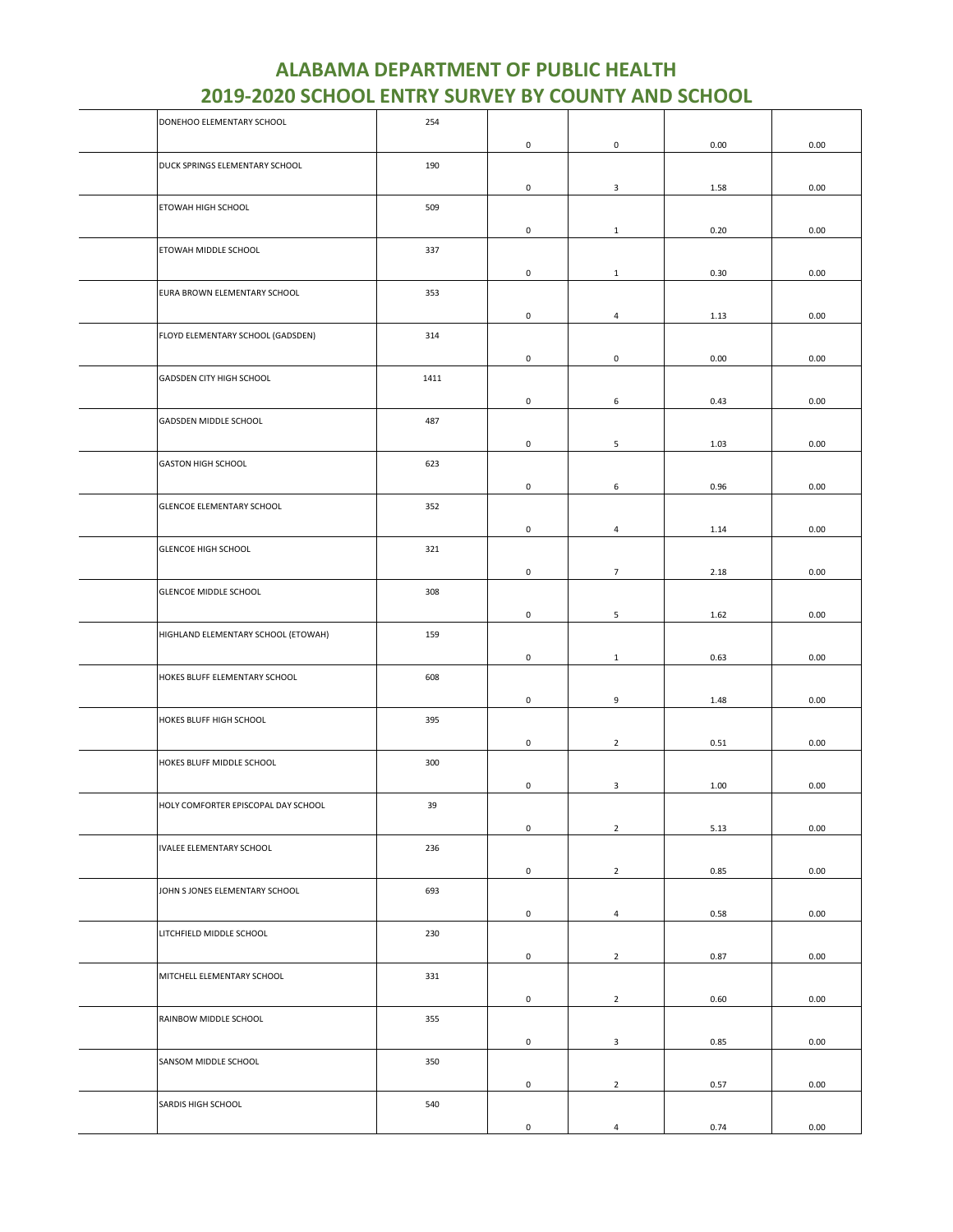| DONEHOO ELEMENTARY SCHOOL           | 254  |                     |                 |      |      |
|-------------------------------------|------|---------------------|-----------------|------|------|
|                                     |      | $\mathsf{O}\xspace$ | $\pmb{0}$       | 0.00 | 0.00 |
|                                     | 190  |                     |                 |      |      |
| DUCK SPRINGS ELEMENTARY SCHOOL      |      |                     |                 |      |      |
|                                     |      | 0                   | 3               | 1.58 | 0.00 |
| ETOWAH HIGH SCHOOL                  | 509  |                     |                 |      |      |
|                                     |      | 0                   | $\mathbf{1}$    | 0.20 | 0.00 |
| ETOWAH MIDDLE SCHOOL                | 337  |                     |                 |      |      |
|                                     |      |                     |                 |      |      |
|                                     |      | 0                   | $\mathbf{1}$    | 0.30 | 0.00 |
| EURA BROWN ELEMENTARY SCHOOL        | 353  |                     |                 |      |      |
|                                     |      | 0                   | 4               | 1.13 | 0.00 |
|                                     |      |                     |                 |      |      |
| FLOYD ELEMENTARY SCHOOL (GADSDEN)   | 314  |                     |                 |      |      |
|                                     |      | 0                   | $\mathsf 0$     | 0.00 | 0.00 |
| GADSDEN CITY HIGH SCHOOL            | 1411 |                     |                 |      |      |
|                                     |      |                     |                 |      |      |
|                                     |      | 0                   | 6               | 0.43 | 0.00 |
| GADSDEN MIDDLE SCHOOL               | 487  |                     |                 |      |      |
|                                     |      | 0                   | $5\phantom{.0}$ | 1.03 | 0.00 |
| <b>GASTON HIGH SCHOOL</b>           | 623  |                     |                 |      |      |
|                                     |      |                     |                 |      |      |
|                                     |      | 0                   | 6               | 0.96 | 0.00 |
| GLENCOE ELEMENTARY SCHOOL           | 352  |                     |                 |      |      |
|                                     |      | 0                   | $\overline{4}$  | 1.14 | 0.00 |
| <b>GLENCOE HIGH SCHOOL</b>          | 321  |                     |                 |      |      |
|                                     |      |                     |                 |      |      |
|                                     |      | 0                   | $\overline{7}$  | 2.18 | 0.00 |
| <b>GLENCOE MIDDLE SCHOOL</b>        | 308  |                     |                 |      |      |
|                                     |      | 0                   | 5               | 1.62 | 0.00 |
|                                     |      |                     |                 |      |      |
| HIGHLAND ELEMENTARY SCHOOL (ETOWAH) | 159  |                     |                 |      |      |
|                                     |      | 0                   | $\mathbf{1}$    | 0.63 | 0.00 |
| HOKES BLUFF ELEMENTARY SCHOOL       | 608  |                     |                 |      |      |
|                                     |      |                     |                 |      |      |
|                                     |      | 0                   | 9               | 1.48 | 0.00 |
| HOKES BLUFF HIGH SCHOOL             | 395  |                     |                 |      |      |
|                                     |      | 0                   | $\overline{2}$  | 0.51 | 0.00 |
| HOKES BLUFF MIDDLE SCHOOL           | 300  |                     |                 |      |      |
|                                     |      |                     |                 |      |      |
|                                     |      | 0                   | 3               | 1.00 | 0.00 |
| HOLY COMFORTER EPISCOPAL DAY SCHOOL | 39   |                     |                 |      |      |
|                                     |      | 0                   | $\overline{2}$  | 5.13 | 0.00 |
| <b>IVALEE ELEMENTARY SCHOOL</b>     | 236  |                     |                 |      |      |
|                                     |      |                     |                 |      |      |
|                                     |      | 0                   | $\overline{2}$  | 0.85 | 0.00 |
| JOHN S JONES ELEMENTARY SCHOOL      | 693  |                     |                 |      |      |
|                                     |      | 0                   | $\overline{4}$  | 0.58 | 0.00 |
|                                     |      |                     |                 |      |      |
| LITCHFIELD MIDDLE SCHOOL            | 230  |                     |                 |      |      |
|                                     |      | 0                   | $\overline{2}$  | 0.87 | 0.00 |
| MITCHELL ELEMENTARY SCHOOL          | 331  |                     |                 |      |      |
|                                     |      | $\mathsf{O}\xspace$ | $\overline{2}$  | 0.60 | 0.00 |
|                                     |      |                     |                 |      |      |
| RAINBOW MIDDLE SCHOOL               | 355  |                     |                 |      |      |
|                                     |      | 0                   | $\mathbf{3}$    | 0.85 | 0.00 |
| SANSOM MIDDLE SCHOOL                | 350  |                     |                 |      |      |
|                                     |      |                     |                 |      |      |
|                                     |      | 0                   | $\overline{2}$  | 0.57 | 0.00 |
| SARDIS HIGH SCHOOL                  | 540  |                     |                 |      |      |
|                                     |      | 0                   | $\overline{4}$  | 0.74 | 0.00 |
|                                     |      |                     |                 |      |      |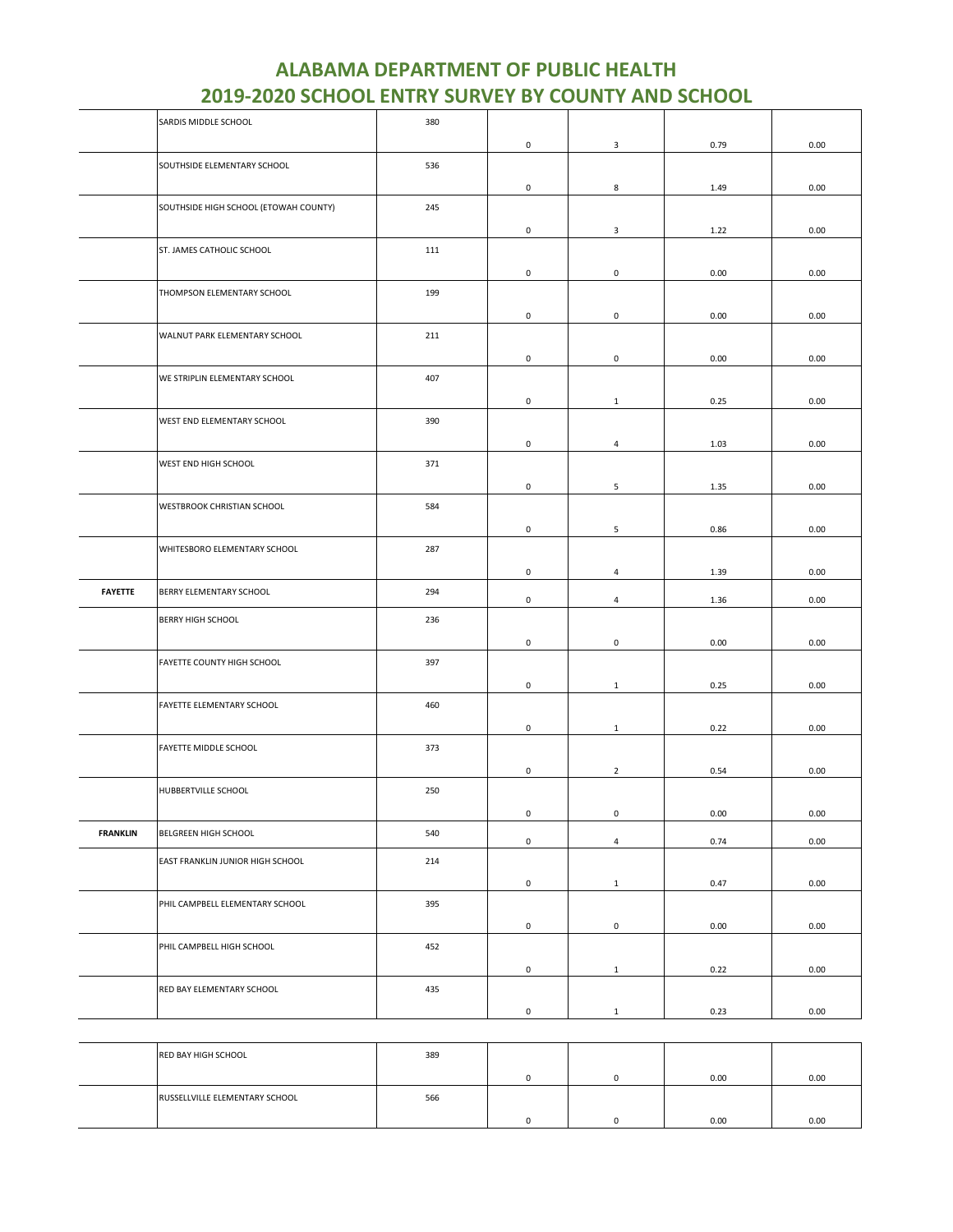|                 | SARDIS MIDDLE SCHOOL                  | 380 |                     |                         |      |      |
|-----------------|---------------------------------------|-----|---------------------|-------------------------|------|------|
|                 |                                       |     | 0                   | 3                       | 0.79 | 0.00 |
|                 | SOUTHSIDE ELEMENTARY SCHOOL           | 536 |                     |                         |      |      |
|                 |                                       |     | $\mathsf 0$         | 8                       | 1.49 | 0.00 |
|                 | SOUTHSIDE HIGH SCHOOL (ETOWAH COUNTY) | 245 |                     |                         |      |      |
|                 |                                       |     | 0                   | $\overline{\mathbf{3}}$ | 1.22 | 0.00 |
|                 | ST. JAMES CATHOLIC SCHOOL             | 111 |                     |                         |      |      |
|                 |                                       |     | 0                   | $\mathsf 0$             | 0.00 | 0.00 |
|                 | THOMPSON ELEMENTARY SCHOOL            | 199 |                     |                         |      |      |
|                 |                                       |     | $\mathsf 0$         | $\mathbf 0$             | 0.00 | 0.00 |
|                 | WALNUT PARK ELEMENTARY SCHOOL         | 211 |                     |                         |      |      |
|                 |                                       |     | $\mathsf 0$         | $\mathbf 0$             | 0.00 | 0.00 |
|                 | WE STRIPLIN ELEMENTARY SCHOOL         | 407 |                     |                         |      |      |
|                 |                                       |     | $\mathsf 0$         | $\mathbf{1}$            | 0.25 | 0.00 |
|                 | WEST END ELEMENTARY SCHOOL            | 390 |                     |                         |      |      |
|                 |                                       |     | $\mathsf 0$         | $\overline{4}$          | 1.03 | 0.00 |
|                 | WEST END HIGH SCHOOL                  | 371 |                     |                         |      |      |
|                 |                                       |     |                     |                         |      |      |
|                 | WESTBROOK CHRISTIAN SCHOOL            | 584 | $\mathsf 0$         | 5                       | 1.35 | 0.00 |
|                 |                                       |     |                     |                         |      |      |
|                 |                                       |     | $\mathsf 0$         | 5                       | 0.86 | 0.00 |
|                 | WHITESBORO ELEMENTARY SCHOOL          | 287 |                     |                         |      |      |
|                 |                                       |     | 0                   | 4                       | 1.39 | 0.00 |
| <b>FAYETTE</b>  | BERRY ELEMENTARY SCHOOL               | 294 | 0                   | $\overline{4}$          | 1.36 | 0.00 |
|                 | <b>BERRY HIGH SCHOOL</b>              | 236 |                     |                         |      |      |
|                 |                                       |     | $\mathsf 0$         | $\mathbf 0$             | 0.00 | 0.00 |
|                 | FAYETTE COUNTY HIGH SCHOOL            | 397 |                     |                         |      |      |
|                 |                                       |     | 0                   | 1                       | 0.25 | 0.00 |
|                 | FAYETTE ELEMENTARY SCHOOL             | 460 |                     |                         |      |      |
|                 |                                       |     | $\mathsf 0$         | $\mathbf{1}$            | 0.22 | 0.00 |
|                 | FAYETTE MIDDLE SCHOOL                 | 373 |                     |                         |      |      |
|                 |                                       |     | $\mathsf 0$         | $\overline{2}$          | 0.54 | 0.00 |
|                 | HUBBERTVILLE SCHOOL                   | 250 |                     |                         |      |      |
|                 |                                       |     | 0                   | 0                       | 0.00 | 0.00 |
| <b>FRANKLIN</b> | BELGREEN HIGH SCHOOL                  | 540 |                     |                         |      |      |
|                 |                                       |     | $\mathsf{O}\xspace$ | $\overline{4}$          | 0.74 | 0.00 |
|                 | EAST FRANKLIN JUNIOR HIGH SCHOOL      | 214 |                     |                         |      |      |
|                 |                                       |     | 0                   | $\mathbf{1}$            | 0.47 | 0.00 |
|                 | PHIL CAMPBELL ELEMENTARY SCHOOL       | 395 |                     |                         |      |      |
|                 |                                       |     | 0                   | $\mathbf 0$             | 0.00 | 0.00 |
|                 | PHIL CAMPBELL HIGH SCHOOL             | 452 |                     |                         |      |      |
|                 |                                       |     | $\mathsf{O}\xspace$ | $\mathbf{1}$            | 0.22 | 0.00 |
|                 | RED BAY ELEMENTARY SCHOOL             | 435 |                     |                         |      |      |
|                 |                                       |     | 0                   | $\mathbf{1}$            | 0.23 | 0.00 |

| RED BAY HIGH SCHOOL            | 389 |  |      |      |
|--------------------------------|-----|--|------|------|
|                                |     |  | 0.00 | 0.00 |
| RUSSELLVILLE ELEMENTARY SCHOOL | 566 |  |      |      |
|                                |     |  | 0.00 | 0.00 |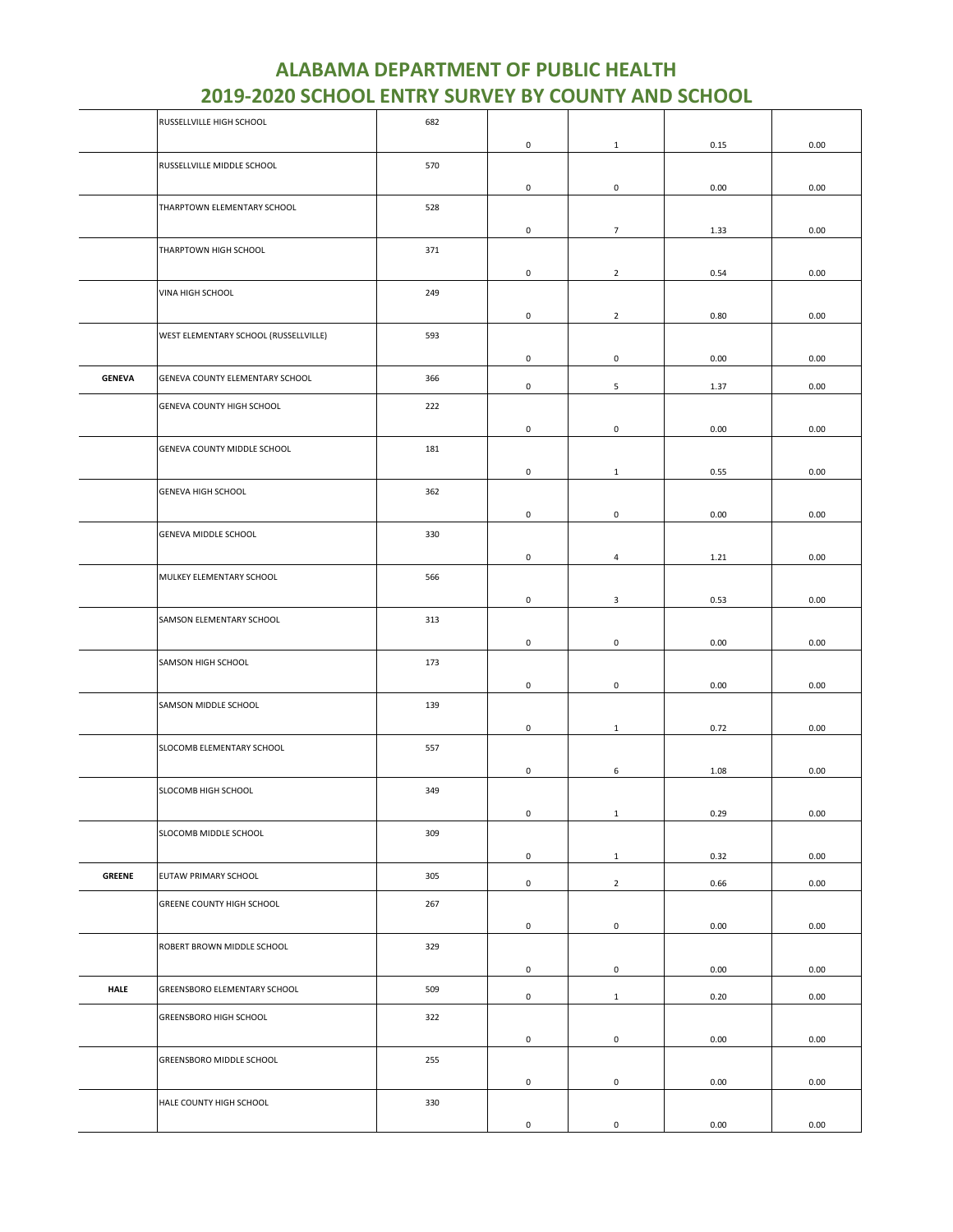|               | RUSSELLVILLE HIGH SCHOOL              | 682 |                     |                     |      |          |
|---------------|---------------------------------------|-----|---------------------|---------------------|------|----------|
|               |                                       |     | $\mathsf 0$         | $\mathbf{1}$        | 0.15 | 0.00     |
|               | RUSSELLVILLE MIDDLE SCHOOL            | 570 |                     |                     |      |          |
|               |                                       |     | $\mathbf 0$         | 0                   | 0.00 | 0.00     |
|               | THARPTOWN ELEMENTARY SCHOOL           | 528 |                     |                     |      |          |
|               |                                       |     |                     |                     |      |          |
|               |                                       |     | $\mathsf{O}\xspace$ | $\overline{7}$      | 1.33 | 0.00     |
|               | THARPTOWN HIGH SCHOOL                 | 371 |                     |                     |      |          |
|               |                                       |     | $\mathsf 0$         | $\overline{2}$      | 0.54 | 0.00     |
|               | VINA HIGH SCHOOL                      | 249 |                     |                     |      |          |
|               |                                       |     | $\mathbf 0$         | $\overline{2}$      | 0.80 | 0.00     |
|               | WEST ELEMENTARY SCHOOL (RUSSELLVILLE) | 593 |                     |                     |      |          |
|               |                                       |     | $\mathbf 0$         | 0                   | 0.00 | 0.00     |
| <b>GENEVA</b> | GENEVA COUNTY ELEMENTARY SCHOOL       | 366 |                     |                     |      |          |
|               |                                       |     | $\mathsf 0$         | 5                   | 1.37 | 0.00     |
|               | GENEVA COUNTY HIGH SCHOOL             | 222 |                     |                     |      |          |
|               |                                       |     | 0                   | 0                   | 0.00 | 0.00     |
|               | GENEVA COUNTY MIDDLE SCHOOL           | 181 |                     |                     |      |          |
|               |                                       |     | $\mathbf 0$         | $\mathbf{1}$        | 0.55 | 0.00     |
|               | <b>GENEVA HIGH SCHOOL</b>             | 362 |                     |                     |      |          |
|               |                                       |     |                     |                     |      |          |
|               |                                       |     | $\mathbf 0$         | 0                   | 0.00 | 0.00     |
|               | GENEVA MIDDLE SCHOOL                  | 330 |                     |                     |      |          |
|               |                                       |     | 0                   | $\overline{4}$      | 1.21 | 0.00     |
|               | MULKEY ELEMENTARY SCHOOL              | 566 |                     |                     |      |          |
|               |                                       |     | $\mathsf 0$         | 3                   | 0.53 | 0.00     |
|               | SAMSON ELEMENTARY SCHOOL              | 313 |                     |                     |      |          |
|               |                                       |     | $\mathsf 0$         | $\mathsf 0$         | 0.00 | 0.00     |
|               | SAMSON HIGH SCHOOL                    | 173 |                     |                     |      |          |
|               |                                       |     |                     |                     |      |          |
|               |                                       |     | $\mathbf 0$         | 0                   | 0.00 | 0.00     |
|               | SAMSON MIDDLE SCHOOL                  | 139 |                     |                     |      |          |
|               |                                       |     | 0                   | $\mathbf{1}$        | 0.72 | 0.00     |
|               | SLOCOMB ELEMENTARY SCHOOL             | 557 |                     |                     |      |          |
|               |                                       |     | $\mathbf 0$         | 6                   | 1.08 | 0.00     |
|               | SLOCOMB HIGH SCHOOL                   | 349 |                     |                     |      |          |
|               |                                       |     | $\mathsf{O}\xspace$ | $\mathbf{1}$        | 0.29 | $0.00\,$ |
|               | SLOCOMB MIDDLE SCHOOL                 | 309 |                     |                     |      |          |
|               |                                       |     | $\mathbf 0$         | $\mathbf{1}$        | 0.32 | 0.00     |
| <b>GREENE</b> | EUTAW PRIMARY SCHOOL                  | 305 |                     |                     |      |          |
|               |                                       |     | $\mathsf{O}\xspace$ | $\overline{2}$      | 0.66 | 0.00     |
|               | GREENE COUNTY HIGH SCHOOL             | 267 |                     |                     |      |          |
|               |                                       |     | $\mathsf 0$         | 0                   | 0.00 | 0.00     |
|               | ROBERT BROWN MIDDLE SCHOOL            | 329 |                     |                     |      |          |
|               |                                       |     | $\mathsf 0$         | $\mathsf{O}\xspace$ | 0.00 | 0.00     |
| <b>HALE</b>   | GREENSBORO ELEMENTARY SCHOOL          | 509 |                     |                     |      |          |
|               |                                       |     | $\mathbf 0$         | $\mathbf{1}$        | 0.20 | 0.00     |
|               | <b>GREENSBORO HIGH SCHOOL</b>         | 322 |                     |                     |      |          |
|               |                                       |     | $\mathsf 0$         | 0                   | 0.00 | 0.00     |
|               | GREENSBORO MIDDLE SCHOOL              | 255 |                     |                     |      |          |
|               |                                       |     | $\mathbf 0$         | $\mathsf{O}\xspace$ | 0.00 | 0.00     |
|               | HALE COUNTY HIGH SCHOOL               | 330 |                     |                     |      |          |
|               |                                       |     |                     |                     |      |          |
|               |                                       |     | $\mathsf 0$         | $\mathsf{O}\xspace$ | 0.00 | 0.00     |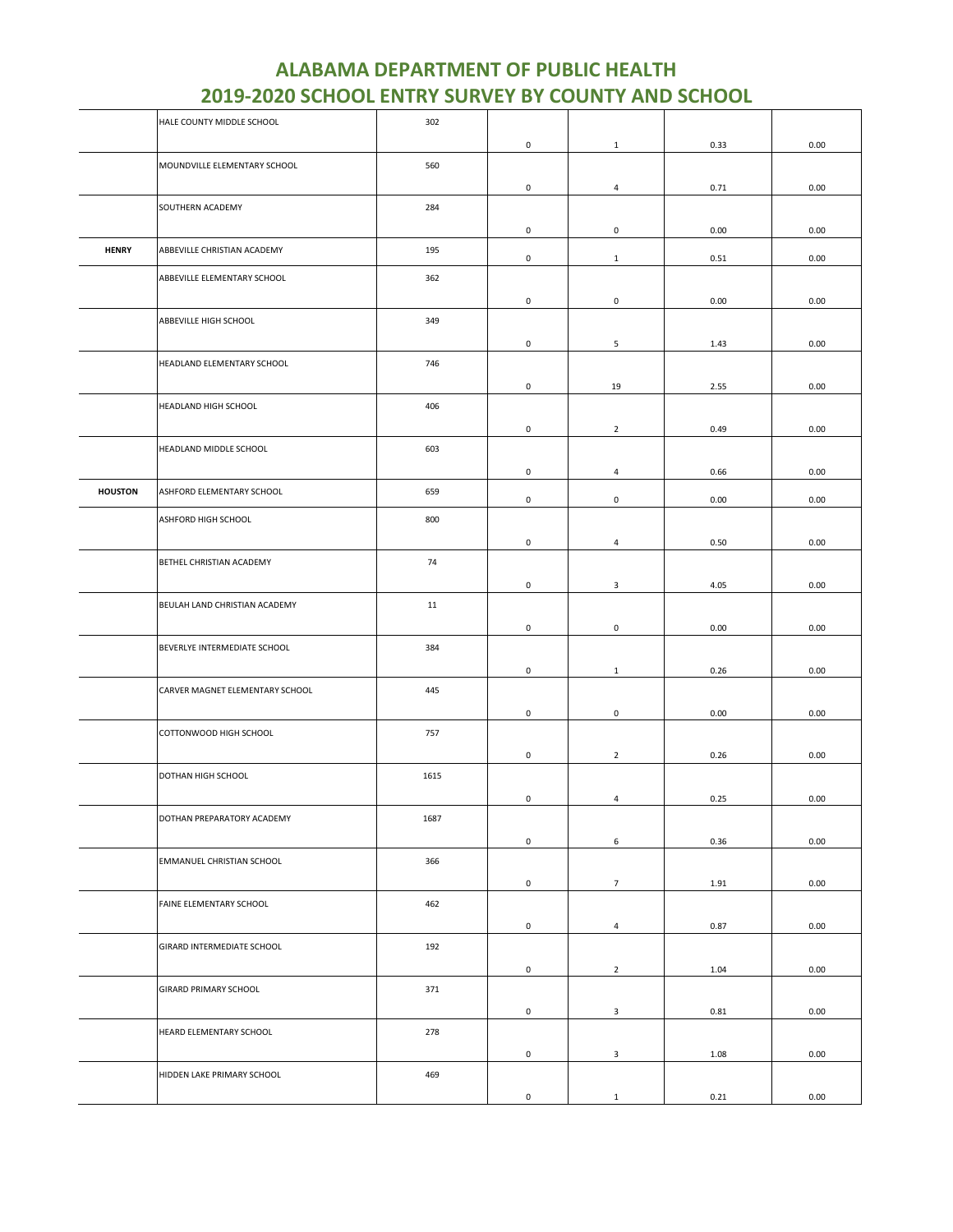|                | HALE COUNTY MIDDLE SCHOOL       | 302  |                     |                         |      |      |
|----------------|---------------------------------|------|---------------------|-------------------------|------|------|
|                |                                 |      | 0                   | $\mathbf{1}$            | 0.33 | 0.00 |
|                | MOUNDVILLE ELEMENTARY SCHOOL    | 560  |                     |                         |      |      |
|                |                                 |      | 0                   | 4                       | 0.71 | 0.00 |
|                | SOUTHERN ACADEMY                | 284  |                     |                         |      |      |
|                |                                 |      | 0                   | $\mathbf 0$             | 0.00 | 0.00 |
| <b>HENRY</b>   | ABBEVILLE CHRISTIAN ACADEMY     | 195  | 0                   | $\mathbf{1}$            | 0.51 | 0.00 |
|                | ABBEVILLE ELEMENTARY SCHOOL     | 362  |                     |                         |      |      |
|                |                                 |      | 0                   | 0                       | 0.00 | 0.00 |
|                | ABBEVILLE HIGH SCHOOL           | 349  |                     |                         |      |      |
|                |                                 |      |                     |                         |      |      |
|                |                                 |      | 0                   | 5                       | 1.43 | 0.00 |
|                | HEADLAND ELEMENTARY SCHOOL      | 746  |                     |                         |      |      |
|                |                                 |      | 0                   | 19                      | 2.55 | 0.00 |
|                | HEADLAND HIGH SCHOOL            | 406  |                     |                         |      |      |
|                |                                 |      | $\mathsf{O}\xspace$ | $\overline{2}$          | 0.49 | 0.00 |
|                | HEADLAND MIDDLE SCHOOL          | 603  |                     |                         |      |      |
|                |                                 |      | 0                   | 4                       | 0.66 | 0.00 |
| <b>HOUSTON</b> | ASHFORD ELEMENTARY SCHOOL       | 659  | 0                   | $\mathbf 0$             | 0.00 | 0.00 |
|                | ASHFORD HIGH SCHOOL             | 800  |                     |                         |      |      |
|                |                                 |      |                     |                         |      |      |
|                | BETHEL CHRISTIAN ACADEMY        | 74   | 0                   | 4                       | 0.50 | 0.00 |
|                |                                 |      |                     |                         |      |      |
|                |                                 |      | 0                   | $\overline{\mathbf{3}}$ | 4.05 | 0.00 |
|                | BEULAH LAND CHRISTIAN ACADEMY   | 11   |                     |                         |      |      |
|                |                                 |      | 0                   | 0                       | 0.00 | 0.00 |
|                | BEVERLYE INTERMEDIATE SCHOOL    | 384  |                     |                         |      |      |
|                |                                 |      | 0                   | $\mathbf{1}$            | 0.26 | 0.00 |
|                | CARVER MAGNET ELEMENTARY SCHOOL | 445  |                     |                         |      |      |
|                |                                 |      | 0                   | $\mathsf 0$             | 0.00 | 0.00 |
|                | COTTONWOOD HIGH SCHOOL          | 757  |                     |                         |      |      |
|                |                                 |      | $\mathsf{O}\xspace$ | $\overline{2}$          | 0.26 | 0.00 |
|                | DOTHAN HIGH SCHOOL              | 1615 |                     |                         |      |      |
|                |                                 |      | 0                   | $\overline{a}$          | 0.25 | 0.00 |
|                | DOTHAN PREPARATORY ACADEMY      | 1687 |                     |                         |      |      |
|                |                                 |      | 0                   | 6                       | 0.36 | 0.00 |
|                | EMMANUEL CHRISTIAN SCHOOL       | 366  |                     |                         |      |      |
|                |                                 |      | 0                   | $7\overline{ }$         | 1.91 | 0.00 |
|                | FAINE ELEMENTARY SCHOOL         | 462  |                     |                         |      |      |
|                |                                 |      | 0                   | $\overline{4}$          | 0.87 | 0.00 |
|                | GIRARD INTERMEDIATE SCHOOL      | 192  |                     |                         |      |      |
|                |                                 |      |                     |                         |      |      |
|                |                                 |      | 0                   | $\overline{2}$          | 1.04 | 0.00 |
|                | <b>GIRARD PRIMARY SCHOOL</b>    | 371  |                     |                         |      |      |
|                |                                 |      | 0                   | $\overline{\mathbf{3}}$ | 0.81 | 0.00 |
|                | HEARD ELEMENTARY SCHOOL         | 278  |                     |                         |      |      |
|                |                                 |      | $\mathsf{O}\xspace$ | $\mathbf{3}$            | 1.08 | 0.00 |
|                | HIDDEN LAKE PRIMARY SCHOOL      | 469  |                     |                         |      |      |
|                |                                 |      | 0                   | $\mathbf{1}$            | 0.21 | 0.00 |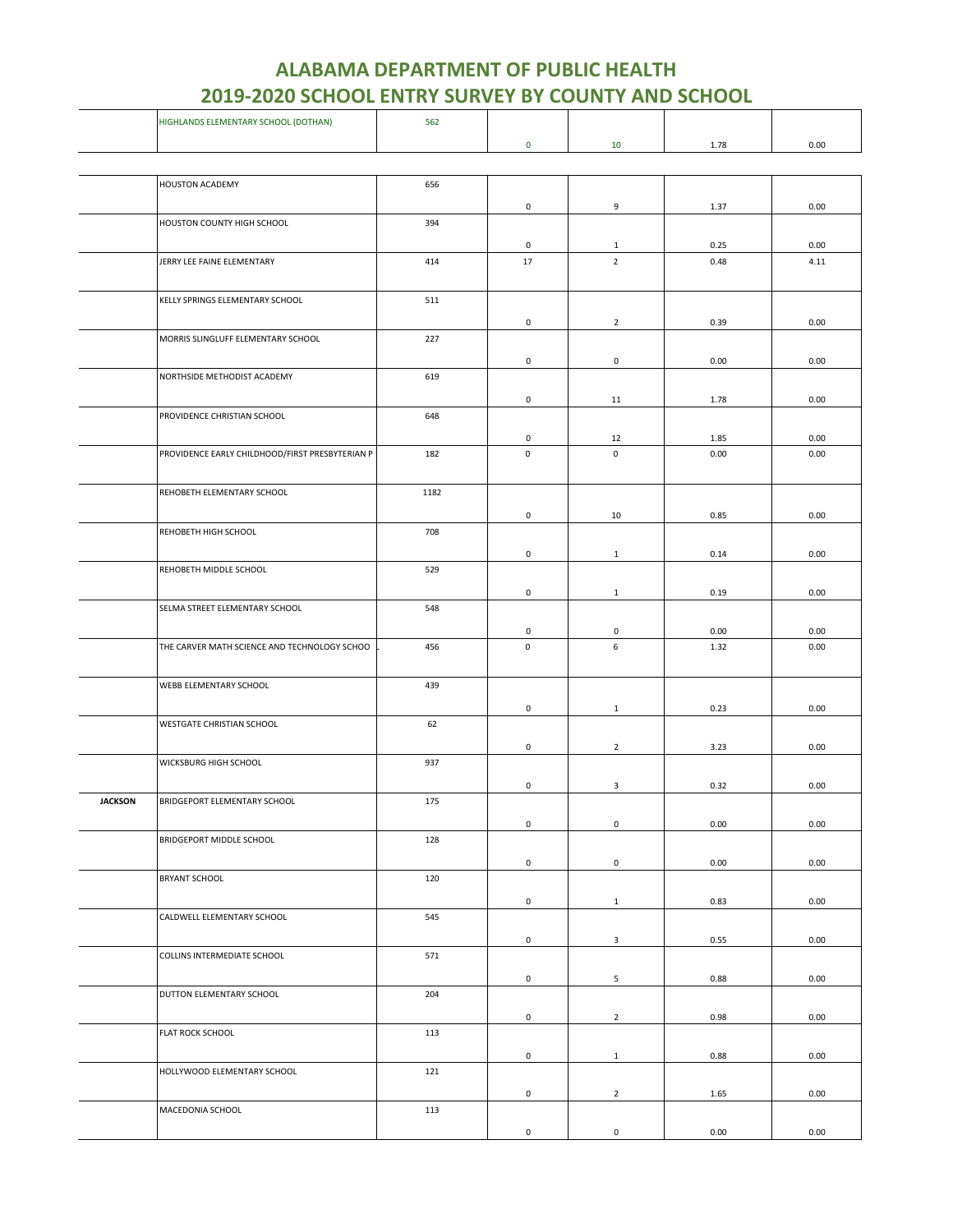|                | HIGHLANDS ELEMENTARY SCHOOL (DOTHAN)            | 562  |                     |                     |      |      |
|----------------|-------------------------------------------------|------|---------------------|---------------------|------|------|
|                |                                                 |      | $\mathbf 0$         | 10                  | 1.78 | 0.00 |
|                |                                                 |      |                     |                     |      |      |
|                |                                                 |      |                     |                     |      |      |
|                | HOUSTON ACADEMY                                 | 656  |                     |                     |      |      |
|                |                                                 |      | 0                   | 9                   | 1.37 | 0.00 |
|                | HOUSTON COUNTY HIGH SCHOOL                      | 394  |                     |                     |      |      |
|                |                                                 |      |                     |                     |      |      |
|                |                                                 |      | 0                   | $\mathbf{1}$        | 0.25 | 0.00 |
|                | JERRY LEE FAINE ELEMENTARY                      | 414  | 17                  | $\overline{2}$      | 0.48 | 4.11 |
|                |                                                 |      |                     |                     |      |      |
|                | KELLY SPRINGS ELEMENTARY SCHOOL                 | 511  |                     |                     |      |      |
|                |                                                 |      |                     |                     |      |      |
|                |                                                 |      | 0                   | $\overline{2}$      | 0.39 | 0.00 |
|                | MORRIS SLINGLUFF ELEMENTARY SCHOOL              | 227  |                     |                     |      |      |
|                |                                                 |      | $\mathsf 0$         | $\mathbf 0$         | 0.00 | 0.00 |
|                | NORTHSIDE METHODIST ACADEMY                     | 619  |                     |                     |      |      |
|                |                                                 |      |                     |                     |      |      |
|                |                                                 |      | 0                   | 11                  | 1.78 | 0.00 |
|                | PROVIDENCE CHRISTIAN SCHOOL                     | 648  |                     |                     |      |      |
|                |                                                 |      | 0                   | 12                  | 1.85 | 0.00 |
|                | PROVIDENCE EARLY CHILDHOOD/FIRST PRESBYTERIAN P | 182  | $\mathsf 0$         | $\mathsf 0$         | 0.00 | 0.00 |
|                |                                                 |      |                     |                     |      |      |
|                |                                                 |      |                     |                     |      |      |
|                | REHOBETH ELEMENTARY SCHOOL                      | 1182 |                     |                     |      |      |
|                |                                                 |      | $\mathsf{O}\xspace$ | 10                  | 0.85 | 0.00 |
|                | REHOBETH HIGH SCHOOL                            | 708  |                     |                     |      |      |
|                |                                                 |      |                     |                     |      |      |
|                |                                                 |      | 0                   | $\mathbf{1}$        | 0.14 | 0.00 |
|                | REHOBETH MIDDLE SCHOOL                          | 529  |                     |                     |      |      |
|                |                                                 |      | 0                   | $\mathbf{1}$        | 0.19 | 0.00 |
|                | SELMA STREET ELEMENTARY SCHOOL                  | 548  |                     |                     |      |      |
|                |                                                 |      |                     |                     |      |      |
|                |                                                 |      | 0                   | $\mathsf 0$         | 0.00 | 0.00 |
|                | THE CARVER MATH SCIENCE AND TECHNOLOGY SCHOO    | 456  | $\mathsf 0$         | 6                   | 1.32 | 0.00 |
|                |                                                 |      |                     |                     |      |      |
|                | WEBB ELEMENTARY SCHOOL                          | 439  |                     |                     |      |      |
|                |                                                 |      | 0                   |                     | 0.23 | 0.00 |
|                | WESTGATE CHRISTIAN SCHOOL                       | 62   |                     | $\mathbf{1}$        |      |      |
|                |                                                 |      |                     |                     |      |      |
|                |                                                 |      | $\mathbf 0$         | $\overline{2}$      | 3.23 | 0.00 |
|                | WICKSBURG HIGH SCHOOL                           | 937  |                     |                     |      |      |
|                |                                                 |      | 0                   | 3                   | 0.32 | 0.00 |
| <b>JACKSON</b> | BRIDGEPORT ELEMENTARY SCHOOL                    | 175  |                     |                     |      |      |
|                |                                                 |      |                     |                     |      |      |
|                |                                                 |      | $\mathsf{O}\xspace$ | $\mathsf 0$         | 0.00 | 0.00 |
|                | BRIDGEPORT MIDDLE SCHOOL                        | 128  |                     |                     |      |      |
|                |                                                 |      | $\mathsf{O}\xspace$ | $\mathsf{O}\xspace$ | 0.00 | 0.00 |
|                | <b>BRYANT SCHOOL</b>                            | 120  |                     |                     |      |      |
|                |                                                 |      |                     |                     |      |      |
|                |                                                 |      | $\mathsf 0$         | $\mathbf{1}$        | 0.83 | 0.00 |
|                | CALDWELL ELEMENTARY SCHOOL                      | 545  |                     |                     |      |      |
|                |                                                 |      | $\mathsf 0$         | 3                   | 0.55 | 0.00 |
|                | COLLINS INTERMEDIATE SCHOOL                     | 571  |                     |                     |      |      |
|                |                                                 |      |                     |                     |      |      |
|                |                                                 |      | 0                   | 5                   | 0.88 | 0.00 |
|                | DUTTON ELEMENTARY SCHOOL                        | 204  |                     |                     |      |      |
|                |                                                 |      | $\mathsf{O}\xspace$ | $\overline{2}$      | 0.98 | 0.00 |
|                | FLAT ROCK SCHOOL                                | 113  |                     |                     |      |      |
|                |                                                 |      |                     |                     |      |      |
|                |                                                 |      | 0                   | $\mathbf{1}$        | 0.88 | 0.00 |
|                | HOLLYWOOD ELEMENTARY SCHOOL                     | 121  |                     |                     |      |      |
|                |                                                 |      | $\mathsf 0$         | $\overline{2}$      | 1.65 | 0.00 |
|                | MACEDONIA SCHOOL                                | 113  |                     |                     |      |      |
|                |                                                 |      |                     |                     |      |      |
|                |                                                 |      | $\mathsf{O}\xspace$ | $\mathsf 0$         | 0.00 | 0.00 |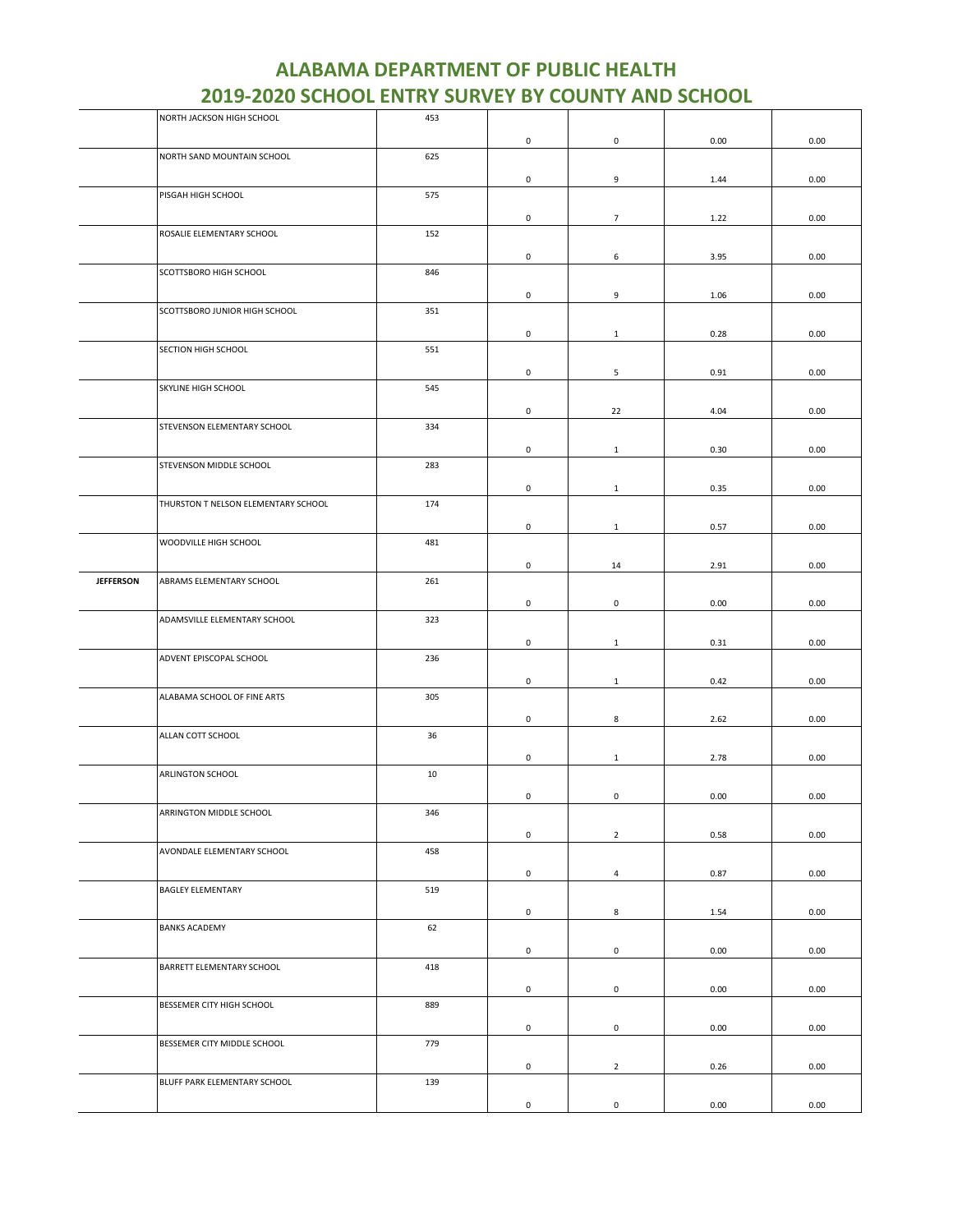|                  | NORTH JACKSON HIGH SCHOOL           | 453 |                     |                     |      |      |
|------------------|-------------------------------------|-----|---------------------|---------------------|------|------|
|                  |                                     |     | 0                   | 0                   | 0.00 | 0.00 |
|                  | NORTH SAND MOUNTAIN SCHOOL          | 625 |                     |                     |      |      |
|                  |                                     |     |                     |                     |      |      |
|                  |                                     |     | 0                   | 9                   | 1.44 | 0.00 |
|                  | PISGAH HIGH SCHOOL                  | 575 |                     |                     |      |      |
|                  |                                     |     | 0                   | $7\overline{ }$     | 1.22 | 0.00 |
|                  | ROSALIE ELEMENTARY SCHOOL           | 152 |                     |                     |      |      |
|                  |                                     |     | 0                   | 6                   | 3.95 | 0.00 |
|                  | SCOTTSBORO HIGH SCHOOL              | 846 |                     |                     |      |      |
|                  |                                     |     |                     |                     |      |      |
|                  |                                     |     | $\mathsf 0$         | 9                   | 1.06 | 0.00 |
|                  | SCOTTSBORO JUNIOR HIGH SCHOOL       | 351 |                     |                     |      |      |
|                  |                                     |     | 0                   | $\mathbf{1}$        | 0.28 | 0.00 |
|                  | SECTION HIGH SCHOOL                 | 551 |                     |                     |      |      |
|                  |                                     |     |                     |                     |      |      |
|                  |                                     |     | 0                   | 5                   | 0.91 | 0.00 |
|                  | SKYLINE HIGH SCHOOL                 | 545 |                     |                     |      |      |
|                  |                                     |     | 0                   | 22                  | 4.04 | 0.00 |
|                  | STEVENSON ELEMENTARY SCHOOL         | 334 |                     |                     |      |      |
|                  |                                     |     |                     |                     |      |      |
|                  |                                     |     | 0                   | $\mathbf{1}$        | 0.30 | 0.00 |
|                  | STEVENSON MIDDLE SCHOOL             | 283 |                     |                     |      |      |
|                  |                                     |     | 0                   | $\mathbf{1}$        | 0.35 | 0.00 |
|                  | THURSTON T NELSON ELEMENTARY SCHOOL | 174 |                     |                     |      |      |
|                  |                                     |     | $\mathsf{O}\xspace$ | $\mathbf{1}$        | 0.57 | 0.00 |
|                  | WOODVILLE HIGH SCHOOL               | 481 |                     |                     |      |      |
|                  |                                     |     |                     |                     |      |      |
|                  |                                     |     | 0                   | 14                  | 2.91 | 0.00 |
| <b>JEFFERSON</b> | ABRAMS ELEMENTARY SCHOOL            | 261 |                     |                     |      |      |
|                  |                                     |     | $\mathsf 0$         | $\mathsf{O}\xspace$ | 0.00 | 0.00 |
|                  | ADAMSVILLE ELEMENTARY SCHOOL        | 323 |                     |                     |      |      |
|                  |                                     |     |                     |                     |      |      |
|                  |                                     |     | 0                   | $\mathbf{1}$        | 0.31 | 0.00 |
|                  | ADVENT EPISCOPAL SCHOOL             | 236 |                     |                     |      |      |
|                  |                                     |     | 0                   | $\mathbf{1}$        | 0.42 | 0.00 |
|                  | ALABAMA SCHOOL OF FINE ARTS         | 305 |                     |                     |      |      |
|                  |                                     |     |                     |                     |      |      |
|                  |                                     |     | 0                   | 8                   | 2.62 | 0.00 |
|                  | ALLAN COTT SCHOOL                   | 36  |                     |                     |      |      |
|                  |                                     |     | 0                   | $\mathbf{1}$        | 2.78 | 0.00 |
|                  | ARLINGTON SCHOOL                    | 10  |                     |                     |      |      |
|                  |                                     |     | 0                   | 0                   | 0.00 | 0.00 |
|                  | ARRINGTON MIDDLE SCHOOL             | 346 |                     |                     |      |      |
|                  |                                     |     |                     |                     |      |      |
|                  |                                     |     | $\mathsf 0$         | $\overline{2}$      | 0.58 | 0.00 |
|                  | AVONDALE ELEMENTARY SCHOOL          | 458 |                     |                     |      |      |
|                  |                                     |     | $\mathsf{O}\xspace$ | $\overline{4}$      | 0.87 | 0.00 |
|                  | <b>BAGLEY ELEMENTARY</b>            | 519 |                     |                     |      |      |
|                  |                                     |     |                     |                     |      |      |
|                  |                                     |     | $\mathbf 0$         | 8                   | 1.54 | 0.00 |
|                  | <b>BANKS ACADEMY</b>                | 62  |                     |                     |      |      |
|                  |                                     |     | $\mathsf{O}\xspace$ | $\mathsf{O}\xspace$ | 0.00 | 0.00 |
|                  | BARRETT ELEMENTARY SCHOOL           | 418 |                     |                     |      |      |
|                  |                                     |     | $\mathsf 0$         |                     | 0.00 | 0.00 |
|                  |                                     |     |                     | $\mathsf 0$         |      |      |
|                  | BESSEMER CITY HIGH SCHOOL           | 889 |                     |                     |      |      |
|                  |                                     |     | $\mathsf 0$         | $\mathsf 0$         | 0.00 | 0.00 |
|                  | BESSEMER CITY MIDDLE SCHOOL         | 779 |                     |                     |      |      |
|                  |                                     |     | $\mathsf 0$         | $\overline{2}$      | 0.26 | 0.00 |
|                  | BLUFF PARK ELEMENTARY SCHOOL        | 139 |                     |                     |      |      |
|                  |                                     |     |                     |                     |      |      |
|                  |                                     |     | $\mathsf{O}\xspace$ | $\mathbf 0$         | 0.00 | 0.00 |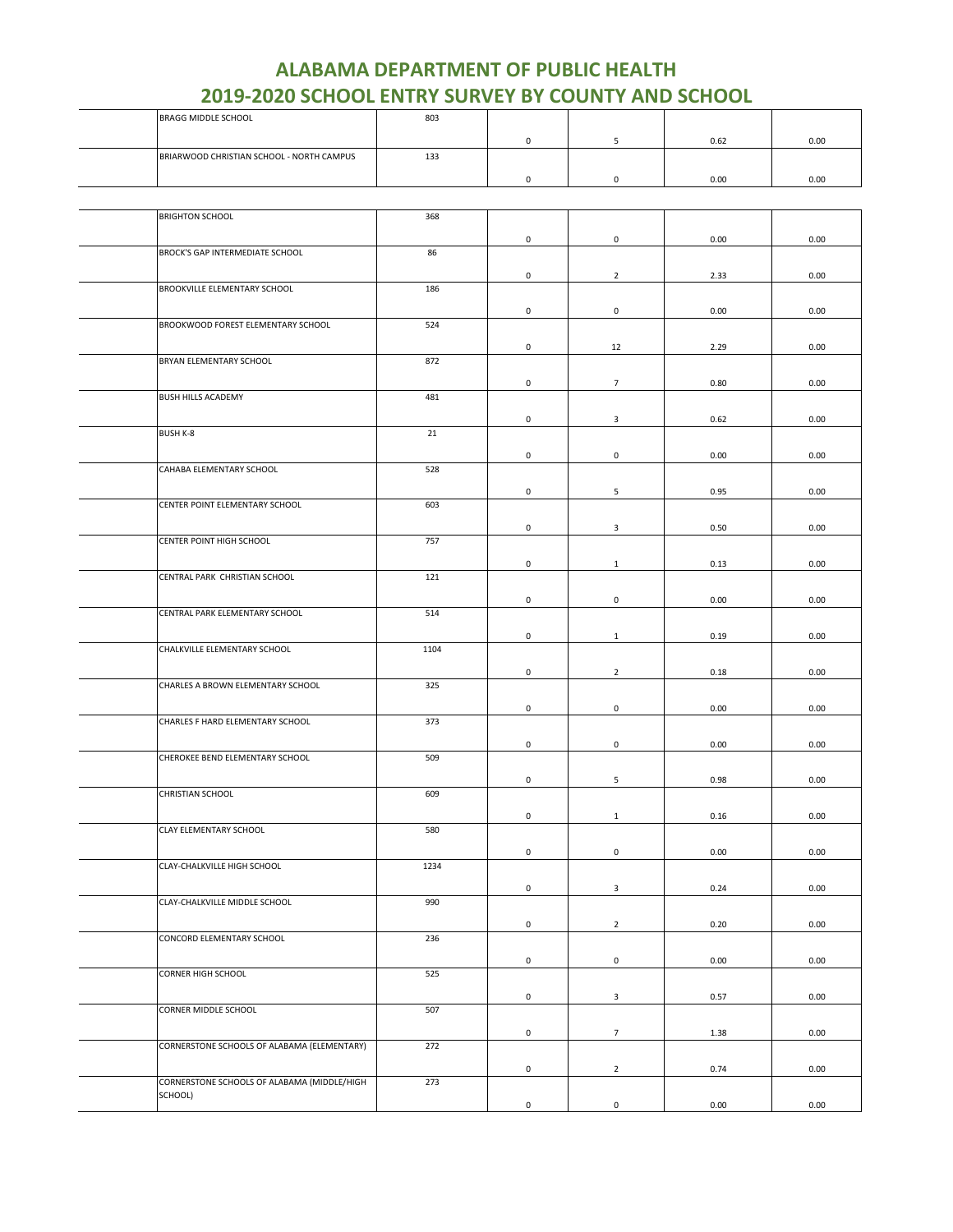| <b>BRAGG MIDDLE SCHOOL</b>                  | 803  |                     |                     |      |      |
|---------------------------------------------|------|---------------------|---------------------|------|------|
|                                             |      | $\mathbf 0$         | 5                   | 0.62 | 0.00 |
| BRIARWOOD CHRISTIAN SCHOOL - NORTH CAMPUS   | 133  |                     |                     |      |      |
|                                             |      | $\mathbf 0$         | 0                   | 0.00 | 0.00 |
|                                             |      |                     |                     |      |      |
|                                             |      |                     |                     |      |      |
| <b>BRIGHTON SCHOOL</b>                      | 368  |                     |                     |      |      |
|                                             |      | $\mathbf 0$         | 0                   | 0.00 | 0.00 |
| BROCK'S GAP INTERMEDIATE SCHOOL             | 86   |                     |                     |      |      |
|                                             |      | 0                   | $\overline{2}$      | 2.33 | 0.00 |
| BROOKVILLE ELEMENTARY SCHOOL                | 186  |                     |                     |      |      |
|                                             |      | $\mathbf 0$         | 0                   | 0.00 | 0.00 |
| BROOKWOOD FOREST ELEMENTARY SCHOOL          | 524  |                     |                     |      |      |
|                                             |      | $\mathbf 0$         | 12                  | 2.29 | 0.00 |
| BRYAN ELEMENTARY SCHOOL                     | 872  |                     |                     |      |      |
|                                             |      | $\mathbf 0$         | $\overline{7}$      | 0.80 | 0.00 |
| <b>BUSH HILLS ACADEMY</b>                   | 481  |                     |                     |      |      |
|                                             |      | 0                   | 3                   | 0.62 | 0.00 |
| <b>BUSH K-8</b>                             | 21   |                     |                     |      |      |
|                                             |      | $\mathbf 0$         | 0                   | 0.00 | 0.00 |
| CAHABA ELEMENTARY SCHOOL                    | 528  |                     |                     |      |      |
|                                             |      | 0                   | 5                   | 0.95 | 0.00 |
| CENTER POINT ELEMENTARY SCHOOL              | 603  |                     |                     |      |      |
|                                             |      | 0                   | 3                   | 0.50 | 0.00 |
| CENTER POINT HIGH SCHOOL                    | 757  |                     |                     |      |      |
|                                             |      | $\mathbf 0$         | $\mathbf{1}$        | 0.13 | 0.00 |
| CENTRAL PARK CHRISTIAN SCHOOL               | 121  |                     |                     |      |      |
|                                             |      | $\mathbf 0$         | $\mathsf 0$         | 0.00 | 0.00 |
| CENTRAL PARK ELEMENTARY SCHOOL              | 514  |                     |                     |      |      |
|                                             |      | 0                   | $\mathbf{1}$        | 0.19 | 0.00 |
| CHALKVILLE ELEMENTARY SCHOOL                | 1104 |                     |                     |      |      |
|                                             |      | $\mathbf 0$         | $\overline{2}$      | 0.18 | 0.00 |
| CHARLES A BROWN ELEMENTARY SCHOOL           | 325  |                     |                     |      |      |
|                                             |      | 0                   | 0                   | 0.00 | 0.00 |
| CHARLES F HARD ELEMENTARY SCHOOL            | 373  |                     |                     |      |      |
|                                             |      | 0                   | 0                   | 0.00 | 0.00 |
| CHEROKEE BEND ELEMENTARY SCHOOL             | 509  |                     |                     |      |      |
|                                             |      | 0                   | 5                   | 0.98 | 0.00 |
| CHRISTIAN SCHOOL                            | 609  |                     |                     |      |      |
|                                             |      | $\mathbf 0$         | $\mathbf 1$         | 0.16 | 0.00 |
| CLAY ELEMENTARY SCHOOL                      | 580  |                     |                     |      |      |
|                                             |      | $\mathbf 0$         | $\mathsf{O}\xspace$ | 0.00 | 0.00 |
| CLAY-CHALKVILLE HIGH SCHOOL                 | 1234 |                     |                     |      |      |
|                                             |      | $\mathbf 0$         | 3                   | 0.24 | 0.00 |
| CLAY-CHALKVILLE MIDDLE SCHOOL               | 990  |                     |                     |      |      |
|                                             |      | $\mathbf 0$         | $\overline{2}$      | 0.20 | 0.00 |
| CONCORD ELEMENTARY SCHOOL                   | 236  |                     |                     |      |      |
|                                             |      | $\mathsf{O}\xspace$ | $\pmb{0}$           | 0.00 | 0.00 |
| CORNER HIGH SCHOOL                          | 525  |                     |                     |      |      |
|                                             |      | $\mathbf 0$         | 3                   | 0.57 | 0.00 |
| CORNER MIDDLE SCHOOL                        | 507  |                     |                     |      |      |
|                                             |      | $\mathsf{O}\xspace$ | $\overline{7}$      | 1.38 | 0.00 |
| CORNERSTONE SCHOOLS OF ALABAMA (ELEMENTARY) | 272  |                     |                     |      |      |
|                                             |      | $\mathbf 0$         | $\mathbf{2}$        | 0.74 | 0.00 |
| CORNERSTONE SCHOOLS OF ALABAMA (MIDDLE/HIGH | 273  |                     |                     |      |      |
| SCHOOL)                                     |      | $\mathsf 0$         | $\pmb{0}$           | 0.00 | 0.00 |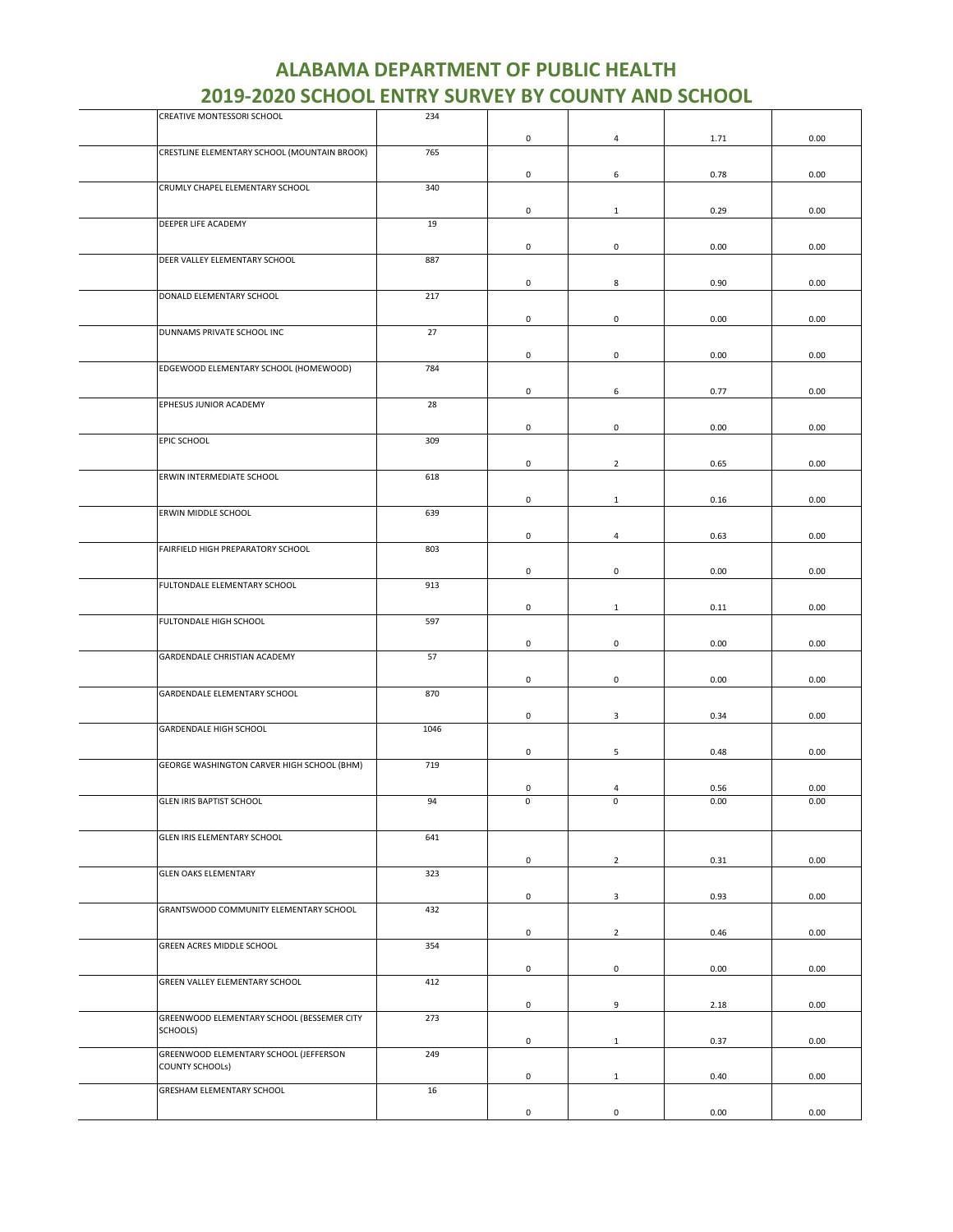| <b>ALABAMA DEPARTMENT OF PUBLIC HEALTH</b>                |
|-----------------------------------------------------------|
| <b>2019-2020 SCHOOL ENTRY SURVEY BY COUNTY AND SCHOOL</b> |

| CREATIVE MONTESSORI SCHOOL                   | 234  |                     |                         |      |      |
|----------------------------------------------|------|---------------------|-------------------------|------|------|
|                                              |      | $\pmb{0}$           | $\overline{\mathbf{4}}$ | 1.71 | 0.00 |
| CRESTLINE ELEMENTARY SCHOOL (MOUNTAIN BROOK) | 765  |                     |                         |      |      |
|                                              |      |                     |                         |      |      |
|                                              |      | 0                   | 6                       | 0.78 | 0.00 |
| CRUMLY CHAPEL ELEMENTARY SCHOOL              | 340  |                     |                         |      |      |
|                                              |      | $\mathsf{O}\xspace$ | $\mathbf{1}$            | 0.29 | 0.00 |
| DEEPER LIFE ACADEMY                          | 19   |                     |                         |      |      |
|                                              |      |                     |                         |      |      |
| DEER VALLEY ELEMENTARY SCHOOL                | 887  | 0                   | $\mathbf 0$             | 0.00 | 0.00 |
|                                              |      |                     |                         |      |      |
|                                              |      | $\mathsf{O}\xspace$ | 8                       | 0.90 | 0.00 |
| DONALD ELEMENTARY SCHOOL                     | 217  |                     |                         |      |      |
|                                              |      | $\mathsf{O}\xspace$ | $\mathsf{O}\xspace$     | 0.00 | 0.00 |
| DUNNAMS PRIVATE SCHOOL INC                   | 27   |                     |                         |      |      |
|                                              |      |                     |                         |      |      |
|                                              |      | 0                   | 0                       | 0.00 | 0.00 |
| EDGEWOOD ELEMENTARY SCHOOL (HOMEWOOD)        | 784  |                     |                         |      |      |
|                                              |      | 0                   | 6                       | 0.77 | 0.00 |
| EPHESUS JUNIOR ACADEMY                       | 28   |                     |                         |      |      |
|                                              |      |                     |                         |      |      |
|                                              |      | $\mathbf 0$         | 0                       | 0.00 | 0.00 |
| EPIC SCHOOL                                  | 309  |                     |                         |      |      |
|                                              |      | 0                   | $\overline{2}$          | 0.65 | 0.00 |
| ERWIN INTERMEDIATE SCHOOL                    | 618  |                     |                         |      |      |
|                                              |      |                     |                         |      |      |
|                                              |      | 0                   | $\mathbf{1}$            | 0.16 | 0.00 |
| ERWIN MIDDLE SCHOOL                          | 639  |                     |                         |      |      |
|                                              |      | $\mathsf{O}\xspace$ | $\overline{4}$          | 0.63 | 0.00 |
| FAIRFIELD HIGH PREPARATORY SCHOOL            | 803  |                     |                         |      |      |
|                                              |      |                     |                         |      |      |
|                                              |      | $\mathsf 0$         | $\mathsf 0$             | 0.00 | 0.00 |
| FULTONDALE ELEMENTARY SCHOOL                 | 913  |                     |                         |      |      |
|                                              |      | $\mathsf{O}\xspace$ | $\mathbf{1}$            | 0.11 | 0.00 |
| FULTONDALE HIGH SCHOOL                       | 597  |                     |                         |      |      |
|                                              |      |                     |                         |      |      |
|                                              |      | $\mathsf 0$         | $\mathsf 0$             | 0.00 | 0.00 |
| GARDENDALE CHRISTIAN ACADEMY                 | 57   |                     |                         |      |      |
|                                              |      | $\pmb{0}$           | $\mathsf{O}\xspace$     | 0.00 | 0.00 |
| GARDENDALE ELEMENTARY SCHOOL                 | 870  |                     |                         |      |      |
|                                              |      |                     |                         |      |      |
| GARDENDALE HIGH SCHOOL                       | 1046 | 0                   | 3                       | 0.34 | 0.00 |
|                                              |      |                     |                         |      |      |
|                                              |      | $\pmb{0}$           | 5                       | 0.48 | 0.00 |
| GEORGE WASHINGTON CARVER HIGH SCHOOL (BHM)   | 719  |                     |                         |      |      |
|                                              |      | 0                   | 4                       | 0.56 | 0.00 |
| <b>GLEN IRIS BAPTIST SCHOOL</b>              | 94   | $\mathsf 0$         | $\mathbf 0$             | 0.00 | 0.00 |
|                                              |      |                     |                         |      |      |
|                                              |      |                     |                         |      |      |
| GLEN IRIS ELEMENTARY SCHOOL                  | 641  |                     |                         |      |      |
|                                              |      | $\mathsf 0$         | $\overline{2}$          | 0.31 | 0.00 |
| <b>GLEN OAKS ELEMENTARY</b>                  | 323  |                     |                         |      |      |
|                                              |      |                     |                         |      |      |
|                                              |      | 0                   | 3                       | 0.93 | 0.00 |
| GRANTSWOOD COMMUNITY ELEMENTARY SCHOOL       | 432  |                     |                         |      |      |
|                                              |      | $\mathsf{O}\xspace$ | $\overline{2}$          | 0.46 | 0.00 |
| GREEN ACRES MIDDLE SCHOOL                    | 354  |                     |                         |      |      |
|                                              |      |                     |                         |      |      |
|                                              |      | 0                   | $\mathbf 0$             | 0.00 | 0.00 |
| GREEN VALLEY ELEMENTARY SCHOOL               | 412  |                     |                         |      |      |
|                                              |      | $\mathsf 0$         | 9                       | 2.18 | 0.00 |
| GREENWOOD ELEMENTARY SCHOOL (BESSEMER CITY   | 273  |                     |                         |      |      |
| SCHOOLS)                                     |      |                     |                         |      |      |
| GREENWOOD ELEMENTARY SCHOOL (JEFFERSON       |      | $\mathsf 0$         | $\mathbf{1}$            | 0.37 | 0.00 |
| COUNTY SCHOOLs)                              | 249  |                     |                         |      |      |
|                                              |      | $\pmb{0}$           | $\mathbf{1}$            | 0.40 | 0.00 |
| GRESHAM ELEMENTARY SCHOOL                    | 16   |                     |                         |      |      |
|                                              |      | $\mathsf 0$         | $\mathbf 0$             |      | 0.00 |
|                                              |      |                     |                         | 0.00 |      |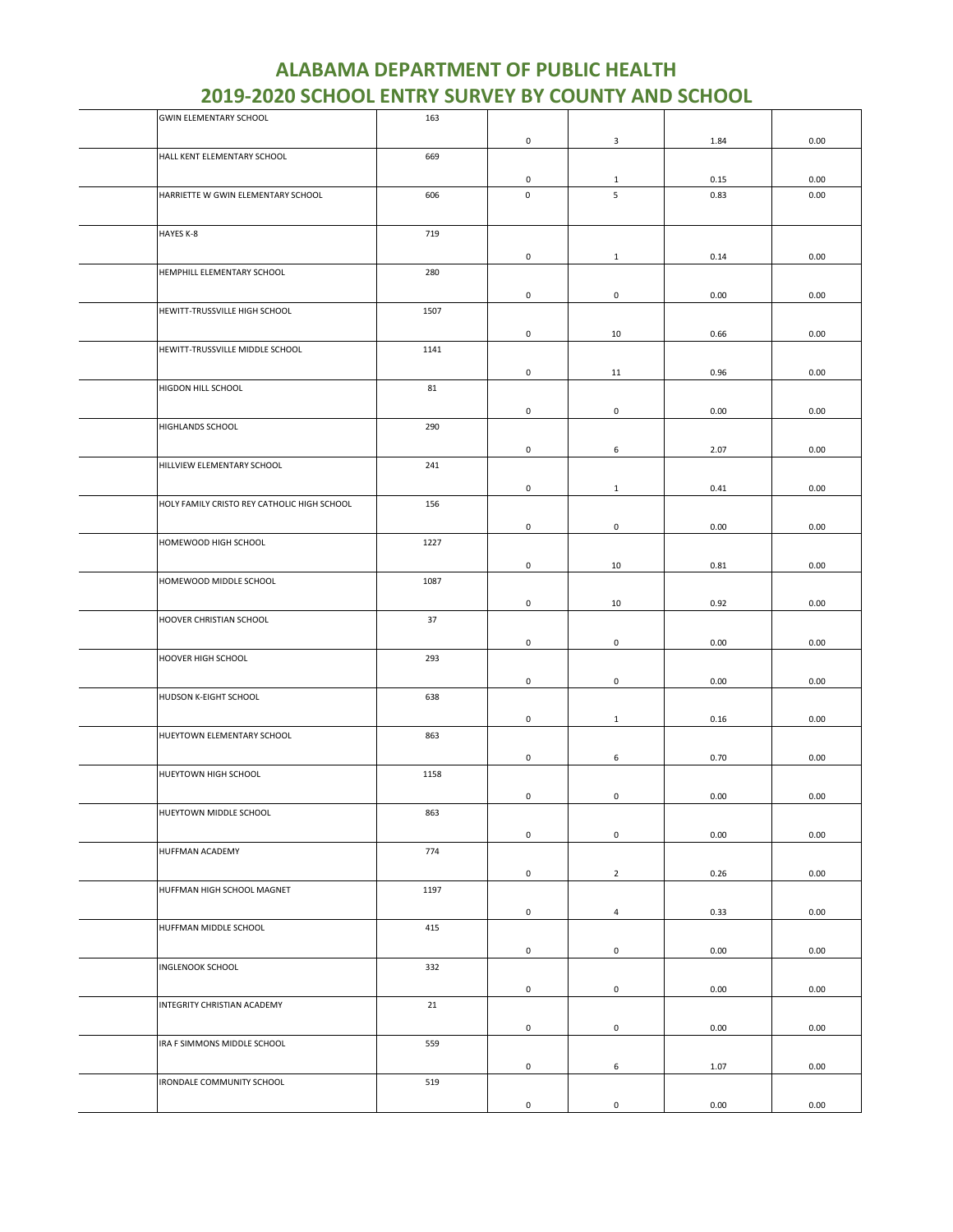| <b>GWIN ELEMENTARY SCHOOL</b>               | 163  |                     |                     |      |      |
|---------------------------------------------|------|---------------------|---------------------|------|------|
|                                             |      | 0                   | 3                   | 1.84 | 0.00 |
| HALL KENT ELEMENTARY SCHOOL                 | 669  |                     |                     |      |      |
|                                             |      |                     |                     |      |      |
|                                             |      | 0                   | $\mathbf{1}$        | 0.15 | 0.00 |
| HARRIETTE W GWIN ELEMENTARY SCHOOL          | 606  | 0                   | 5                   | 0.83 | 0.00 |
|                                             |      |                     |                     |      |      |
| HAYES K-8                                   | 719  |                     |                     |      |      |
|                                             |      |                     |                     |      |      |
|                                             |      | 0                   | $\mathbf{1}$        | 0.14 | 0.00 |
| HEMPHILL ELEMENTARY SCHOOL                  | 280  |                     |                     |      |      |
|                                             |      | 0                   | $\mathbf 0$         | 0.00 | 0.00 |
| HEWITT-TRUSSVILLE HIGH SCHOOL               | 1507 |                     |                     |      |      |
|                                             |      |                     |                     |      |      |
|                                             |      | 0                   | 10                  | 0.66 | 0.00 |
| HEWITT-TRUSSVILLE MIDDLE SCHOOL             | 1141 |                     |                     |      |      |
|                                             |      | 0                   | 11                  | 0.96 | 0.00 |
| HIGDON HILL SCHOOL                          | 81   |                     |                     |      |      |
|                                             |      |                     |                     |      |      |
|                                             |      | 0                   | 0                   | 0.00 | 0.00 |
| HIGHLANDS SCHOOL                            | 290  |                     |                     |      |      |
|                                             |      | 0                   | 6                   | 2.07 | 0.00 |
| HILLVIEW ELEMENTARY SCHOOL                  | 241  |                     |                     |      |      |
|                                             |      |                     |                     |      |      |
|                                             |      | 0                   | $\mathbf{1}$        | 0.41 | 0.00 |
| HOLY FAMILY CRISTO REY CATHOLIC HIGH SCHOOL | 156  |                     |                     |      |      |
|                                             |      | 0                   | $\mathbf 0$         | 0.00 | 0.00 |
| HOMEWOOD HIGH SCHOOL                        | 1227 |                     |                     |      |      |
|                                             |      |                     |                     |      |      |
|                                             |      | $\mathsf 0$         | 10                  | 0.81 | 0.00 |
| HOMEWOOD MIDDLE SCHOOL                      | 1087 |                     |                     |      |      |
|                                             |      | 0                   | 10                  | 0.92 | 0.00 |
| HOOVER CHRISTIAN SCHOOL                     | 37   |                     |                     |      |      |
|                                             |      |                     |                     |      |      |
|                                             |      | 0                   | $\mathsf{O}\xspace$ | 0.00 | 0.00 |
| HOOVER HIGH SCHOOL                          | 293  |                     |                     |      |      |
|                                             |      | 0                   | 0                   | 0.00 | 0.00 |
| HUDSON K-EIGHT SCHOOL                       | 638  |                     |                     |      |      |
|                                             |      |                     |                     |      |      |
|                                             |      | 0                   | $\mathbf{1}$        | 0.16 | 0.00 |
| HUEYTOWN ELEMENTARY SCHOOL                  | 863  |                     |                     |      |      |
|                                             |      | 0                   | 6                   | 0.70 | 0.00 |
| HUEYTOWN HIGH SCHOOL                        | 1158 |                     |                     |      |      |
|                                             |      | $\mathsf 0$         | $\pmb{0}$           | 0.00 | 0.00 |
| HUEYTOWN MIDDLE SCHOOL                      | 863  |                     |                     |      |      |
|                                             |      |                     |                     |      |      |
|                                             |      | $\mathsf 0$         | $\mathbf 0$         | 0.00 | 0.00 |
| HUFFMAN ACADEMY                             | 774  |                     |                     |      |      |
|                                             |      | $\mathbf 0$         | $\overline{2}$      | 0.26 | 0.00 |
| HUFFMAN HIGH SCHOOL MAGNET                  | 1197 |                     |                     |      |      |
|                                             |      |                     |                     |      |      |
|                                             |      | $\mathsf{O}\xspace$ | $\overline{4}$      | 0.33 | 0.00 |
| HUFFMAN MIDDLE SCHOOL                       | 415  |                     |                     |      |      |
|                                             |      | $\mathsf 0$         | $\mathsf 0$         | 0.00 | 0.00 |
| <b>INGLENOOK SCHOOL</b>                     | 332  |                     |                     |      |      |
|                                             |      |                     |                     |      |      |
|                                             |      | $\mathsf{O}\xspace$ | $\mathbf 0$         | 0.00 | 0.00 |
| INTEGRITY CHRISTIAN ACADEMY                 | 21   |                     |                     |      |      |
|                                             |      | $\mathsf{O}\xspace$ | $\mathsf 0$         | 0.00 | 0.00 |
| IRA F SIMMONS MIDDLE SCHOOL                 | 559  |                     |                     |      |      |
|                                             |      |                     |                     |      |      |
|                                             |      | 0                   | 6                   | 1.07 | 0.00 |
| IRONDALE COMMUNITY SCHOOL                   | 519  |                     |                     |      |      |
|                                             |      | $\mathsf{O}\xspace$ | $\mathsf{O}\xspace$ | 0.00 | 0.00 |
|                                             |      |                     |                     |      |      |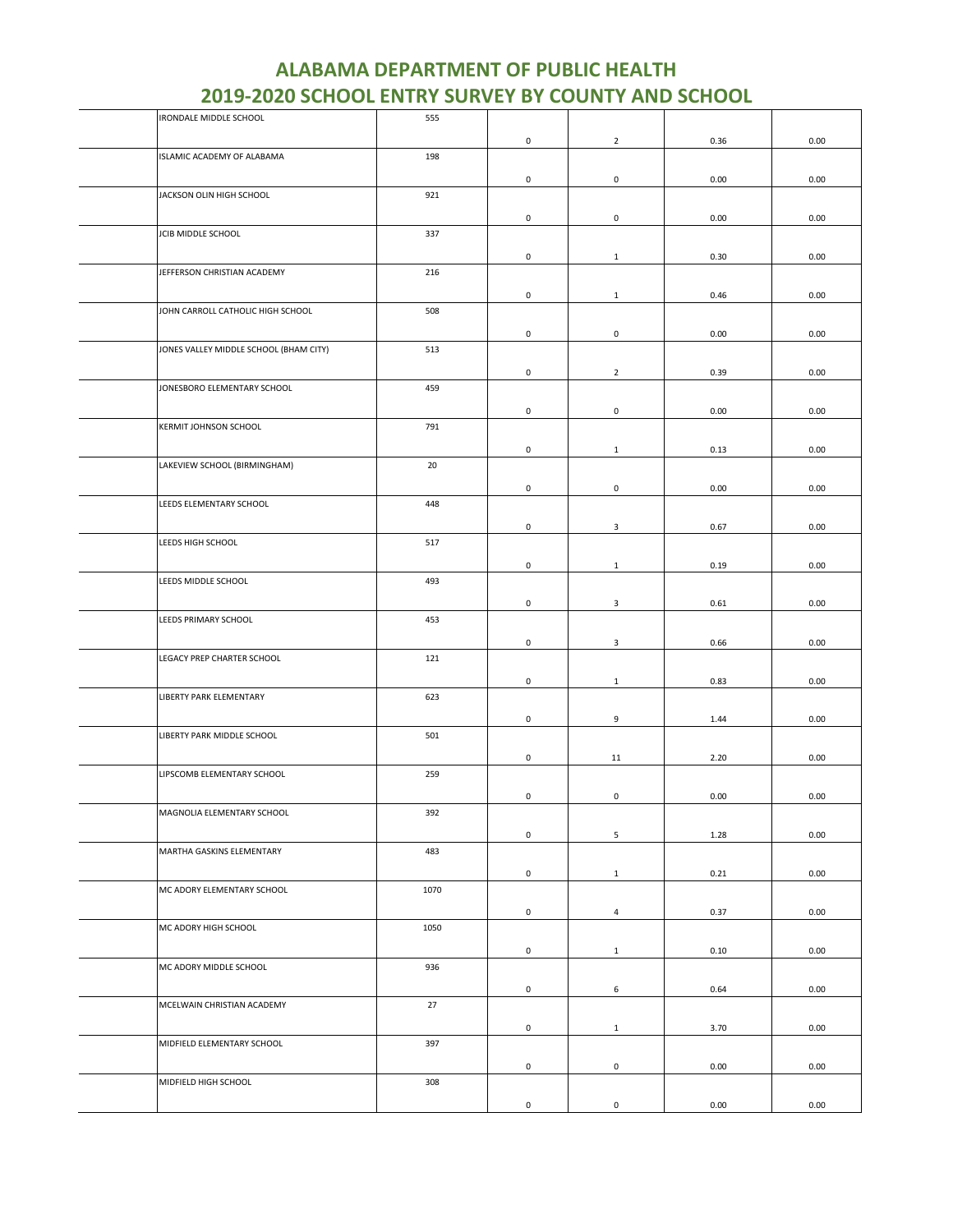| IRONDALE MIDDLE SCHOOL                 | 555  |                     |                     |      |      |
|----------------------------------------|------|---------------------|---------------------|------|------|
|                                        |      | $\mathsf{O}\xspace$ | $\overline{2}$      | 0.36 | 0.00 |
| ISLAMIC ACADEMY OF ALABAMA             | 198  |                     |                     |      |      |
|                                        |      |                     |                     |      |      |
|                                        |      | 0                   | $\mathsf 0$         | 0.00 | 0.00 |
| JACKSON OLIN HIGH SCHOOL               | 921  |                     |                     |      |      |
|                                        |      | 0                   | 0                   | 0.00 | 0.00 |
| JCIB MIDDLE SCHOOL                     | 337  |                     |                     |      |      |
|                                        |      | $\mathsf{O}\xspace$ | $\mathbf{1}$        | 0.30 | 0.00 |
| JEFFERSON CHRISTIAN ACADEMY            | 216  |                     |                     |      |      |
|                                        |      |                     |                     |      |      |
|                                        |      | $\mathsf 0$         | $\mathbf{1}$        | 0.46 | 0.00 |
| JOHN CARROLL CATHOLIC HIGH SCHOOL      | 508  |                     |                     |      |      |
|                                        |      | 0                   | 0                   | 0.00 | 0.00 |
| JONES VALLEY MIDDLE SCHOOL (BHAM CITY) | 513  |                     |                     |      |      |
|                                        |      |                     |                     |      |      |
|                                        |      | $\mathsf{O}\xspace$ | $\overline{2}$      | 0.39 | 0.00 |
| JONESBORO ELEMENTARY SCHOOL            | 459  |                     |                     |      |      |
|                                        |      | 0                   | 0                   | 0.00 | 0.00 |
| KERMIT JOHNSON SCHOOL                  | 791  |                     |                     |      |      |
|                                        |      |                     |                     |      |      |
|                                        |      | $\mathsf 0$         | $\mathbf{1}$        | 0.13 | 0.00 |
| LAKEVIEW SCHOOL (BIRMINGHAM)           | 20   |                     |                     |      |      |
|                                        |      | 0                   | $\mathsf{O}\xspace$ | 0.00 | 0.00 |
| LEEDS ELEMENTARY SCHOOL                | 448  |                     |                     |      |      |
|                                        |      | $\mathsf{O}\xspace$ | $\mathbf{3}$        | 0.67 | 0.00 |
| LEEDS HIGH SCHOOL                      | 517  |                     |                     |      |      |
|                                        |      |                     |                     |      |      |
|                                        |      | $\mathsf{O}\xspace$ | $\mathbf{1}$        | 0.19 | 0.00 |
| LEEDS MIDDLE SCHOOL                    | 493  |                     |                     |      |      |
|                                        |      | $\mathsf{O}\xspace$ | $\mathbf{3}$        | 0.61 | 0.00 |
| LEEDS PRIMARY SCHOOL                   | 453  |                     |                     |      |      |
|                                        |      |                     |                     |      |      |
|                                        |      | 0                   | 3                   | 0.66 | 0.00 |
| LEGACY PREP CHARTER SCHOOL             | 121  |                     |                     |      |      |
|                                        |      | $\mathsf{O}\xspace$ | $\mathbf{1}$        | 0.83 | 0.00 |
| LIBERTY PARK ELEMENTARY                | 623  |                     |                     |      |      |
|                                        |      |                     |                     |      |      |
|                                        |      | 0                   | 9                   | 1.44 | 0.00 |
| LIBERTY PARK MIDDLE SCHOOL             | 501  |                     |                     |      |      |
|                                        |      | $\mathsf{O}\xspace$ | 11                  | 2.20 | 0.00 |
| LIPSCOMB ELEMENTARY SCHOOL             | 259  |                     |                     |      |      |
|                                        |      | 0                   | 0                   | 0.00 | 0.00 |
| MAGNOLIA ELEMENTARY SCHOOL             | 392  |                     |                     |      |      |
|                                        |      |                     |                     |      |      |
|                                        |      | $\mathsf{O}\xspace$ | 5                   | 1.28 | 0.00 |
| MARTHA GASKINS ELEMENTARY              | 483  |                     |                     |      |      |
|                                        |      | $\mathsf{O}\xspace$ | $\mathbf{1}$        | 0.21 | 0.00 |
| MC ADORY ELEMENTARY SCHOOL             | 1070 |                     |                     |      |      |
|                                        |      |                     |                     |      |      |
|                                        |      | $\mathsf 0$         | $\overline{4}$      | 0.37 | 0.00 |
| MC ADORY HIGH SCHOOL                   | 1050 |                     |                     |      |      |
|                                        |      | $\mathsf{O}\xspace$ | $\mathbf{1}$        | 0.10 | 0.00 |
| MC ADORY MIDDLE SCHOOL                 | 936  |                     |                     |      |      |
|                                        |      |                     |                     |      |      |
|                                        |      | $\mathsf{O}\xspace$ | 6                   | 0.64 | 0.00 |
| MCELWAIN CHRISTIAN ACADEMY             | 27   |                     |                     |      |      |
|                                        |      | $\mathsf{O}\xspace$ | $\mathbf{1}$        | 3.70 | 0.00 |
| MIDFIELD ELEMENTARY SCHOOL             | 397  |                     |                     |      |      |
|                                        |      | $\mathsf 0$         | $\mathsf 0$         | 0.00 | 0.00 |
| MIDFIELD HIGH SCHOOL                   | 308  |                     |                     |      |      |
|                                        |      |                     |                     |      |      |
|                                        |      | $\mathsf{O}\xspace$ | $\mathsf{O}\xspace$ | 0.00 | 0.00 |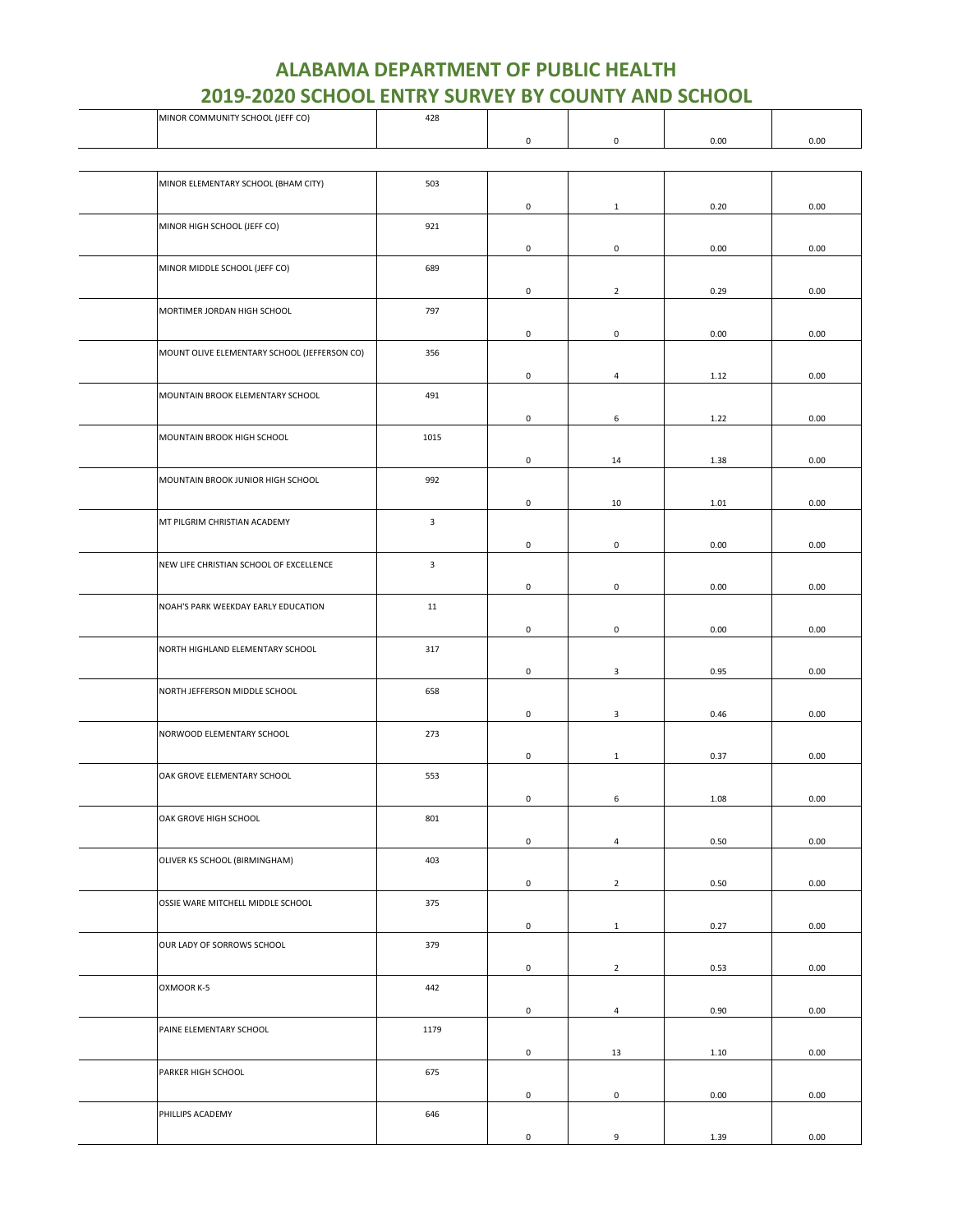| MINOR COMMUNITY SCHOOL (JEFF CO)             | 428          |                     |                     |      |      |
|----------------------------------------------|--------------|---------------------|---------------------|------|------|
|                                              |              | 0                   | $\mathsf{O}\xspace$ | 0.00 | 0.00 |
|                                              |              |                     |                     |      |      |
|                                              |              |                     |                     |      |      |
| MINOR ELEMENTARY SCHOOL (BHAM CITY)          | 503          |                     |                     |      |      |
|                                              |              | 0                   | $\mathbf{1}$        | 0.20 | 0.00 |
| MINOR HIGH SCHOOL (JEFF CO)                  | 921          |                     |                     |      |      |
|                                              |              |                     |                     |      |      |
|                                              |              | 0                   | $\mathbf 0$         | 0.00 | 0.00 |
| MINOR MIDDLE SCHOOL (JEFF CO)                | 689          |                     |                     |      |      |
|                                              |              | 0                   | $\overline{2}$      | 0.29 | 0.00 |
|                                              |              |                     |                     |      |      |
| MORTIMER JORDAN HIGH SCHOOL                  | 797          |                     |                     |      |      |
|                                              |              | 0                   | 0                   | 0.00 | 0.00 |
| MOUNT OLIVE ELEMENTARY SCHOOL (JEFFERSON CO) | 356          |                     |                     |      |      |
|                                              |              |                     |                     |      |      |
|                                              |              | 0                   | $\overline{4}$      | 1.12 | 0.00 |
| MOUNTAIN BROOK ELEMENTARY SCHOOL             | 491          |                     |                     |      |      |
|                                              |              | 0                   | 6                   | 1.22 | 0.00 |
|                                              |              |                     |                     |      |      |
| MOUNTAIN BROOK HIGH SCHOOL                   | 1015         |                     |                     |      |      |
|                                              |              | 0                   | 14                  | 1.38 | 0.00 |
| MOUNTAIN BROOK JUNIOR HIGH SCHOOL            | 992          |                     |                     |      |      |
|                                              |              |                     |                     |      |      |
|                                              |              | 0                   | 10                  | 1.01 | 0.00 |
| MT PILGRIM CHRISTIAN ACADEMY                 | $\mathbf{3}$ |                     |                     |      |      |
|                                              |              | 0                   | $\mathsf{O}\xspace$ | 0.00 | 0.00 |
|                                              |              |                     |                     |      |      |
| NEW LIFE CHRISTIAN SCHOOL OF EXCELLENCE      | 3            |                     |                     |      |      |
|                                              |              | 0                   | $\mathbf 0$         | 0.00 | 0.00 |
| NOAH'S PARK WEEKDAY EARLY EDUCATION          | 11           |                     |                     |      |      |
|                                              |              |                     |                     |      |      |
|                                              |              | 0                   | $\mathbf 0$         | 0.00 | 0.00 |
| NORTH HIGHLAND ELEMENTARY SCHOOL             | 317          |                     |                     |      |      |
|                                              |              | 0                   | 3                   | 0.95 | 0.00 |
| NORTH JEFFERSON MIDDLE SCHOOL                | 658          |                     |                     |      |      |
|                                              |              |                     |                     |      |      |
|                                              |              | 0                   | 3                   | 0.46 | 0.00 |
| NORWOOD ELEMENTARY SCHOOL                    | 273          |                     |                     |      |      |
|                                              |              | 0                   | $\mathbf{1}$        | 0.37 | 0.00 |
|                                              |              |                     |                     |      |      |
| OAK GROVE ELEMENTARY SCHOOL                  | 553          |                     |                     |      |      |
|                                              |              | $\mathsf{O}\xspace$ | 6                   | 1.08 | 0.00 |
| OAK GROVE HIGH SCHOOL                        | 801          |                     |                     |      |      |
|                                              |              |                     |                     |      |      |
|                                              |              | 0                   | $\overline{4}$      | 0.50 | 0.00 |
| OLIVER K5 SCHOOL (BIRMINGHAM)                | 403          |                     |                     |      |      |
|                                              |              | 0                   | $\overline{2}$      | 0.50 | 0.00 |
| OSSIE WARE MITCHELL MIDDLE SCHOOL            | 375          |                     |                     |      |      |
|                                              |              |                     |                     |      |      |
|                                              |              | 0                   | $\mathbf{1}$        | 0.27 | 0.00 |
| OUR LADY OF SORROWS SCHOOL                   | 379          |                     |                     |      |      |
|                                              |              | 0                   | $\overline{2}$      | 0.53 | 0.00 |
|                                              |              |                     |                     |      |      |
| OXMOOR K-5                                   | 442          |                     |                     |      |      |
|                                              |              | 0                   | $\overline{4}$      | 0.90 | 0.00 |
| PAINE ELEMENTARY SCHOOL                      | 1179         |                     |                     |      |      |
|                                              |              |                     |                     |      |      |
|                                              |              | 0                   | 13                  | 1.10 | 0.00 |
| PARKER HIGH SCHOOL                           | 675          |                     |                     |      |      |
|                                              |              | 0                   | 0                   | 0.00 | 0.00 |
|                                              |              |                     |                     |      |      |
| PHILLIPS ACADEMY                             | 646          |                     |                     |      |      |
|                                              |              | $\mathsf{O}\xspace$ | 9                   | 1.39 | 0.00 |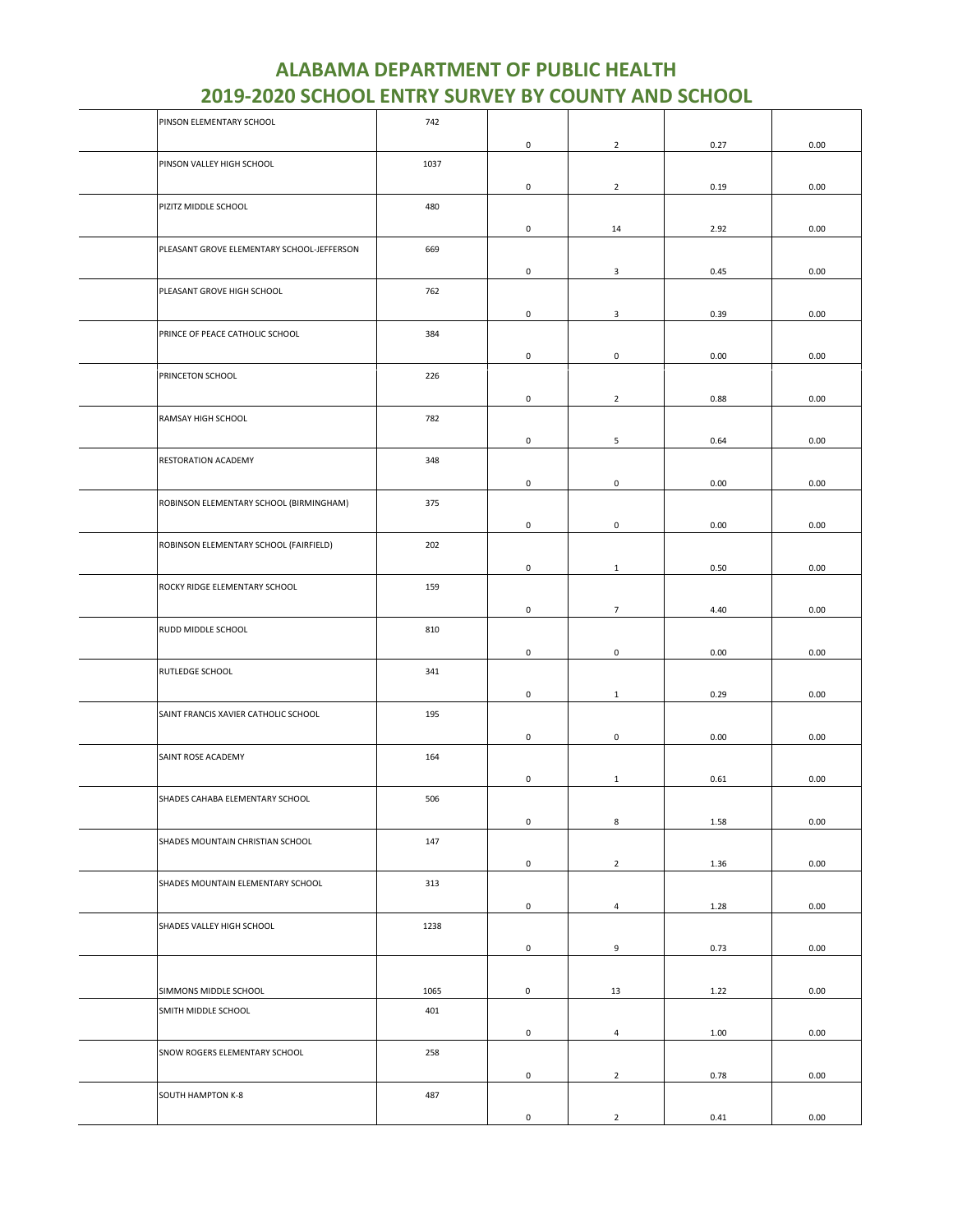| PINSON ELEMENTARY SCHOOL                   | 742  |                     |                |      |      |
|--------------------------------------------|------|---------------------|----------------|------|------|
|                                            |      | 0                   | $\overline{2}$ | 0.27 | 0.00 |
| PINSON VALLEY HIGH SCHOOL                  | 1037 |                     |                |      |      |
|                                            |      | 0                   | $\overline{2}$ | 0.19 | 0.00 |
| PIZITZ MIDDLE SCHOOL                       | 480  |                     |                |      |      |
|                                            |      |                     |                |      |      |
|                                            |      | 0                   | 14             | 2.92 | 0.00 |
| PLEASANT GROVE ELEMENTARY SCHOOL-JEFFERSON | 669  |                     |                |      |      |
|                                            |      | 0                   | 3              | 0.45 | 0.00 |
| PLEASANT GROVE HIGH SCHOOL                 | 762  |                     |                |      |      |
|                                            |      | 0                   | $\mathbf{3}$   | 0.39 | 0.00 |
| PRINCE OF PEACE CATHOLIC SCHOOL            | 384  |                     |                |      |      |
|                                            |      | 0                   | $\mathbf 0$    | 0.00 | 0.00 |
| PRINCETON SCHOOL                           | 226  |                     |                |      |      |
|                                            |      |                     |                |      |      |
|                                            |      | 0                   | $\overline{2}$ | 0.88 | 0.00 |
| RAMSAY HIGH SCHOOL                         | 782  |                     |                |      |      |
|                                            |      | 0                   | 5              | 0.64 | 0.00 |
| RESTORATION ACADEMY                        | 348  |                     |                |      |      |
|                                            |      | 0                   | $\mathsf 0$    | 0.00 | 0.00 |
| ROBINSON ELEMENTARY SCHOOL (BIRMINGHAM)    | 375  |                     |                |      |      |
|                                            |      | 0                   | $\mathbf 0$    | 0.00 | 0.00 |
| ROBINSON ELEMENTARY SCHOOL (FAIRFIELD)     | 202  |                     |                |      |      |
|                                            |      |                     |                |      |      |
|                                            |      | 0                   | $\mathbf{1}$   | 0.50 | 0.00 |
| ROCKY RIDGE ELEMENTARY SCHOOL              | 159  |                     |                |      |      |
|                                            |      | 0                   | $\overline{7}$ | 4.40 | 0.00 |
| RUDD MIDDLE SCHOOL                         | 810  |                     |                |      |      |
|                                            |      | 0                   | $\mathbf 0$    | 0.00 | 0.00 |
| RUTLEDGE SCHOOL                            | 341  |                     |                |      |      |
|                                            |      | $\mathsf{O}\xspace$ | $\mathbf{1}$   | 0.29 | 0.00 |
| SAINT FRANCIS XAVIER CATHOLIC SCHOOL       | 195  |                     |                |      |      |
|                                            |      |                     |                |      |      |
|                                            |      | 0                   | $\mathbf 0$    | 0.00 | 0.00 |
| SAINT ROSE ACADEMY                         | 164  |                     |                |      |      |
|                                            |      | 0                   | $\mathbf{1}$   | 0.61 | 0.00 |
| SHADES CAHABA ELEMENTARY SCHOOL            | 506  |                     |                |      |      |
|                                            |      | $\mathsf{O}\xspace$ | 8              | 1.58 | 0.00 |
| SHADES MOUNTAIN CHRISTIAN SCHOOL           | 147  |                     |                |      |      |
|                                            |      | 0                   | $\overline{2}$ | 1.36 | 0.00 |
| SHADES MOUNTAIN ELEMENTARY SCHOOL          | 313  |                     |                |      |      |
|                                            |      | 0                   | $\overline{4}$ | 1.28 | 0.00 |
|                                            |      |                     |                |      |      |
| SHADES VALLEY HIGH SCHOOL                  | 1238 |                     |                |      |      |
|                                            |      | 0                   | 9              | 0.73 | 0.00 |
|                                            |      |                     |                |      |      |
| SIMMONS MIDDLE SCHOOL                      | 1065 | 0                   | 13             | 1.22 | 0.00 |
| SMITH MIDDLE SCHOOL                        | 401  |                     |                |      |      |
|                                            |      | 0                   | $\overline{4}$ | 1.00 | 0.00 |
| SNOW ROGERS ELEMENTARY SCHOOL              | 258  |                     |                |      |      |
|                                            |      | 0                   | $\overline{2}$ | 0.78 | 0.00 |
| SOUTH HAMPTON K-8                          | 487  |                     |                |      |      |
|                                            |      |                     |                |      |      |
|                                            |      | 0                   | $\overline{2}$ | 0.41 | 0.00 |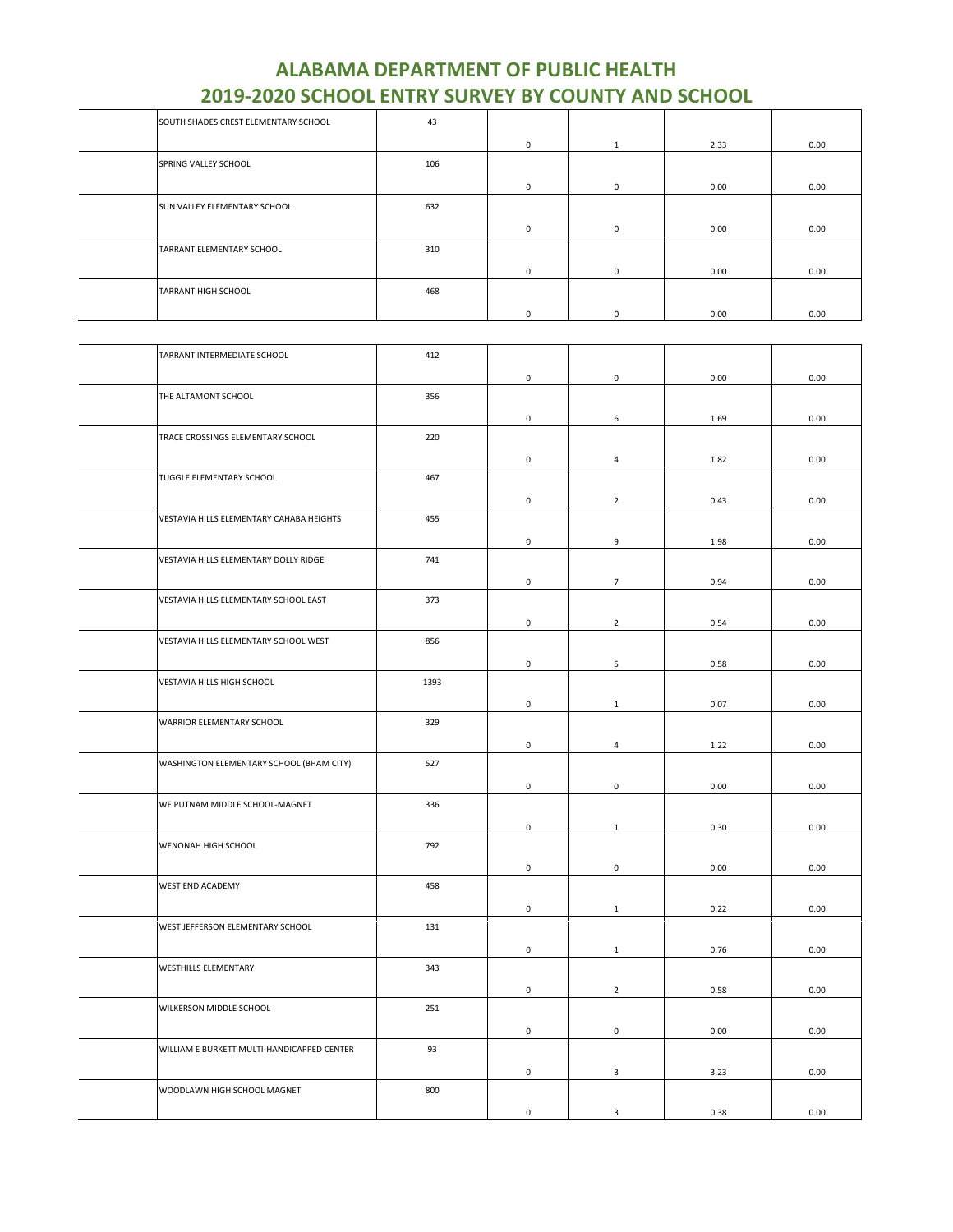| SOUTH SHADES CREST ELEMENTARY SCHOOL | 43  |             |          |      |      |
|--------------------------------------|-----|-------------|----------|------|------|
|                                      |     | 0           | 1        | 2.33 | 0.00 |
| SPRING VALLEY SCHOOL                 | 106 |             |          |      |      |
|                                      |     | 0           | 0        | 0.00 | 0.00 |
| <b>SUN VALLEY ELEMENTARY SCHOOL</b>  | 632 |             |          |      |      |
|                                      |     | $\mathbf 0$ | 0        | 0.00 | 0.00 |
| TARRANT ELEMENTARY SCHOOL            | 310 |             |          |      |      |
|                                      |     | $^{\circ}$  | 0        | 0.00 | 0.00 |
| <b>TARRANT HIGH SCHOOL</b>           | 468 |             |          |      |      |
|                                      |     | 0           | $\Omega$ | 0.00 | 0.00 |

| TARRANT INTERMEDIATE SCHOOL                | 412  |                     |                |      |      |
|--------------------------------------------|------|---------------------|----------------|------|------|
|                                            |      | 0                   | $\mathsf 0$    | 0.00 | 0.00 |
| THE ALTAMONT SCHOOL                        | 356  |                     |                |      |      |
|                                            |      | $\mathsf{O}\xspace$ | 6              | 1.69 | 0.00 |
| TRACE CROSSINGS ELEMENTARY SCHOOL          | 220  |                     |                |      |      |
|                                            |      | $\mathsf{O}\xspace$ | $\overline{4}$ | 1.82 | 0.00 |
| TUGGLE ELEMENTARY SCHOOL                   | 467  |                     |                |      |      |
|                                            |      | 0                   | $\overline{2}$ | 0.43 | 0.00 |
| VESTAVIA HILLS ELEMENTARY CAHABA HEIGHTS   | 455  |                     |                |      |      |
|                                            |      | $\mathsf{O}\xspace$ | 9              | 1.98 | 0.00 |
| VESTAVIA HILLS ELEMENTARY DOLLY RIDGE      | 741  |                     |                |      |      |
|                                            |      | $\mathbf 0$         | $\overline{7}$ | 0.94 | 0.00 |
| VESTAVIA HILLS ELEMENTARY SCHOOL EAST      | 373  |                     |                |      |      |
|                                            |      | 0                   | $\overline{2}$ | 0.54 | 0.00 |
| VESTAVIA HILLS ELEMENTARY SCHOOL WEST      | 856  |                     |                |      |      |
|                                            |      | $\mathsf 0$         | $\sqrt{5}$     | 0.58 | 0.00 |
| VESTAVIA HILLS HIGH SCHOOL                 | 1393 |                     |                |      |      |
|                                            |      | $\mathbf 0$         | $\mathbf{1}$   | 0.07 | 0.00 |
| WARRIOR ELEMENTARY SCHOOL                  | 329  |                     |                |      |      |
|                                            |      | 0                   | 4              | 1.22 | 0.00 |
| WASHINGTON ELEMENTARY SCHOOL (BHAM CITY)   | 527  |                     |                |      |      |
|                                            |      | $\mathsf 0$         | $\mathsf 0$    | 0.00 | 0.00 |
| WE PUTNAM MIDDLE SCHOOL-MAGNET             | 336  |                     |                |      |      |
|                                            |      | $\mathbf 0$         | $\mathbf{1}$   | 0.30 | 0.00 |
| WENONAH HIGH SCHOOL                        | 792  |                     |                |      |      |
|                                            |      | 0                   | $\mathsf 0$    | 0.00 | 0.00 |
| WEST END ACADEMY                           | 458  |                     |                |      |      |
|                                            |      | 0                   | $\mathbf{1}$   | 0.22 | 0.00 |
| WEST JEFFERSON ELEMENTARY SCHOOL           | 131  |                     |                |      |      |
|                                            |      | $\mathsf{O}\xspace$ | $\mathbf{1}$   | 0.76 | 0.00 |
| WESTHILLS ELEMENTARY                       | 343  |                     |                |      |      |
|                                            |      | 0                   | $\overline{2}$ | 0.58 | 0.00 |
| WILKERSON MIDDLE SCHOOL                    | 251  |                     |                |      |      |
|                                            |      | 0                   | $\mathsf 0$    | 0.00 | 0.00 |
| WILLIAM E BURKETT MULTI-HANDICAPPED CENTER | 93   |                     |                |      |      |
|                                            |      | $\mathsf 0$         | $\mathbf{3}$   | 3.23 | 0.00 |
| WOODLAWN HIGH SCHOOL MAGNET                | 800  |                     |                |      |      |
|                                            |      | $\mathsf 0$         | $\mathbf{3}$   | 0.38 | 0.00 |
|                                            |      |                     |                |      |      |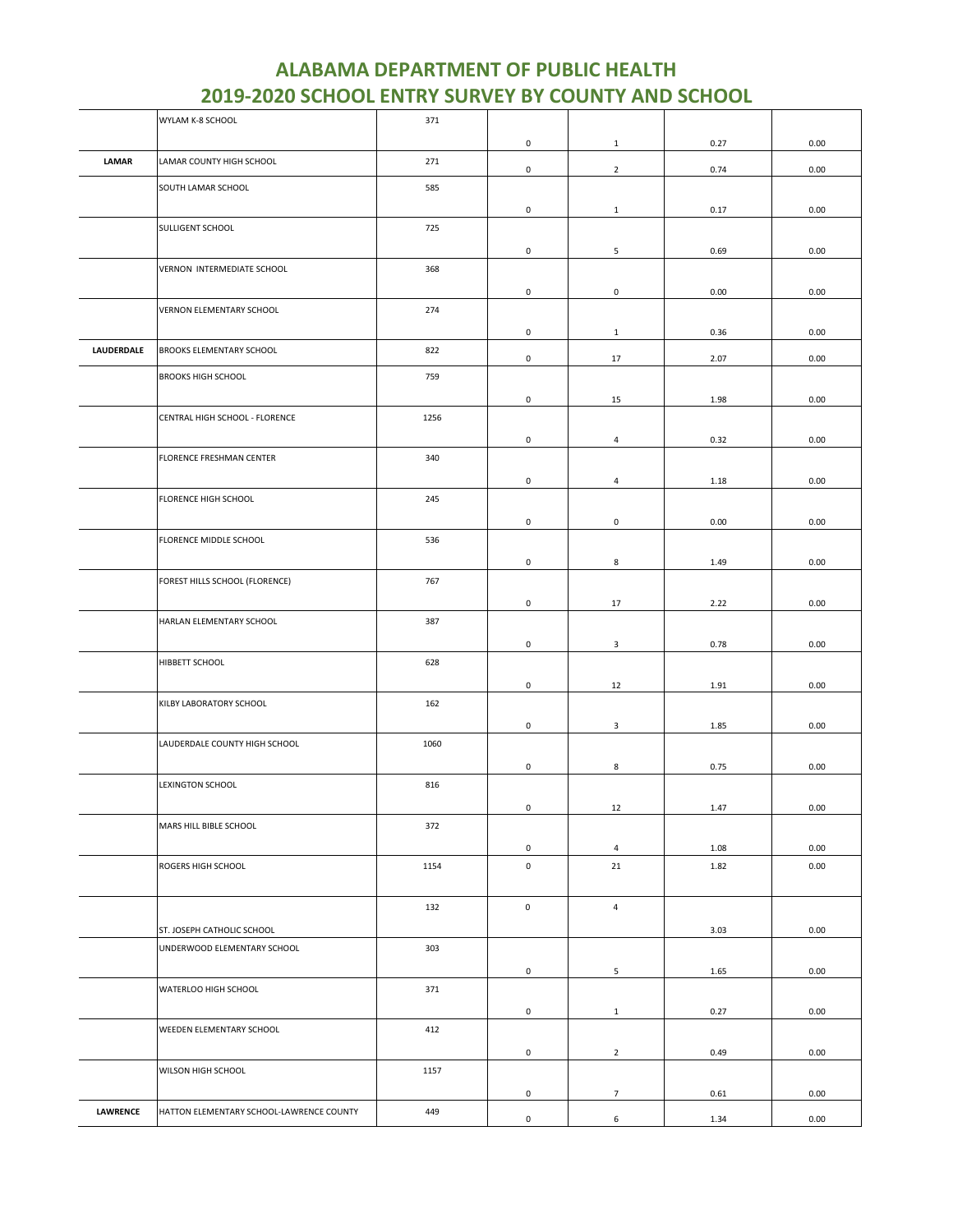| 0<br>0.27<br>0.00<br>$\mathbf{1}$<br>LAMAR<br>271<br>LAMAR COUNTY HIGH SCHOOL<br>$\overline{2}$<br>0<br>0.74<br>0.00<br>585<br>SOUTH LAMAR SCHOOL<br>0<br>$\mathbf{1}$<br>0.17<br>0.00<br>SULLIGENT SCHOOL<br>725<br>5<br>0<br>0.69<br>0.00<br>VERNON INTERMEDIATE SCHOOL<br>368<br>0<br>$\pmb{0}$<br>0.00<br>0.00<br>VERNON ELEMENTARY SCHOOL<br>274<br>0.00<br>0<br>0.36<br>$\mathbf{1}$<br>LAUDERDALE<br>BROOKS ELEMENTARY SCHOOL<br>822<br>0<br>17<br>2.07<br>0.00<br><b>BROOKS HIGH SCHOOL</b><br>759<br>0<br>15<br>1.98<br>0.00<br>CENTRAL HIGH SCHOOL - FLORENCE<br>1256<br>0<br>$\overline{4}$<br>0.32<br>0.00<br>FLORENCE FRESHMAN CENTER<br>340<br>0<br>$\overline{4}$<br>0.00<br>1.18<br>FLORENCE HIGH SCHOOL<br>245<br>0<br>$\mathbf 0$<br>0.00<br>0.00<br>FLORENCE MIDDLE SCHOOL<br>536<br>0<br>8<br>1.49<br>0.00<br>767<br>FOREST HILLS SCHOOL (FLORENCE)<br>0<br>0.00<br>17<br>2.22<br>387<br>HARLAN ELEMENTARY SCHOOL<br>0<br>0.78<br>0.00<br>3<br>HIBBETT SCHOOL<br>628<br>0<br>12<br>1.91<br>0.00<br>KILBY LABORATORY SCHOOL<br>162<br>$\mathsf{O}\xspace$<br>$\mathbf{3}$<br>0.00<br>1.85<br>LAUDERDALE COUNTY HIGH SCHOOL<br>1060<br>0<br>8<br>0.75<br>0.00<br>816<br>LEXINGTON SCHOOL<br>$\mathbf 0$<br>12<br>1.47<br>0.00<br>MARS HILL BIBLE SCHOOL<br>372<br>0<br>0.00<br>$\overline{4}$<br>1.08<br>ROGERS HIGH SCHOOL<br>1154<br>0<br>21<br>1.82<br>0.00<br>0<br>$\overline{4}$<br>132<br>0.00<br>ST. JOSEPH CATHOLIC SCHOOL<br>3.03<br>303<br>UNDERWOOD ELEMENTARY SCHOOL<br>0<br>5<br>1.65<br>0.00<br>WATERLOO HIGH SCHOOL<br>371<br>0<br>$\mathbf{1}$<br>0.27<br>0.00<br>412<br>WEEDEN ELEMENTARY SCHOOL<br>$\mathsf{O}\xspace$<br>$\overline{2}$<br>0.49<br>0.00<br>WILSON HIGH SCHOOL<br>1157<br>0<br>$7\overline{ }$<br>0.61<br>0.00<br><b>LAWRENCE</b><br>HATTON ELEMENTARY SCHOOL-LAWRENCE COUNTY<br>449<br>6<br>0<br>1.34<br>0.00 | WYLAM K-8 SCHOOL | 371 |  |  |
|--------------------------------------------------------------------------------------------------------------------------------------------------------------------------------------------------------------------------------------------------------------------------------------------------------------------------------------------------------------------------------------------------------------------------------------------------------------------------------------------------------------------------------------------------------------------------------------------------------------------------------------------------------------------------------------------------------------------------------------------------------------------------------------------------------------------------------------------------------------------------------------------------------------------------------------------------------------------------------------------------------------------------------------------------------------------------------------------------------------------------------------------------------------------------------------------------------------------------------------------------------------------------------------------------------------------------------------------------------------------------------------------------------------------------------------------------------------------------------------------------------------------------------------------------------------------------------------------------------------------------------------------------------------------------------------------------------------------------------------------------------------------------------------------------------------------------------------------------------------------|------------------|-----|--|--|
|                                                                                                                                                                                                                                                                                                                                                                                                                                                                                                                                                                                                                                                                                                                                                                                                                                                                                                                                                                                                                                                                                                                                                                                                                                                                                                                                                                                                                                                                                                                                                                                                                                                                                                                                                                                                                                                                    |                  |     |  |  |
|                                                                                                                                                                                                                                                                                                                                                                                                                                                                                                                                                                                                                                                                                                                                                                                                                                                                                                                                                                                                                                                                                                                                                                                                                                                                                                                                                                                                                                                                                                                                                                                                                                                                                                                                                                                                                                                                    |                  |     |  |  |
|                                                                                                                                                                                                                                                                                                                                                                                                                                                                                                                                                                                                                                                                                                                                                                                                                                                                                                                                                                                                                                                                                                                                                                                                                                                                                                                                                                                                                                                                                                                                                                                                                                                                                                                                                                                                                                                                    |                  |     |  |  |
|                                                                                                                                                                                                                                                                                                                                                                                                                                                                                                                                                                                                                                                                                                                                                                                                                                                                                                                                                                                                                                                                                                                                                                                                                                                                                                                                                                                                                                                                                                                                                                                                                                                                                                                                                                                                                                                                    |                  |     |  |  |
|                                                                                                                                                                                                                                                                                                                                                                                                                                                                                                                                                                                                                                                                                                                                                                                                                                                                                                                                                                                                                                                                                                                                                                                                                                                                                                                                                                                                                                                                                                                                                                                                                                                                                                                                                                                                                                                                    |                  |     |  |  |
|                                                                                                                                                                                                                                                                                                                                                                                                                                                                                                                                                                                                                                                                                                                                                                                                                                                                                                                                                                                                                                                                                                                                                                                                                                                                                                                                                                                                                                                                                                                                                                                                                                                                                                                                                                                                                                                                    |                  |     |  |  |
|                                                                                                                                                                                                                                                                                                                                                                                                                                                                                                                                                                                                                                                                                                                                                                                                                                                                                                                                                                                                                                                                                                                                                                                                                                                                                                                                                                                                                                                                                                                                                                                                                                                                                                                                                                                                                                                                    |                  |     |  |  |
|                                                                                                                                                                                                                                                                                                                                                                                                                                                                                                                                                                                                                                                                                                                                                                                                                                                                                                                                                                                                                                                                                                                                                                                                                                                                                                                                                                                                                                                                                                                                                                                                                                                                                                                                                                                                                                                                    |                  |     |  |  |
|                                                                                                                                                                                                                                                                                                                                                                                                                                                                                                                                                                                                                                                                                                                                                                                                                                                                                                                                                                                                                                                                                                                                                                                                                                                                                                                                                                                                                                                                                                                                                                                                                                                                                                                                                                                                                                                                    |                  |     |  |  |
|                                                                                                                                                                                                                                                                                                                                                                                                                                                                                                                                                                                                                                                                                                                                                                                                                                                                                                                                                                                                                                                                                                                                                                                                                                                                                                                                                                                                                                                                                                                                                                                                                                                                                                                                                                                                                                                                    |                  |     |  |  |
|                                                                                                                                                                                                                                                                                                                                                                                                                                                                                                                                                                                                                                                                                                                                                                                                                                                                                                                                                                                                                                                                                                                                                                                                                                                                                                                                                                                                                                                                                                                                                                                                                                                                                                                                                                                                                                                                    |                  |     |  |  |
|                                                                                                                                                                                                                                                                                                                                                                                                                                                                                                                                                                                                                                                                                                                                                                                                                                                                                                                                                                                                                                                                                                                                                                                                                                                                                                                                                                                                                                                                                                                                                                                                                                                                                                                                                                                                                                                                    |                  |     |  |  |
|                                                                                                                                                                                                                                                                                                                                                                                                                                                                                                                                                                                                                                                                                                                                                                                                                                                                                                                                                                                                                                                                                                                                                                                                                                                                                                                                                                                                                                                                                                                                                                                                                                                                                                                                                                                                                                                                    |                  |     |  |  |
|                                                                                                                                                                                                                                                                                                                                                                                                                                                                                                                                                                                                                                                                                                                                                                                                                                                                                                                                                                                                                                                                                                                                                                                                                                                                                                                                                                                                                                                                                                                                                                                                                                                                                                                                                                                                                                                                    |                  |     |  |  |
|                                                                                                                                                                                                                                                                                                                                                                                                                                                                                                                                                                                                                                                                                                                                                                                                                                                                                                                                                                                                                                                                                                                                                                                                                                                                                                                                                                                                                                                                                                                                                                                                                                                                                                                                                                                                                                                                    |                  |     |  |  |
|                                                                                                                                                                                                                                                                                                                                                                                                                                                                                                                                                                                                                                                                                                                                                                                                                                                                                                                                                                                                                                                                                                                                                                                                                                                                                                                                                                                                                                                                                                                                                                                                                                                                                                                                                                                                                                                                    |                  |     |  |  |
|                                                                                                                                                                                                                                                                                                                                                                                                                                                                                                                                                                                                                                                                                                                                                                                                                                                                                                                                                                                                                                                                                                                                                                                                                                                                                                                                                                                                                                                                                                                                                                                                                                                                                                                                                                                                                                                                    |                  |     |  |  |
|                                                                                                                                                                                                                                                                                                                                                                                                                                                                                                                                                                                                                                                                                                                                                                                                                                                                                                                                                                                                                                                                                                                                                                                                                                                                                                                                                                                                                                                                                                                                                                                                                                                                                                                                                                                                                                                                    |                  |     |  |  |
|                                                                                                                                                                                                                                                                                                                                                                                                                                                                                                                                                                                                                                                                                                                                                                                                                                                                                                                                                                                                                                                                                                                                                                                                                                                                                                                                                                                                                                                                                                                                                                                                                                                                                                                                                                                                                                                                    |                  |     |  |  |
|                                                                                                                                                                                                                                                                                                                                                                                                                                                                                                                                                                                                                                                                                                                                                                                                                                                                                                                                                                                                                                                                                                                                                                                                                                                                                                                                                                                                                                                                                                                                                                                                                                                                                                                                                                                                                                                                    |                  |     |  |  |
|                                                                                                                                                                                                                                                                                                                                                                                                                                                                                                                                                                                                                                                                                                                                                                                                                                                                                                                                                                                                                                                                                                                                                                                                                                                                                                                                                                                                                                                                                                                                                                                                                                                                                                                                                                                                                                                                    |                  |     |  |  |
|                                                                                                                                                                                                                                                                                                                                                                                                                                                                                                                                                                                                                                                                                                                                                                                                                                                                                                                                                                                                                                                                                                                                                                                                                                                                                                                                                                                                                                                                                                                                                                                                                                                                                                                                                                                                                                                                    |                  |     |  |  |
|                                                                                                                                                                                                                                                                                                                                                                                                                                                                                                                                                                                                                                                                                                                                                                                                                                                                                                                                                                                                                                                                                                                                                                                                                                                                                                                                                                                                                                                                                                                                                                                                                                                                                                                                                                                                                                                                    |                  |     |  |  |
|                                                                                                                                                                                                                                                                                                                                                                                                                                                                                                                                                                                                                                                                                                                                                                                                                                                                                                                                                                                                                                                                                                                                                                                                                                                                                                                                                                                                                                                                                                                                                                                                                                                                                                                                                                                                                                                                    |                  |     |  |  |
|                                                                                                                                                                                                                                                                                                                                                                                                                                                                                                                                                                                                                                                                                                                                                                                                                                                                                                                                                                                                                                                                                                                                                                                                                                                                                                                                                                                                                                                                                                                                                                                                                                                                                                                                                                                                                                                                    |                  |     |  |  |
|                                                                                                                                                                                                                                                                                                                                                                                                                                                                                                                                                                                                                                                                                                                                                                                                                                                                                                                                                                                                                                                                                                                                                                                                                                                                                                                                                                                                                                                                                                                                                                                                                                                                                                                                                                                                                                                                    |                  |     |  |  |
|                                                                                                                                                                                                                                                                                                                                                                                                                                                                                                                                                                                                                                                                                                                                                                                                                                                                                                                                                                                                                                                                                                                                                                                                                                                                                                                                                                                                                                                                                                                                                                                                                                                                                                                                                                                                                                                                    |                  |     |  |  |
|                                                                                                                                                                                                                                                                                                                                                                                                                                                                                                                                                                                                                                                                                                                                                                                                                                                                                                                                                                                                                                                                                                                                                                                                                                                                                                                                                                                                                                                                                                                                                                                                                                                                                                                                                                                                                                                                    |                  |     |  |  |
|                                                                                                                                                                                                                                                                                                                                                                                                                                                                                                                                                                                                                                                                                                                                                                                                                                                                                                                                                                                                                                                                                                                                                                                                                                                                                                                                                                                                                                                                                                                                                                                                                                                                                                                                                                                                                                                                    |                  |     |  |  |
|                                                                                                                                                                                                                                                                                                                                                                                                                                                                                                                                                                                                                                                                                                                                                                                                                                                                                                                                                                                                                                                                                                                                                                                                                                                                                                                                                                                                                                                                                                                                                                                                                                                                                                                                                                                                                                                                    |                  |     |  |  |
|                                                                                                                                                                                                                                                                                                                                                                                                                                                                                                                                                                                                                                                                                                                                                                                                                                                                                                                                                                                                                                                                                                                                                                                                                                                                                                                                                                                                                                                                                                                                                                                                                                                                                                                                                                                                                                                                    |                  |     |  |  |
|                                                                                                                                                                                                                                                                                                                                                                                                                                                                                                                                                                                                                                                                                                                                                                                                                                                                                                                                                                                                                                                                                                                                                                                                                                                                                                                                                                                                                                                                                                                                                                                                                                                                                                                                                                                                                                                                    |                  |     |  |  |
|                                                                                                                                                                                                                                                                                                                                                                                                                                                                                                                                                                                                                                                                                                                                                                                                                                                                                                                                                                                                                                                                                                                                                                                                                                                                                                                                                                                                                                                                                                                                                                                                                                                                                                                                                                                                                                                                    |                  |     |  |  |
|                                                                                                                                                                                                                                                                                                                                                                                                                                                                                                                                                                                                                                                                                                                                                                                                                                                                                                                                                                                                                                                                                                                                                                                                                                                                                                                                                                                                                                                                                                                                                                                                                                                                                                                                                                                                                                                                    |                  |     |  |  |
|                                                                                                                                                                                                                                                                                                                                                                                                                                                                                                                                                                                                                                                                                                                                                                                                                                                                                                                                                                                                                                                                                                                                                                                                                                                                                                                                                                                                                                                                                                                                                                                                                                                                                                                                                                                                                                                                    |                  |     |  |  |
|                                                                                                                                                                                                                                                                                                                                                                                                                                                                                                                                                                                                                                                                                                                                                                                                                                                                                                                                                                                                                                                                                                                                                                                                                                                                                                                                                                                                                                                                                                                                                                                                                                                                                                                                                                                                                                                                    |                  |     |  |  |
|                                                                                                                                                                                                                                                                                                                                                                                                                                                                                                                                                                                                                                                                                                                                                                                                                                                                                                                                                                                                                                                                                                                                                                                                                                                                                                                                                                                                                                                                                                                                                                                                                                                                                                                                                                                                                                                                    |                  |     |  |  |
|                                                                                                                                                                                                                                                                                                                                                                                                                                                                                                                                                                                                                                                                                                                                                                                                                                                                                                                                                                                                                                                                                                                                                                                                                                                                                                                                                                                                                                                                                                                                                                                                                                                                                                                                                                                                                                                                    |                  |     |  |  |
|                                                                                                                                                                                                                                                                                                                                                                                                                                                                                                                                                                                                                                                                                                                                                                                                                                                                                                                                                                                                                                                                                                                                                                                                                                                                                                                                                                                                                                                                                                                                                                                                                                                                                                                                                                                                                                                                    |                  |     |  |  |
|                                                                                                                                                                                                                                                                                                                                                                                                                                                                                                                                                                                                                                                                                                                                                                                                                                                                                                                                                                                                                                                                                                                                                                                                                                                                                                                                                                                                                                                                                                                                                                                                                                                                                                                                                                                                                                                                    |                  |     |  |  |
|                                                                                                                                                                                                                                                                                                                                                                                                                                                                                                                                                                                                                                                                                                                                                                                                                                                                                                                                                                                                                                                                                                                                                                                                                                                                                                                                                                                                                                                                                                                                                                                                                                                                                                                                                                                                                                                                    |                  |     |  |  |
|                                                                                                                                                                                                                                                                                                                                                                                                                                                                                                                                                                                                                                                                                                                                                                                                                                                                                                                                                                                                                                                                                                                                                                                                                                                                                                                                                                                                                                                                                                                                                                                                                                                                                                                                                                                                                                                                    |                  |     |  |  |
|                                                                                                                                                                                                                                                                                                                                                                                                                                                                                                                                                                                                                                                                                                                                                                                                                                                                                                                                                                                                                                                                                                                                                                                                                                                                                                                                                                                                                                                                                                                                                                                                                                                                                                                                                                                                                                                                    |                  |     |  |  |
|                                                                                                                                                                                                                                                                                                                                                                                                                                                                                                                                                                                                                                                                                                                                                                                                                                                                                                                                                                                                                                                                                                                                                                                                                                                                                                                                                                                                                                                                                                                                                                                                                                                                                                                                                                                                                                                                    |                  |     |  |  |
|                                                                                                                                                                                                                                                                                                                                                                                                                                                                                                                                                                                                                                                                                                                                                                                                                                                                                                                                                                                                                                                                                                                                                                                                                                                                                                                                                                                                                                                                                                                                                                                                                                                                                                                                                                                                                                                                    |                  |     |  |  |
|                                                                                                                                                                                                                                                                                                                                                                                                                                                                                                                                                                                                                                                                                                                                                                                                                                                                                                                                                                                                                                                                                                                                                                                                                                                                                                                                                                                                                                                                                                                                                                                                                                                                                                                                                                                                                                                                    |                  |     |  |  |
|                                                                                                                                                                                                                                                                                                                                                                                                                                                                                                                                                                                                                                                                                                                                                                                                                                                                                                                                                                                                                                                                                                                                                                                                                                                                                                                                                                                                                                                                                                                                                                                                                                                                                                                                                                                                                                                                    |                  |     |  |  |
|                                                                                                                                                                                                                                                                                                                                                                                                                                                                                                                                                                                                                                                                                                                                                                                                                                                                                                                                                                                                                                                                                                                                                                                                                                                                                                                                                                                                                                                                                                                                                                                                                                                                                                                                                                                                                                                                    |                  |     |  |  |
|                                                                                                                                                                                                                                                                                                                                                                                                                                                                                                                                                                                                                                                                                                                                                                                                                                                                                                                                                                                                                                                                                                                                                                                                                                                                                                                                                                                                                                                                                                                                                                                                                                                                                                                                                                                                                                                                    |                  |     |  |  |
|                                                                                                                                                                                                                                                                                                                                                                                                                                                                                                                                                                                                                                                                                                                                                                                                                                                                                                                                                                                                                                                                                                                                                                                                                                                                                                                                                                                                                                                                                                                                                                                                                                                                                                                                                                                                                                                                    |                  |     |  |  |
|                                                                                                                                                                                                                                                                                                                                                                                                                                                                                                                                                                                                                                                                                                                                                                                                                                                                                                                                                                                                                                                                                                                                                                                                                                                                                                                                                                                                                                                                                                                                                                                                                                                                                                                                                                                                                                                                    |                  |     |  |  |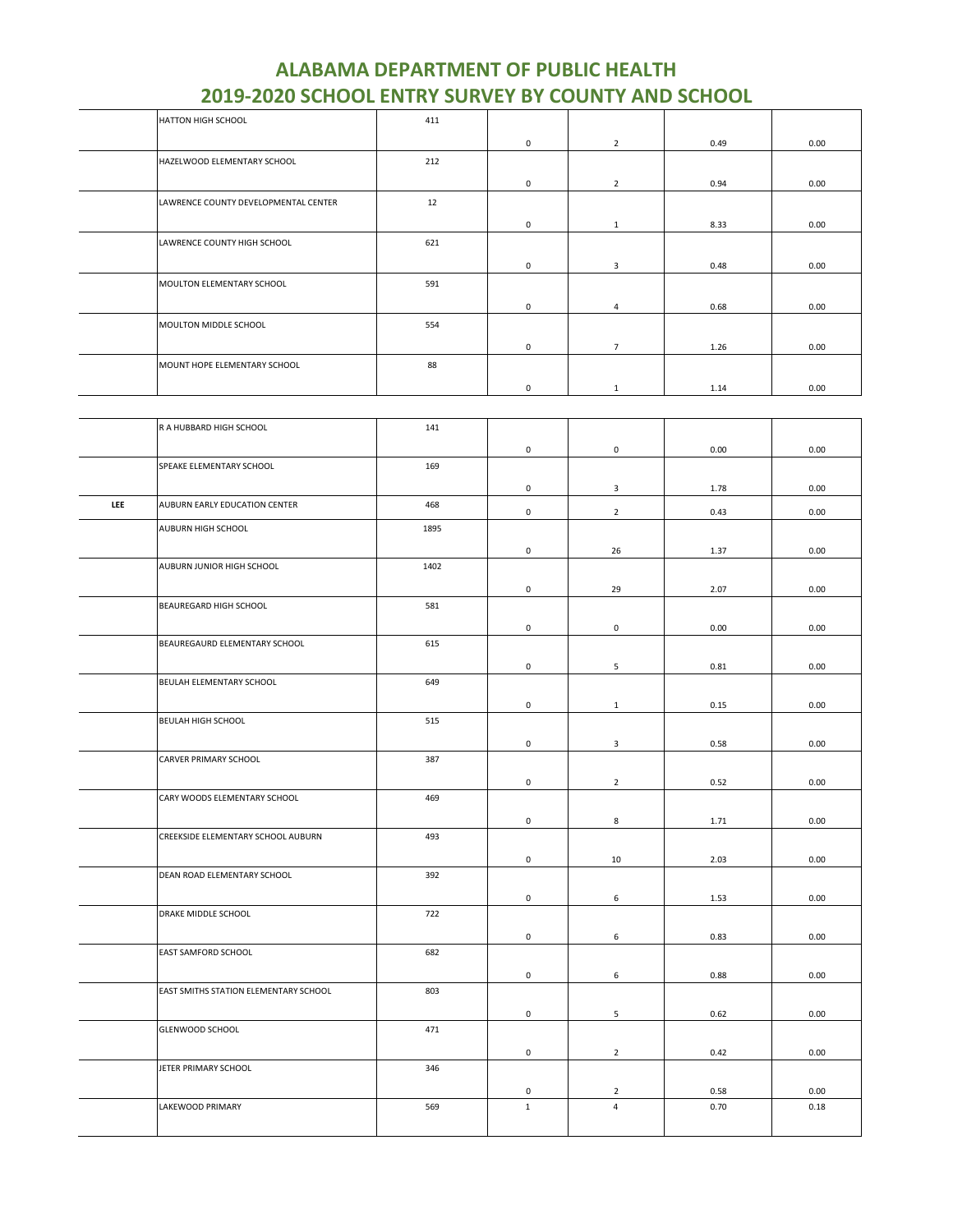| <b>HATTON HIGH SCHOOL</b> |                                      | 411 |              |                |      |      |
|---------------------------|--------------------------------------|-----|--------------|----------------|------|------|
|                           |                                      |     | $\mathbf 0$  | $\overline{2}$ | 0.49 | 0.00 |
|                           | HAZELWOOD ELEMENTARY SCHOOL          | 212 |              |                |      |      |
|                           |                                      |     | 0            | $\overline{2}$ | 0.94 | 0.00 |
|                           | LAWRENCE COUNTY DEVELOPMENTAL CENTER | 12  |              |                |      |      |
|                           |                                      |     | $\mathbf 0$  | 1              | 8.33 | 0.00 |
|                           | LAWRENCE COUNTY HIGH SCHOOL          | 621 |              |                |      |      |
|                           |                                      |     | $\mathbf{0}$ | 3              | 0.48 | 0.00 |
|                           | MOULTON ELEMENTARY SCHOOL            | 591 |              |                |      |      |
|                           |                                      |     | $\mathbf 0$  | $\overline{4}$ | 0.68 | 0.00 |
|                           | MOULTON MIDDLE SCHOOL                | 554 |              |                |      |      |
|                           |                                      |     | 0            | $\overline{7}$ | 1.26 | 0.00 |
|                           | MOUNT HOPE ELEMENTARY SCHOOL         | 88  |              |                |      |      |
|                           |                                      |     | 0            | $\mathbf{1}$   | 1.14 | 0.00 |
|                           |                                      |     |              |                |      |      |
|                           | R A HUBBARD HIGH SCHOOL              | 141 |              |                |      |      |
|                           |                                      |     | $\mathbf 0$  | 0              | 0.00 | 0.00 |
|                           | SPEAKE ELEMENTARY SCHOOL             | 169 |              |                |      |      |

|     |                                       |      | ັ            | ◡              | v.vv | v.vv |
|-----|---------------------------------------|------|--------------|----------------|------|------|
|     | SPEAKE ELEMENTARY SCHOOL              | 169  |              |                |      |      |
|     |                                       |      | 0            | 3              | 1.78 | 0.00 |
| LEE | AUBURN EARLY EDUCATION CENTER         | 468  | $\mathbf 0$  | $\overline{2}$ | 0.43 | 0.00 |
|     | AUBURN HIGH SCHOOL                    | 1895 |              |                |      |      |
|     |                                       |      | 0            | 26             | 1.37 | 0.00 |
|     | AUBURN JUNIOR HIGH SCHOOL             | 1402 |              |                |      |      |
|     |                                       |      | 0            | 29             | 2.07 | 0.00 |
|     | BEAUREGARD HIGH SCHOOL                | 581  |              |                |      |      |
|     |                                       |      | 0            | $\mathsf 0$    | 0.00 | 0.00 |
|     | BEAUREGAURD ELEMENTARY SCHOOL         | 615  |              |                |      |      |
|     |                                       |      | 0            | 5              | 0.81 | 0.00 |
|     | BEULAH ELEMENTARY SCHOOL              | 649  |              |                |      |      |
|     |                                       |      | 0            | $\mathbf 1$    | 0.15 | 0.00 |
|     | BEULAH HIGH SCHOOL                    | 515  |              |                |      |      |
|     |                                       |      | $\mathbf 0$  | $\mathbf{3}$   | 0.58 | 0.00 |
|     | CARVER PRIMARY SCHOOL                 | 387  |              |                |      |      |
|     |                                       |      | 0            | $\overline{2}$ | 0.52 | 0.00 |
|     | CARY WOODS ELEMENTARY SCHOOL          | 469  |              |                |      |      |
|     | CREEKSIDE ELEMENTARY SCHOOL AUBURN    | 493  | 0            | 8              | 1.71 | 0.00 |
|     |                                       |      |              |                |      |      |
|     | DEAN ROAD ELEMENTARY SCHOOL           | 392  | 0            | 10             | 2.03 | 0.00 |
|     |                                       |      |              |                |      |      |
|     | DRAKE MIDDLE SCHOOL                   | 722  | 0            | 6              | 1.53 | 0.00 |
|     |                                       |      | $\mathbf 0$  | 6              | 0.83 | 0.00 |
|     | EAST SAMFORD SCHOOL                   | 682  |              |                |      |      |
|     |                                       |      | 0            | 6              | 0.88 | 0.00 |
|     | EAST SMITHS STATION ELEMENTARY SCHOOL | 803  |              |                |      |      |
|     |                                       |      | 0            | 5              | 0.62 | 0.00 |
|     | GLENWOOD SCHOOL                       | 471  |              |                |      |      |
|     |                                       |      | $\mathbf 0$  | $\overline{2}$ | 0.42 | 0.00 |
|     | JETER PRIMARY SCHOOL                  | 346  |              |                |      |      |
|     |                                       |      | 0            | $\overline{2}$ | 0.58 | 0.00 |
|     | LAKEWOOD PRIMARY                      | 569  | $\mathbf{1}$ | $\overline{4}$ | 0.70 | 0.18 |
|     |                                       |      |              |                |      |      |
|     |                                       |      |              |                |      |      |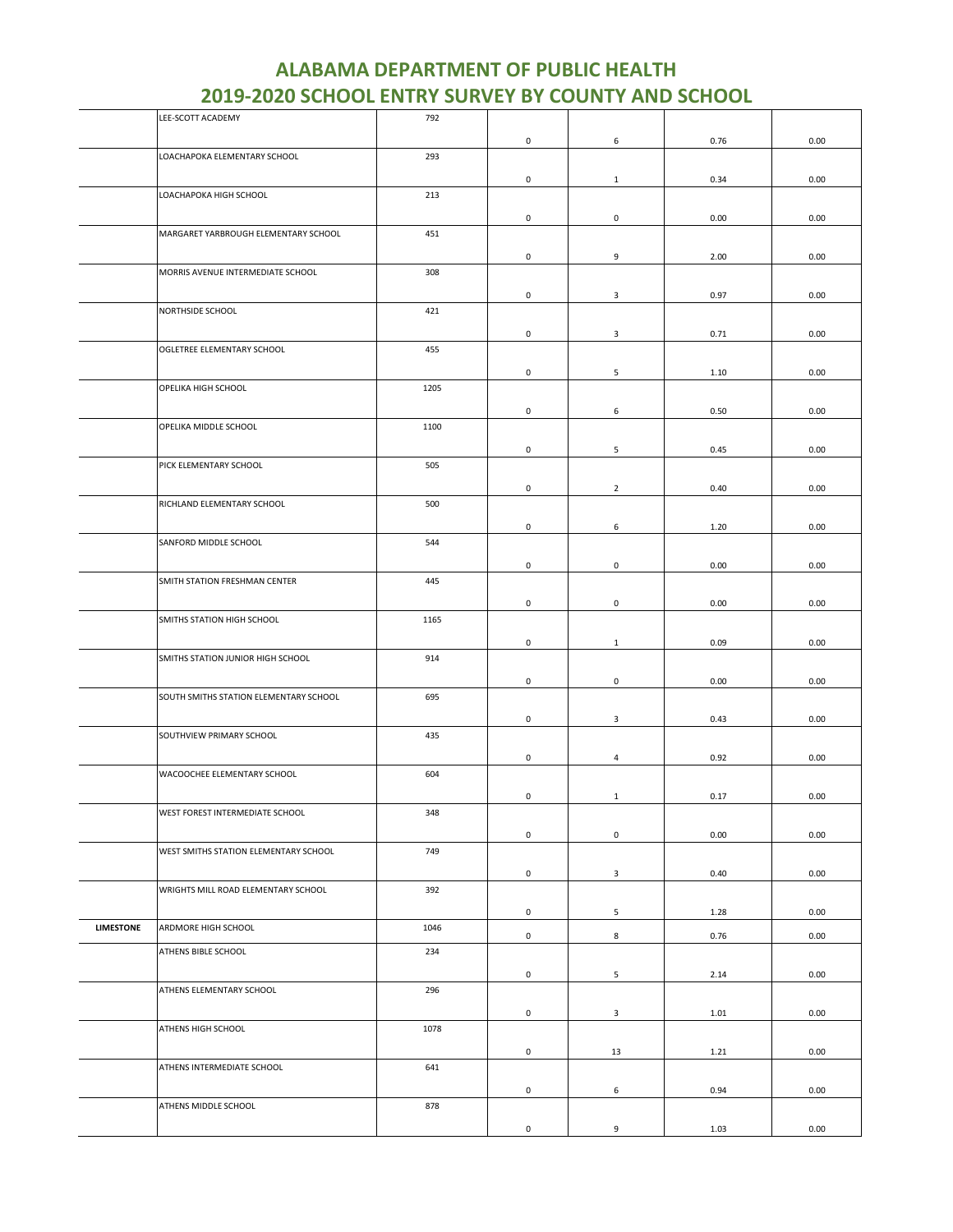|                  | LEE-SCOTT ACADEMY                      | 792  |                     |                         |      |      |
|------------------|----------------------------------------|------|---------------------|-------------------------|------|------|
|                  |                                        |      | 0                   | 6                       | 0.76 | 0.00 |
|                  | LOACHAPOKA ELEMENTARY SCHOOL           | 293  |                     |                         |      |      |
|                  |                                        |      | 0                   | $\mathbf{1}$            | 0.34 | 0.00 |
|                  | LOACHAPOKA HIGH SCHOOL                 | 213  |                     |                         |      |      |
|                  |                                        |      |                     |                         |      |      |
|                  |                                        |      | 0                   | $\mathbf 0$             | 0.00 | 0.00 |
|                  | MARGARET YARBROUGH ELEMENTARY SCHOOL   | 451  |                     |                         |      |      |
|                  |                                        |      | 0                   | 9                       | 2.00 | 0.00 |
|                  | MORRIS AVENUE INTERMEDIATE SCHOOL      | 308  |                     |                         |      |      |
|                  |                                        |      | 0                   | 3                       | 0.97 | 0.00 |
|                  | NORTHSIDE SCHOOL                       | 421  |                     |                         |      |      |
|                  |                                        |      |                     |                         |      |      |
|                  |                                        |      | 0                   | $\overline{\mathbf{3}}$ | 0.71 | 0.00 |
|                  | OGLETREE ELEMENTARY SCHOOL             | 455  |                     |                         |      |      |
|                  |                                        |      | 0                   | 5                       | 1.10 | 0.00 |
|                  | OPELIKA HIGH SCHOOL                    | 1205 |                     |                         |      |      |
|                  |                                        |      | 0                   | 6                       | 0.50 | 0.00 |
|                  | OPELIKA MIDDLE SCHOOL                  | 1100 |                     |                         |      |      |
|                  |                                        |      |                     |                         |      |      |
|                  | PICK ELEMENTARY SCHOOL                 | 505  | 0                   | 5                       | 0.45 | 0.00 |
|                  |                                        |      |                     |                         |      |      |
|                  |                                        |      | 0                   | $\overline{2}$          | 0.40 | 0.00 |
|                  | RICHLAND ELEMENTARY SCHOOL             | 500  |                     |                         |      |      |
|                  |                                        |      | 0                   | 6                       | 1.20 | 0.00 |
|                  | SANFORD MIDDLE SCHOOL                  | 544  |                     |                         |      |      |
|                  |                                        |      |                     |                         |      |      |
|                  |                                        |      | 0                   | $\mathbf 0$             | 0.00 | 0.00 |
|                  | SMITH STATION FRESHMAN CENTER          | 445  |                     |                         |      |      |
|                  |                                        |      | $\mathsf 0$         | $\mathsf 0$             | 0.00 | 0.00 |
|                  | SMITHS STATION HIGH SCHOOL             | 1165 |                     |                         |      |      |
|                  |                                        |      | 0                   | $\mathbf{1}$            | 0.09 | 0.00 |
|                  | SMITHS STATION JUNIOR HIGH SCHOOL      | 914  |                     |                         |      |      |
|                  |                                        |      |                     |                         |      |      |
|                  | SOUTH SMITHS STATION ELEMENTARY SCHOOL | 695  | 0                   | $\mathbf 0$             | 0.00 | 0.00 |
|                  |                                        |      |                     |                         |      |      |
|                  |                                        |      | 0                   | 3                       | 0.43 | 0.00 |
|                  | SOUTHVIEW PRIMARY SCHOOL               | 435  |                     |                         |      |      |
|                  |                                        |      | 0                   | 4                       | 0.92 | 0.00 |
|                  | WACOOCHEE ELEMENTARY SCHOOL            | 604  |                     |                         |      |      |
|                  |                                        |      | 0                   | $\mathbf{1}$            | 0.17 | 0.00 |
|                  | WEST FOREST INTERMEDIATE SCHOOL        | 348  |                     |                         |      |      |
|                  |                                        |      |                     |                         |      |      |
|                  |                                        |      | $\mathsf 0$         | $\mathsf 0$             | 0.00 | 0.00 |
|                  | WEST SMITHS STATION ELEMENTARY SCHOOL  | 749  |                     |                         |      |      |
|                  |                                        |      | 0                   | $\overline{\mathbf{3}}$ | 0.40 | 0.00 |
|                  | WRIGHTS MILL ROAD ELEMENTARY SCHOOL    | 392  |                     |                         |      |      |
|                  |                                        |      | 0                   | 5                       | 1.28 | 0.00 |
| <b>LIMESTONE</b> | ARDMORE HIGH SCHOOL                    | 1046 |                     |                         |      |      |
|                  |                                        |      | $\mathbf 0$         | 8                       | 0.76 | 0.00 |
|                  | ATHENS BIBLE SCHOOL                    | 234  |                     |                         |      |      |
|                  |                                        |      | $\mathsf{O}\xspace$ | 5                       | 2.14 | 0.00 |
|                  | ATHENS ELEMENTARY SCHOOL               | 296  |                     |                         |      |      |
|                  |                                        |      | 0                   | $\overline{\mathbf{3}}$ | 1.01 | 0.00 |
|                  | ATHENS HIGH SCHOOL                     | 1078 |                     |                         |      |      |
|                  |                                        |      |                     |                         |      |      |
|                  |                                        |      | 0                   | 13                      | 1.21 | 0.00 |
|                  | ATHENS INTERMEDIATE SCHOOL             | 641  |                     |                         |      |      |
|                  |                                        |      | 0                   | 6                       | 0.94 | 0.00 |
|                  | ATHENS MIDDLE SCHOOL                   | 878  |                     |                         |      |      |
|                  |                                        |      | $\mathsf{O}\xspace$ | 9                       | 1.03 | 0.00 |
|                  |                                        |      |                     |                         |      |      |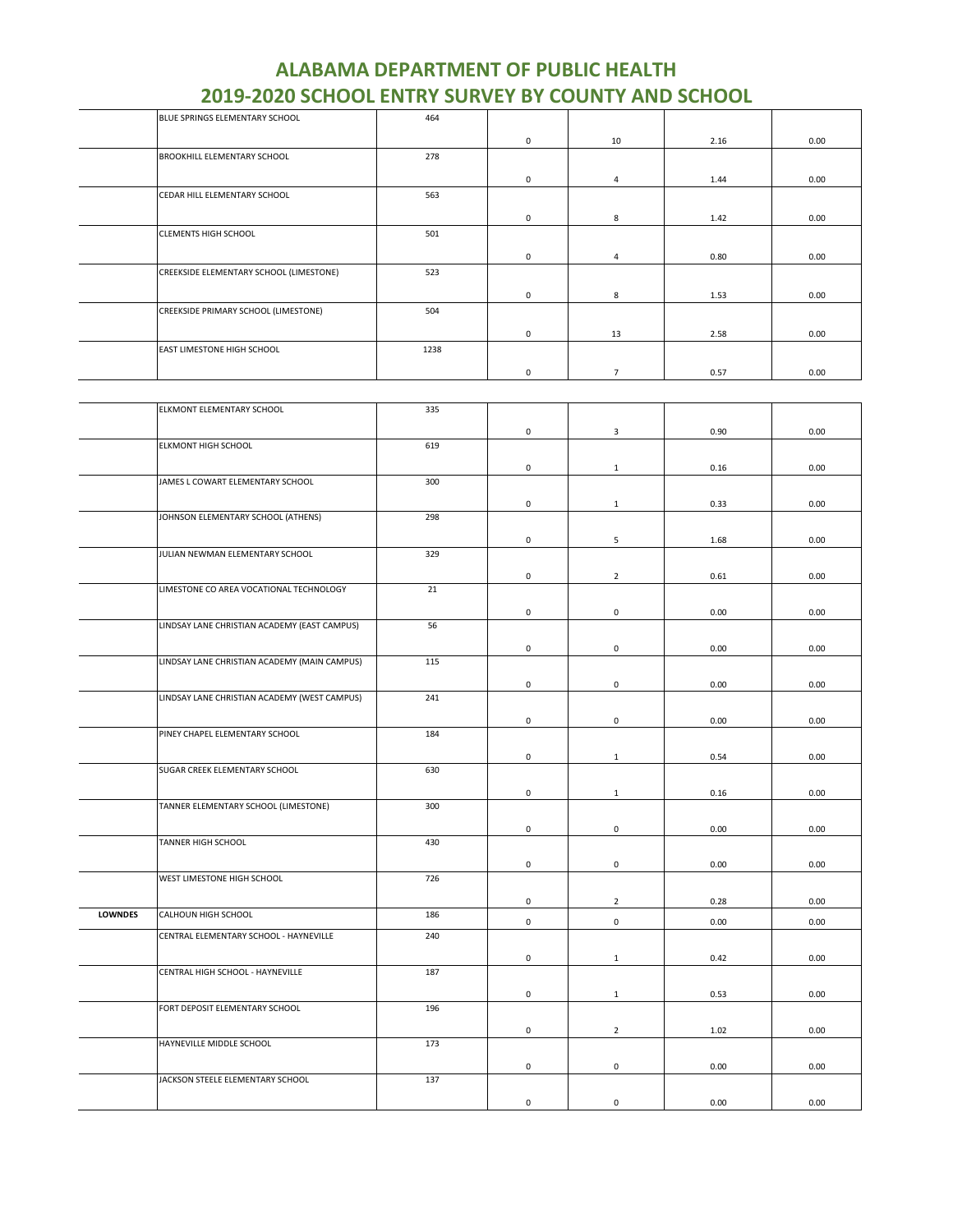| BLUE SPRINGS ELEMENTARY SCHOOL          | 464  |             |                |      |      |
|-----------------------------------------|------|-------------|----------------|------|------|
|                                         |      | $^{\circ}$  | 10             | 2.16 | 0.00 |
| <b>BROOKHILL ELEMENTARY SCHOOL</b>      | 278  |             |                |      |      |
|                                         |      | $^{\circ}$  | 4              | 1.44 | 0.00 |
| CEDAR HILL ELEMENTARY SCHOOL            | 563  |             |                |      |      |
|                                         |      | $\mathbf 0$ | 8              | 1.42 | 0.00 |
| <b>CLEMENTS HIGH SCHOOL</b>             | 501  |             |                |      |      |
|                                         |      | $\mathbf 0$ | 4              | 0.80 | 0.00 |
| CREEKSIDE ELEMENTARY SCHOOL (LIMESTONE) | 523  |             |                |      |      |
|                                         |      | $\mathbf 0$ | 8              | 1.53 | 0.00 |
| CREEKSIDE PRIMARY SCHOOL (LIMESTONE)    | 504  |             |                |      |      |
|                                         |      | 0           | 13             | 2.58 | 0.00 |
| EAST LIMESTONE HIGH SCHOOL              | 1238 |             |                |      |      |
|                                         |      | 0           | $\overline{7}$ | 0.57 | 0.00 |

|                | ELKMONT ELEMENTARY SCHOOL                    | 335 |             |                     |      |      |
|----------------|----------------------------------------------|-----|-------------|---------------------|------|------|
|                |                                              |     |             |                     |      |      |
|                | <b>ELKMONT HIGH SCHOOL</b>                   | 619 | 0           | $\mathbf{3}$        | 0.90 | 0.00 |
|                |                                              |     |             |                     |      |      |
|                |                                              |     | $\mathsf 0$ | $\mathbf{1}$        | 0.16 | 0.00 |
|                | JAMES L COWART ELEMENTARY SCHOOL             | 300 |             |                     |      |      |
|                |                                              |     | $\mathsf 0$ | $\mathbf{1}$        | 0.33 | 0.00 |
|                | JOHNSON ELEMENTARY SCHOOL (ATHENS)           | 298 |             |                     |      |      |
|                |                                              |     | 0           | 5                   | 1.68 | 0.00 |
|                | JULIAN NEWMAN ELEMENTARY SCHOOL              | 329 |             |                     |      |      |
|                |                                              |     |             |                     |      |      |
|                |                                              |     | $\pmb{0}$   | $\overline{2}$      | 0.61 | 0.00 |
|                | LIMESTONE CO AREA VOCATIONAL TECHNOLOGY      | 21  |             |                     |      |      |
|                |                                              |     | 0           | $\mathsf 0$         | 0.00 | 0.00 |
|                | LINDSAY LANE CHRISTIAN ACADEMY (EAST CAMPUS) | 56  |             |                     |      |      |
|                |                                              |     | $\mathsf 0$ | $\mathsf 0$         | 0.00 | 0.00 |
|                | LINDSAY LANE CHRISTIAN ACADEMY (MAIN CAMPUS) | 115 |             |                     |      |      |
|                |                                              |     |             |                     |      |      |
|                |                                              |     | 0           | $\mathsf 0$         | 0.00 | 0.00 |
|                | LINDSAY LANE CHRISTIAN ACADEMY (WEST CAMPUS) | 241 |             |                     |      |      |
|                |                                              |     | 0           | $\mathsf{O}\xspace$ | 0.00 | 0.00 |
|                | PINEY CHAPEL ELEMENTARY SCHOOL               | 184 |             |                     |      |      |
|                |                                              |     | 0           | $\mathbf{1}$        | 0.54 | 0.00 |
|                | SUGAR CREEK ELEMENTARY SCHOOL                | 630 |             |                     |      |      |
|                |                                              |     |             |                     |      |      |
|                | TANNER ELEMENTARY SCHOOL (LIMESTONE)         | 300 | $\mathsf 0$ | $\mathbf{1}$        | 0.16 | 0.00 |
|                |                                              |     |             |                     |      |      |
|                |                                              |     | 0           | $\mathsf 0$         | 0.00 | 0.00 |
|                | TANNER HIGH SCHOOL                           | 430 |             |                     |      |      |
|                |                                              |     | 0           | $\mathbf 0$         | 0.00 | 0.00 |
|                | WEST LIMESTONE HIGH SCHOOL                   | 726 |             |                     |      |      |
|                |                                              |     | 0           | $\overline{2}$      | 0.28 | 0.00 |
| <b>LOWNDES</b> | CALHOUN HIGH SCHOOL                          | 186 |             |                     |      |      |
|                |                                              |     | 0           | $\mathsf 0$         | 0.00 | 0.00 |
|                | CENTRAL ELEMENTARY SCHOOL - HAYNEVILLE       | 240 |             |                     |      |      |
|                |                                              |     | 0           | $\mathbf{1}$        | 0.42 | 0.00 |
|                | CENTRAL HIGH SCHOOL - HAYNEVILLE             | 187 |             |                     |      |      |
|                |                                              |     | $\mathsf 0$ | $\mathbf{1}$        | 0.53 | 0.00 |
|                | FORT DEPOSIT ELEMENTARY SCHOOL               | 196 |             |                     |      |      |
|                |                                              |     |             |                     |      |      |
|                | HAYNEVILLE MIDDLE SCHOOL                     | 173 | 0           | $\overline{2}$      | 1.02 | 0.00 |
|                |                                              |     |             |                     |      |      |
|                |                                              |     | 0           | $\mathbf 0$         | 0.00 | 0.00 |
|                | JACKSON STEELE ELEMENTARY SCHOOL             | 137 |             |                     |      |      |
|                |                                              |     | 0           | $\mathsf 0$         | 0.00 | 0.00 |
|                |                                              |     |             |                     |      |      |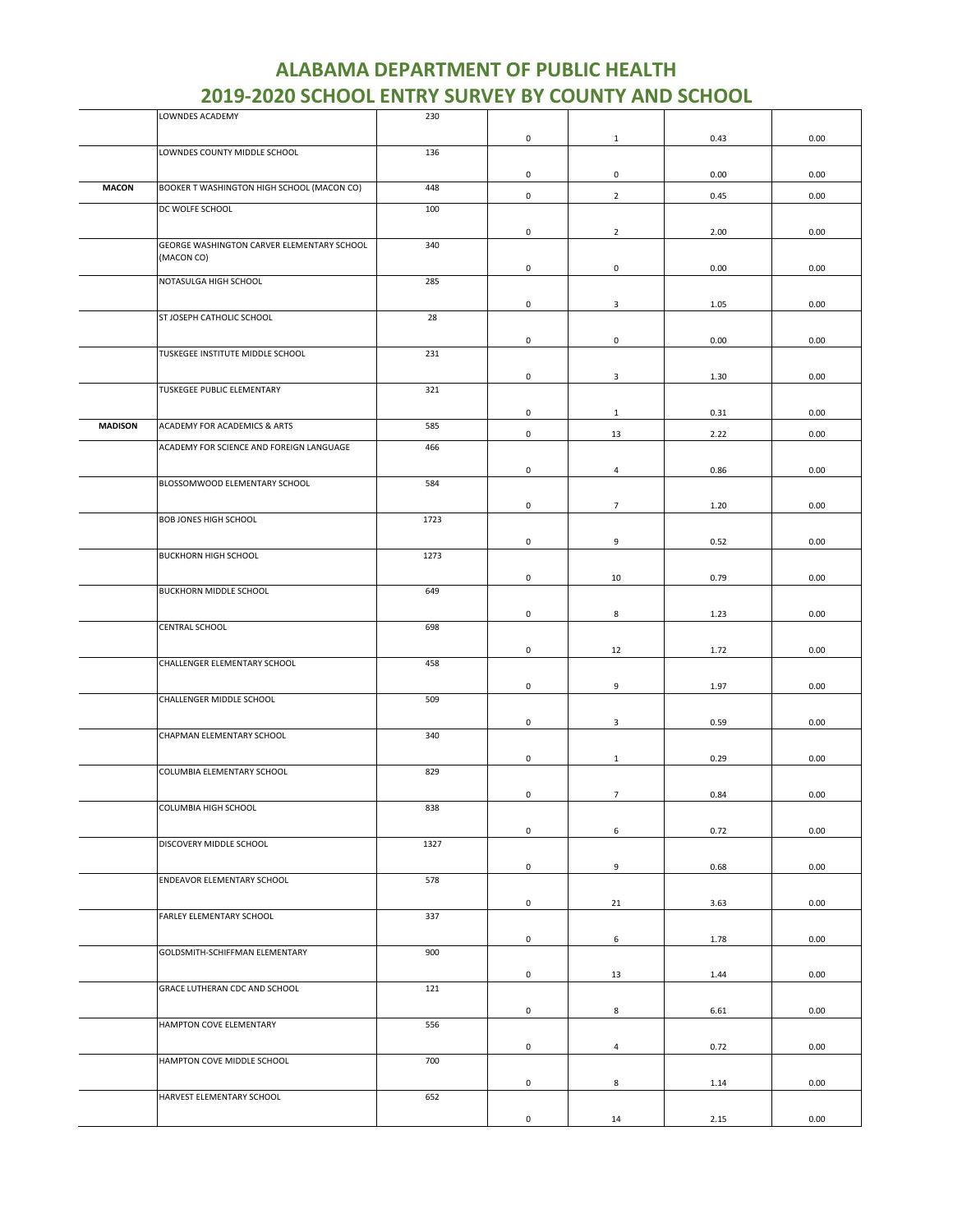|                | LOWNDES ACADEMY                                          | 230  |                     |                |      |      |
|----------------|----------------------------------------------------------|------|---------------------|----------------|------|------|
|                |                                                          |      | $\mathsf{O}\xspace$ | $\mathbf{1}$   | 0.43 | 0.00 |
|                | LOWNDES COUNTY MIDDLE SCHOOL                             | 136  |                     |                |      |      |
|                |                                                          |      |                     |                |      |      |
|                |                                                          |      | 0                   | 0              | 0.00 | 0.00 |
| <b>MACON</b>   | BOOKER T WASHINGTON HIGH SCHOOL (MACON CO)               | 448  | $\mathsf 0$         | $\overline{2}$ | 0.45 | 0.00 |
|                | DC WOLFE SCHOOL                                          | 100  |                     |                |      |      |
|                |                                                          |      |                     |                |      |      |
|                |                                                          |      | $\mathsf{O}\xspace$ | $\overline{2}$ | 2.00 | 0.00 |
|                | GEORGE WASHINGTON CARVER ELEMENTARY SCHOOL<br>(MACON CO) | 340  |                     |                |      |      |
|                |                                                          |      | 0                   | 0              | 0.00 | 0.00 |
|                | NOTASULGA HIGH SCHOOL                                    | 285  |                     |                |      |      |
|                |                                                          |      |                     |                |      |      |
|                | ST JOSEPH CATHOLIC SCHOOL                                |      | $\mathbf 0$         | 3              | 1.05 | 0.00 |
|                |                                                          | 28   |                     |                |      |      |
|                |                                                          |      | 0                   | 0              | 0.00 | 0.00 |
|                | TUSKEGEE INSTITUTE MIDDLE SCHOOL                         | 231  |                     |                |      |      |
|                |                                                          |      |                     |                |      |      |
|                |                                                          |      | $\mathsf{O}\xspace$ | $\mathbf{3}$   | 1.30 | 0.00 |
|                | TUSKEGEE PUBLIC ELEMENTARY                               | 321  |                     |                |      |      |
|                |                                                          |      | $\mathsf 0$         | $\mathbf{1}$   | 0.31 | 0.00 |
| <b>MADISON</b> | ACADEMY FOR ACADEMICS & ARTS                             | 585  |                     |                |      |      |
|                |                                                          |      | 0                   | 13             | 2.22 | 0.00 |
|                | ACADEMY FOR SCIENCE AND FOREIGN LANGUAGE                 | 466  |                     |                |      |      |
|                |                                                          |      | 0                   | 4              | 0.86 | 0.00 |
|                | BLOSSOMWOOD ELEMENTARY SCHOOL                            | 584  |                     |                |      |      |
|                |                                                          |      |                     |                |      |      |
|                |                                                          |      | 0                   | $\overline{7}$ | 1.20 | 0.00 |
|                | <b>BOB JONES HIGH SCHOOL</b>                             | 1723 |                     |                |      |      |
|                |                                                          |      | $\mathsf{O}\xspace$ | 9              | 0.52 | 0.00 |
|                | <b>BUCKHORN HIGH SCHOOL</b>                              | 1273 |                     |                |      |      |
|                |                                                          |      |                     |                |      |      |
|                |                                                          |      | 0                   | 10             | 0.79 | 0.00 |
|                | BUCKHORN MIDDLE SCHOOL                                   | 649  |                     |                |      |      |
|                |                                                          |      | 0                   | 8              | 1.23 | 0.00 |
|                | <b>CENTRAL SCHOOL</b>                                    | 698  |                     |                |      |      |
|                |                                                          |      |                     |                |      |      |
|                |                                                          |      | $\mathbf 0$         | 12             | 1.72 | 0.00 |
|                | CHALLENGER ELEMENTARY SCHOOL                             | 458  |                     |                |      |      |
|                |                                                          |      | 0                   | 9              | 1.97 | 0.00 |
|                | CHALLENGER MIDDLE SCHOOL                                 | 509  |                     |                |      |      |
|                |                                                          |      |                     |                |      |      |
|                | CHAPMAN ELEMENTARY SCHOOL                                |      | 0                   | 3              | 0.59 | 0.00 |
|                |                                                          | 340  |                     |                |      |      |
|                |                                                          |      | 0                   | 1              | 0.29 | 0.00 |
|                | COLUMBIA ELEMENTARY SCHOOL                               | 829  |                     |                |      |      |
|                |                                                          |      |                     |                |      |      |
|                |                                                          |      | $\mathsf 0$         | $\overline{7}$ | 0.84 | 0.00 |
|                | COLUMBIA HIGH SCHOOL                                     | 838  |                     |                |      |      |
|                |                                                          |      | 0                   | 6              | 0.72 | 0.00 |
|                | DISCOVERY MIDDLE SCHOOL                                  | 1327 |                     |                |      |      |
|                |                                                          |      |                     |                |      |      |
|                | ENDEAVOR ELEMENTARY SCHOOL                               | 578  | $\mathbf 0$         | 9              | 0.68 | 0.00 |
|                |                                                          |      |                     |                |      |      |
|                |                                                          |      | 0                   | 21             | 3.63 | 0.00 |
|                | FARLEY ELEMENTARY SCHOOL                                 | 337  |                     |                |      |      |
|                |                                                          |      | 0                   | 6              | 1.78 | 0.00 |
|                | GOLDSMITH-SCHIFFMAN ELEMENTARY                           | 900  |                     |                |      |      |
|                |                                                          |      |                     |                |      |      |
|                |                                                          |      | 0                   | 13             | 1.44 | 0.00 |
|                | GRACE LUTHERAN CDC AND SCHOOL                            | 121  |                     |                |      |      |
|                |                                                          |      | $\mathbf 0$         | 8              |      | 0.00 |
|                | HAMPTON COVE ELEMENTARY                                  | 556  |                     |                | 6.61 |      |
|                |                                                          |      |                     |                |      |      |
|                |                                                          |      | 0                   | $\overline{4}$ | 0.72 | 0.00 |
|                | HAMPTON COVE MIDDLE SCHOOL                               | 700  |                     |                |      |      |
|                |                                                          |      | $\mathsf{O}\xspace$ | 8              | 1.14 | 0.00 |
|                | HARVEST ELEMENTARY SCHOOL                                | 652  |                     |                |      |      |
|                |                                                          |      |                     |                |      |      |
|                |                                                          |      | 0                   | 14             | 2.15 | 0.00 |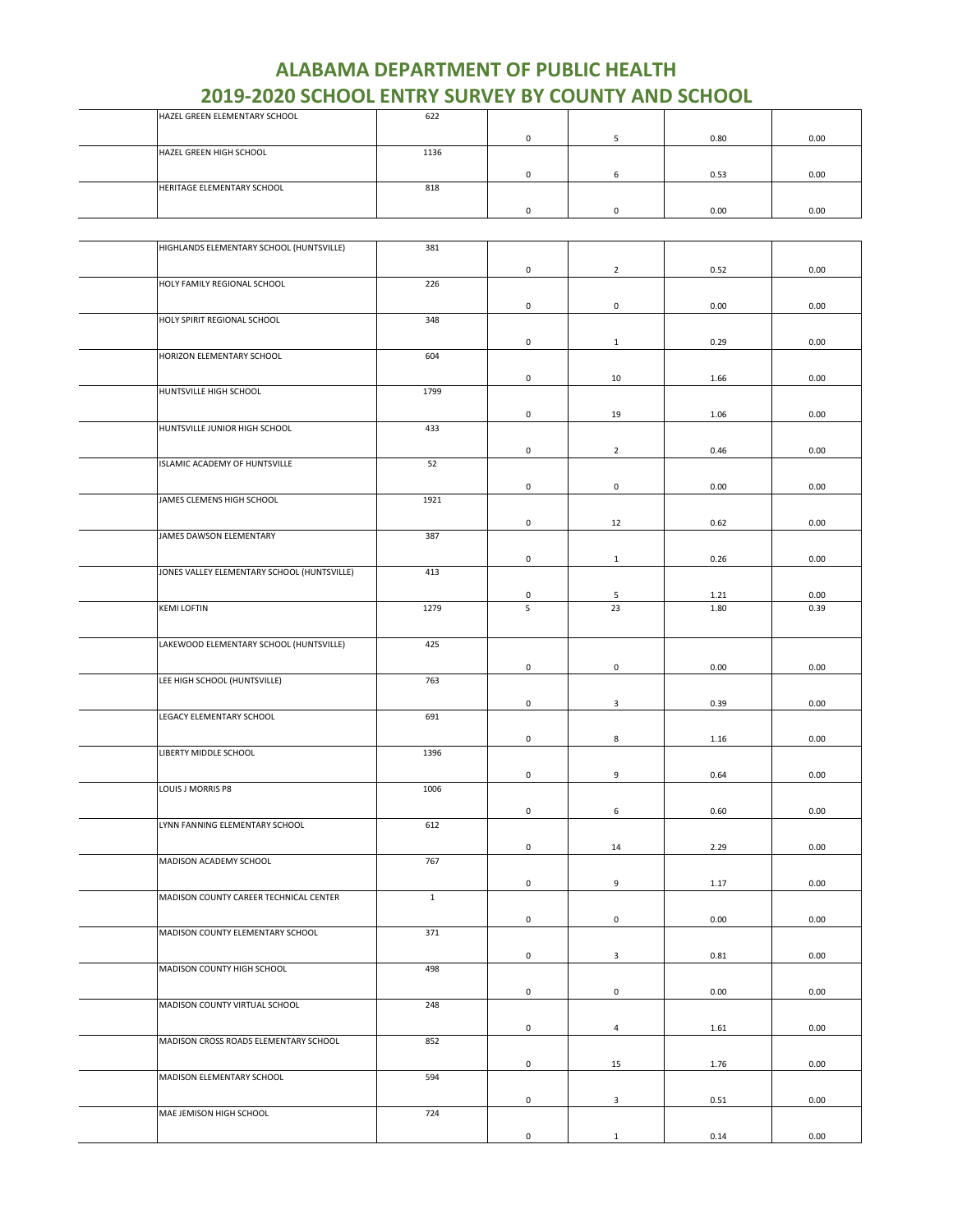| HAZEL GREEN ELEMENTARY SCHOOL | 622  |  |      |      |
|-------------------------------|------|--|------|------|
|                               |      |  | 0.80 | 0.00 |
| HAZEL GREEN HIGH SCHOOL       | 1136 |  |      |      |
|                               |      |  | 0.53 | 0.00 |
| HERITAGE ELEMENTARY SCHOOL    | 818  |  |      |      |
|                               |      |  | 0.00 | 0.00 |

| HIGHLANDS ELEMENTARY SCHOOL (HUNTSVILLE)    | 381   |                     |                     |      |      |
|---------------------------------------------|-------|---------------------|---------------------|------|------|
|                                             |       |                     |                     |      |      |
|                                             |       | 0                   | $\overline{2}$      | 0.52 | 0.00 |
| HOLY FAMILY REGIONAL SCHOOL                 | 226   |                     |                     |      |      |
|                                             |       | 0                   | $\mathsf{O}\xspace$ | 0.00 | 0.00 |
| HOLY SPIRIT REGIONAL SCHOOL                 | 348   |                     |                     |      |      |
|                                             |       | 0                   | $\mathbf{1}$        | 0.29 | 0.00 |
| HORIZON ELEMENTARY SCHOOL                   | 604   |                     |                     |      |      |
|                                             |       |                     |                     |      |      |
| HUNTSVILLE HIGH SCHOOL                      | 1799  | 0                   | 10                  | 1.66 | 0.00 |
|                                             |       |                     |                     |      |      |
|                                             |       | $\mathsf{O}\xspace$ | 19                  | 1.06 | 0.00 |
| HUNTSVILLE JUNIOR HIGH SCHOOL               | 433   |                     |                     |      |      |
|                                             |       | 0                   | $\overline{2}$      | 0.46 | 0.00 |
| ISLAMIC ACADEMY OF HUNTSVILLE               | 52    |                     |                     |      |      |
|                                             |       | 0                   | $\mathbf 0$         | 0.00 | 0.00 |
| JAMES CLEMENS HIGH SCHOOL                   | 1921  |                     |                     |      |      |
|                                             |       |                     |                     |      |      |
| JAMES DAWSON ELEMENTARY                     | 387   | 0                   | 12                  | 0.62 | 0.00 |
|                                             |       |                     |                     |      |      |
|                                             |       | 0                   | $\mathbf{1}$        | 0.26 | 0.00 |
| JONES VALLEY ELEMENTARY SCHOOL (HUNTSVILLE) | 413   |                     |                     |      |      |
|                                             |       | 0                   | 5                   | 1.21 | 0.00 |
| <b>KEMI LOFTIN</b>                          | 1279  | 5                   | 23                  | 1.80 | 0.39 |
|                                             |       |                     |                     |      |      |
| LAKEWOOD ELEMENTARY SCHOOL (HUNTSVILLE)     | 425   |                     |                     |      |      |
|                                             |       |                     |                     |      |      |
|                                             |       | $\mathsf 0$         | $\mathsf 0$         | 0.00 | 0.00 |
| LEE HIGH SCHOOL (HUNTSVILLE)                | 763   |                     |                     |      |      |
|                                             |       | $\mathsf{O}\xspace$ | 3                   | 0.39 | 0.00 |
| LEGACY ELEMENTARY SCHOOL                    | 691   |                     |                     |      |      |
|                                             |       | 0                   | 8                   | 1.16 | 0.00 |
| LIBERTY MIDDLE SCHOOL                       | 1396  |                     |                     |      |      |
|                                             |       |                     |                     |      |      |
| LOUIS J MORRIS P8                           | 1006  | $\mathsf{O}\xspace$ | 9                   | 0.64 | 0.00 |
|                                             |       |                     |                     |      |      |
|                                             |       | 0                   | 6                   | 0.60 | 0.00 |
| LYNN FANNING ELEMENTARY SCHOOL              | 612   |                     |                     |      |      |
|                                             |       | 0                   | 14                  | 2.29 | 0.00 |
| MADISON ACADEMY SCHOOL                      | 767   |                     |                     |      |      |
|                                             |       | 0                   | 9                   | 1.17 | 0.00 |
| MADISON COUNTY CAREER TECHNICAL CENTER      | $1\,$ |                     |                     |      |      |
|                                             |       |                     |                     |      |      |
|                                             |       | 0                   | 0                   | 0.00 | 0.00 |
| MADISON COUNTY ELEMENTARY SCHOOL            | 371   |                     |                     |      |      |
|                                             |       | 0                   | 3                   | 0.81 | 0.00 |
| MADISON COUNTY HIGH SCHOOL                  | 498   |                     |                     |      |      |
|                                             |       | 0                   | 0                   | 0.00 | 0.00 |
| MADISON COUNTY VIRTUAL SCHOOL               | 248   |                     |                     |      |      |
|                                             |       | 0                   | $\overline{4}$      |      | 0.00 |
| MADISON CROSS ROADS ELEMENTARY SCHOOL       | 852   |                     |                     | 1.61 |      |
|                                             |       |                     |                     |      |      |
|                                             |       | 0                   | 15                  | 1.76 | 0.00 |
| MADISON ELEMENTARY SCHOOL                   | 594   |                     |                     |      |      |
|                                             |       | 0                   | 3                   | 0.51 | 0.00 |
| MAE JEMISON HIGH SCHOOL                     | 724   |                     |                     |      |      |
|                                             |       | 0                   | $\mathbf{1}$        | 0.14 | 0.00 |
|                                             |       |                     |                     |      |      |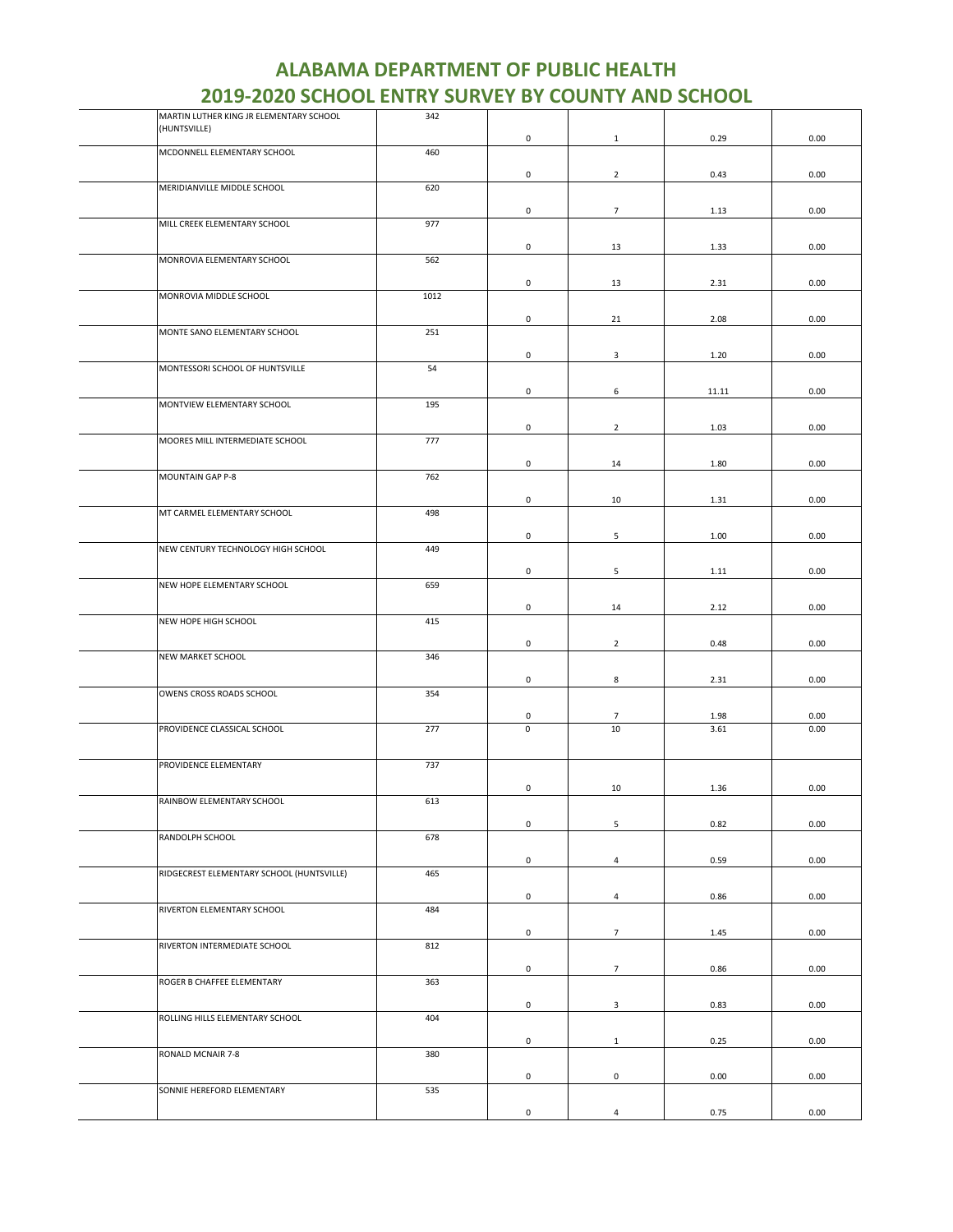| MARTIN LUTHER KING JR ELEMENTARY SCHOOL   | 342  |                     |                 |       |      |
|-------------------------------------------|------|---------------------|-----------------|-------|------|
| (HUNTSVILLE)                              |      | $\pmb{0}$           | $\mathbf{1}$    | 0.29  | 0.00 |
| MCDONNELL ELEMENTARY SCHOOL               | 460  |                     |                 |       |      |
|                                           |      | $\mathbf 0$         | $\overline{2}$  | 0.43  | 0.00 |
| MERIDIANVILLE MIDDLE SCHOOL               | 620  |                     |                 |       |      |
|                                           |      |                     |                 |       |      |
|                                           |      | $\mathsf 0$         | $\overline{7}$  | 1.13  | 0.00 |
| MILL CREEK ELEMENTARY SCHOOL              | 977  |                     |                 |       |      |
|                                           |      | $\mathbf 0$         | 13              | 1.33  | 0.00 |
| MONROVIA ELEMENTARY SCHOOL                | 562  |                     |                 |       |      |
|                                           |      | $\mathsf 0$         | 13              | 2.31  | 0.00 |
| MONROVIA MIDDLE SCHOOL                    | 1012 |                     |                 |       |      |
|                                           |      |                     |                 |       |      |
| MONTE SANO ELEMENTARY SCHOOL              | 251  | $\mathsf 0$         | 21              | 2.08  | 0.00 |
|                                           |      |                     |                 |       |      |
|                                           |      | $\mathsf 0$         | 3               | 1.20  | 0.00 |
| MONTESSORI SCHOOL OF HUNTSVILLE           | 54   |                     |                 |       |      |
|                                           |      | 0                   | 6               | 11.11 | 0.00 |
| MONTVIEW ELEMENTARY SCHOOL                | 195  |                     |                 |       |      |
|                                           |      | $\mathbf 0$         | $\overline{2}$  | 1.03  | 0.00 |
| MOORES MILL INTERMEDIATE SCHOOL           | 777  |                     |                 |       |      |
|                                           |      |                     |                 |       |      |
|                                           |      | 0                   | 14              | 1.80  | 0.00 |
| MOUNTAIN GAP P-8                          | 762  |                     |                 |       |      |
|                                           |      | 0                   | 10              | 1.31  | 0.00 |
| MT CARMEL ELEMENTARY SCHOOL               | 498  |                     |                 |       |      |
|                                           |      | $\mathsf 0$         | 5               | 1.00  | 0.00 |
| NEW CENTURY TECHNOLOGY HIGH SCHOOL        | 449  |                     |                 |       |      |
|                                           |      |                     |                 |       |      |
| NEW HOPE ELEMENTARY SCHOOL                | 659  | 0                   | 5               | 1.11  | 0.00 |
|                                           |      |                     |                 |       |      |
|                                           |      | $\mathsf 0$         | 14              | 2.12  | 0.00 |
| NEW HOPE HIGH SCHOOL                      | 415  |                     |                 |       |      |
|                                           |      | $\mathsf 0$         | $\overline{2}$  | 0.48  | 0.00 |
| NEW MARKET SCHOOL                         | 346  |                     |                 |       |      |
|                                           |      | $\mathsf{O}\xspace$ | 8               | 2.31  | 0.00 |
| OWENS CROSS ROADS SCHOOL                  | 354  |                     |                 |       |      |
|                                           |      |                     |                 |       |      |
|                                           |      | 0                   | $\overline{7}$  | 1.98  | 0.00 |
| PROVIDENCE CLASSICAL SCHOOL               | 277  | $\mathsf 0$         | 10              | 3.61  | 0.00 |
|                                           |      |                     |                 |       |      |
| PROVIDENCE ELEMENTARY                     | 737  |                     |                 |       |      |
|                                           |      | 0                   | 10              | 1.36  | 0.00 |
| RAINBOW ELEMENTARY SCHOOL                 | 613  |                     |                 |       |      |
|                                           |      |                     |                 |       |      |
| RANDOLPH SCHOOL                           | 678  | $\mathsf 0$         | 5               | 0.82  | 0.00 |
|                                           |      |                     |                 |       |      |
|                                           |      | $\mathsf 0$         | $\overline{4}$  | 0.59  | 0.00 |
| RIDGECREST ELEMENTARY SCHOOL (HUNTSVILLE) | 465  |                     |                 |       |      |
|                                           |      | 0                   | $\overline{4}$  | 0.86  | 0.00 |
| RIVERTON ELEMENTARY SCHOOL                | 484  |                     |                 |       |      |
|                                           |      | $\mathsf{O}\xspace$ | $7\overline{ }$ | 1.45  | 0.00 |
| RIVERTON INTERMEDIATE SCHOOL              | 812  |                     |                 |       |      |
|                                           |      |                     |                 |       |      |
|                                           |      | $\mathbf 0$         | $7\overline{ }$ | 0.86  | 0.00 |
| ROGER B CHAFFEE ELEMENTARY                | 363  |                     |                 |       |      |
|                                           |      | $\mathsf 0$         | $\mathbf{3}$    | 0.83  | 0.00 |
| ROLLING HILLS ELEMENTARY SCHOOL           | 404  |                     |                 |       |      |
|                                           |      | 0                   | $\mathbf{1}$    | 0.25  | 0.00 |
| RONALD MCNAIR 7-8                         | 380  |                     |                 |       |      |
|                                           |      |                     |                 |       |      |
| SONNIE HEREFORD ELEMENTARY                | 535  | $\pmb{0}$           | $\mathbf 0$     | 0.00  | 0.00 |
|                                           |      |                     |                 |       |      |
|                                           |      | $\mathsf 0$         | $\overline{4}$  | 0.75  | 0.00 |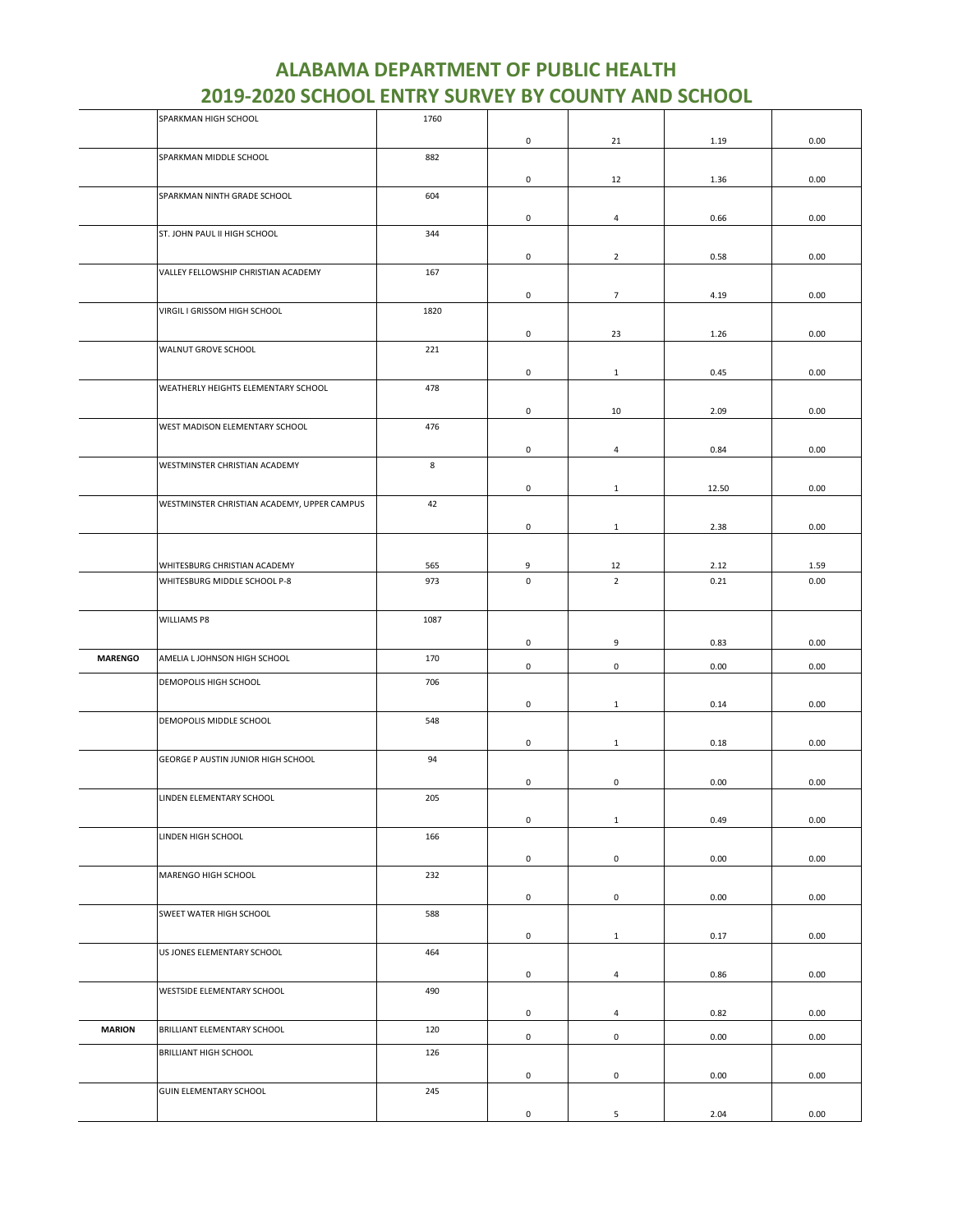|                | SPARKMAN HIGH SCHOOL                        | 1760 |                     |                     |       |      |
|----------------|---------------------------------------------|------|---------------------|---------------------|-------|------|
|                |                                             |      | $\mathsf{O}\xspace$ | 21                  | 1.19  | 0.00 |
|                | SPARKMAN MIDDLE SCHOOL                      | 882  |                     |                     |       |      |
|                |                                             |      |                     |                     |       |      |
|                |                                             |      | 0                   | 12                  | 1.36  | 0.00 |
|                | SPARKMAN NINTH GRADE SCHOOL                 | 604  |                     |                     |       |      |
|                |                                             |      | 0                   | $\overline{4}$      | 0.66  | 0.00 |
|                | ST. JOHN PAUL II HIGH SCHOOL                | 344  |                     |                     |       |      |
|                |                                             |      |                     |                     |       |      |
|                | VALLEY FELLOWSHIP CHRISTIAN ACADEMY         |      | 0                   | $\overline{2}$      | 0.58  | 0.00 |
|                |                                             | 167  |                     |                     |       |      |
|                |                                             |      | 0                   | $7\overline{ }$     | 4.19  | 0.00 |
|                | VIRGIL I GRISSOM HIGH SCHOOL                | 1820 |                     |                     |       |      |
|                |                                             |      | 0                   | 23                  | 1.26  | 0.00 |
|                | WALNUT GROVE SCHOOL                         | 221  |                     |                     |       |      |
|                |                                             |      |                     |                     |       |      |
|                |                                             |      | 0                   | $\mathbf{1}$        | 0.45  | 0.00 |
|                | WEATHERLY HEIGHTS ELEMENTARY SCHOOL         | 478  |                     |                     |       |      |
|                |                                             |      | 0                   | 10                  | 2.09  | 0.00 |
|                | WEST MADISON ELEMENTARY SCHOOL              | 476  |                     |                     |       |      |
|                |                                             |      |                     |                     |       |      |
|                |                                             |      | 0                   | 4                   | 0.84  | 0.00 |
|                | WESTMINSTER CHRISTIAN ACADEMY               | 8    |                     |                     |       |      |
|                |                                             |      | 0                   | $\mathbf{1}$        | 12.50 | 0.00 |
|                | WESTMINSTER CHRISTIAN ACADEMY, UPPER CAMPUS | 42   |                     |                     |       |      |
|                |                                             |      |                     |                     |       |      |
|                |                                             |      | 0                   | $\mathbf{1}$        | 2.38  | 0.00 |
|                |                                             |      |                     |                     |       |      |
|                | WHITESBURG CHRISTIAN ACADEMY                | 565  | 9                   | 12                  | 2.12  | 1.59 |
|                | WHITESBURG MIDDLE SCHOOL P-8                | 973  | $\mathsf 0$         | $\overline{2}$      | 0.21  | 0.00 |
|                |                                             |      |                     |                     |       |      |
|                | WILLIAMS P8                                 | 1087 |                     |                     |       |      |
|                |                                             |      |                     |                     |       |      |
|                |                                             |      | 0                   | 9                   | 0.83  | 0.00 |
| <b>MARENGO</b> | AMELIA L JOHNSON HIGH SCHOOL                | 170  | 0                   | 0                   | 0.00  | 0.00 |
|                | DEMOPOLIS HIGH SCHOOL                       | 706  |                     |                     |       |      |
|                |                                             |      |                     |                     |       |      |
|                |                                             |      | 0                   | $\mathbf{1}$        | 0.14  | 0.00 |
|                | DEMOPOLIS MIDDLE SCHOOL                     | 548  |                     |                     |       |      |
|                |                                             |      | 0                   | $\mathbf{1}$        | 0.18  | 0.00 |
|                | GEORGE P AUSTIN JUNIOR HIGH SCHOOL          | 94   |                     |                     |       |      |
|                |                                             |      |                     |                     |       |      |
|                |                                             |      | 0                   | $\mathsf{O}\xspace$ | 0.00  | 0.00 |
|                | LINDEN ELEMENTARY SCHOOL                    | 205  |                     |                     |       |      |
|                |                                             |      | 0                   | $1\,$               | 0.49  | 0.00 |
|                | LINDEN HIGH SCHOOL                          | 166  |                     |                     |       |      |
|                |                                             |      | $\mathsf 0$         | $\mathsf{O}\xspace$ | 0.00  | 0.00 |
|                | MARENGO HIGH SCHOOL                         | 232  |                     |                     |       |      |
|                |                                             |      |                     |                     |       |      |
|                |                                             |      | $\mathsf{O}\xspace$ | $\mathsf 0$         | 0.00  | 0.00 |
|                | SWEET WATER HIGH SCHOOL                     | 588  |                     |                     |       |      |
|                |                                             |      | $\mathsf 0$         | $\mathbf{1}$        | 0.17  | 0.00 |
|                | US JONES ELEMENTARY SCHOOL                  | 464  |                     |                     |       |      |
|                |                                             |      |                     |                     |       |      |
|                |                                             |      | 0                   | $\overline{4}$      | 0.86  | 0.00 |
|                | WESTSIDE ELEMENTARY SCHOOL                  | 490  |                     |                     |       |      |
|                |                                             |      | $\mathsf{O}\xspace$ | $\overline{4}$      | 0.82  | 0.00 |
| <b>MARION</b>  | BRILLIANT ELEMENTARY SCHOOL                 | 120  |                     |                     |       |      |
|                |                                             |      | $\mathsf{O}\xspace$ | $\mathsf 0$         | 0.00  | 0.00 |
|                | <b>BRILLIANT HIGH SCHOOL</b>                | 126  |                     |                     |       |      |
|                |                                             |      | 0                   | $\mathsf{O}\xspace$ | 0.00  | 0.00 |
|                | <b>GUIN ELEMENTARY SCHOOL</b>               | 245  |                     |                     |       |      |
|                |                                             |      |                     |                     |       |      |
|                |                                             |      | 0                   | 5                   | 2.04  | 0.00 |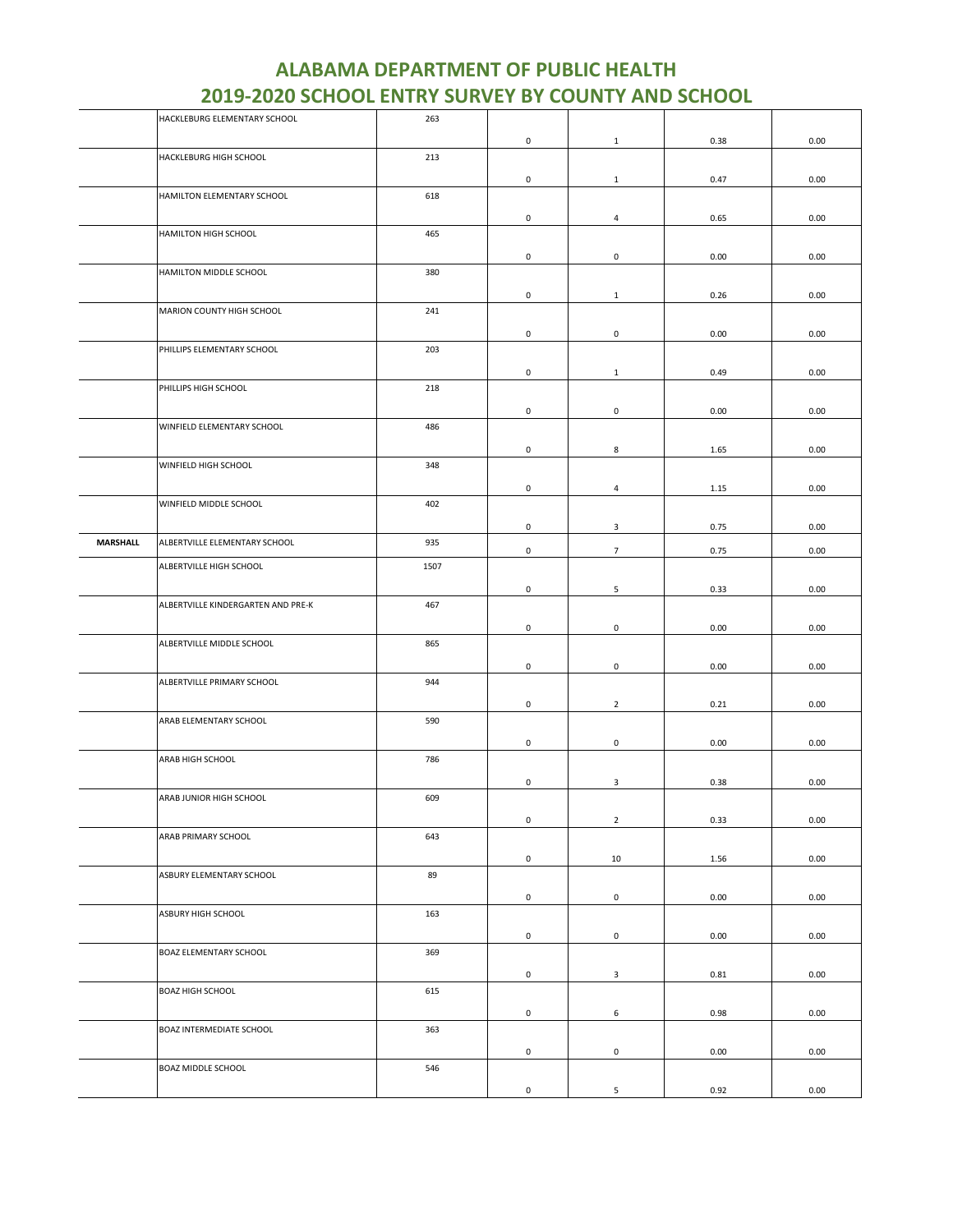|                 | HACKLEBURG ELEMENTARY SCHOOL       | 263  |                     |                     |      |      |
|-----------------|------------------------------------|------|---------------------|---------------------|------|------|
|                 |                                    |      | 0                   | $\mathbf{1}$        | 0.38 | 0.00 |
|                 | HACKLEBURG HIGH SCHOOL             | 213  |                     |                     |      |      |
|                 |                                    |      |                     |                     |      |      |
|                 |                                    |      | 0                   | $\mathbf{1}$        | 0.47 | 0.00 |
|                 | HAMILTON ELEMENTARY SCHOOL         | 618  |                     |                     |      |      |
|                 |                                    |      | $\mathsf{O}\xspace$ | $\overline{a}$      | 0.65 | 0.00 |
|                 | HAMILTON HIGH SCHOOL               | 465  |                     |                     |      |      |
|                 |                                    |      |                     |                     |      |      |
|                 |                                    |      | 0                   | 0                   | 0.00 | 0.00 |
|                 | HAMILTON MIDDLE SCHOOL             | 380  |                     |                     |      |      |
|                 |                                    |      | $\mathsf 0$         |                     |      |      |
|                 |                                    |      |                     | $\mathbf{1}$        | 0.26 | 0.00 |
|                 | MARION COUNTY HIGH SCHOOL          | 241  |                     |                     |      |      |
|                 |                                    |      | 0                   | 0                   | 0.00 | 0.00 |
|                 | PHILLIPS ELEMENTARY SCHOOL         | 203  |                     |                     |      |      |
|                 |                                    |      |                     |                     |      |      |
|                 |                                    |      | 0                   | $\mathbf{1}$        | 0.49 | 0.00 |
|                 | PHILLIPS HIGH SCHOOL               | 218  |                     |                     |      |      |
|                 |                                    |      | 0                   | 0                   | 0.00 | 0.00 |
|                 |                                    |      |                     |                     |      |      |
|                 | WINFIELD ELEMENTARY SCHOOL         | 486  |                     |                     |      |      |
|                 |                                    |      | 0                   | 8                   | 1.65 | 0.00 |
|                 | WINFIELD HIGH SCHOOL               | 348  |                     |                     |      |      |
|                 |                                    |      |                     |                     |      |      |
|                 |                                    |      | 0                   | $\overline{4}$      | 1.15 | 0.00 |
|                 | WINFIELD MIDDLE SCHOOL             | 402  |                     |                     |      |      |
|                 |                                    |      | $\mathsf{O}\xspace$ | $\mathbf{3}$        | 0.75 | 0.00 |
|                 |                                    |      |                     |                     |      |      |
| <b>MARSHALL</b> | ALBERTVILLE ELEMENTARY SCHOOL      | 935  | $\mathsf{O}\xspace$ | $7\overline{ }$     | 0.75 | 0.00 |
|                 | ALBERTVILLE HIGH SCHOOL            | 1507 |                     |                     |      |      |
|                 |                                    |      |                     |                     |      |      |
|                 |                                    |      | 0                   | 5                   | 0.33 | 0.00 |
|                 | ALBERTVILLE KINDERGARTEN AND PRE-K | 467  |                     |                     |      |      |
|                 |                                    |      | 0                   | 0                   | 0.00 | 0.00 |
|                 |                                    |      |                     |                     |      |      |
|                 | ALBERTVILLE MIDDLE SCHOOL          | 865  |                     |                     |      |      |
|                 |                                    |      | $\mathsf{O}\xspace$ | $\mathsf{O}\xspace$ | 0.00 | 0.00 |
|                 | ALBERTVILLE PRIMARY SCHOOL         | 944  |                     |                     |      |      |
|                 |                                    |      |                     |                     |      |      |
|                 |                                    |      | 0                   | $\overline{2}$      | 0.21 | 0.00 |
|                 | ARAB ELEMENTARY SCHOOL             | 590  |                     |                     |      |      |
|                 |                                    |      | 0                   | $\mathsf{O}\xspace$ | 0.00 | 0.00 |
|                 |                                    |      |                     |                     |      |      |
|                 | ARAB HIGH SCHOOL                   | 786  |                     |                     |      |      |
|                 |                                    |      | 0                   | 3                   | 0.38 | 0.00 |
|                 | ARAB JUNIOR HIGH SCHOOL            | 609  |                     |                     |      |      |
|                 |                                    |      |                     |                     |      |      |
|                 |                                    |      | $\mathsf{O}\xspace$ | $\overline{2}$      | 0.33 | 0.00 |
|                 | ARAB PRIMARY SCHOOL                | 643  |                     |                     |      |      |
|                 |                                    |      | $\mathsf 0$         | 10                  | 1.56 | 0.00 |
|                 |                                    | 89   |                     |                     |      |      |
|                 | ASBURY ELEMENTARY SCHOOL           |      |                     |                     |      |      |
|                 |                                    |      | $\mathsf 0$         | $\mathsf{O}\xspace$ | 0.00 | 0.00 |
|                 | ASBURY HIGH SCHOOL                 | 163  |                     |                     |      |      |
|                 |                                    |      |                     |                     |      |      |
|                 |                                    |      | $\mathsf 0$         | $\mathsf{O}\xspace$ | 0.00 | 0.00 |
|                 | <b>BOAZ ELEMENTARY SCHOOL</b>      | 369  |                     |                     |      |      |
|                 |                                    |      | $\mathsf{O}\xspace$ | $\mathbf{3}$        | 0.81 | 0.00 |
|                 |                                    |      |                     |                     |      |      |
|                 | <b>BOAZ HIGH SCHOOL</b>            | 615  |                     |                     |      |      |
|                 |                                    |      | 0                   | 6                   | 0.98 | 0.00 |
|                 | BOAZ INTERMEDIATE SCHOOL           | 363  |                     |                     |      |      |
|                 |                                    |      |                     |                     |      |      |
|                 |                                    |      | 0                   | $\mathsf 0$         | 0.00 | 0.00 |
|                 | <b>BOAZ MIDDLE SCHOOL</b>          | 546  |                     |                     |      |      |
|                 |                                    |      |                     |                     |      |      |
|                 |                                    |      | 0                   | 5                   | 0.92 | 0.00 |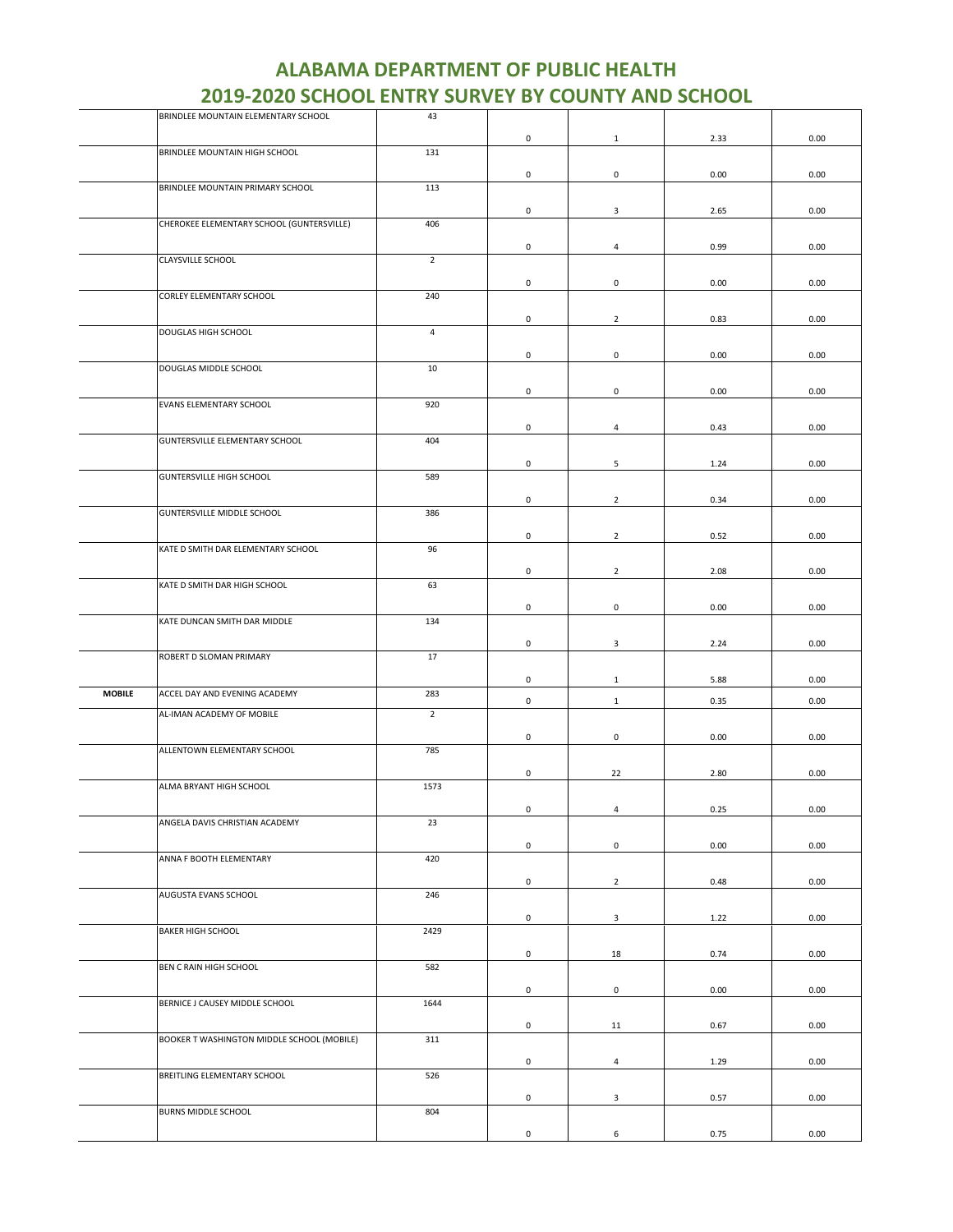|               | BRINDLEE MOUNTAIN ELEMENTARY SCHOOL        | 43             |              |                     |      |      |
|---------------|--------------------------------------------|----------------|--------------|---------------------|------|------|
|               |                                            |                | 0            | $\mathbf{1}$        | 2.33 | 0.00 |
|               | BRINDLEE MOUNTAIN HIGH SCHOOL              | 131            |              |                     |      |      |
|               |                                            |                | 0            | $\mathbf 0$         | 0.00 | 0.00 |
|               | BRINDLEE MOUNTAIN PRIMARY SCHOOL           | 113            |              |                     |      |      |
|               |                                            |                |              |                     |      |      |
|               |                                            |                | 0            | 3                   | 2.65 | 0.00 |
|               | CHEROKEE ELEMENTARY SCHOOL (GUNTERSVILLE)  | 406            |              |                     |      |      |
|               |                                            |                | 0            | $\overline{4}$      | 0.99 | 0.00 |
|               | CLAYSVILLE SCHOOL                          | $\overline{2}$ |              |                     |      |      |
|               |                                            |                | 0            | $\mathbf 0$         | 0.00 | 0.00 |
|               | CORLEY ELEMENTARY SCHOOL                   | 240            |              |                     |      |      |
|               |                                            |                |              |                     |      |      |
|               | DOUGLAS HIGH SCHOOL                        | $\overline{4}$ | 0            | $\overline{2}$      | 0.83 | 0.00 |
|               |                                            |                |              |                     |      |      |
|               |                                            |                | 0            | $\mathsf 0$         | 0.00 | 0.00 |
|               | DOUGLAS MIDDLE SCHOOL                      | 10             |              |                     |      |      |
|               |                                            |                | 0            | 0                   | 0.00 | 0.00 |
|               | EVANS ELEMENTARY SCHOOL                    | 920            |              |                     |      |      |
|               |                                            |                |              |                     |      |      |
|               |                                            | 404            | 0            | $\overline{4}$      | 0.43 | 0.00 |
|               | GUNTERSVILLE ELEMENTARY SCHOOL             |                |              |                     |      |      |
|               |                                            |                | 0            | 5                   | 1.24 | 0.00 |
|               | <b>GUNTERSVILLE HIGH SCHOOL</b>            | 589            |              |                     |      |      |
|               |                                            |                | 0            | $\overline{2}$      | 0.34 | 0.00 |
|               | <b>GUNTERSVILLE MIDDLE SCHOOL</b>          | 386            |              |                     |      |      |
|               |                                            |                |              |                     |      |      |
|               | KATE D SMITH DAR ELEMENTARY SCHOOL         | 96             | 0            | $\overline{2}$      | 0.52 | 0.00 |
|               |                                            |                |              |                     |      |      |
|               |                                            |                | 0            | $\overline{2}$      | 2.08 | 0.00 |
|               | KATE D SMITH DAR HIGH SCHOOL               | 63             |              |                     |      |      |
|               |                                            |                | 0            | $\mathbf 0$         | 0.00 | 0.00 |
|               | KATE DUNCAN SMITH DAR MIDDLE               | 134            |              |                     |      |      |
|               |                                            |                |              |                     |      |      |
|               | ROBERT D SLOMAN PRIMARY                    | 17             | $\mathsf 0$  | 3                   | 2.24 | 0.00 |
|               |                                            |                |              |                     |      |      |
|               |                                            |                | 0            | $\mathbf{1}$        | 5.88 | 0.00 |
| <b>MOBILE</b> | ACCEL DAY AND EVENING ACADEMY              | 283            | 0            | $\mathbf{1}$        | 0.35 | 0.00 |
|               | AL-IMAN ACADEMY OF MOBILE                  | $\overline{2}$ |              |                     |      |      |
|               |                                            |                | $\mathsf 0$  | 0                   | 0.00 |      |
|               | ALLENTOWN ELEMENTARY SCHOOL                | 785            |              |                     |      | 0.00 |
|               |                                            |                |              |                     |      |      |
|               |                                            |                | 0            | 22                  | 2.80 | 0.00 |
|               | ALMA BRYANT HIGH SCHOOL                    | 1573           |              |                     |      |      |
|               |                                            |                | $\mathbf{0}$ | 4                   | 0.25 | 0.00 |
|               | ANGELA DAVIS CHRISTIAN ACADEMY             | 23             |              |                     |      |      |
|               |                                            |                | 0            | $\mathsf{O}\xspace$ | 0.00 | 0.00 |
|               | ANNA F BOOTH ELEMENTARY                    | 420            |              |                     |      |      |
|               |                                            |                |              |                     |      |      |
|               |                                            |                | 0            | $\overline{2}$      | 0.48 | 0.00 |
|               | AUGUSTA EVANS SCHOOL                       | 246            |              |                     |      |      |
|               |                                            |                | 0            | $\mathbf{3}$        | 1.22 | 0.00 |
|               | <b>BAKER HIGH SCHOOL</b>                   | 2429           |              |                     |      |      |
|               |                                            |                | 0            | 18                  | 0.74 | 0.00 |
|               | BEN C RAIN HIGH SCHOOL                     | 582            |              |                     |      |      |
|               |                                            |                |              |                     |      |      |
|               |                                            |                | 0            | 0                   | 0.00 | 0.00 |
|               | BERNICE J CAUSEY MIDDLE SCHOOL             | 1644           |              |                     |      |      |
|               |                                            |                | 0            | 11                  | 0.67 | 0.00 |
|               | BOOKER T WASHINGTON MIDDLE SCHOOL (MOBILE) | 311            |              |                     |      |      |
|               |                                            |                | 0            | $\overline{4}$      | 1.29 | 0.00 |
|               | BREITLING ELEMENTARY SCHOOL                | 526            |              |                     |      |      |
|               |                                            |                |              |                     |      |      |
|               | BURNS MIDDLE SCHOOL                        | 804            | 0            | $\mathbf{3}$        | 0.57 | 0.00 |
|               |                                            |                |              |                     |      |      |
|               |                                            |                | 0            | 6                   | 0.75 | 0.00 |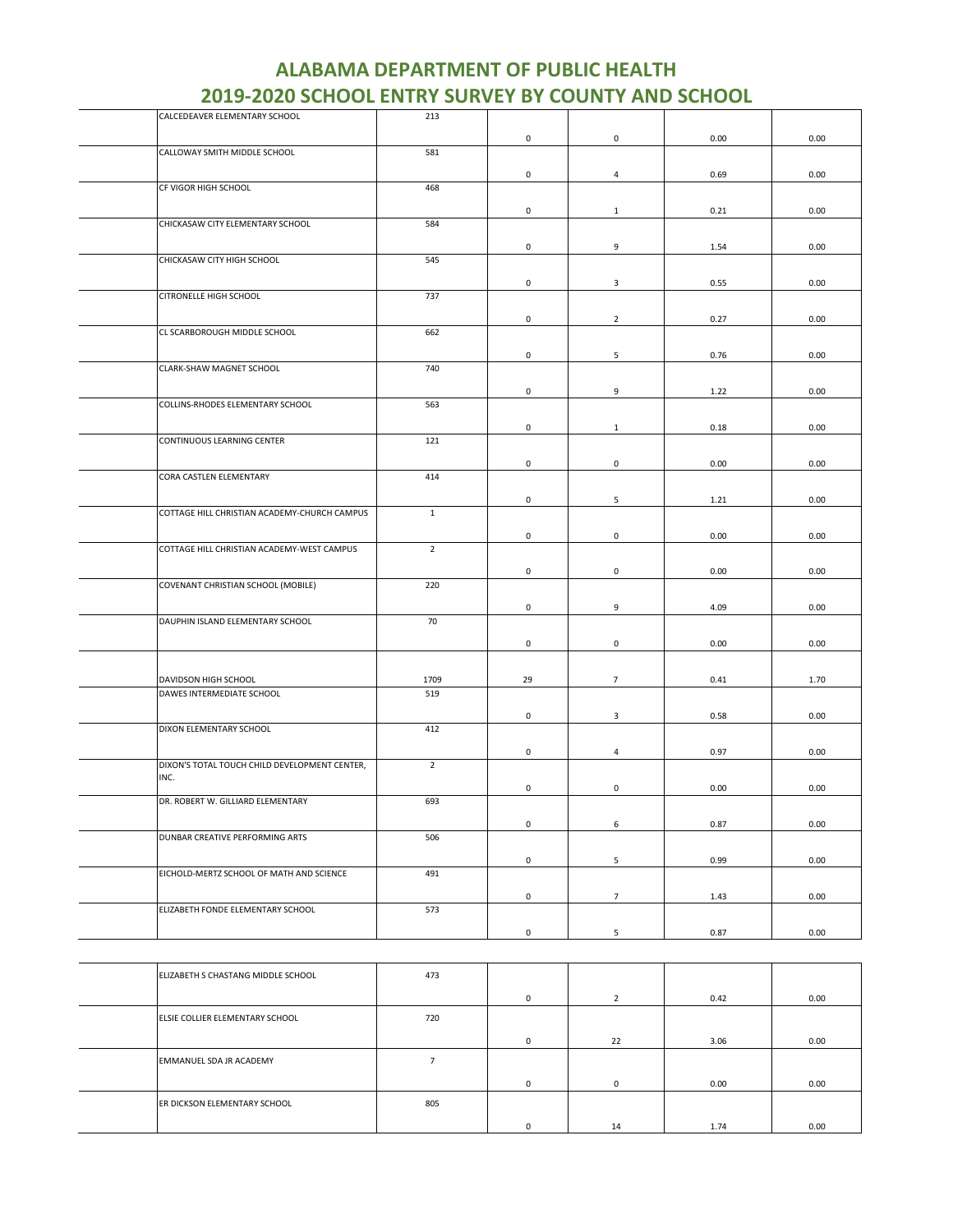| CALCEDEAVER ELEMENTARY SCHOOL                     | 213            |                     |                 |      |      |
|---------------------------------------------------|----------------|---------------------|-----------------|------|------|
|                                                   |                | 0                   | 0               | 0.00 | 0.00 |
| CALLOWAY SMITH MIDDLE SCHOOL                      | 581            |                     |                 |      |      |
|                                                   |                |                     |                 |      |      |
|                                                   |                | $\mathsf{O}\xspace$ | $\overline{4}$  | 0.69 | 0.00 |
| CF VIGOR HIGH SCHOOL                              | 468            |                     |                 |      |      |
|                                                   |                | 0                   | $\mathbf{1}$    | 0.21 | 0.00 |
| CHICKASAW CITY ELEMENTARY SCHOOL                  | 584            |                     |                 |      |      |
|                                                   |                |                     |                 |      |      |
|                                                   |                | 0                   | 9               | 1.54 | 0.00 |
| CHICKASAW CITY HIGH SCHOOL                        | 545            |                     |                 |      |      |
|                                                   |                | 0                   | 3               | 0.55 | 0.00 |
| CITRONELLE HIGH SCHOOL                            | 737            |                     |                 |      |      |
|                                                   |                | $\mathsf{O}\xspace$ | $\overline{2}$  | 0.27 | 0.00 |
| CL SCARBOROUGH MIDDLE SCHOOL                      | 662            |                     |                 |      |      |
|                                                   |                |                     |                 |      |      |
|                                                   |                | 0                   | 5               | 0.76 | 0.00 |
| CLARK-SHAW MAGNET SCHOOL                          | 740            |                     |                 |      |      |
|                                                   |                | $\mathsf{O}\xspace$ | 9               | 1.22 | 0.00 |
| COLLINS-RHODES ELEMENTARY SCHOOL                  | 563            |                     |                 |      |      |
|                                                   |                |                     |                 |      |      |
|                                                   |                | 0                   | $\mathbf{1}$    | 0.18 | 0.00 |
| CONTINUOUS LEARNING CENTER                        | 121            |                     |                 |      |      |
|                                                   |                | 0                   | $\mathbf 0$     | 0.00 | 0.00 |
| CORA CASTLEN ELEMENTARY                           | 414            |                     |                 |      |      |
|                                                   |                | 0                   |                 |      |      |
| COTTAGE HILL CHRISTIAN ACADEMY-CHURCH CAMPUS      | $\mathbf 1$    |                     | 5               | 1.21 | 0.00 |
|                                                   |                |                     |                 |      |      |
|                                                   |                | $\mathsf 0$         | $\mathsf 0$     | 0.00 | 0.00 |
| COTTAGE HILL CHRISTIAN ACADEMY-WEST CAMPUS        | $\overline{2}$ |                     |                 |      |      |
|                                                   |                | 0                   | $\mathsf 0$     | 0.00 | 0.00 |
| COVENANT CHRISTIAN SCHOOL (MOBILE)                | 220            |                     |                 |      |      |
|                                                   |                |                     |                 |      |      |
|                                                   |                | 0                   | 9               | 4.09 | 0.00 |
| DAUPHIN ISLAND ELEMENTARY SCHOOL                  | 70             |                     |                 |      |      |
|                                                   |                | 0                   | $\mathsf 0$     | 0.00 | 0.00 |
|                                                   |                |                     |                 |      |      |
|                                                   |                |                     |                 |      |      |
| DAVIDSON HIGH SCHOOL<br>DAWES INTERMEDIATE SCHOOL | 1709<br>519    | 29                  | $\overline{7}$  | 0.41 | 1.70 |
|                                                   |                |                     |                 |      |      |
|                                                   |                | 0                   | $\mathbf{3}$    | 0.58 | 0.00 |
| DIXON ELEMENTARY SCHOOL                           | 412            |                     |                 |      |      |
|                                                   |                | 0                   | $\overline{4}$  | 0.97 | 0.00 |
| DIXON'S TOTAL TOUCH CHILD DEVELOPMENT CENTER,     | $\overline{2}$ |                     |                 |      |      |
| INC.                                              |                |                     |                 |      |      |
|                                                   |                | 0                   | $\mathsf 0$     | 0.00 | 0.00 |
| DR. ROBERT W. GILLIARD ELEMENTARY                 | 693            |                     |                 |      |      |
|                                                   |                | 0                   | 6               | 0.87 | 0.00 |
| DUNBAR CREATIVE PERFORMING ARTS                   | 506            |                     |                 |      |      |
|                                                   |                |                     |                 |      |      |
| EICHOLD-MERTZ SCHOOL OF MATH AND SCIENCE          |                | $\mathsf{O}\xspace$ | 5               | 0.99 | 0.00 |
|                                                   | 491            |                     |                 |      |      |
|                                                   |                | $\mathsf 0$         | $7\overline{ }$ | 1.43 | 0.00 |
| ELIZABETH FONDE ELEMENTARY SCHOOL                 | 573            |                     |                 |      |      |
|                                                   |                |                     |                 |      |      |
|                                                   |                | $\mathsf 0$         | 5               | 0.87 | 0.00 |
|                                                   |                |                     |                 |      |      |

| ELIZABETH S CHASTANG MIDDLE SCHOOL | 473 |            |          |      |      |
|------------------------------------|-----|------------|----------|------|------|
|                                    |     | $^{\circ}$ |          | 0.42 | 0.00 |
| ELSIE COLLIER ELEMENTARY SCHOOL    | 720 |            |          |      |      |
|                                    |     | $^{\circ}$ | 22       | 3.06 | 0.00 |
| EMMANUEL SDA JR ACADEMY            |     |            |          |      |      |
|                                    |     | $^{\circ}$ | $\Omega$ | 0.00 | 0.00 |
| ER DICKSON ELEMENTARY SCHOOL       | 805 |            |          |      |      |
|                                    |     | $\Omega$   | 14       | 1.74 | 0.00 |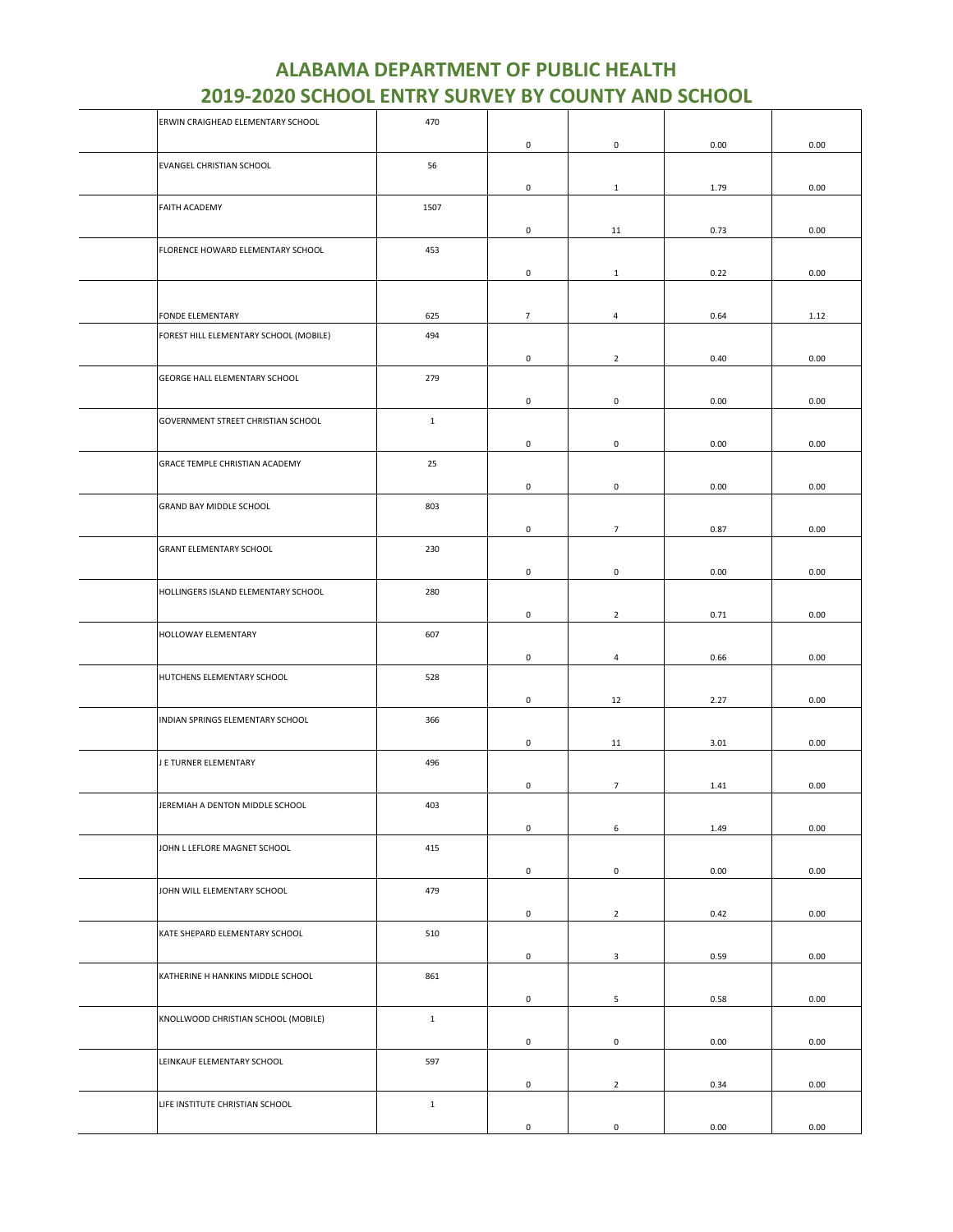| ERWIN CRAIGHEAD ELEMENTARY SCHOOL      | 470          |                     |                     |      |      |
|----------------------------------------|--------------|---------------------|---------------------|------|------|
|                                        |              | $\mathsf 0$         | $\mathsf{O}\xspace$ | 0.00 | 0.00 |
| EVANGEL CHRISTIAN SCHOOL               | 56           |                     |                     |      |      |
|                                        |              | 0                   | $\mathbf{1}$        | 1.79 | 0.00 |
| <b>FAITH ACADEMY</b>                   | 1507         |                     |                     |      |      |
|                                        |              |                     |                     |      |      |
|                                        |              | 0                   | 11                  | 0.73 | 0.00 |
| FLORENCE HOWARD ELEMENTARY SCHOOL      | 453          |                     |                     |      |      |
|                                        |              | 0                   | $\mathbf{1}$        | 0.22 | 0.00 |
|                                        |              |                     |                     |      |      |
| FONDE ELEMENTARY                       | 625          | $\overline{7}$      | $\overline{4}$      | 0.64 | 1.12 |
| FOREST HILL ELEMENTARY SCHOOL (MOBILE) | 494          |                     |                     |      |      |
|                                        |              | $\mathsf{O}\xspace$ | $\overline{2}$      | 0.40 | 0.00 |
| GEORGE HALL ELEMENTARY SCHOOL          | 279          |                     |                     |      |      |
|                                        |              |                     |                     |      |      |
|                                        |              | $\mathsf 0$         | $\mathsf{O}\xspace$ | 0.00 | 0.00 |
| GOVERNMENT STREET CHRISTIAN SCHOOL     | $\mathbf{1}$ |                     |                     |      |      |
|                                        |              | 0                   | 0                   | 0.00 | 0.00 |
| GRACE TEMPLE CHRISTIAN ACADEMY         | 25           |                     |                     |      |      |
|                                        |              | $\mathsf 0$         | $\mathsf{O}\xspace$ | 0.00 | 0.00 |
| GRAND BAY MIDDLE SCHOOL                | 803          |                     |                     |      |      |
|                                        |              | $\mathsf 0$         | $7\overline{ }$     | 0.87 | 0.00 |
| <b>GRANT ELEMENTARY SCHOOL</b>         | 230          |                     |                     |      |      |
|                                        |              |                     |                     |      |      |
|                                        |              | 0                   | $\mathsf{O}\xspace$ | 0.00 | 0.00 |
| HOLLINGERS ISLAND ELEMENTARY SCHOOL    | 280          |                     |                     |      |      |
|                                        |              | 0                   | $\overline{2}$      | 0.71 | 0.00 |
| HOLLOWAY ELEMENTARY                    | 607          |                     |                     |      |      |
|                                        |              | $\mathsf{O}\xspace$ | $\overline{4}$      | 0.66 | 0.00 |
| HUTCHENS ELEMENTARY SCHOOL             | 528          |                     |                     |      |      |
|                                        |              | 0                   | 12                  | 2.27 | 0.00 |
| INDIAN SPRINGS ELEMENTARY SCHOOL       | 366          |                     |                     |      |      |
|                                        |              |                     |                     |      |      |
|                                        |              | 0                   | 11                  | 3.01 | 0.00 |
| J E TURNER ELEMENTARY                  | 496          |                     |                     |      |      |
|                                        |              | 0                   | $\overline{7}$      | 1.41 | 0.00 |
| JEREMIAH A DENTON MIDDLE SCHOOL        | 403          |                     |                     |      |      |
|                                        |              | $\mathsf 0$         | 6                   | 1.49 | 0.00 |
| JOHN L LEFLORE MAGNET SCHOOL           | 415          |                     |                     |      |      |
|                                        |              | $\mathsf 0$         | $\mathsf 0$         | 0.00 | 0.00 |
| JOHN WILL ELEMENTARY SCHOOL            | 479          |                     |                     |      |      |
|                                        |              | $\mathsf{O}\xspace$ | $\overline{2}$      | 0.42 | 0.00 |
| KATE SHEPARD ELEMENTARY SCHOOL         | 510          |                     |                     |      |      |
|                                        |              |                     |                     |      |      |
|                                        |              | $\mathsf 0$         | $\mathbf{3}$        | 0.59 | 0.00 |
| KATHERINE H HANKINS MIDDLE SCHOOL      | 861          |                     |                     |      |      |
|                                        |              | 0                   | 5                   | 0.58 | 0.00 |
| KNOLLWOOD CHRISTIAN SCHOOL (MOBILE)    | $1\,$        |                     |                     |      |      |
|                                        |              | 0                   | $\mathbf 0$         | 0.00 | 0.00 |
| LEINKAUF ELEMENTARY SCHOOL             | 597          |                     |                     |      |      |
|                                        |              | $\mathsf 0$         | $\overline{2}$      | 0.34 | 0.00 |
| LIFE INSTITUTE CHRISTIAN SCHOOL        | $\mathbf{1}$ |                     |                     |      |      |
|                                        |              |                     |                     |      |      |
|                                        |              | 0                   | $\mathsf 0$         | 0.00 | 0.00 |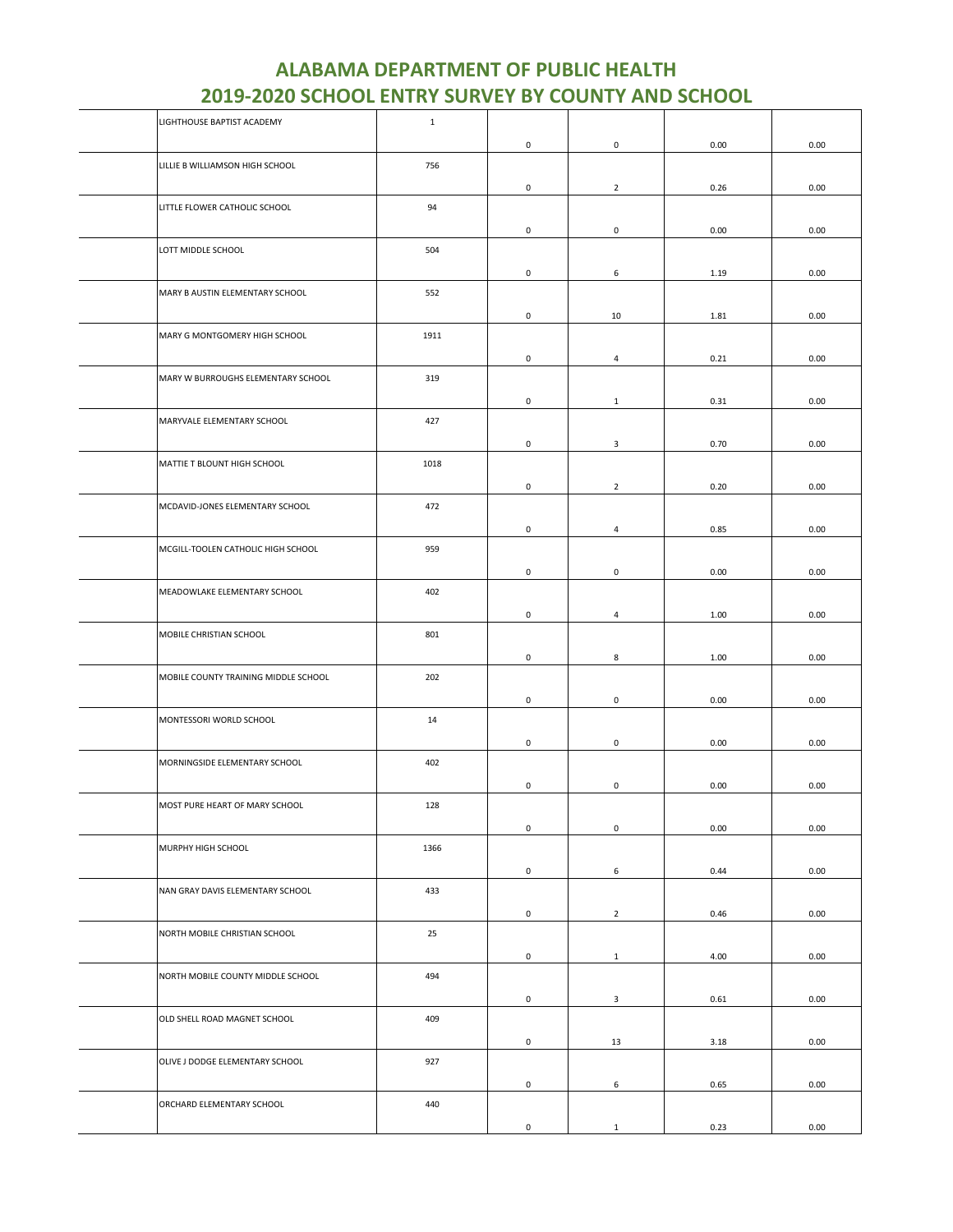| LIGHTHOUSE BAPTIST ACADEMY           | $\mathbf{1}$ |                     |                     |      |      |
|--------------------------------------|--------------|---------------------|---------------------|------|------|
|                                      |              | $\mathsf 0$         | $\mathsf{O}\xspace$ | 0.00 | 0.00 |
| LILLIE B WILLIAMSON HIGH SCHOOL      | 756          |                     |                     |      |      |
|                                      |              |                     |                     |      |      |
|                                      |              | 0                   | $\overline{2}$      | 0.26 | 0.00 |
| LITTLE FLOWER CATHOLIC SCHOOL        | 94           |                     |                     |      |      |
|                                      |              | $\mathsf{O}\xspace$ | $\mathsf{O}\xspace$ | 0.00 | 0.00 |
| LOTT MIDDLE SCHOOL                   | 504          |                     |                     |      |      |
|                                      |              | 0                   | 6                   | 1.19 | 0.00 |
| MARY B AUSTIN ELEMENTARY SCHOOL      | 552          |                     |                     |      |      |
|                                      |              |                     |                     |      |      |
|                                      |              | 0                   | 10                  | 1.81 | 0.00 |
| MARY G MONTGOMERY HIGH SCHOOL        | 1911         |                     |                     |      |      |
|                                      |              | 0                   | $\overline{a}$      | 0.21 | 0.00 |
| MARY W BURROUGHS ELEMENTARY SCHOOL   | 319          |                     |                     |      |      |
|                                      |              | $\mathsf{O}\xspace$ | $\mathbf{1}$        | 0.31 | 0.00 |
| MARYVALE ELEMENTARY SCHOOL           | 427          |                     |                     |      |      |
|                                      |              |                     |                     |      |      |
|                                      |              | 0                   | 3                   | 0.70 | 0.00 |
| MATTIE T BLOUNT HIGH SCHOOL          | 1018         |                     |                     |      |      |
|                                      |              | 0                   | $\overline{2}$      | 0.20 | 0.00 |
| MCDAVID-JONES ELEMENTARY SCHOOL      | 472          |                     |                     |      |      |
|                                      |              | $\mathsf{O}\xspace$ | $\overline{4}$      | 0.85 | 0.00 |
| MCGILL-TOOLEN CATHOLIC HIGH SCHOOL   | 959          |                     |                     |      |      |
|                                      |              |                     |                     |      |      |
|                                      |              | 0                   | $\mathsf{O}\xspace$ | 0.00 | 0.00 |
| MEADOWLAKE ELEMENTARY SCHOOL         | 402          |                     |                     |      |      |
|                                      |              | 0                   | $\overline{4}$      | 1.00 | 0.00 |
| MOBILE CHRISTIAN SCHOOL              | 801          |                     |                     |      |      |
|                                      |              | 0                   | 8                   | 1.00 | 0.00 |
|                                      |              |                     |                     |      |      |
| MOBILE COUNTY TRAINING MIDDLE SCHOOL | 202          |                     |                     |      |      |
|                                      |              | 0                   | 0                   | 0.00 | 0.00 |
| MONTESSORI WORLD SCHOOL              | 14           |                     |                     |      |      |
|                                      |              | 0                   | 0                   | 0.00 | 0.00 |
| MORNINGSIDE ELEMENTARY SCHOOL        | 402          |                     |                     |      |      |
|                                      |              | 0                   | 0                   | 0.00 | 0.00 |
|                                      |              |                     |                     |      |      |
| MOST PURE HEART OF MARY SCHOOL       | 128          |                     |                     |      |      |
|                                      |              | $\mathsf{O}\xspace$ | $\mathsf{O}\xspace$ | 0.00 | 0.00 |
| MURPHY HIGH SCHOOL                   | 1366         |                     |                     |      |      |
|                                      |              | $\mathsf{O}\xspace$ | 6                   | 0.44 | 0.00 |
| NAN GRAY DAVIS ELEMENTARY SCHOOL     | 433          |                     |                     |      |      |
|                                      |              | $\mathsf{O}\xspace$ | $\overline{2}$      | 0.46 | 0.00 |
|                                      |              |                     |                     |      |      |
| NORTH MOBILE CHRISTIAN SCHOOL        | 25           |                     |                     |      |      |
|                                      |              | $\mathsf{O}\xspace$ | $\mathbf{1}$        | 4.00 | 0.00 |
| NORTH MOBILE COUNTY MIDDLE SCHOOL    | 494          |                     |                     |      |      |
|                                      |              | 0                   | $\mathbf{3}$        | 0.61 | 0.00 |
| OLD SHELL ROAD MAGNET SCHOOL         | 409          |                     |                     |      |      |
|                                      |              |                     |                     |      |      |
|                                      |              | $\mathsf{O}\xspace$ | 13                  | 3.18 | 0.00 |
| OLIVE J DODGE ELEMENTARY SCHOOL      | 927          |                     |                     |      |      |
|                                      |              | 0                   | 6                   | 0.65 | 0.00 |
| ORCHARD ELEMENTARY SCHOOL            | 440          |                     |                     |      |      |
|                                      |              | 0                   | $\mathbf{1}$        | 0.23 | 0.00 |
|                                      |              |                     |                     |      |      |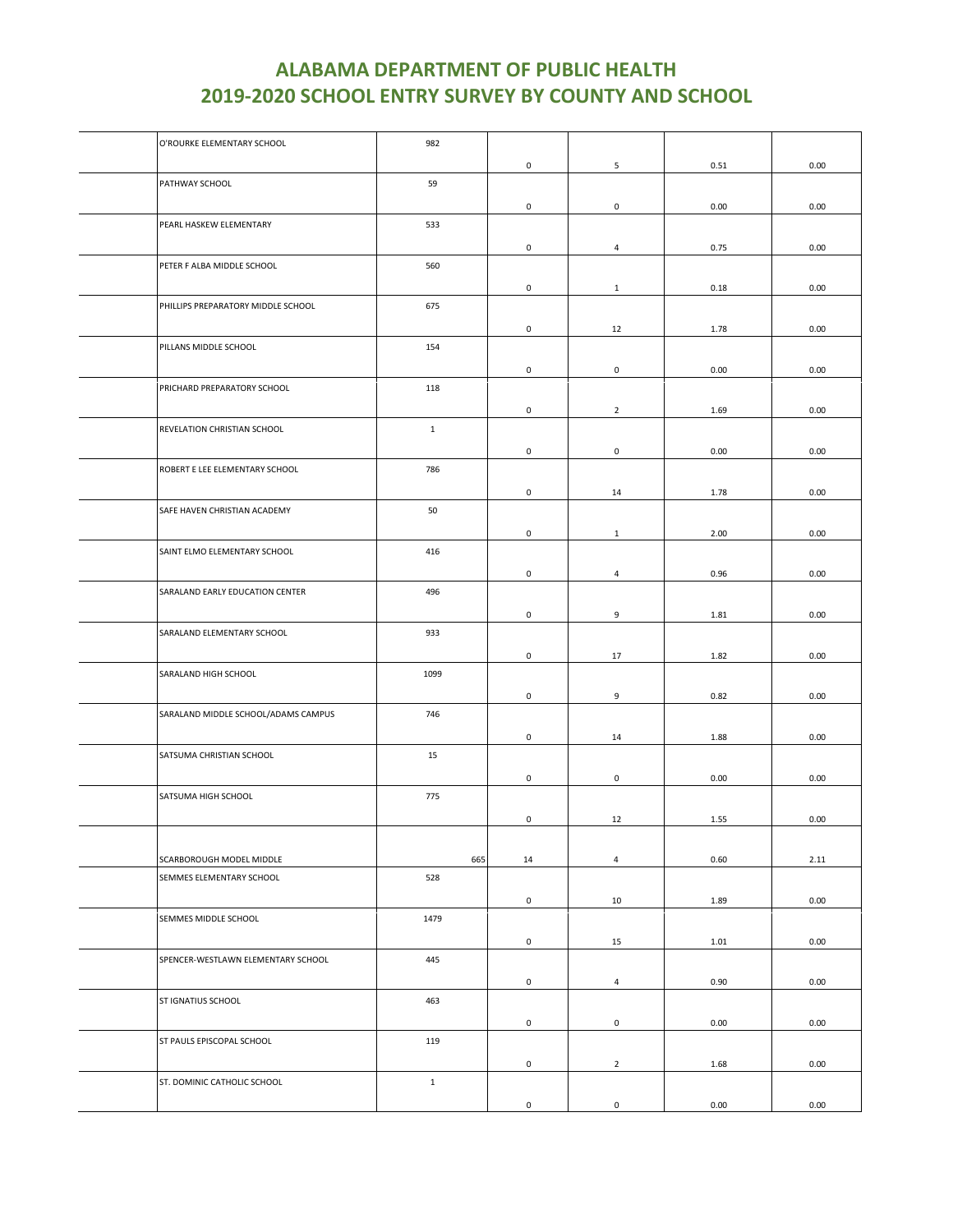| O'ROURKE ELEMENTARY SCHOOL          | 982          |             |                     |      |      |
|-------------------------------------|--------------|-------------|---------------------|------|------|
|                                     |              | $\mathbf 0$ | 5                   | 0.51 | 0.00 |
| PATHWAY SCHOOL                      | 59           |             |                     |      |      |
|                                     |              |             |                     |      |      |
|                                     |              | 0           | $\mathsf 0$         | 0.00 | 0.00 |
| PEARL HASKEW ELEMENTARY             | 533          |             |                     |      |      |
|                                     |              | 0           | $\overline{4}$      | 0.75 | 0.00 |
| PETER F ALBA MIDDLE SCHOOL          | 560          |             |                     |      |      |
|                                     |              | 0           | $\mathbf{1}$        | 0.18 | 0.00 |
| PHILLIPS PREPARATORY MIDDLE SCHOOL  | 675          |             |                     |      |      |
|                                     |              | 0           | 12                  | 1.78 | 0.00 |
| PILLANS MIDDLE SCHOOL               | 154          |             |                     |      |      |
|                                     |              |             |                     |      |      |
|                                     |              | 0           | $\mathsf{O}$        | 0.00 | 0.00 |
| PRICHARD PREPARATORY SCHOOL         | 118          |             |                     |      |      |
|                                     |              | $\mathbf 0$ | $\overline{2}$      | 1.69 | 0.00 |
| REVELATION CHRISTIAN SCHOOL         | $\mathbf{1}$ |             |                     |      |      |
|                                     |              | 0           | $\mathsf 0$         | 0.00 | 0.00 |
| ROBERT E LEE ELEMENTARY SCHOOL      | 786          |             |                     |      |      |
|                                     |              | $\mathbf 0$ | 14                  | 1.78 | 0.00 |
| SAFE HAVEN CHRISTIAN ACADEMY        | 50           |             |                     |      |      |
|                                     |              |             |                     |      |      |
|                                     |              | 0           | $\mathbf{1}$        | 2.00 | 0.00 |
| SAINT ELMO ELEMENTARY SCHOOL        | 416          |             |                     |      |      |
|                                     |              | 0           | $\overline{a}$      | 0.96 | 0.00 |
| SARALAND EARLY EDUCATION CENTER     | 496          |             |                     |      |      |
|                                     |              | 0           | 9                   | 1.81 | 0.00 |
| SARALAND ELEMENTARY SCHOOL          | 933          |             |                     |      |      |
|                                     |              | 0           | 17                  | 1.82 | 0.00 |
| SARALAND HIGH SCHOOL                | 1099         |             |                     |      |      |
|                                     |              |             |                     |      |      |
|                                     |              | 0           | 9                   | 0.82 | 0.00 |
| SARALAND MIDDLE SCHOOL/ADAMS CAMPUS | 746          |             |                     |      |      |
|                                     |              | $\mathbf 0$ | 14                  | 1.88 | 0.00 |
| SATSUMA CHRISTIAN SCHOOL            | 15           |             |                     |      |      |
|                                     |              | $\mathbf 0$ | $\mathsf{O}$        | 0.00 | 0.00 |
| SATSUMA HIGH SCHOOL                 | 775          |             |                     |      |      |
|                                     |              | 0           | 12                  | 1.55 | 0.00 |
|                                     |              |             |                     |      |      |
|                                     |              |             |                     |      |      |
| SCARBOROUGH MODEL MIDDLE            | 665          | 14          | $\overline{4}$      | 0.60 | 2.11 |
| SEMMES ELEMENTARY SCHOOL            | 528          |             |                     |      |      |
|                                     |              | 0           | 10                  | 1.89 | 0.00 |
| SEMMES MIDDLE SCHOOL                | 1479         |             |                     |      |      |
|                                     |              | 0           | 15                  | 1.01 | 0.00 |
| SPENCER-WESTLAWN ELEMENTARY SCHOOL  | 445          |             |                     |      |      |
|                                     |              | 0           | $\overline{4}$      | 0.90 | 0.00 |
| ST IGNATIUS SCHOOL                  | 463          |             |                     |      |      |
|                                     |              |             |                     |      |      |
|                                     |              | 0           | $\mathbf 0$         | 0.00 | 0.00 |
| ST PAULS EPISCOPAL SCHOOL           | 119          |             |                     |      |      |
|                                     |              | 0           | $\overline{2}$      | 1.68 | 0.00 |
| ST. DOMINIC CATHOLIC SCHOOL         | $1\,$        |             |                     |      |      |
|                                     |              | 0           | $\mathsf{O}\xspace$ | 0.00 | 0.00 |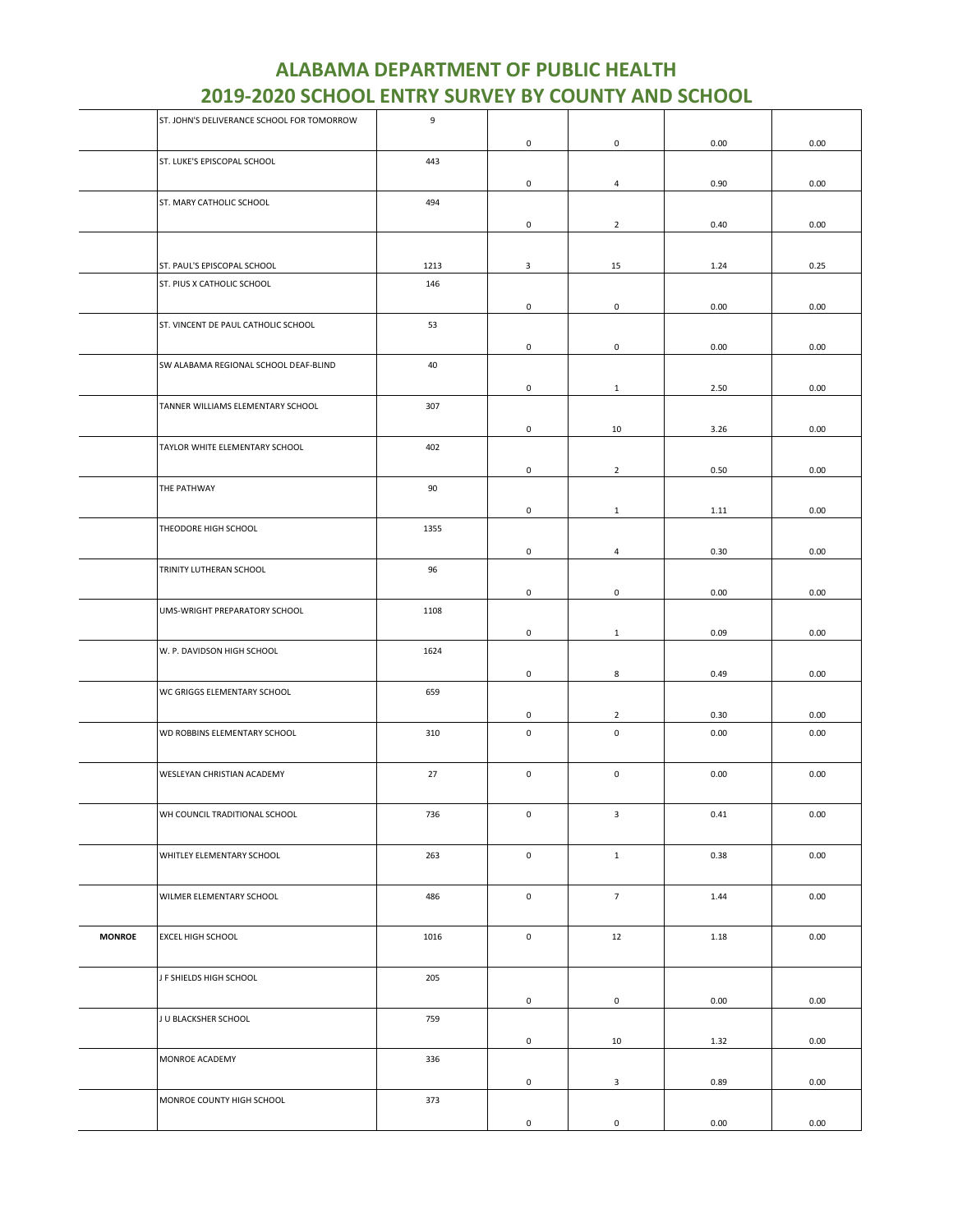|               | ST. JOHN'S DELIVERANCE SCHOOL FOR TOMORROW | 9    |                     |                     |          |      |
|---------------|--------------------------------------------|------|---------------------|---------------------|----------|------|
|               |                                            |      | 0                   | 0                   | 0.00     | 0.00 |
|               | ST. LUKE'S EPISCOPAL SCHOOL                | 443  |                     |                     |          |      |
|               |                                            |      | 0                   | $\overline{4}$      | 0.90     | 0.00 |
|               | ST. MARY CATHOLIC SCHOOL                   | 494  |                     |                     |          |      |
|               |                                            |      | 0                   | $\overline{2}$      | 0.40     | 0.00 |
|               |                                            |      |                     |                     |          |      |
|               | ST. PAUL'S EPISCOPAL SCHOOL                | 1213 | 3                   | 15                  | 1.24     | 0.25 |
|               | ST. PIUS X CATHOLIC SCHOOL                 | 146  |                     |                     |          |      |
|               |                                            |      |                     |                     |          |      |
|               |                                            |      | 0                   | 0                   | 0.00     | 0.00 |
|               | ST. VINCENT DE PAUL CATHOLIC SCHOOL        | 53   |                     |                     |          |      |
|               |                                            |      | 0                   | 0                   | 0.00     | 0.00 |
|               | SW ALABAMA REGIONAL SCHOOL DEAF-BLIND      | 40   |                     |                     |          |      |
|               |                                            |      | 0                   | $\mathbf{1}$        | 2.50     | 0.00 |
|               | TANNER WILLIAMS ELEMENTARY SCHOOL          | 307  |                     |                     |          |      |
|               |                                            |      | $\mathsf{O}\xspace$ | 10                  | 3.26     | 0.00 |
|               | TAYLOR WHITE ELEMENTARY SCHOOL             | 402  |                     |                     |          |      |
|               |                                            |      | 0                   | $\overline{2}$      | 0.50     | 0.00 |
|               | THE PATHWAY                                | 90   |                     |                     |          |      |
|               |                                            |      |                     |                     |          |      |
|               |                                            |      | $\mathsf{O}\xspace$ | $\mathbf{1}$        | 1.11     | 0.00 |
|               | THEODORE HIGH SCHOOL                       | 1355 |                     |                     |          |      |
|               |                                            |      | 0                   | $\overline{4}$      | 0.30     | 0.00 |
|               | TRINITY LUTHERAN SCHOOL                    | 96   |                     |                     |          |      |
|               |                                            |      | $\mathsf{O}\xspace$ | $\mathsf{O}\xspace$ | 0.00     | 0.00 |
|               | UMS-WRIGHT PREPARATORY SCHOOL              | 1108 |                     |                     |          |      |
|               |                                            |      | 0                   | $\mathbf{1}$        | 0.09     | 0.00 |
|               | W. P. DAVIDSON HIGH SCHOOL                 | 1624 |                     |                     |          |      |
|               |                                            |      |                     | 8                   |          |      |
|               | WC GRIGGS ELEMENTARY SCHOOL                | 659  | 0                   |                     | 0.49     | 0.00 |
|               |                                            |      |                     |                     |          |      |
|               |                                            |      | 0                   | $\overline{2}$      | 0.30     | 0.00 |
|               | WD ROBBINS ELEMENTARY SCHOOL               | 310  | $\mathsf 0$         | $\mathsf 0$         | 0.00     | 0.00 |
|               |                                            |      |                     |                     |          |      |
|               | WESLEYAN CHRISTIAN ACADEMY                 | 27   | $\mathsf 0$         | $\mathsf{O}\xspace$ | 0.00     | 0.00 |
|               |                                            |      |                     |                     |          |      |
|               | WH COUNCIL TRADITIONAL SCHOOL              | 736  | 0                   | 3                   | 0.41     | 0.00 |
|               |                                            |      |                     |                     |          |      |
|               | WHITLEY ELEMENTARY SCHOOL                  | 263  | $\mathsf 0$         | $1\,$               | 0.38     | 0.00 |
|               |                                            |      |                     |                     |          |      |
|               | WILMER ELEMENTARY SCHOOL                   | 486  | $\mathsf 0$         | $\overline{7}$      | 1.44     | 0.00 |
|               |                                            |      |                     |                     |          |      |
|               |                                            |      |                     |                     |          |      |
| <b>MONROE</b> | EXCEL HIGH SCHOOL                          | 1016 | $\mathsf{O}\xspace$ | 12                  | $1.18\,$ | 0.00 |
|               |                                            |      |                     |                     |          |      |
|               | J F SHIELDS HIGH SCHOOL                    | 205  |                     |                     |          |      |
|               |                                            |      | $\mathsf{O}\xspace$ | $\mathbf 0$         | 0.00     | 0.00 |
|               | J U BLACKSHER SCHOOL                       | 759  |                     |                     |          |      |
|               |                                            |      | $\mathsf{O}\xspace$ | 10                  | 1.32     | 0.00 |
|               | MONROE ACADEMY                             | 336  |                     |                     |          |      |
|               |                                            |      | $\mathsf{O}\xspace$ | $\mathbf{3}$        | 0.89     | 0.00 |
|               | MONROE COUNTY HIGH SCHOOL                  | 373  |                     |                     |          |      |
|               |                                            |      |                     |                     |          |      |
|               |                                            |      | 0                   | $\mathsf{O}\xspace$ | 0.00     | 0.00 |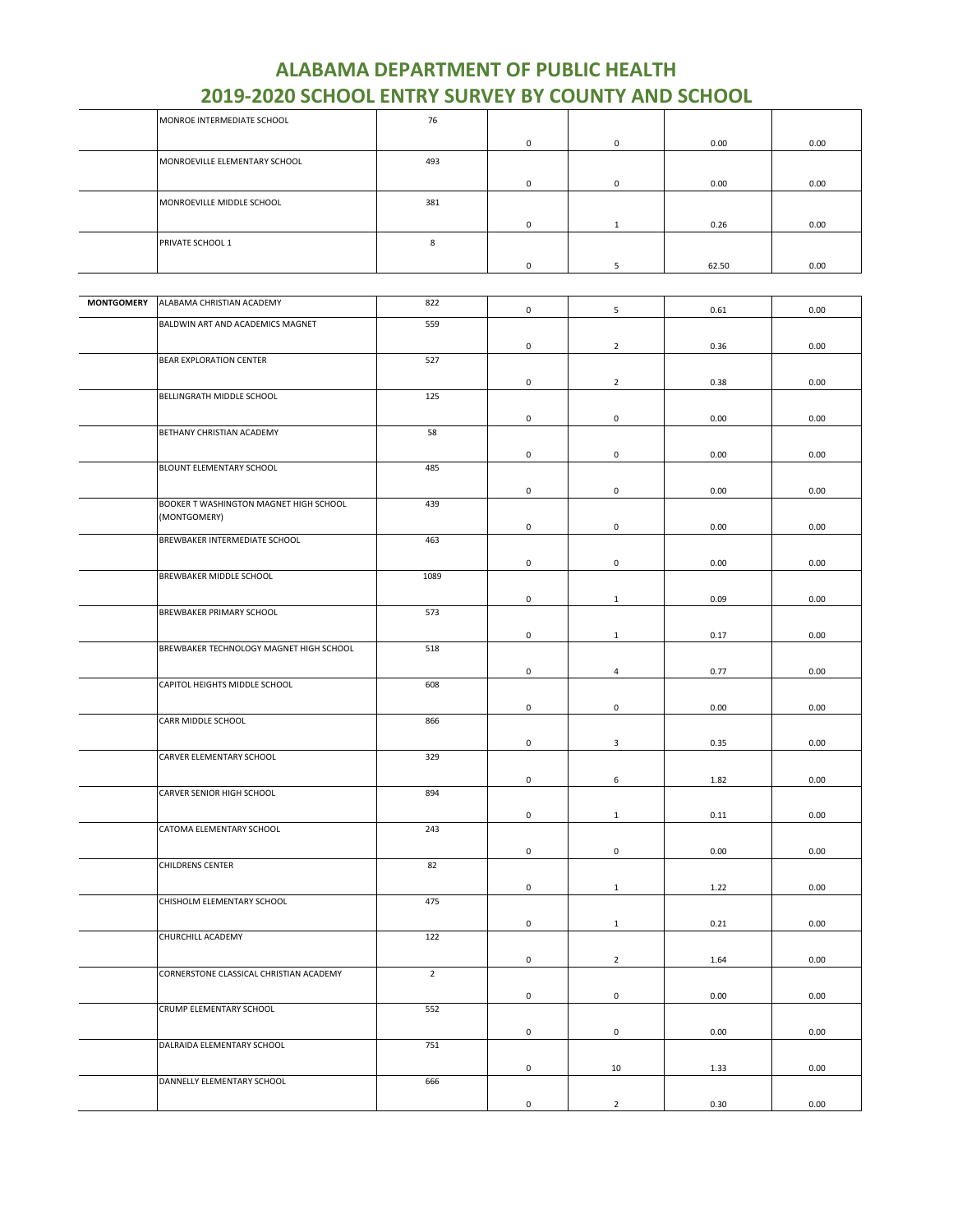|                   | EATA FARA ACITA                         | .              | and the<br>- - | <u>UNII AND</u>     | <u>JUNUL</u> |      |
|-------------------|-----------------------------------------|----------------|----------------|---------------------|--------------|------|
|                   | MONROE INTERMEDIATE SCHOOL              | 76             |                |                     |              |      |
|                   |                                         |                |                |                     |              |      |
|                   |                                         |                | $\mathsf 0$    | $\mathsf{O}\xspace$ | 0.00         | 0.00 |
|                   | MONROEVILLE ELEMENTARY SCHOOL           | 493            |                |                     |              |      |
|                   |                                         |                | $\mathbf 0$    | 0                   | 0.00         | 0.00 |
|                   |                                         |                |                |                     |              |      |
|                   | MONROEVILLE MIDDLE SCHOOL               | 381            |                |                     |              |      |
|                   |                                         |                | $\mathbf 0$    | $\mathbf{1}$        | 0.26         | 0.00 |
|                   |                                         |                |                |                     |              |      |
|                   | PRIVATE SCHOOL 1                        | 8              |                |                     |              |      |
|                   |                                         |                | 0              | 5                   | 62.50        | 0.00 |
|                   |                                         |                |                |                     |              |      |
|                   |                                         |                |                |                     |              |      |
| <b>MONTGOMERY</b> | ALABAMA CHRISTIAN ACADEMY               | 822            | $\mathbf 0$    | 5                   | 0.61         | 0.00 |
|                   | BALDWIN ART AND ACADEMICS MAGNET        | 559            |                |                     |              |      |
|                   |                                         |                |                |                     |              |      |
|                   | BEAR EXPLORATION CENTER                 | 527            | $\mathsf 0$    | $\overline{2}$      | 0.36         | 0.00 |
|                   |                                         |                |                |                     |              |      |
|                   |                                         |                | $\mathsf 0$    | $\overline{2}$      | 0.38         | 0.00 |
|                   | BELLINGRATH MIDDLE SCHOOL               | 125            |                |                     |              |      |
|                   |                                         |                | $\mathbf 0$    | $\mathsf{O}\xspace$ | 0.00         | 0.00 |
|                   | BETHANY CHRISTIAN ACADEMY               | 58             |                |                     |              |      |
|                   |                                         |                |                |                     |              |      |
|                   |                                         |                | 0              | 0                   | 0.00         | 0.00 |
|                   | BLOUNT ELEMENTARY SCHOOL                | 485            |                |                     |              |      |
|                   |                                         |                | $\mathbf 0$    | 0                   | 0.00         | 0.00 |
|                   | BOOKER T WASHINGTON MAGNET HIGH SCHOOL  | 439            |                |                     |              |      |
|                   | (MONTGOMERY)                            |                |                |                     |              |      |
|                   |                                         |                | $\mathsf 0$    | 0                   | 0.00         | 0.00 |
|                   | BREWBAKER INTERMEDIATE SCHOOL           | 463            |                |                     |              |      |
|                   |                                         |                | $\mathbf 0$    | 0                   | 0.00         | 0.00 |
|                   | BREWBAKER MIDDLE SCHOOL                 | 1089           |                |                     |              |      |
|                   |                                         |                |                |                     |              |      |
|                   |                                         |                | $\mathsf 0$    | $\mathbf{1}$        | 0.09         | 0.00 |
|                   | BREWBAKER PRIMARY SCHOOL                | 573            |                |                     |              |      |
|                   |                                         |                | $\mathsf 0$    | $\mathbf{1}$        | 0.17         | 0.00 |
|                   | BREWBAKER TECHNOLOGY MAGNET HIGH SCHOOL | 518            |                |                     |              |      |
|                   |                                         |                |                |                     |              |      |
|                   |                                         |                | $\mathsf 0$    | 4                   | 0.77         | 0.00 |
|                   | CAPITOL HEIGHTS MIDDLE SCHOOL           | 608            |                |                     |              |      |
|                   |                                         |                | $\mathsf 0$    | $\mathsf{O}\xspace$ | 0.00         | 0.00 |
|                   | CARR MIDDLE SCHOOL                      | 866            |                |                     |              |      |
|                   |                                         |                |                |                     |              |      |
|                   |                                         |                | $\mathsf 0$    | 3                   | 0.35         | 0.00 |
|                   | CARVER ELEMENTARY SCHOOL                | 329            |                |                     |              |      |
|                   |                                         |                | $\mathbf 0$    | 6                   | 1.82         | 0.00 |
|                   | CARVER SENIOR HIGH SCHOOL               | 894            |                |                     |              |      |
|                   |                                         |                | $\mathsf 0$    |                     | 0.11         | 0.00 |
|                   | CATOMA ELEMENTARY SCHOOL                | 243            |                | $\mathbf{1}$        |              |      |
|                   |                                         |                |                |                     |              |      |
|                   |                                         |                | $\mathbf 0$    | $\mathsf{O}\xspace$ | 0.00         | 0.00 |
|                   | CHILDRENS CENTER                        | 82             |                |                     |              |      |
|                   |                                         |                | $\mathbf 0$    | $\mathbf{1}$        | 1.22         | 0.00 |
|                   | CHISHOLM ELEMENTARY SCHOOL              | 475            |                |                     |              |      |
|                   |                                         |                |                |                     |              |      |
|                   |                                         |                | $\mathbf 0$    | $\mathbf{1}$        | 0.21         | 0.00 |
|                   | CHURCHILL ACADEMY                       | 122            |                |                     |              |      |
|                   |                                         |                | $\mathsf 0$    | $\overline{2}$      | 1.64         | 0.00 |
|                   | CORNERSTONE CLASSICAL CHRISTIAN ACADEMY | $\overline{2}$ |                |                     |              |      |
|                   |                                         |                |                |                     |              |      |
|                   |                                         |                | $\mathsf 0$    | 0                   | 0.00         | 0.00 |
|                   | CRUMP ELEMENTARY SCHOOL                 | 552            |                |                     |              |      |
|                   |                                         |                | $\mathbf 0$    | $\mathsf 0$         | 0.00         | 0.00 |
|                   | DALRAIDA ELEMENTARY SCHOOL              | 751            |                |                     |              |      |
|                   |                                         |                |                |                     |              |      |

DANNELLY ELEMENTARY SCHOOL 666

0 10 1.33 0.00

0 2 0.30 0.00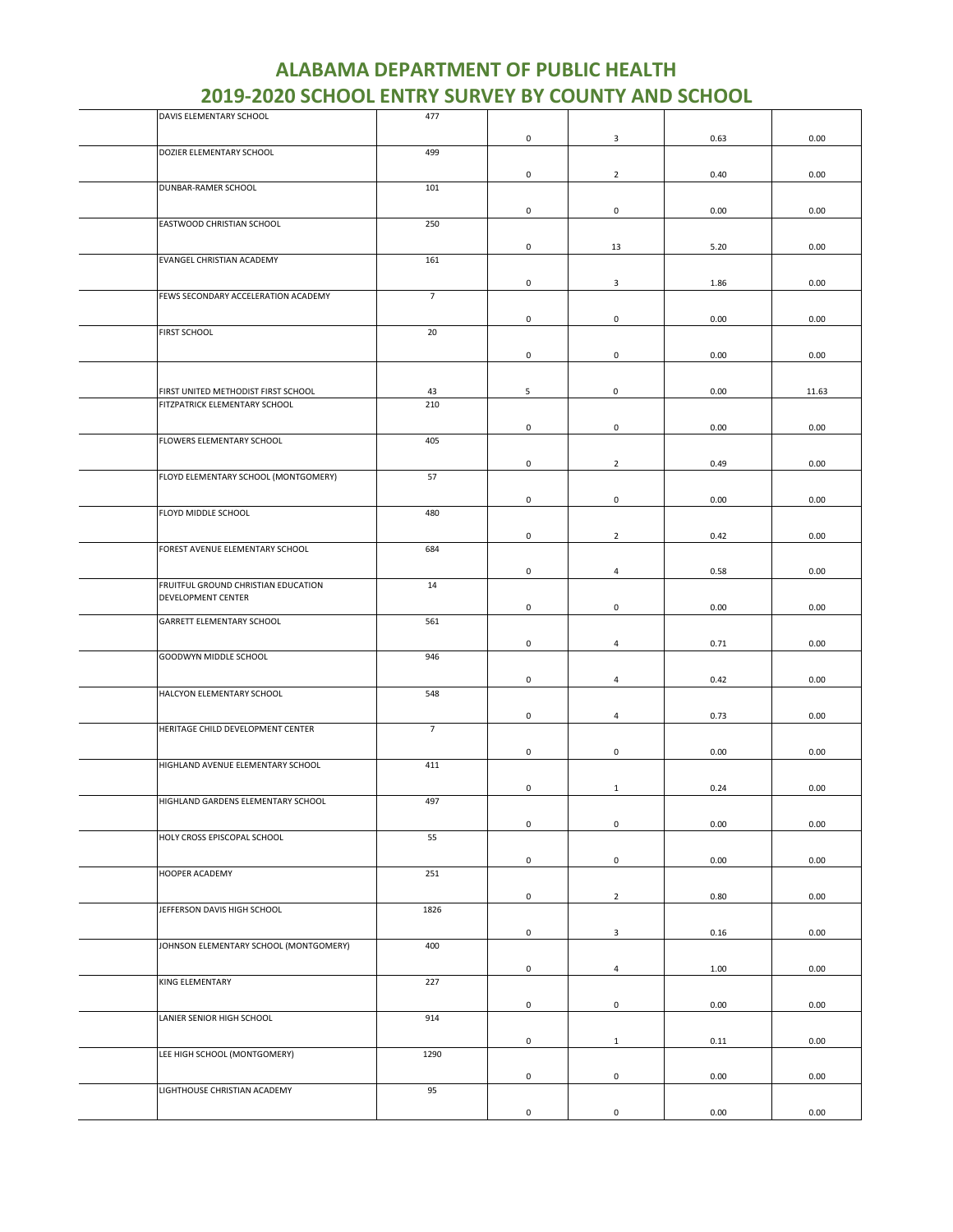| DAVIS ELEMENTARY SCHOOL                | 477            |                     |                     |      |       |
|----------------------------------------|----------------|---------------------|---------------------|------|-------|
|                                        |                | 0                   | $\mathbf{3}$        | 0.63 | 0.00  |
| DOZIER ELEMENTARY SCHOOL               | 499            |                     |                     |      |       |
|                                        |                |                     |                     |      |       |
| DUNBAR-RAMER SCHOOL                    | 101            | 0                   | $\overline{2}$      | 0.40 | 0.00  |
|                                        |                |                     |                     |      |       |
|                                        |                | 0                   | $\mathsf 0$         | 0.00 | 0.00  |
| EASTWOOD CHRISTIAN SCHOOL              | 250            |                     |                     |      |       |
|                                        |                | 0                   | 13                  | 5.20 | 0.00  |
| EVANGEL CHRISTIAN ACADEMY              | 161            |                     |                     |      |       |
|                                        |                |                     |                     |      |       |
|                                        |                | 0                   | $\mathbf{3}$        | 1.86 | 0.00  |
| FEWS SECONDARY ACCELERATION ACADEMY    | $\overline{7}$ |                     |                     |      |       |
|                                        |                | 0                   | $\mathsf 0$         | 0.00 | 0.00  |
| FIRST SCHOOL                           | 20             |                     |                     |      |       |
|                                        |                | 0                   | $\mathsf{O}\xspace$ | 0.00 | 0.00  |
|                                        |                |                     |                     |      |       |
|                                        |                |                     |                     |      |       |
| FIRST UNITED METHODIST FIRST SCHOOL    | 43             | 5                   | 0                   | 0.00 | 11.63 |
| FITZPATRICK ELEMENTARY SCHOOL          | 210            |                     |                     |      |       |
|                                        |                | $\mathbf 0$         | $\mathbf 0$         | 0.00 | 0.00  |
| FLOWERS ELEMENTARY SCHOOL              | 405            |                     |                     |      |       |
|                                        |                | 0                   | $\overline{2}$      | 0.49 | 0.00  |
| FLOYD ELEMENTARY SCHOOL (MONTGOMERY)   | 57             |                     |                     |      |       |
|                                        |                |                     |                     |      |       |
|                                        |                | $\mathsf{O}\xspace$ | $\mathsf 0$         | 0.00 | 0.00  |
| FLOYD MIDDLE SCHOOL                    | 480            |                     |                     |      |       |
|                                        |                | $\mathsf 0$         | $\overline{2}$      | 0.42 | 0.00  |
| FOREST AVENUE ELEMENTARY SCHOOL        | 684            |                     |                     |      |       |
|                                        |                |                     |                     |      |       |
| FRUITFUL GROUND CHRISTIAN EDUCATION    | 14             | 0                   | $\overline{4}$      | 0.58 | 0.00  |
| DEVELOPMENT CENTER                     |                |                     |                     |      |       |
|                                        |                | 0                   | $\mathsf 0$         | 0.00 | 0.00  |
| GARRETT ELEMENTARY SCHOOL              | 561            |                     |                     |      |       |
|                                        |                | 0                   | $\overline{4}$      | 0.71 | 0.00  |
| GOODWYN MIDDLE SCHOOL                  | 946            |                     |                     |      |       |
|                                        |                |                     |                     |      |       |
|                                        |                | $\mathbf 0$         | $\overline{4}$      | 0.42 | 0.00  |
| HALCYON ELEMENTARY SCHOOL              | 548            |                     |                     |      |       |
|                                        |                | 0                   | $\overline{4}$      | 0.73 | 0.00  |
| HERITAGE CHILD DEVELOPMENT CENTER      | $\overline{7}$ |                     |                     |      |       |
|                                        |                | 0                   | $\mathsf 0$         | 0.00 | 0.00  |
| HIGHLAND AVENUE ELEMENTARY SCHOOL      | 411            |                     |                     |      |       |
|                                        |                |                     |                     |      |       |
|                                        |                | 0                   | $\mathbf{1}$        | 0.24 | 0.00  |
| HIGHLAND GARDENS ELEMENTARY SCHOOL     | 497            |                     |                     |      |       |
|                                        |                | $\pmb{0}$           | $\mathbf 0$         | 0.00 | 0.00  |
| HOLY CROSS EPISCOPAL SCHOOL            | 55             |                     |                     |      |       |
|                                        |                | $\mathsf 0$         | $\mathsf 0$         | 0.00 | 0.00  |
| HOOPER ACADEMY                         | 251            |                     |                     |      |       |
|                                        |                |                     |                     |      |       |
|                                        |                | 0                   | $\overline{2}$      | 0.80 | 0.00  |
| JEFFERSON DAVIS HIGH SCHOOL            | 1826           |                     |                     |      |       |
|                                        |                | 0                   | 3                   | 0.16 | 0.00  |
| JOHNSON ELEMENTARY SCHOOL (MONTGOMERY) | 400            |                     |                     |      |       |
|                                        |                |                     |                     |      |       |
| KING ELEMENTARY                        | 227            | $\mathbf 0$         | $\overline{4}$      | 1.00 | 0.00  |
|                                        |                |                     |                     |      |       |
|                                        |                | 0                   | $\mathbf 0$         | 0.00 | 0.00  |
| LANIER SENIOR HIGH SCHOOL              | 914            |                     |                     |      |       |
|                                        |                | $\mathbf 0$         | $\mathbf{1}$        | 0.11 | 0.00  |
| LEE HIGH SCHOOL (MONTGOMERY)           | 1290           |                     |                     |      |       |
|                                        |                |                     |                     |      |       |
| LIGHTHOUSE CHRISTIAN ACADEMY           | 95             | 0                   | $\mathsf 0$         | 0.00 | 0.00  |
|                                        |                |                     |                     |      |       |
|                                        |                | 0                   | $\mathsf{O}\xspace$ | 0.00 | 0.00  |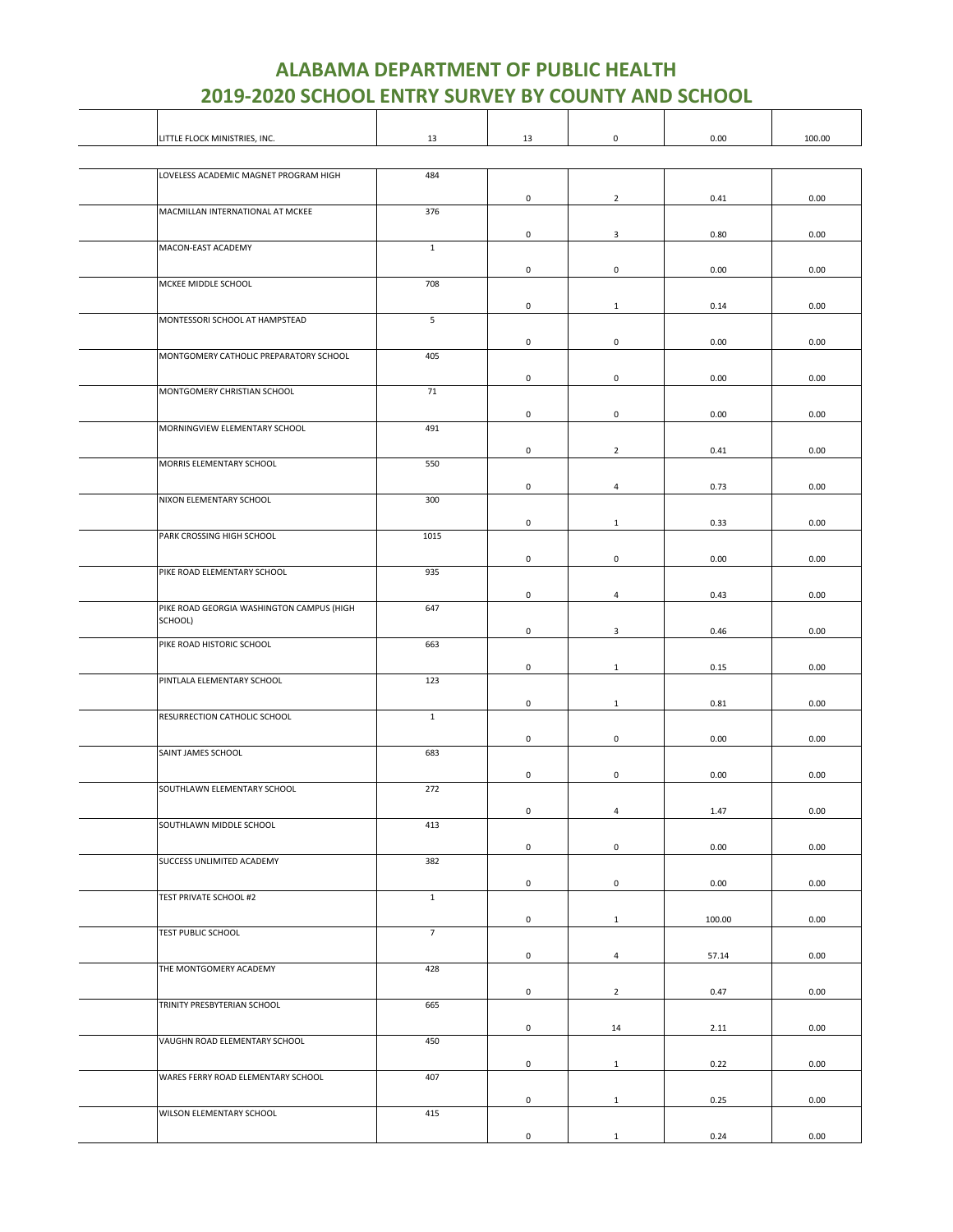Τ

┬

| LITTLE FLOCK MINISTRIES, INC.             | 13             | 13                  | $\mathsf{O}\xspace$ | 0.00   | 100.00 |
|-------------------------------------------|----------------|---------------------|---------------------|--------|--------|
|                                           |                |                     |                     |        |        |
| LOVELESS ACADEMIC MAGNET PROGRAM HIGH     | 484            |                     |                     |        |        |
|                                           |                | 0                   | $\overline{2}$      | 0.41   | 0.00   |
| MACMILLAN INTERNATIONAL AT MCKEE          | 376            |                     |                     |        |        |
|                                           |                | 0                   | 3                   | 0.80   | 0.00   |
| MACON-EAST ACADEMY                        | $1\,$          |                     |                     |        |        |
|                                           |                | 0                   | 0                   | 0.00   | 0.00   |
| MCKEE MIDDLE SCHOOL                       | 708            |                     |                     |        |        |
|                                           |                | $\mathsf{O}\xspace$ | $\mathbf{1}$        | 0.14   | 0.00   |
| MONTESSORI SCHOOL AT HAMPSTEAD            | 5              |                     |                     |        |        |
|                                           |                | $\mathsf{O}\xspace$ | $\mathbf 0$         | 0.00   | 0.00   |
| MONTGOMERY CATHOLIC PREPARATORY SCHOOL    | 405            |                     |                     |        |        |
|                                           |                | 0                   | $\mathsf{O}\xspace$ | 0.00   | 0.00   |
| MONTGOMERY CHRISTIAN SCHOOL               | 71             |                     |                     |        |        |
|                                           |                | $\mathsf{O}\xspace$ | $\mathbf 0$         | 0.00   | 0.00   |
| MORNINGVIEW ELEMENTARY SCHOOL             | 491            |                     |                     |        |        |
|                                           |                | 0                   | $\overline{2}$      | 0.41   | 0.00   |
| MORRIS ELEMENTARY SCHOOL                  | 550            |                     |                     |        |        |
|                                           |                | $\mathsf{O}\xspace$ | 4                   | 0.73   | 0.00   |
| NIXON ELEMENTARY SCHOOL                   | 300            |                     |                     |        |        |
|                                           |                | 0                   | $\mathbf{1}$        | 0.33   | 0.00   |
| PARK CROSSING HIGH SCHOOL                 | 1015           |                     |                     |        |        |
|                                           |                | $\mathsf{O}\xspace$ | $\mathsf 0$         | 0.00   | 0.00   |
| PIKE ROAD ELEMENTARY SCHOOL               | 935            |                     |                     |        |        |
|                                           |                | 0                   | $\overline{4}$      | 0.43   | 0.00   |
| PIKE ROAD GEORGIA WASHINGTON CAMPUS (HIGH | 647            |                     |                     |        |        |
| SCHOOL)                                   |                |                     |                     |        |        |
| PIKE ROAD HISTORIC SCHOOL                 | 663            | 0                   | $\mathbf{3}$        | 0.46   | 0.00   |
|                                           |                |                     |                     |        |        |
| PINTLALA ELEMENTARY SCHOOL                | 123            | 0                   | $\mathbf{1}$        | 0.15   | 0.00   |
|                                           |                |                     |                     |        |        |
| RESURRECTION CATHOLIC SCHOOL              | $1\,$          | $\pmb{0}$           | $\mathbf{1}$        | 0.81   | 0.00   |
|                                           |                |                     |                     |        |        |
| SAINT JAMES SCHOOL                        | 683            | 0                   | $\mathbf 0$         | 0.00   | 0.00   |
|                                           |                |                     |                     |        |        |
|                                           |                | $\pmb{0}$           | $\mathbf 0$         | 0.00   | 0.00   |
| SOUTHLAWN ELEMENTARY SCHOOL               | 272            |                     |                     |        |        |
|                                           |                | 0                   | 4                   | 1.47   | 0.00   |
| SOUTHLAWN MIDDLE SCHOOL                   | 413            |                     |                     |        |        |
|                                           |                | 0                   | 0                   | 0.00   | 0.00   |
| SUCCESS UNLIMITED ACADEMY                 | 382            |                     |                     |        |        |
|                                           |                | $\mathsf{O}\xspace$ | $\mathsf 0$         | 0.00   | 0.00   |
| TEST PRIVATE SCHOOL #2                    | $\mathbf{1}$   |                     |                     |        |        |
|                                           |                | 0                   | $\mathbf{1}$        | 100.00 | 0.00   |
| TEST PUBLIC SCHOOL                        | $\overline{7}$ |                     |                     |        |        |
|                                           |                | $\mathsf{O}\xspace$ | $\overline{4}$      | 57.14  | 0.00   |
| THE MONTGOMERY ACADEMY                    | 428            |                     |                     |        |        |
|                                           |                | 0                   | $\overline{2}$      | 0.47   | 0.00   |
| TRINITY PRESBYTERIAN SCHOOL               | 665            |                     |                     |        |        |
|                                           |                | $\mathsf{O}\xspace$ | 14                  | 2.11   | 0.00   |
| VAUGHN ROAD ELEMENTARY SCHOOL             | 450            |                     |                     |        |        |
|                                           |                | 0                   | $\mathbf{1}$        | 0.22   | 0.00   |
| WARES FERRY ROAD ELEMENTARY SCHOOL        | 407            |                     |                     |        |        |
|                                           |                | $\mathsf{O}\xspace$ | $\mathbf{1}$        | 0.25   | 0.00   |
| WILSON ELEMENTARY SCHOOL                  | 415            |                     |                     |        |        |
|                                           |                | 0                   | $\mathbf{1}$        | 0.24   | 0.00   |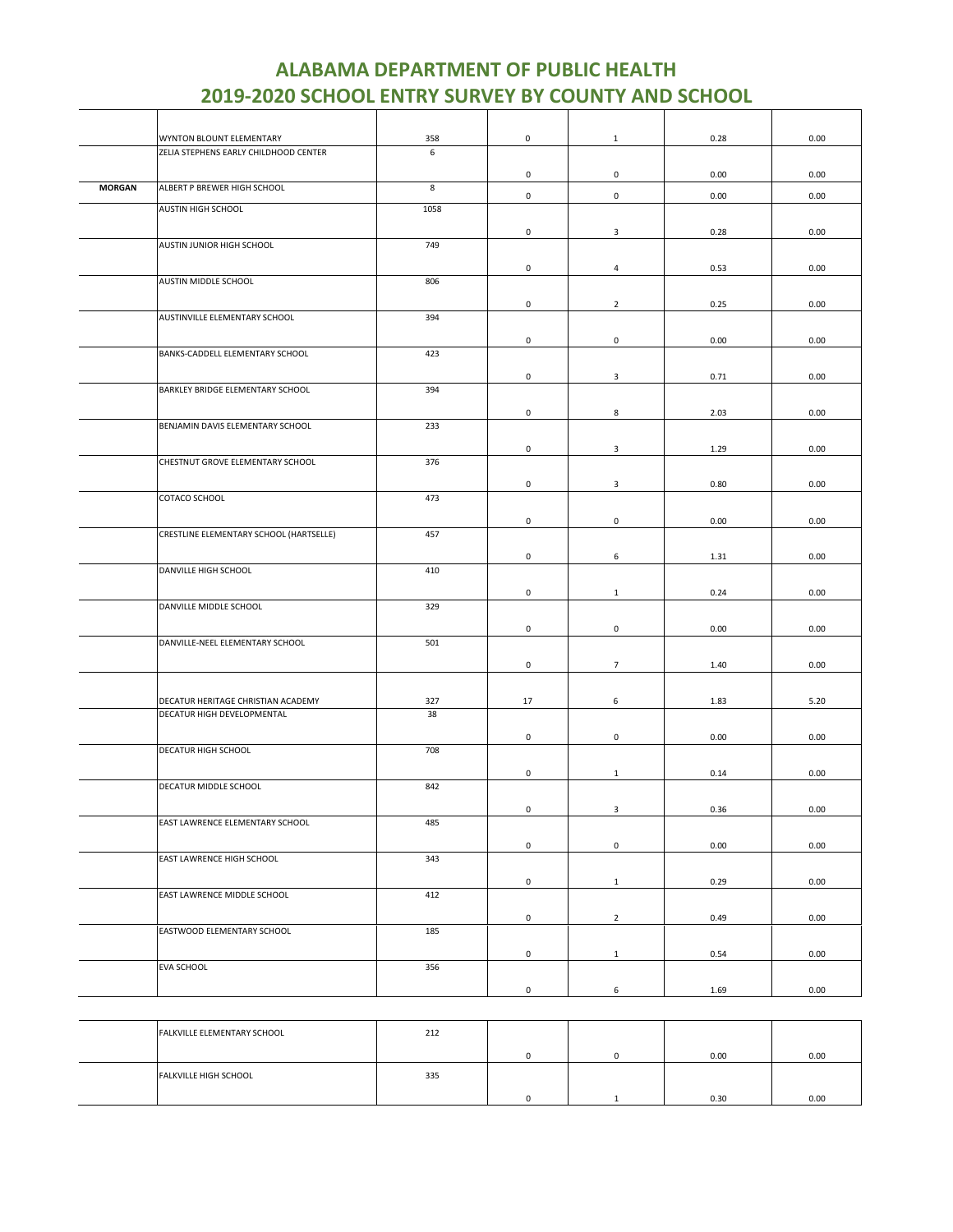|               | WYNTON BLOUNT ELEMENTARY                                         | 358       | $\mathsf 0$         | $\mathbf{1}$        | 0.28 | 0.00 |
|---------------|------------------------------------------------------------------|-----------|---------------------|---------------------|------|------|
|               | ZELIA STEPHENS EARLY CHILDHOOD CENTER                            | 6         |                     |                     |      |      |
|               |                                                                  |           | 0                   | $\mathbf 0$         | 0.00 | 0.00 |
| <b>MORGAN</b> | ALBERT P BREWER HIGH SCHOOL                                      | 8         | $\mathsf{O}\xspace$ | $\mathsf 0$         | 0.00 | 0.00 |
|               | AUSTIN HIGH SCHOOL                                               | 1058      |                     |                     |      |      |
|               |                                                                  |           | 0                   | 3                   | 0.28 | 0.00 |
|               | AUSTIN JUNIOR HIGH SCHOOL                                        | 749       |                     |                     |      |      |
|               |                                                                  |           | 0                   | $\overline{4}$      | 0.53 | 0.00 |
|               | AUSTIN MIDDLE SCHOOL                                             | 806       |                     |                     |      |      |
|               |                                                                  |           | 0                   | $\overline{2}$      | 0.25 | 0.00 |
|               | AUSTINVILLE ELEMENTARY SCHOOL                                    | 394       |                     |                     |      |      |
|               |                                                                  |           |                     |                     |      |      |
|               | BANKS-CADDELL ELEMENTARY SCHOOL                                  | 423       | $\mathsf{O}\xspace$ | $\mathsf{O}\xspace$ | 0.00 | 0.00 |
|               |                                                                  |           |                     |                     |      |      |
|               |                                                                  | 394       | 0                   | 3                   | 0.71 | 0.00 |
|               | BARKLEY BRIDGE ELEMENTARY SCHOOL                                 |           |                     |                     |      |      |
|               |                                                                  |           | 0                   | 8                   | 2.03 | 0.00 |
|               | BENJAMIN DAVIS ELEMENTARY SCHOOL                                 | 233       |                     |                     |      |      |
|               |                                                                  |           | 0                   | 3                   | 1.29 | 0.00 |
|               | CHESTNUT GROVE ELEMENTARY SCHOOL                                 | 376       |                     |                     |      |      |
|               |                                                                  |           | $\mathsf{O}\xspace$ | $\mathsf 3$         | 0.80 | 0.00 |
|               | COTACO SCHOOL                                                    | 473       |                     |                     |      |      |
|               |                                                                  |           | 0                   | 0                   | 0.00 | 0.00 |
|               | CRESTLINE ELEMENTARY SCHOOL (HARTSELLE)                          | 457       |                     |                     |      |      |
|               |                                                                  |           | 0                   | 6                   | 1.31 | 0.00 |
|               | DANVILLE HIGH SCHOOL                                             | 410       |                     |                     |      |      |
|               |                                                                  |           | 0                   | $\mathbf{1}$        | 0.24 | 0.00 |
|               | DANVILLE MIDDLE SCHOOL                                           | 329       |                     |                     |      |      |
|               |                                                                  |           | $\mathsf{O}\xspace$ | $\mathsf{O}\xspace$ | 0.00 | 0.00 |
|               | DANVILLE-NEEL ELEMENTARY SCHOOL                                  | 501       |                     |                     |      |      |
|               |                                                                  |           |                     |                     |      |      |
|               |                                                                  |           | 0                   | $\overline{7}$      | 1.40 | 0.00 |
|               |                                                                  |           |                     |                     |      |      |
|               | DECATUR HERITAGE CHRISTIAN ACADEMY<br>DECATUR HIGH DEVELOPMENTAL | 327<br>38 | 17                  | 6                   | 1.83 | 5.20 |
|               |                                                                  |           |                     |                     |      |      |
|               | DECATUR HIGH SCHOOL                                              | 708       | $\mathsf{O}\xspace$ | $\mathsf{O}\xspace$ | 0.00 | 0.00 |
|               |                                                                  |           |                     |                     |      |      |
|               |                                                                  |           | 0                   | $\mathbf{1}$        | 0.14 | 0.00 |
|               | DECATUR MIDDLE SCHOOL                                            | 842       |                     |                     |      |      |
|               |                                                                  |           | 0                   | 3                   | 0.36 | 0.00 |
|               | EAST LAWRENCE ELEMENTARY SCHOOL                                  | 485       |                     |                     |      |      |
|               |                                                                  |           | $\mathsf{O}\xspace$ | $\mathsf 0$         | 0.00 | 0.00 |
|               | EAST LAWRENCE HIGH SCHOOL                                        | 343       |                     |                     |      |      |
|               |                                                                  |           | $\mathsf{O}\xspace$ | $\mathbf{1}$        | 0.29 | 0.00 |
|               | EAST LAWRENCE MIDDLE SCHOOL                                      | 412       |                     |                     |      |      |
|               |                                                                  |           | $\mathsf 0$         | $\overline{2}$      | 0.49 | 0.00 |
|               | EASTWOOD ELEMENTARY SCHOOL                                       | 185       |                     |                     |      |      |
|               |                                                                  |           | $\mathsf{O}\xspace$ | $1\,$               | 0.54 | 0.00 |
|               | EVA SCHOOL                                                       | 356       |                     |                     |      |      |
|               |                                                                  |           | $\mathsf{O}\xspace$ | 6                   | 1.69 | 0.00 |
|               |                                                                  |           |                     |                     |      |      |

| <b>FALKVILLE ELEMENTARY SCHOOL</b> | 212 |  |      |      |
|------------------------------------|-----|--|------|------|
|                                    |     |  | 0.00 | 0.00 |
| <b>FALKVILLE HIGH SCHOOL</b>       | 335 |  |      |      |
|                                    |     |  | 0.30 | 0.00 |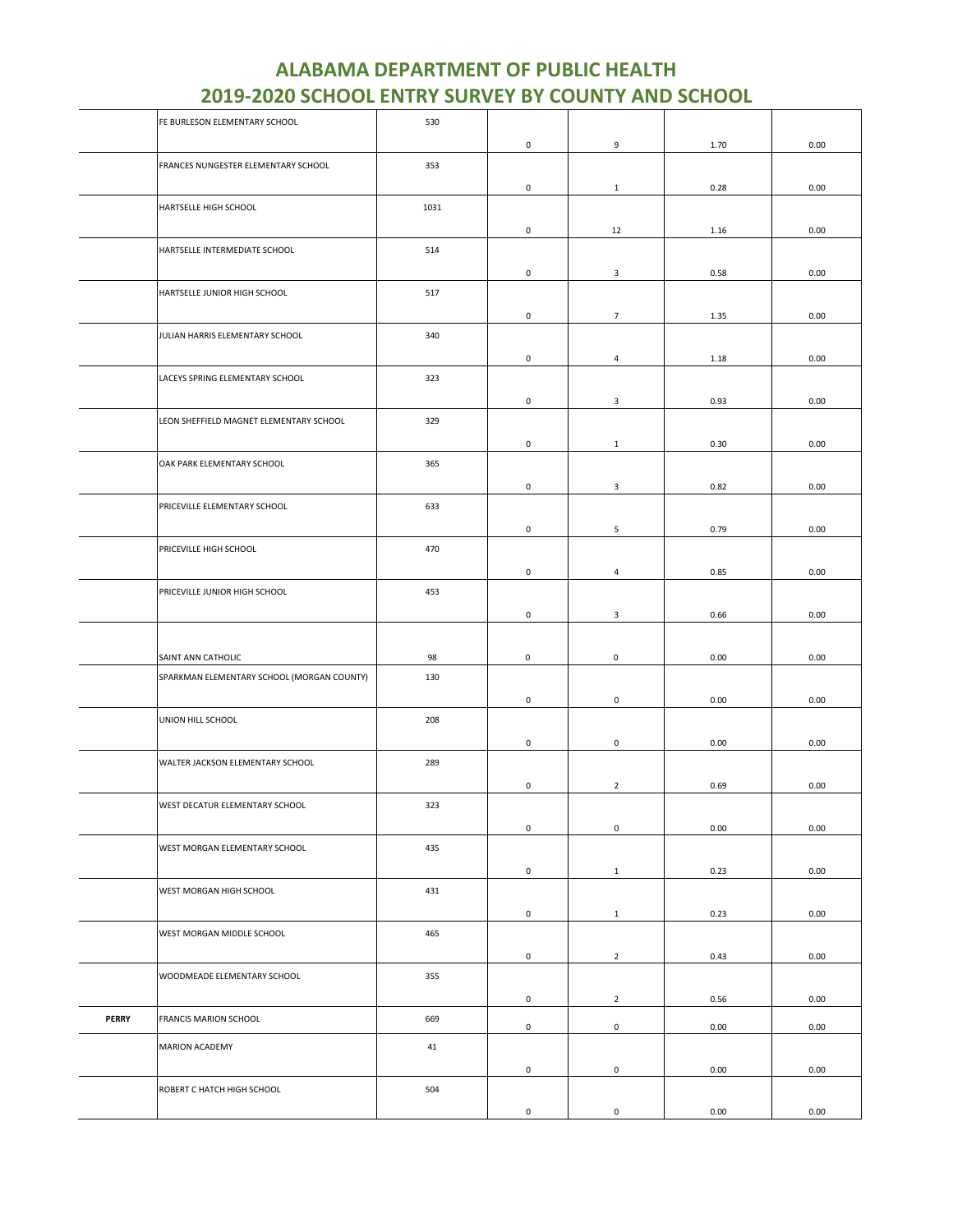|              | FE BURLESON ELEMENTARY SCHOOL              | 530  |                     |                     |      |      |
|--------------|--------------------------------------------|------|---------------------|---------------------|------|------|
|              |                                            |      | $\mathsf{O}\xspace$ | 9                   | 1.70 | 0.00 |
|              | FRANCES NUNGESTER ELEMENTARY SCHOOL        | 353  |                     |                     |      |      |
|              |                                            |      | $\mathsf{O}\xspace$ |                     |      |      |
|              |                                            |      |                     | $\mathbf{1}$        | 0.28 | 0.00 |
|              | HARTSELLE HIGH SCHOOL                      | 1031 |                     |                     |      |      |
|              |                                            |      | $\mathsf{O}\xspace$ | 12                  | 1.16 | 0.00 |
|              | HARTSELLE INTERMEDIATE SCHOOL              | 514  |                     |                     |      |      |
|              |                                            |      | 0                   | $\mathbf{3}$        | 0.58 | 0.00 |
|              | HARTSELLE JUNIOR HIGH SCHOOL               | 517  |                     |                     |      |      |
|              |                                            |      | 0                   | $\overline{7}$      | 1.35 | 0.00 |
|              | JULIAN HARRIS ELEMENTARY SCHOOL            | 340  |                     |                     |      |      |
|              |                                            |      |                     |                     |      |      |
|              |                                            |      | 0                   | 4                   | 1.18 | 0.00 |
|              | LACEYS SPRING ELEMENTARY SCHOOL            | 323  |                     |                     |      |      |
|              |                                            |      | $\mathsf{O}\xspace$ | 3                   | 0.93 | 0.00 |
|              | LEON SHEFFIELD MAGNET ELEMENTARY SCHOOL    | 329  |                     |                     |      |      |
|              |                                            |      | 0                   | $\mathbf{1}$        | 0.30 | 0.00 |
|              | OAK PARK ELEMENTARY SCHOOL                 | 365  |                     |                     |      |      |
|              |                                            |      |                     |                     |      |      |
|              |                                            |      | 0                   | 3                   | 0.82 | 0.00 |
|              | PRICEVILLE ELEMENTARY SCHOOL               | 633  |                     |                     |      |      |
|              |                                            |      | $\mathsf 0$         | 5                   | 0.79 | 0.00 |
|              | PRICEVILLE HIGH SCHOOL                     | 470  |                     |                     |      |      |
|              |                                            |      | 0                   | 4                   | 0.85 | 0.00 |
|              | PRICEVILLE JUNIOR HIGH SCHOOL              | 453  |                     |                     |      |      |
|              |                                            |      |                     |                     |      |      |
|              |                                            |      | 0                   | 3                   | 0.66 | 0.00 |
|              |                                            |      |                     |                     |      |      |
|              | SAINT ANN CATHOLIC                         | 98   | 0                   | 0                   | 0.00 | 0.00 |
|              | SPARKMAN ELEMENTARY SCHOOL (MORGAN COUNTY) | 130  |                     |                     |      |      |
|              |                                            |      | 0                   | $\mathsf{O}\xspace$ | 0.00 | 0.00 |
|              | UNION HILL SCHOOL                          | 208  |                     |                     |      |      |
|              |                                            |      |                     |                     |      |      |
|              |                                            |      | 0                   | 0                   | 0.00 | 0.00 |
|              | WALTER JACKSON ELEMENTARY SCHOOL           | 289  |                     |                     |      |      |
|              |                                            |      | 0                   | $\overline{2}$      | 0.69 | 0.00 |
|              | WEST DECATUR ELEMENTARY SCHOOL             | 323  |                     |                     |      |      |
|              |                                            |      | $\mathsf{O}\xspace$ | $\mathbf 0$         | 0.00 | 0.00 |
|              | WEST MORGAN ELEMENTARY SCHOOL              | 435  |                     |                     |      |      |
|              |                                            |      |                     |                     |      |      |
|              |                                            |      | $\mathsf 0$         | $\mathbf{1}$        | 0.23 | 0.00 |
|              | WEST MORGAN HIGH SCHOOL                    | 431  |                     |                     |      |      |
|              |                                            |      | $\mathsf 0$         | $\mathbf{1}$        | 0.23 | 0.00 |
|              | WEST MORGAN MIDDLE SCHOOL                  | 465  |                     |                     |      |      |
|              |                                            |      | $\mathsf{O}\xspace$ | $\overline{2}$      | 0.43 | 0.00 |
|              | WOODMEADE ELEMENTARY SCHOOL                | 355  |                     |                     |      |      |
|              |                                            |      |                     |                     |      |      |
|              |                                            |      | 0                   | $\overline{2}$      | 0.56 | 0.00 |
| <b>PERRY</b> | FRANCIS MARION SCHOOL                      | 669  | $\mathsf 0$         | $\mathbf 0$         | 0.00 | 0.00 |
|              | MARION ACADEMY                             | 41   |                     |                     |      |      |
|              |                                            |      | 0                   | $\mathbf 0$         | 0.00 | 0.00 |
|              |                                            |      |                     |                     |      |      |
|              | ROBERT C HATCH HIGH SCHOOL                 | 504  |                     |                     |      |      |
|              |                                            |      | 0                   | 0                   | 0.00 | 0.00 |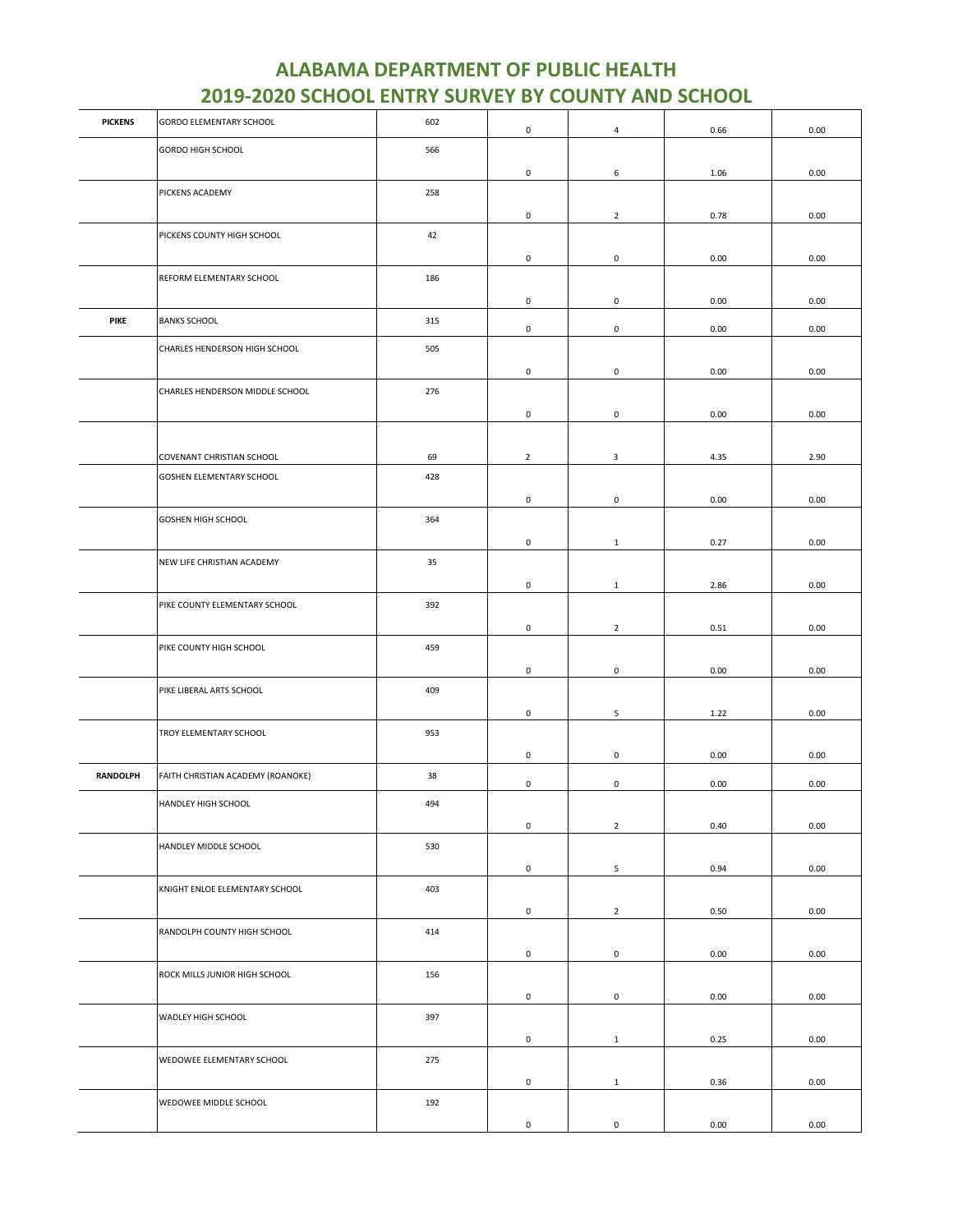| <b>PICKENS</b>  | GORDO ELEMENTARY SCHOOL           | 602 | 0                   | 4              | 0.66 | 0.00 |
|-----------------|-----------------------------------|-----|---------------------|----------------|------|------|
|                 | GORDO HIGH SCHOOL                 | 566 |                     |                |      |      |
|                 |                                   |     | 0                   | 6              | 1.06 | 0.00 |
|                 | PICKENS ACADEMY                   | 258 |                     |                |      |      |
|                 |                                   |     | 0                   | $\overline{2}$ | 0.78 | 0.00 |
|                 | PICKENS COUNTY HIGH SCHOOL        | 42  |                     |                |      |      |
|                 |                                   |     | 0                   | $\mathbf 0$    | 0.00 | 0.00 |
|                 | REFORM ELEMENTARY SCHOOL          | 186 |                     |                |      |      |
|                 |                                   |     | 0                   | $\mathsf 0$    | 0.00 | 0.00 |
| <b>PIKE</b>     | <b>BANKS SCHOOL</b>               | 315 | 0                   | $\mathbf 0$    | 0.00 | 0.00 |
|                 | CHARLES HENDERSON HIGH SCHOOL     | 505 |                     |                |      |      |
|                 |                                   |     | 0                   | $\mathbf 0$    | 0.00 | 0.00 |
|                 | CHARLES HENDERSON MIDDLE SCHOOL   | 276 |                     |                |      |      |
|                 |                                   |     | 0                   | $\mathbf 0$    | 0.00 | 0.00 |
|                 |                                   |     |                     |                |      |      |
|                 | COVENANT CHRISTIAN SCHOOL         | 69  | $\overline{2}$      | $\mathbf{3}$   | 4.35 | 2.90 |
|                 | GOSHEN ELEMENTARY SCHOOL          | 428 |                     |                |      |      |
|                 |                                   |     | 0                   | $\mathsf 0$    | 0.00 | 0.00 |
|                 | <b>GOSHEN HIGH SCHOOL</b>         | 364 |                     |                |      |      |
|                 |                                   |     | 0                   | $\mathbf{1}$   | 0.27 | 0.00 |
|                 | NEW LIFE CHRISTIAN ACADEMY        | 35  |                     |                |      |      |
|                 |                                   |     | 0                   | $1\,$          | 2.86 | 0.00 |
|                 | PIKE COUNTY ELEMENTARY SCHOOL     | 392 |                     |                |      |      |
|                 |                                   |     | 0                   | $\overline{2}$ | 0.51 | 0.00 |
|                 | PIKE COUNTY HIGH SCHOOL           | 459 |                     |                |      |      |
|                 |                                   |     | 0                   | $\mathbf 0$    | 0.00 | 0.00 |
|                 | PIKE LIBERAL ARTS SCHOOL          | 409 |                     |                |      |      |
|                 |                                   |     | $\mathsf{O}\xspace$ | $\sqrt{5}$     | 1.22 | 0.00 |
|                 | TROY ELEMENTARY SCHOOL            | 953 |                     |                |      |      |
| <b>RANDOLPH</b> | FAITH CHRISTIAN ACADEMY (ROANOKE) | 38  | 0                   | $\mathbf 0$    | 0.00 | 0.00 |
|                 |                                   |     | 0                   | $\mathsf 0$    | 0.00 | 0.00 |
|                 | HANDLEY HIGH SCHOOL               | 494 |                     |                |      |      |
|                 |                                   |     | 0                   | $\overline{2}$ | 0.40 | 0.00 |
|                 | HANDLEY MIDDLE SCHOOL             | 530 |                     |                |      |      |
|                 |                                   |     | 0                   | 5              | 0.94 | 0.00 |
|                 | KNIGHT ENLOE ELEMENTARY SCHOOL    | 403 |                     |                |      |      |
|                 |                                   |     | 0                   | $\overline{2}$ | 0.50 | 0.00 |
|                 | RANDOLPH COUNTY HIGH SCHOOL       | 414 | 0                   | $\mathbf 0$    |      |      |
|                 | ROCK MILLS JUNIOR HIGH SCHOOL     | 156 |                     |                | 0.00 | 0.00 |
|                 |                                   |     | 0                   | $\mathbf 0$    | 0.00 | 0.00 |
|                 | WADLEY HIGH SCHOOL                | 397 |                     |                |      |      |
|                 |                                   |     | $\mathsf{O}\xspace$ | $\mathbf{1}$   | 0.25 | 0.00 |
|                 | WEDOWEE ELEMENTARY SCHOOL         | 275 |                     |                |      |      |
|                 |                                   |     | 0                   | $\mathbf{1}$   | 0.36 | 0.00 |
|                 | WEDOWEE MIDDLE SCHOOL             | 192 |                     |                |      |      |
|                 |                                   |     | 0                   | $\mathsf 0$    | 0.00 | 0.00 |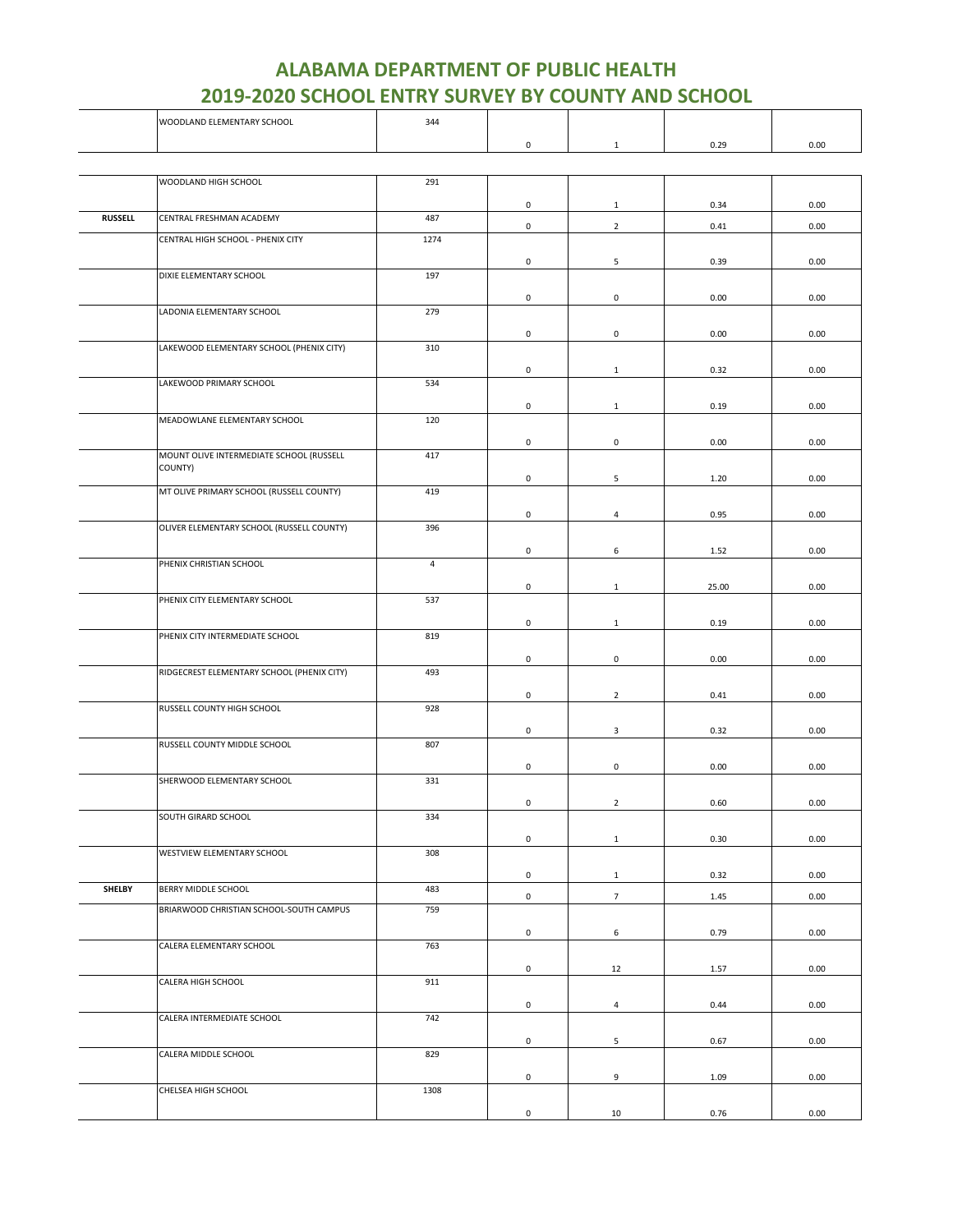|                | WOODLAND ELEMENTARY SCHOOL                          | 344            |                     |                 |       |      |
|----------------|-----------------------------------------------------|----------------|---------------------|-----------------|-------|------|
|                |                                                     |                | 0                   | $\mathbf{1}$    | 0.29  | 0.00 |
|                |                                                     |                |                     |                 |       |      |
|                | WOODLAND HIGH SCHOOL                                | 291            |                     |                 |       |      |
|                |                                                     |                |                     |                 |       |      |
| <b>RUSSELL</b> | CENTRAL FRESHMAN ACADEMY                            | 487            | $\mathbf 0$         | $\mathbf{1}$    | 0.34  | 0.00 |
|                | CENTRAL HIGH SCHOOL - PHENIX CITY                   | 1274           | $\mathsf{O}\xspace$ | $\overline{2}$  | 0.41  | 0.00 |
|                |                                                     |                |                     |                 |       |      |
|                | DIXIE ELEMENTARY SCHOOL                             | 197            | 0                   | 5               | 0.39  | 0.00 |
|                |                                                     |                |                     |                 |       |      |
|                | LADONIA ELEMENTARY SCHOOL                           | 279            | 0                   | $\mathbf 0$     | 0.00  | 0.00 |
|                |                                                     |                |                     |                 |       |      |
|                | LAKEWOOD ELEMENTARY SCHOOL (PHENIX CITY)            | 310            | 0                   | $\mathbf 0$     | 0.00  | 0.00 |
|                |                                                     |                |                     |                 |       |      |
|                | LAKEWOOD PRIMARY SCHOOL                             | 534            | 0                   | $\mathbf{1}$    | 0.32  | 0.00 |
|                |                                                     |                |                     |                 |       |      |
|                |                                                     |                | 0                   | 1               | 0.19  | 0.00 |
|                | MEADOWLANE ELEMENTARY SCHOOL                        | 120            |                     |                 |       |      |
|                |                                                     |                | 0                   | 0               | 0.00  | 0.00 |
|                | MOUNT OLIVE INTERMEDIATE SCHOOL (RUSSELL<br>COUNTY) | 417            |                     |                 |       |      |
|                |                                                     |                | $\mathsf{O}\xspace$ | 5               | 1.20  | 0.00 |
|                | MT OLIVE PRIMARY SCHOOL (RUSSELL COUNTY)            | 419            |                     |                 |       |      |
|                |                                                     |                | 0                   | $\overline{4}$  | 0.95  | 0.00 |
|                | OLIVER ELEMENTARY SCHOOL (RUSSELL COUNTY)           | 396            |                     |                 |       |      |
|                |                                                     |                | 0                   | 6               | 1.52  | 0.00 |
|                | PHENIX CHRISTIAN SCHOOL                             | $\overline{4}$ |                     |                 |       |      |
|                |                                                     |                | 0                   | $\mathbf{1}$    | 25.00 | 0.00 |
|                | PHENIX CITY ELEMENTARY SCHOOL                       | 537            |                     |                 |       |      |
|                |                                                     |                | 0                   | $\mathbf{1}$    | 0.19  | 0.00 |
|                | PHENIX CITY INTERMEDIATE SCHOOL                     | 819            |                     |                 |       |      |
|                |                                                     |                | 0                   | $\mathsf 0$     | 0.00  | 0.00 |
|                | RIDGECREST ELEMENTARY SCHOOL (PHENIX CITY)          | 493            |                     |                 |       |      |
|                |                                                     |                | 0                   | $\overline{2}$  | 0.41  | 0.00 |
|                | RUSSELL COUNTY HIGH SCHOOL                          | 928            |                     |                 |       |      |
|                |                                                     |                | 0                   | $\mathbf{3}$    | 0.32  | 0.00 |
|                | RUSSELL COUNTY MIDDLE SCHOOL                        | 807            |                     |                 |       |      |
|                |                                                     |                | 0                   | $\mathbf 0$     | 0.00  | 0.00 |
|                | SHERWOOD ELEMENTARY SCHOOL                          | 331            |                     |                 |       |      |
|                |                                                     |                | 0                   | $\overline{2}$  | 0.60  | 0.00 |
|                | SOUTH GIRARD SCHOOL                                 | 334            |                     |                 |       |      |
|                |                                                     |                | 0                   | $\mathbf{1}$    | 0.30  | 0.00 |
|                | WESTVIEW ELEMENTARY SCHOOL                          | 308            |                     |                 |       |      |
|                |                                                     |                | $\mathsf{O}\xspace$ | $\mathbf{1}$    | 0.32  | 0.00 |
| <b>SHELBY</b>  | BERRY MIDDLE SCHOOL                                 | 483            | $\mathsf{O}\xspace$ | $7\overline{ }$ | 1.45  | 0.00 |
|                | BRIARWOOD CHRISTIAN SCHOOL-SOUTH CAMPUS             | 759            |                     |                 |       |      |
|                |                                                     |                | 0                   | 6               | 0.79  | 0.00 |
|                | CALERA ELEMENTARY SCHOOL                            | 763            |                     |                 |       |      |
|                |                                                     |                | $\mathsf{O}\xspace$ | 12              | 1.57  | 0.00 |
|                | CALERA HIGH SCHOOL                                  | 911            |                     |                 |       |      |
|                |                                                     |                | 0                   | $\overline{4}$  | 0.44  | 0.00 |
|                | CALERA INTERMEDIATE SCHOOL                          | 742            |                     |                 |       |      |
|                |                                                     |                | 0                   | 5               | 0.67  | 0.00 |
|                | CALERA MIDDLE SCHOOL                                | 829            |                     |                 |       |      |
|                |                                                     |                | 0                   |                 |       | 0.00 |
|                | CHELSEA HIGH SCHOOL                                 | 1308           |                     | 9               | 1.09  |      |
|                |                                                     |                |                     |                 |       |      |
|                |                                                     |                | $\mathsf{O}\xspace$ | 10              | 0.76  | 0.00 |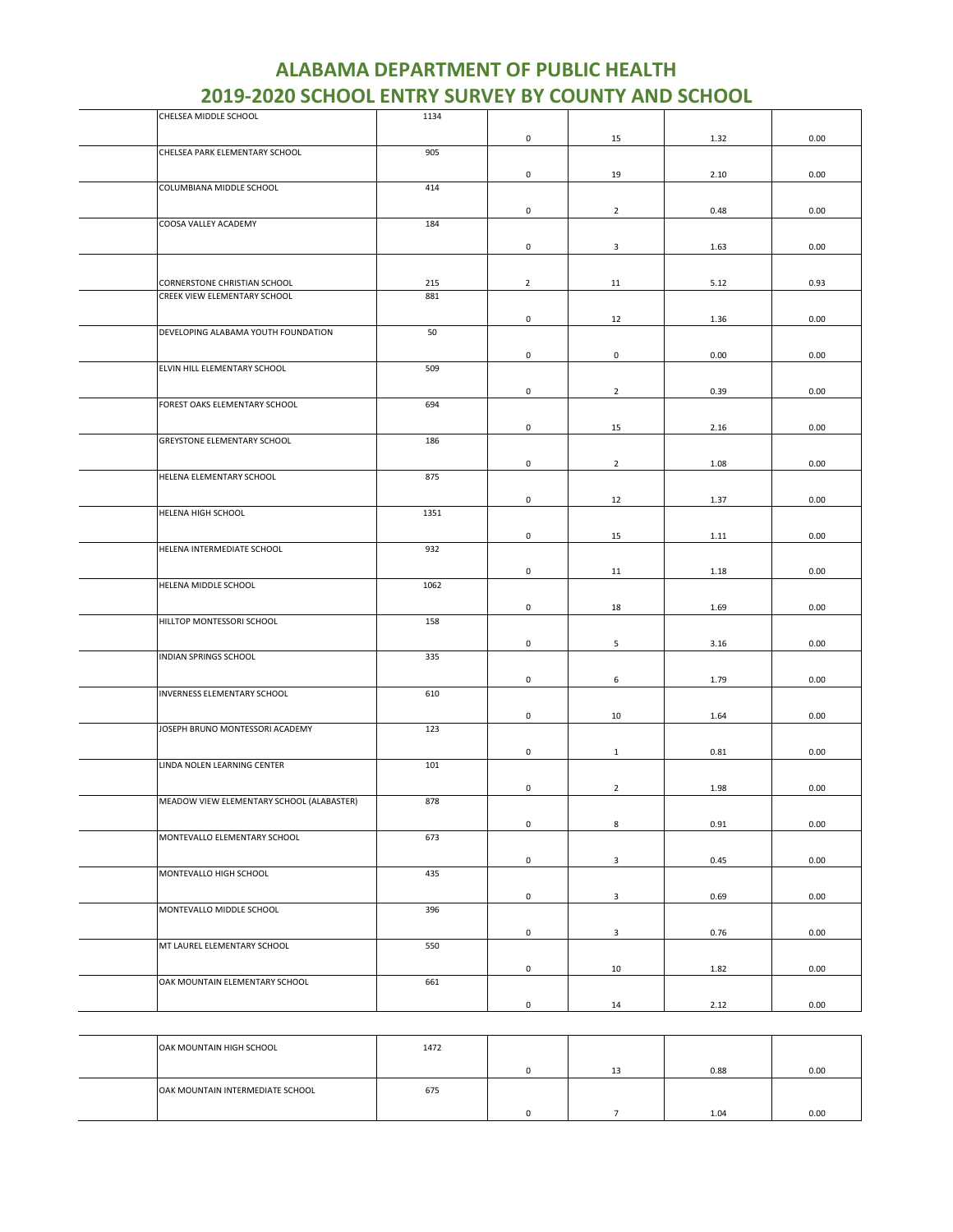| CHELSEA MIDDLE SCHOOL                     | 1134 |                     |                |      |      |
|-------------------------------------------|------|---------------------|----------------|------|------|
|                                           |      | 0                   | 15             | 1.32 | 0.00 |
| CHELSEA PARK ELEMENTARY SCHOOL            | 905  |                     |                |      |      |
|                                           |      |                     |                |      |      |
|                                           |      | $\mathsf{O}\xspace$ | 19             | 2.10 | 0.00 |
| COLUMBIANA MIDDLE SCHOOL                  | 414  |                     |                |      |      |
|                                           |      | 0                   | $\overline{2}$ | 0.48 | 0.00 |
| COOSA VALLEY ACADEMY                      | 184  |                     |                |      |      |
|                                           |      |                     |                |      |      |
|                                           |      | 0                   | 3              | 1.63 | 0.00 |
|                                           |      |                     |                |      |      |
| CORNERSTONE CHRISTIAN SCHOOL              | 215  | $\overline{2}$      | 11             | 5.12 | 0.93 |
| CREEK VIEW ELEMENTARY SCHOOL              | 881  |                     |                |      |      |
|                                           |      | 0                   | 12             | 1.36 | 0.00 |
| DEVELOPING ALABAMA YOUTH FOUNDATION       | 50   |                     |                |      |      |
|                                           |      |                     |                |      |      |
|                                           |      | 0                   | 0              | 0.00 | 0.00 |
| ELVIN HILL ELEMENTARY SCHOOL              | 509  |                     |                |      |      |
|                                           |      | $\mathsf 0$         | $\overline{2}$ | 0.39 | 0.00 |
| FOREST OAKS ELEMENTARY SCHOOL             | 694  |                     |                |      |      |
|                                           |      |                     |                |      |      |
|                                           |      | 0                   | 15             | 2.16 | 0.00 |
| GREYSTONE ELEMENTARY SCHOOL               | 186  |                     |                |      |      |
|                                           |      | 0                   | $\overline{2}$ | 1.08 | 0.00 |
| HELENA ELEMENTARY SCHOOL                  | 875  |                     |                |      |      |
|                                           |      |                     |                |      |      |
|                                           |      | 0                   | 12             | 1.37 | 0.00 |
| HELENA HIGH SCHOOL                        | 1351 |                     |                |      |      |
|                                           |      | 0                   | 15             | 1.11 | 0.00 |
| HELENA INTERMEDIATE SCHOOL                | 932  |                     |                |      |      |
|                                           |      |                     |                |      |      |
|                                           |      | 0                   | 11             | 1.18 | 0.00 |
| HELENA MIDDLE SCHOOL                      | 1062 |                     |                |      |      |
|                                           |      | 0                   | 18             | 1.69 | 0.00 |
| HILLTOP MONTESSORI SCHOOL                 | 158  |                     |                |      |      |
|                                           |      |                     |                |      |      |
| INDIAN SPRINGS SCHOOL                     | 335  | 0                   | 5              | 3.16 | 0.00 |
|                                           |      |                     |                |      |      |
|                                           |      | 0                   | 6              | 1.79 | 0.00 |
| INVERNESS ELEMENTARY SCHOOL               | 610  |                     |                |      |      |
|                                           |      | 0                   | 10             | 1.64 | 0.00 |
| JOSEPH BRUNO MONTESSORI ACADEMY           | 123  |                     |                |      |      |
|                                           |      |                     |                |      |      |
|                                           |      | 0                   | $\mathbf{1}$   | 0.81 | 0.00 |
| LINDA NOLEN LEARNING CENTER               | 101  |                     |                |      |      |
|                                           |      | 0                   | $\overline{2}$ | 1.98 | 0.00 |
| MEADOW VIEW ELEMENTARY SCHOOL (ALABASTER) | 878  |                     |                |      |      |
|                                           |      |                     |                |      |      |
|                                           |      | 0                   | 8              | 0.91 | 0.00 |
| MONTEVALLO ELEMENTARY SCHOOL              | 673  |                     |                |      |      |
|                                           |      | $\mathsf{O}\xspace$ | $\mathbf{3}$   | 0.45 | 0.00 |
| MONTEVALLO HIGH SCHOOL                    | 435  |                     |                |      |      |
|                                           |      |                     |                |      |      |
|                                           |      | $\mathsf 0$         | $\mathbf{3}$   | 0.69 | 0.00 |
| MONTEVALLO MIDDLE SCHOOL                  | 396  |                     |                |      |      |
|                                           |      | $\mathsf 0$         | 3              | 0.76 | 0.00 |
| MT LAUREL ELEMENTARY SCHOOL               | 550  |                     |                |      |      |
|                                           |      |                     |                |      |      |
| OAK MOUNTAIN ELEMENTARY SCHOOL            | 661  | 0                   | 10             | 1.82 | 0.00 |
|                                           |      |                     |                |      |      |
|                                           |      | $\mathsf 0$         | 14             | 2.12 | 0.00 |
|                                           |      |                     |                |      |      |

OAK MOUNTAIN HIGH SCHOOL 1472 0 13 0.88 0.00 **OAK MOUNTAIN INTERMEDIATE SCHOOL** 675 0 7 1.04 0.00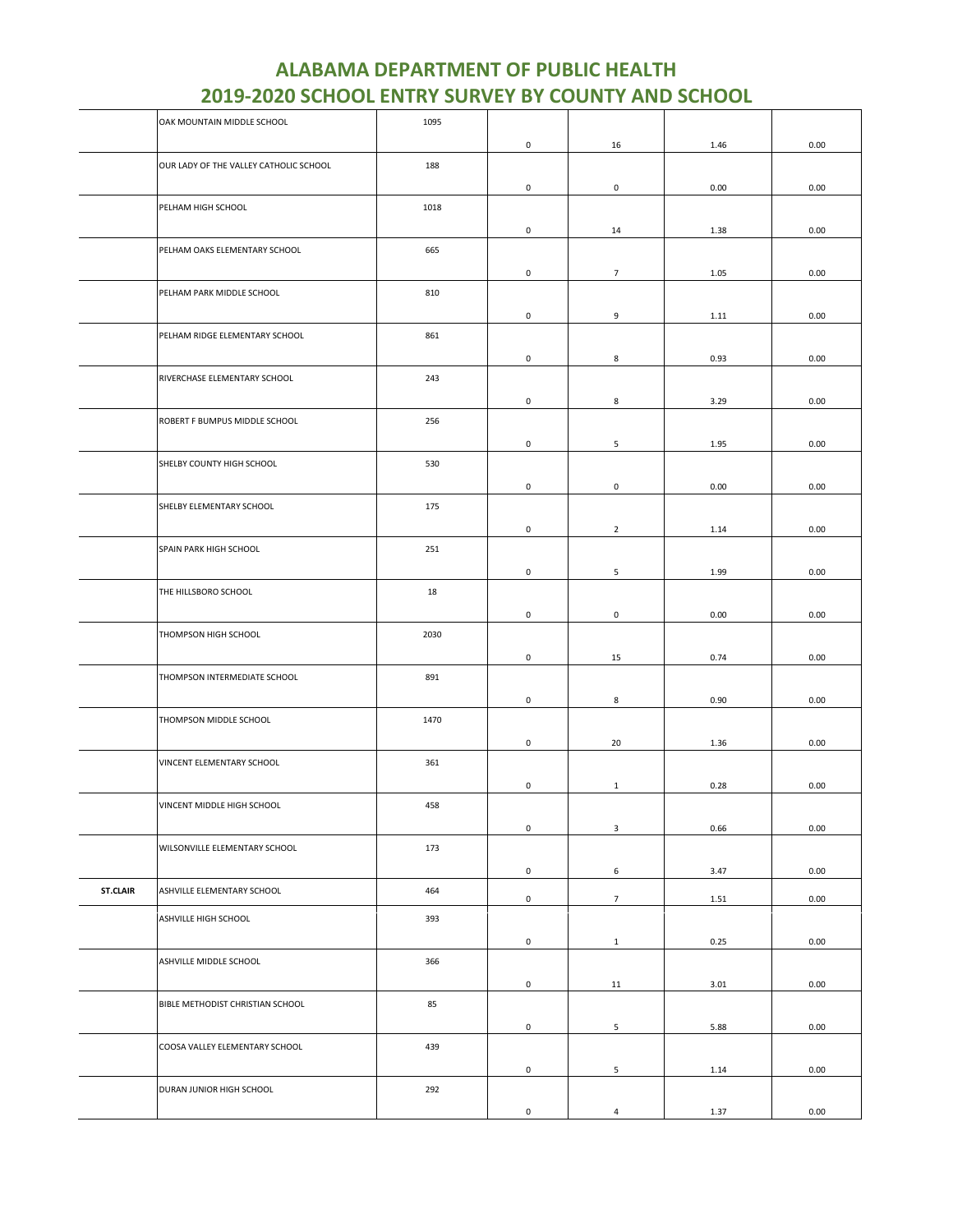| <b>ALABAMA DEPARTMENT OF PUBLIC HEALTH</b>                |
|-----------------------------------------------------------|
| <b>2019-2020 SCHOOL ENTRY SURVEY BY COUNTY AND SCHOOL</b> |

|                 | OAK MOUNTAIN MIDDLE SCHOOL             | 1095 |                     |                     |      |      |
|-----------------|----------------------------------------|------|---------------------|---------------------|------|------|
|                 |                                        |      | 0                   | 16                  | 1.46 | 0.00 |
|                 | OUR LADY OF THE VALLEY CATHOLIC SCHOOL | 188  | $\mathsf 0$         | $\mathsf{O}\xspace$ | 0.00 | 0.00 |
|                 | PELHAM HIGH SCHOOL                     | 1018 | 0                   | 14                  | 1.38 | 0.00 |
|                 | PELHAM OAKS ELEMENTARY SCHOOL          | 665  |                     |                     |      |      |
|                 | PELHAM PARK MIDDLE SCHOOL              | 810  | 0                   | $\overline{7}$      | 1.05 | 0.00 |
|                 | PELHAM RIDGE ELEMENTARY SCHOOL         | 861  | $\mathsf 0$         | 9                   | 1.11 | 0.00 |
|                 | RIVERCHASE ELEMENTARY SCHOOL           | 243  | $\mathsf 0$         | 8                   | 0.93 | 0.00 |
|                 | ROBERT F BUMPUS MIDDLE SCHOOL          | 256  | 0                   | 8                   | 3.29 | 0.00 |
|                 |                                        |      | $\mathsf 0$         | $\sqrt{5}$          | 1.95 | 0.00 |
|                 | SHELBY COUNTY HIGH SCHOOL              | 530  | $\mathsf 0$         | $\mathsf 0$         | 0.00 | 0.00 |
|                 | SHELBY ELEMENTARY SCHOOL               | 175  | 0                   | $\overline{2}$      | 1.14 | 0.00 |
|                 | SPAIN PARK HIGH SCHOOL                 | 251  | 0                   | 5                   | 1.99 | 0.00 |
|                 | THE HILLSBORO SCHOOL                   | 18   | $\mathsf{O}\xspace$ | $\mathbf 0$         | 0.00 | 0.00 |
|                 | THOMPSON HIGH SCHOOL                   | 2030 |                     |                     |      |      |
|                 | THOMPSON INTERMEDIATE SCHOOL           | 891  | $\mathsf{O}\xspace$ | 15                  | 0.74 | 0.00 |
|                 | THOMPSON MIDDLE SCHOOL                 | 1470 | 0                   | 8                   | 0.90 | 0.00 |
|                 | VINCENT ELEMENTARY SCHOOL              | 361  | $\mathsf{O}\xspace$ | 20                  | 1.36 | 0.00 |
|                 | VINCENT MIDDLE HIGH SCHOOL             | 458  | 0                   | $\mathbf{1}$        | 0.28 | 0.00 |
|                 |                                        |      | 0                   | $\mathbf{3}$        | 0.66 | 0.00 |
|                 | WILSONVILLE ELEMENTARY SCHOOL          | 173  | $\mathsf{O}\xspace$ | 6                   | 3.47 | 0.00 |
| <b>ST.CLAIR</b> | ASHVILLE ELEMENTARY SCHOOL             | 464  | $\mathsf{O}\xspace$ | $7\overline{ }$     | 1.51 | 0.00 |
|                 | ASHVILLE HIGH SCHOOL                   | 393  | $\mathsf{O}\xspace$ | $\mathbf{1}$        | 0.25 | 0.00 |
|                 | ASHVILLE MIDDLE SCHOOL                 | 366  | $\mathsf{O}\xspace$ | 11                  | 3.01 | 0.00 |
|                 | BIBLE METHODIST CHRISTIAN SCHOOL       | 85   |                     |                     |      |      |
|                 | COOSA VALLEY ELEMENTARY SCHOOL         | 439  | $\mathsf{O}\xspace$ | $5\phantom{.0}$     | 5.88 | 0.00 |
|                 | DURAN JUNIOR HIGH SCHOOL               | 292  | $\mathsf{O}\xspace$ | 5                   | 1.14 | 0.00 |
|                 |                                        |      | $\mathsf{O}\xspace$ | $\sqrt{4}$          | 1.37 | 0.00 |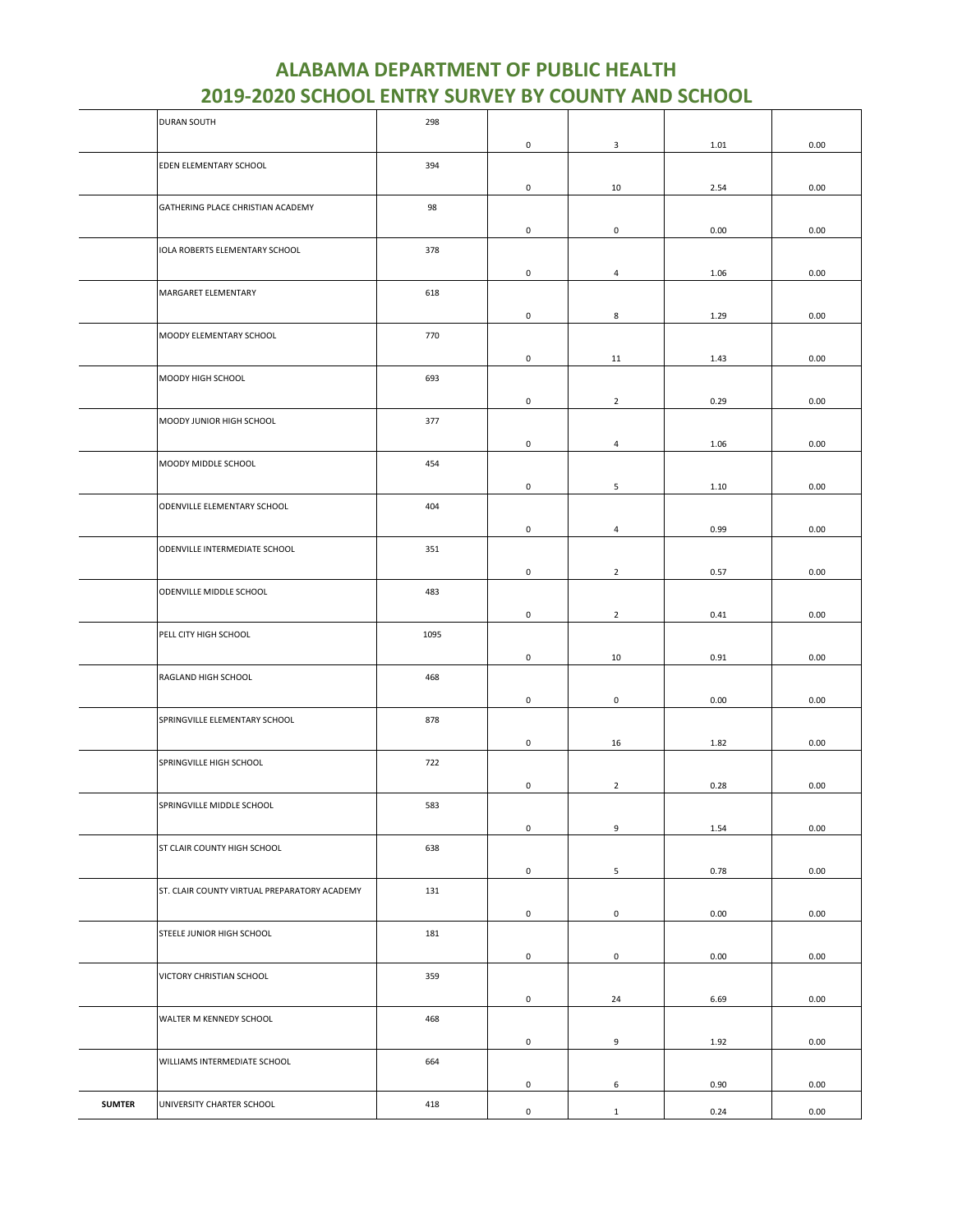|               | <b>DURAN SOUTH</b>                           | 298  |                     |                |      |      |
|---------------|----------------------------------------------|------|---------------------|----------------|------|------|
|               |                                              |      | $\mathsf{O}\xspace$ | 3              | 1.01 | 0.00 |
|               | EDEN ELEMENTARY SCHOOL                       | 394  |                     |                |      |      |
|               |                                              |      | 0                   | 10             |      | 0.00 |
|               |                                              |      |                     |                | 2.54 |      |
|               | GATHERING PLACE CHRISTIAN ACADEMY            | 98   |                     |                |      |      |
|               |                                              |      | 0                   | $\mathsf 0$    | 0.00 | 0.00 |
|               | IOLA ROBERTS ELEMENTARY SCHOOL               | 378  |                     |                |      |      |
|               |                                              |      | 0                   | $\overline{4}$ | 1.06 | 0.00 |
|               | MARGARET ELEMENTARY                          | 618  |                     |                |      |      |
|               |                                              |      | 0                   | 8              | 1.29 | 0.00 |
|               | MOODY ELEMENTARY SCHOOL                      | 770  |                     |                |      |      |
|               |                                              |      |                     |                |      |      |
|               |                                              |      | $\mathsf{O}\xspace$ | 11             | 1.43 | 0.00 |
|               | MOODY HIGH SCHOOL                            | 693  |                     |                |      |      |
|               |                                              |      | $\mathsf{O}\xspace$ | $\overline{2}$ | 0.29 | 0.00 |
|               | MOODY JUNIOR HIGH SCHOOL                     | 377  |                     |                |      |      |
|               |                                              |      | 0                   | $\overline{4}$ | 1.06 | 0.00 |
|               | MOODY MIDDLE SCHOOL                          | 454  |                     |                |      |      |
|               |                                              |      |                     |                |      |      |
|               |                                              |      | $\mathsf{O}\xspace$ | 5              | 1.10 | 0.00 |
|               | ODENVILLE ELEMENTARY SCHOOL                  | 404  |                     |                |      |      |
|               |                                              |      | $\mathsf{O}\xspace$ | $\overline{4}$ | 0.99 | 0.00 |
|               | ODENVILLE INTERMEDIATE SCHOOL                | 351  |                     |                |      |      |
|               |                                              |      | 0                   | $\overline{2}$ | 0.57 | 0.00 |
|               | ODENVILLE MIDDLE SCHOOL                      | 483  |                     |                |      |      |
|               |                                              |      | 0                   | $\overline{2}$ | 0.41 | 0.00 |
|               |                                              |      |                     |                |      |      |
|               | PELL CITY HIGH SCHOOL                        | 1095 |                     |                |      |      |
|               |                                              |      | $\mathsf{O}\xspace$ | $10\,$         | 0.91 | 0.00 |
|               | RAGLAND HIGH SCHOOL                          | 468  |                     |                |      |      |
|               |                                              |      | 0                   | 0              | 0.00 | 0.00 |
|               | SPRINGVILLE ELEMENTARY SCHOOL                | 878  |                     |                |      |      |
|               |                                              |      | 0                   | 16             | 1.82 | 0.00 |
|               | SPRINGVILLE HIGH SCHOOL                      | 722  |                     |                |      |      |
|               |                                              |      |                     |                |      |      |
|               |                                              |      | 0                   | $\overline{2}$ | 0.28 | 0.00 |
|               | SPRINGVILLE MIDDLE SCHOOL                    | 583  |                     |                |      |      |
|               |                                              |      | $\mathsf 0$         | 9              | 1.54 | 0.00 |
|               | ST CLAIR COUNTY HIGH SCHOOL                  | 638  |                     |                |      |      |
|               |                                              |      | $\mathsf 0$         | $\mathsf S$    | 0.78 | 0.00 |
|               | ST. CLAIR COUNTY VIRTUAL PREPARATORY ACADEMY | 131  |                     |                |      |      |
|               |                                              |      | $\mathsf{O}\xspace$ | $\mathsf 0$    | 0.00 | 0.00 |
|               | STEELE JUNIOR HIGH SCHOOL                    |      |                     |                |      |      |
|               |                                              | 181  |                     |                |      |      |
|               |                                              |      | $\mathsf 0$         | $\mathsf 0$    | 0.00 | 0.00 |
|               | VICTORY CHRISTIAN SCHOOL                     | 359  |                     |                |      |      |
|               |                                              |      | 0                   | 24             | 6.69 | 0.00 |
|               | WALTER M KENNEDY SCHOOL                      | 468  |                     |                |      |      |
|               |                                              |      | 0                   | 9              | 1.92 | 0.00 |
|               | WILLIAMS INTERMEDIATE SCHOOL                 | 664  |                     |                |      |      |
|               |                                              |      |                     |                |      |      |
|               |                                              |      | $\mathsf 0$         | 6              | 0.90 | 0.00 |
| <b>SUMTER</b> | UNIVERSITY CHARTER SCHOOL                    | 418  | $\mathsf{O}\xspace$ | $\mathbf 1$    | 0.24 | 0.00 |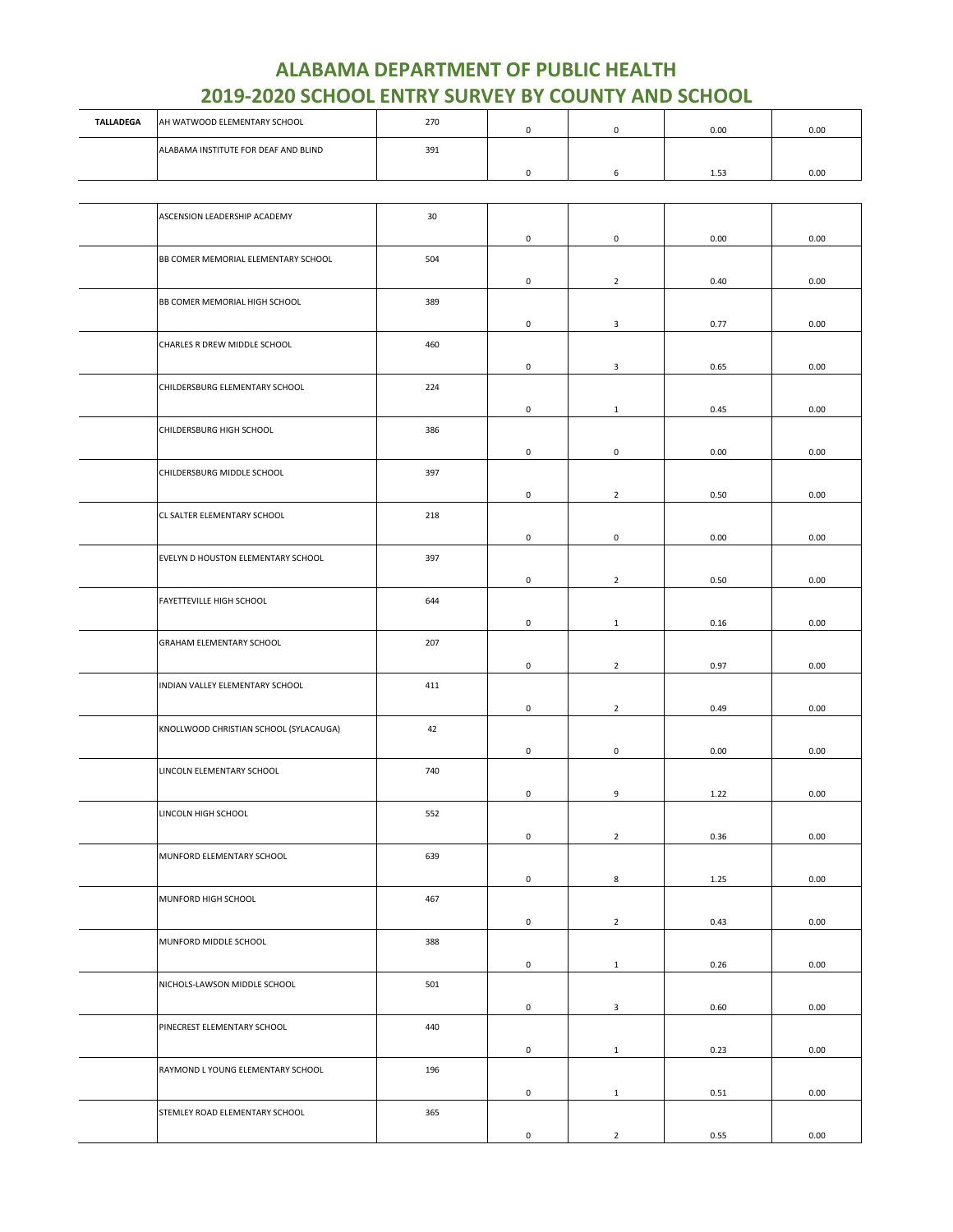| <b>TALLADEGA</b> | AH WATWOOD ELEMENTARY SCHOOL         | 270 |  | 0.00 | 0.00 |
|------------------|--------------------------------------|-----|--|------|------|
|                  | ALABAMA INSTITUTE FOR DEAF AND BLIND | 391 |  | 1.53 | 0.00 |
|                  |                                      |     |  |      |      |

| ASCENSION LEADERSHIP ACADEMY           | 30  |                     |                |      |      |
|----------------------------------------|-----|---------------------|----------------|------|------|
|                                        |     | 0                   | $\mathsf 0$    | 0.00 | 0.00 |
| BB COMER MEMORIAL ELEMENTARY SCHOOL    | 504 |                     |                |      |      |
|                                        |     | $\mathsf{O}\xspace$ | $\overline{2}$ | 0.40 | 0.00 |
| BB COMER MEMORIAL HIGH SCHOOL          | 389 |                     |                |      |      |
|                                        |     | 0                   | 3              | 0.77 | 0.00 |
| CHARLES R DREW MIDDLE SCHOOL           | 460 |                     |                |      |      |
|                                        |     | 0                   | 3              | 0.65 | 0.00 |
| CHILDERSBURG ELEMENTARY SCHOOL         | 224 |                     |                |      |      |
|                                        |     | $\mathsf 0$         | $\mathbf 1$    | 0.45 | 0.00 |
| CHILDERSBURG HIGH SCHOOL               | 386 |                     |                |      |      |
|                                        |     | 0                   | $\mathsf 0$    | 0.00 | 0.00 |
| CHILDERSBURG MIDDLE SCHOOL             | 397 |                     |                |      |      |
|                                        |     | 0                   | $\overline{2}$ | 0.50 | 0.00 |
| CL SALTER ELEMENTARY SCHOOL            | 218 |                     |                |      |      |
|                                        |     | 0                   | $\mathbf 0$    | 0.00 | 0.00 |
| EVELYN D HOUSTON ELEMENTARY SCHOOL     | 397 |                     |                |      |      |
|                                        |     | $\mathsf 0$         | $\overline{2}$ | 0.50 | 0.00 |
| FAYETTEVILLE HIGH SCHOOL               | 644 |                     |                |      |      |
|                                        |     | 0                   | $\mathbf{1}$   | 0.16 | 0.00 |
| GRAHAM ELEMENTARY SCHOOL               | 207 |                     |                |      |      |
|                                        |     | 0                   | $\overline{2}$ | 0.97 | 0.00 |
| INDIAN VALLEY ELEMENTARY SCHOOL        | 411 |                     |                |      |      |
|                                        |     | $\mathsf 0$         | $\overline{2}$ | 0.49 | 0.00 |
| KNOLLWOOD CHRISTIAN SCHOOL (SYLACAUGA) | 42  |                     |                |      |      |
|                                        |     | 0                   | $\mathbf 0$    | 0.00 | 0.00 |
| LINCOLN ELEMENTARY SCHOOL              | 740 |                     |                |      |      |
|                                        |     | 0                   | 9              | 1.22 | 0.00 |
| LINCOLN HIGH SCHOOL                    | 552 |                     |                |      |      |
|                                        |     | $\mathsf 0$         | $\overline{2}$ | 0.36 | 0.00 |
| MUNFORD ELEMENTARY SCHOOL              | 639 |                     |                |      |      |
|                                        |     | 0                   | 8              | 1.25 | 0.00 |
| MUNFORD HIGH SCHOOL                    | 467 |                     |                |      |      |
|                                        |     | $\mathsf 0$         | $\overline{2}$ | 0.43 | 0.00 |
| MUNFORD MIDDLE SCHOOL                  | 388 |                     |                |      |      |
|                                        |     | $\mathsf 0$         | $\mathbf{1}$   | 0.26 | 0.00 |
| NICHOLS-LAWSON MIDDLE SCHOOL           | 501 |                     |                |      |      |
|                                        |     | $\mathsf{O}\xspace$ | $\mathbf{3}$   | 0.60 | 0.00 |
| PINECREST ELEMENTARY SCHOOL            | 440 |                     |                |      |      |
|                                        |     | 0                   | $\mathbf{1}$   | 0.23 | 0.00 |
| RAYMOND L YOUNG ELEMENTARY SCHOOL      | 196 |                     |                |      |      |
|                                        |     | $\mathsf{O}\xspace$ | $\mathbf{1}$   | 0.51 | 0.00 |
| STEMLEY ROAD ELEMENTARY SCHOOL         | 365 |                     |                |      |      |
|                                        |     | $\mathsf{O}\xspace$ | $\overline{2}$ | 0.55 | 0.00 |
|                                        |     |                     |                |      |      |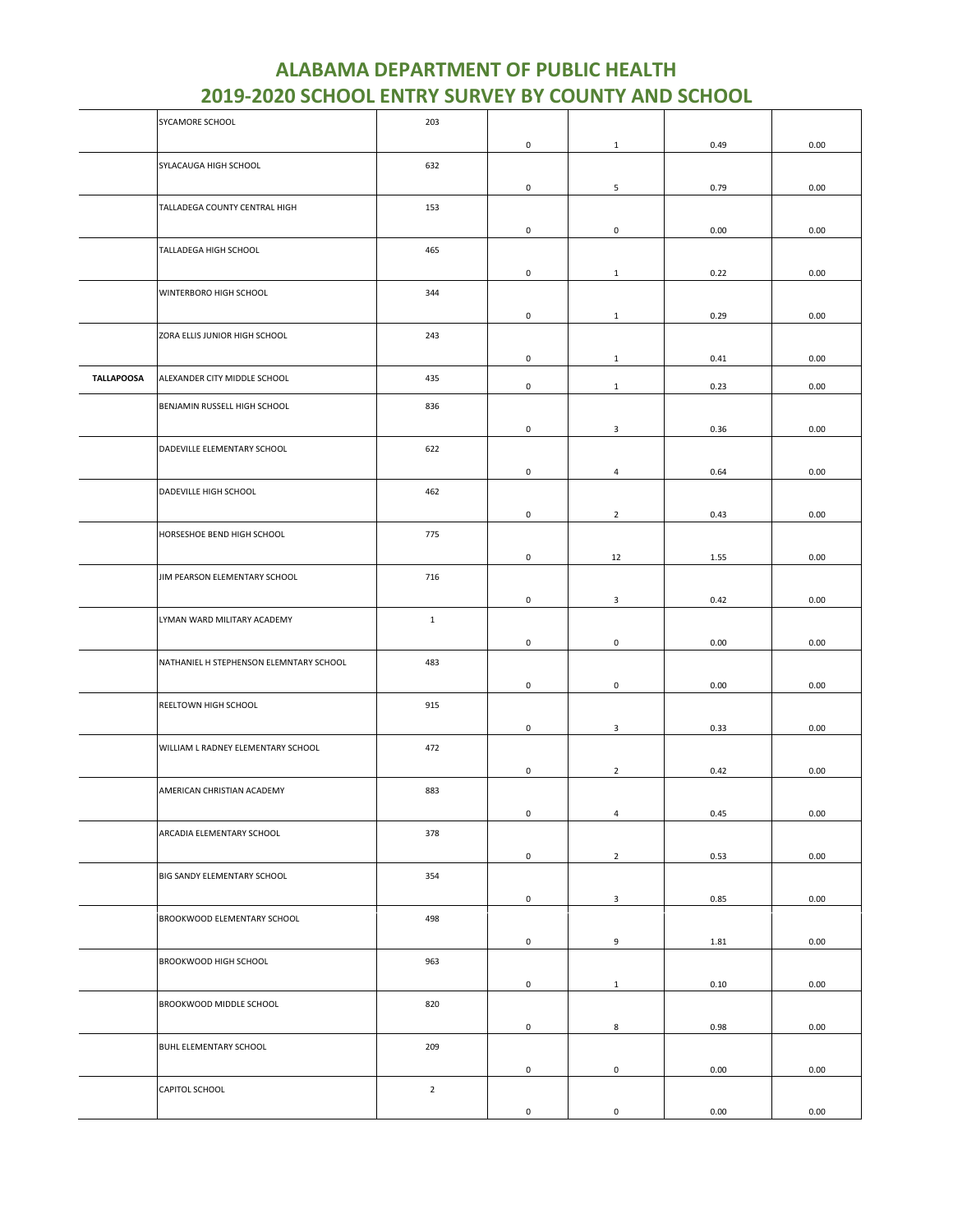|                   | SYCAMORE SCHOOL                         | 203            |                     |                     |      |          |
|-------------------|-----------------------------------------|----------------|---------------------|---------------------|------|----------|
|                   |                                         |                | 0                   | $\mathbf{1}$        | 0.49 | 0.00     |
|                   | SYLACAUGA HIGH SCHOOL                   | 632            |                     |                     |      |          |
|                   |                                         |                |                     |                     |      |          |
|                   |                                         |                | $\mathsf 0$         | 5                   | 0.79 | 0.00     |
|                   | TALLADEGA COUNTY CENTRAL HIGH           | 153            |                     |                     |      |          |
|                   |                                         |                | 0                   | $\pmb{0}$           | 0.00 | 0.00     |
|                   | TALLADEGA HIGH SCHOOL                   | 465            |                     |                     |      |          |
|                   |                                         |                | 0                   | $\mathbf{1}$        | 0.22 | 0.00     |
|                   | WINTERBORO HIGH SCHOOL                  | 344            |                     |                     |      |          |
|                   |                                         |                |                     |                     |      |          |
|                   |                                         |                | $\mathsf 0$         | $\mathbf{1}$        | 0.29 | 0.00     |
|                   | ZORA ELLIS JUNIOR HIGH SCHOOL           | 243            |                     |                     |      |          |
|                   |                                         |                | 0                   | 1                   | 0.41 | 0.00     |
| <b>TALLAPOOSA</b> | ALEXANDER CITY MIDDLE SCHOOL            | 435            |                     |                     |      |          |
|                   |                                         |                | $\mathsf{O}\xspace$ | $\mathbf{1}$        | 0.23 | 0.00     |
|                   | BENJAMIN RUSSELL HIGH SCHOOL            | 836            |                     |                     |      |          |
|                   |                                         |                | 0                   | 3                   | 0.36 | 0.00     |
|                   | DADEVILLE ELEMENTARY SCHOOL             | 622            |                     |                     |      |          |
|                   |                                         |                | 0                   | $\overline{4}$      | 0.64 | 0.00     |
|                   |                                         |                |                     |                     |      |          |
|                   | DADEVILLE HIGH SCHOOL                   | 462            |                     |                     |      |          |
|                   |                                         |                | $\mathsf{O}\xspace$ | $\overline{2}$      | 0.43 | 0.00     |
|                   | HORSESHOE BEND HIGH SCHOOL              | 775            |                     |                     |      |          |
|                   |                                         |                | 0                   | 12                  | 1.55 | 0.00     |
|                   | JIM PEARSON ELEMENTARY SCHOOL           | 716            |                     |                     |      |          |
|                   |                                         |                |                     |                     |      |          |
|                   |                                         |                | 0                   | 3                   | 0.42 | 0.00     |
|                   | LYMAN WARD MILITARY ACADEMY             | $\mathbf 1$    |                     |                     |      |          |
|                   |                                         |                | $\mathsf 0$         | $\mathsf 0$         | 0.00 | 0.00     |
|                   | NATHANIEL H STEPHENSON ELEMNTARY SCHOOL | 483            |                     |                     |      |          |
|                   |                                         |                | 0                   | $\mathsf 0$         | 0.00 | 0.00     |
|                   |                                         |                |                     |                     |      |          |
|                   | REELTOWN HIGH SCHOOL                    | 915            |                     |                     |      |          |
|                   |                                         |                | 0                   | 3                   | 0.33 | 0.00     |
|                   | WILLIAM L RADNEY ELEMENTARY SCHOOL      | 472            |                     |                     |      |          |
|                   |                                         |                | $\mathsf 0$         | $\overline{2}$      | 0.42 | 0.00     |
|                   | AMERICAN CHRISTIAN ACADEMY              | 883            |                     |                     |      |          |
|                   |                                         |                |                     |                     |      |          |
|                   |                                         |                | $\mathsf{O}\xspace$ | 4                   | 0.45 | $0.00\,$ |
|                   | ARCADIA ELEMENTARY SCHOOL               | 378            |                     |                     |      |          |
|                   |                                         |                | $\mathsf 0$         | $\overline{2}$      | 0.53 | 0.00     |
|                   | BIG SANDY ELEMENTARY SCHOOL             | 354            |                     |                     |      |          |
|                   |                                         |                | $\mathsf 0$         | 3                   | 0.85 | 0.00     |
|                   | BROOKWOOD ELEMENTARY SCHOOL             | 498            |                     |                     |      |          |
|                   |                                         |                |                     |                     |      |          |
|                   |                                         |                | $\mathsf 0$         | 9                   | 1.81 | 0.00     |
|                   | BROOKWOOD HIGH SCHOOL                   | 963            |                     |                     |      |          |
|                   |                                         |                | $\mathsf{O}\xspace$ | $\mathbf{1}$        | 0.10 | 0.00     |
|                   | BROOKWOOD MIDDLE SCHOOL                 | 820            |                     |                     |      |          |
|                   |                                         |                | $\mathsf{O}\xspace$ |                     | 0.98 | 0.00     |
|                   |                                         |                |                     | 8                   |      |          |
|                   | BUHL ELEMENTARY SCHOOL                  | 209            |                     |                     |      |          |
|                   |                                         |                | $\mathsf{O}\xspace$ | $\mathsf 0$         | 0.00 | 0.00     |
|                   | CAPITOL SCHOOL                          | $\overline{2}$ |                     |                     |      |          |
|                   |                                         |                | $\mathsf{O}\xspace$ | $\mathsf{O}\xspace$ | 0.00 | 0.00     |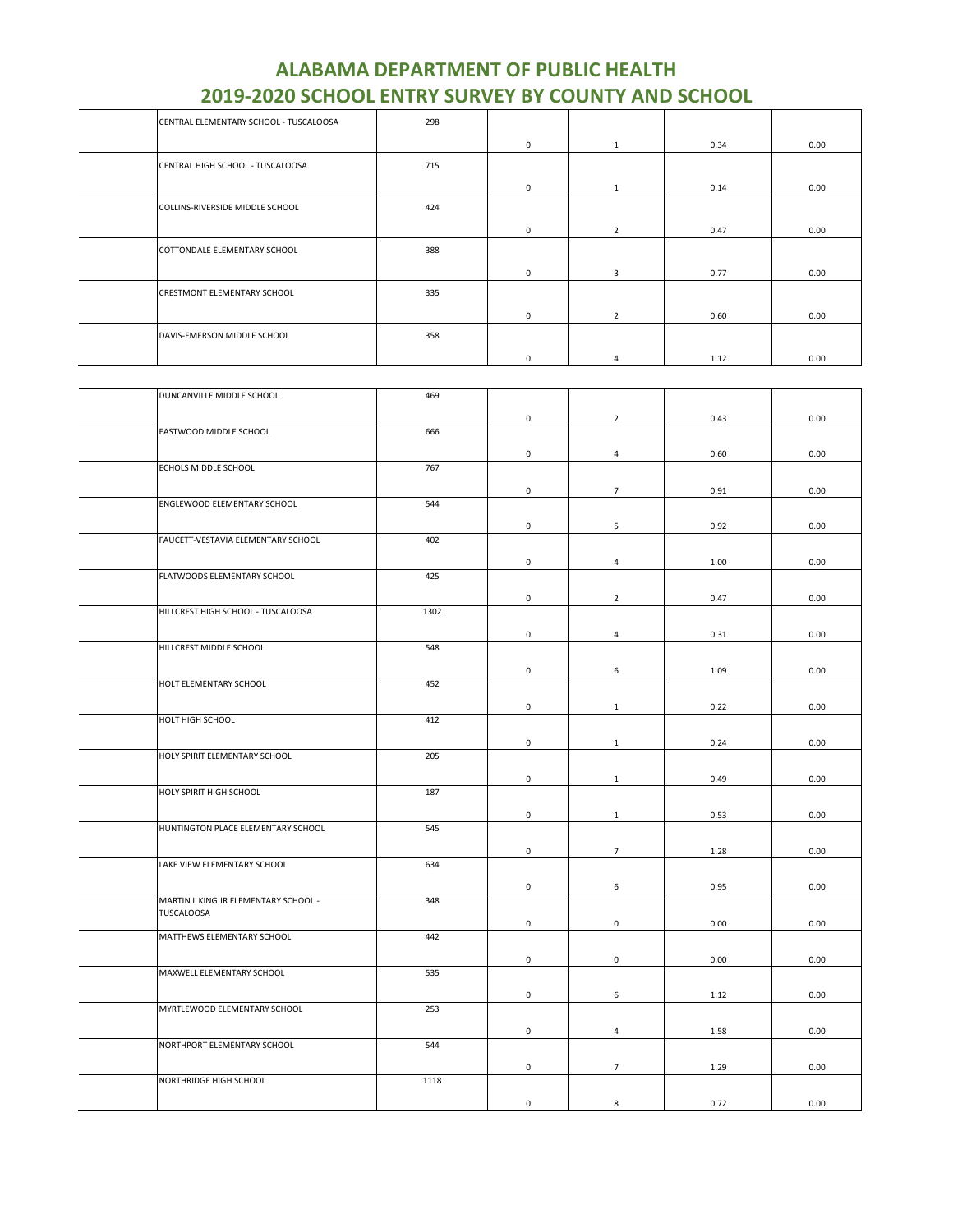| CENTRAL ELEMENTARY SCHOOL - TUSCALOOSA | 298 |            |                |      |      |
|----------------------------------------|-----|------------|----------------|------|------|
|                                        |     | 0          | $\mathbf{1}$   | 0.34 | 0.00 |
| CENTRAL HIGH SCHOOL - TUSCALOOSA       | 715 |            |                |      |      |
|                                        |     | 0          | 1              | 0.14 | 0.00 |
| COLLINS-RIVERSIDE MIDDLE SCHOOL        | 424 |            |                |      |      |
|                                        |     | $^{\circ}$ | $\overline{2}$ | 0.47 | 0.00 |
| COTTONDALE ELEMENTARY SCHOOL           | 388 |            |                |      |      |
|                                        |     | $^{\circ}$ | 3              | 0.77 | 0.00 |
| CRESTMONT ELEMENTARY SCHOOL            | 335 |            |                |      |      |
|                                        |     | 0          | $\overline{2}$ | 0.60 | 0.00 |
| DAVIS-EMERSON MIDDLE SCHOOL            | 358 |            |                |      |      |
|                                        |     | 0          | 4              | 1.12 | 0.00 |

| DUNCANVILLE MIDDLE SCHOOL            | 469  |                     |                |          |      |
|--------------------------------------|------|---------------------|----------------|----------|------|
|                                      |      | $\mathsf 0$         | $\overline{2}$ | 0.43     | 0.00 |
| EASTWOOD MIDDLE SCHOOL               | 666  |                     |                |          |      |
|                                      |      | 0                   | $\overline{4}$ | 0.60     | 0.00 |
| ECHOLS MIDDLE SCHOOL                 | 767  |                     |                |          |      |
|                                      |      | $\mathsf 0$         | $\overline{7}$ | 0.91     | 0.00 |
| ENGLEWOOD ELEMENTARY SCHOOL          | 544  |                     |                |          |      |
|                                      |      |                     |                |          |      |
| FAUCETT-VESTAVIA ELEMENTARY SCHOOL   | 402  | $\mathsf{O}\xspace$ | 5              | 0.92     | 0.00 |
|                                      |      |                     |                |          |      |
|                                      |      | $\mathsf{O}\xspace$ | $\overline{4}$ | $1.00\,$ | 0.00 |
| FLATWOODS ELEMENTARY SCHOOL          | 425  |                     |                |          |      |
|                                      |      | 0                   | $\overline{2}$ | 0.47     | 0.00 |
| HILLCREST HIGH SCHOOL - TUSCALOOSA   | 1302 |                     |                |          |      |
|                                      |      | $\mathsf 0$         | $\overline{4}$ | 0.31     | 0.00 |
| HILLCREST MIDDLE SCHOOL              | 548  |                     |                |          |      |
|                                      |      |                     |                |          |      |
| HOLT ELEMENTARY SCHOOL               | 452  | $\mathsf{O}\xspace$ | 6              | 1.09     | 0.00 |
|                                      |      |                     |                |          |      |
|                                      |      | $\mathsf{O}\xspace$ | $\mathbf{1}$   | 0.22     | 0.00 |
| HOLT HIGH SCHOOL                     | 412  |                     |                |          |      |
|                                      |      | $\mathsf 0$         | $\mathbf{1}$   | 0.24     | 0.00 |
| HOLY SPIRIT ELEMENTARY SCHOOL        | 205  |                     |                |          |      |
|                                      |      | $\mathsf 0$         | $\mathbf{1}$   | 0.49     | 0.00 |
| HOLY SPIRIT HIGH SCHOOL              | 187  |                     |                |          |      |
|                                      |      |                     |                |          |      |
|                                      |      | 0                   | $\mathbf{1}$   | 0.53     | 0.00 |
| HUNTINGTON PLACE ELEMENTARY SCHOOL   | 545  |                     |                |          |      |
|                                      |      | $\mathsf{O}\xspace$ | $\overline{7}$ | 1.28     | 0.00 |
| LAKE VIEW ELEMENTARY SCHOOL          | 634  |                     |                |          |      |
|                                      |      | 0                   | 6              | 0.95     | 0.00 |
| MARTIN L KING JR ELEMENTARY SCHOOL - | 348  |                     |                |          |      |
| <b>TUSCALOOSA</b>                    |      | $\mathsf 0$         | $\mathsf 0$    | 0.00     | 0.00 |
| MATTHEWS ELEMENTARY SCHOOL           | 442  |                     |                |          |      |
|                                      |      |                     |                |          |      |
|                                      |      | $\mathsf 0$         | $\mathsf 0$    | 0.00     | 0.00 |
| MAXWELL ELEMENTARY SCHOOL            | 535  |                     |                |          |      |
|                                      |      | 0                   | 6              | 1.12     | 0.00 |
| MYRTLEWOOD ELEMENTARY SCHOOL         | 253  |                     |                |          |      |
|                                      |      | $\mathsf{O}\xspace$ | $\overline{4}$ | 1.58     | 0.00 |
| NORTHPORT ELEMENTARY SCHOOL          | 544  |                     |                |          |      |
|                                      |      |                     |                |          |      |
| NORTHRIDGE HIGH SCHOOL               | 1118 | 0                   | $\overline{7}$ | 1.29     | 0.00 |
|                                      |      |                     |                |          |      |
|                                      |      | $\mathsf 0$         | 8              | 0.72     | 0.00 |
|                                      |      |                     |                |          |      |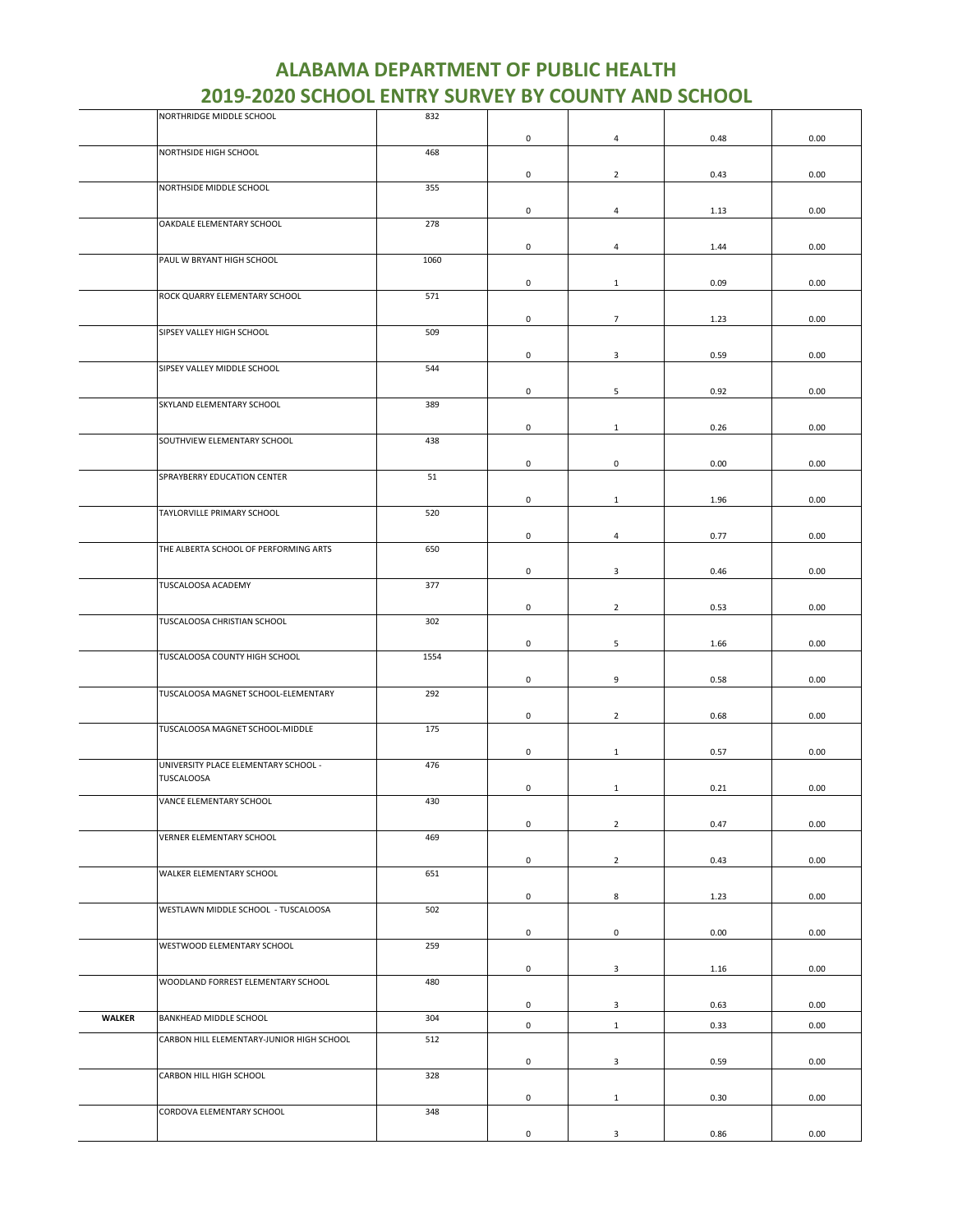|               | NORTHRIDGE MIDDLE SCHOOL                  | 832  |                     |                         |      |      |
|---------------|-------------------------------------------|------|---------------------|-------------------------|------|------|
|               |                                           |      | $\pmb{0}$           | $\overline{\mathbf{4}}$ | 0.48 | 0.00 |
|               | NORTHSIDE HIGH SCHOOL                     | 468  |                     |                         |      |      |
|               |                                           |      |                     |                         |      |      |
|               | NORTHSIDE MIDDLE SCHOOL                   | 355  | 0                   | $\overline{2}$          | 0.43 | 0.00 |
|               |                                           |      |                     |                         |      |      |
|               |                                           |      | 0                   | $\overline{4}$          | 1.13 | 0.00 |
|               | OAKDALE ELEMENTARY SCHOOL                 | 278  |                     |                         |      |      |
|               |                                           |      | 0                   | 4                       | 1.44 | 0.00 |
|               | PAUL W BRYANT HIGH SCHOOL                 | 1060 |                     |                         |      |      |
|               |                                           |      |                     |                         |      |      |
|               |                                           |      | $\mathsf{O}\xspace$ | $\mathbf{1}$            | 0.09 | 0.00 |
|               | ROCK QUARRY ELEMENTARY SCHOOL             | 571  |                     |                         |      |      |
|               |                                           |      | $\mathsf 0$         | $\overline{7}$          | 1.23 | 0.00 |
|               | SIPSEY VALLEY HIGH SCHOOL                 | 509  |                     |                         |      |      |
|               |                                           |      |                     |                         |      |      |
|               | SIPSEY VALLEY MIDDLE SCHOOL               | 544  | $\mathsf 0$         | 3                       | 0.59 | 0.00 |
|               |                                           |      |                     |                         |      |      |
|               |                                           |      | 0                   | 5                       | 0.92 | 0.00 |
|               | SKYLAND ELEMENTARY SCHOOL                 | 389  |                     |                         |      |      |
|               |                                           |      | $\mathbf 0$         | $\mathbf{1}$            | 0.26 | 0.00 |
|               | SOUTHVIEW ELEMENTARY SCHOOL               | 438  |                     |                         |      |      |
|               |                                           |      |                     |                         |      |      |
|               |                                           |      | 0                   | $\mathsf 0$             | 0.00 | 0.00 |
|               | SPRAYBERRY EDUCATION CENTER               | 51   |                     |                         |      |      |
|               |                                           |      | 0                   | $\mathbf{1}$            | 1.96 | 0.00 |
|               | TAYLORVILLE PRIMARY SCHOOL                | 520  |                     |                         |      |      |
|               |                                           |      | $\mathsf{O}\xspace$ | $\overline{4}$          | 0.77 | 0.00 |
|               | THE ALBERTA SCHOOL OF PERFORMING ARTS     | 650  |                     |                         |      |      |
|               |                                           |      |                     |                         |      |      |
|               |                                           |      | $\mathsf 0$         | 3                       | 0.46 | 0.00 |
|               | TUSCALOOSA ACADEMY                        | 377  |                     |                         |      |      |
|               |                                           |      | $\mathsf 0$         | $\overline{2}$          | 0.53 | 0.00 |
|               | TUSCALOOSA CHRISTIAN SCHOOL               | 302  |                     |                         |      |      |
|               |                                           |      |                     |                         |      |      |
|               | TUSCALOOSA COUNTY HIGH SCHOOL             | 1554 | $\mathsf 0$         | 5                       | 1.66 | 0.00 |
|               |                                           |      |                     |                         |      |      |
|               |                                           |      | $\pmb{0}$           | 9                       | 0.58 | 0.00 |
|               | TUSCALOOSA MAGNET SCHOOL-ELEMENTARY       | 292  |                     |                         |      |      |
|               |                                           |      | 0                   | $\overline{2}$          | 0.68 | 0.00 |
|               | TUSCALOOSA MAGNET SCHOOL-MIDDLE           | 175  |                     |                         |      |      |
|               |                                           |      |                     |                         |      |      |
|               | UNIVERSITY PLACE ELEMENTARY SCHOOL -      | 476  | 0                   | $\mathbf{1}$            | 0.57 | 0.00 |
|               | TUSCALOOSA                                |      |                     |                         |      |      |
|               |                                           |      | 0                   | $\mathbf{1}$            | 0.21 | 0.00 |
|               | VANCE ELEMENTARY SCHOOL                   | 430  |                     |                         |      |      |
|               |                                           |      | $\mathsf 0$         | $\overline{2}$          | 0.47 | 0.00 |
|               | VERNER ELEMENTARY SCHOOL                  | 469  |                     |                         |      |      |
|               |                                           |      |                     |                         |      |      |
|               |                                           |      | $\mathsf 0$         | $\overline{2}$          | 0.43 | 0.00 |
|               | WALKER ELEMENTARY SCHOOL                  | 651  |                     |                         |      |      |
|               |                                           |      | 0                   | 8                       | 1.23 | 0.00 |
|               | WESTLAWN MIDDLE SCHOOL - TUSCALOOSA       | 502  |                     |                         |      |      |
|               |                                           |      | $\mathsf{O}\xspace$ | $\mathsf 0$             | 0.00 | 0.00 |
|               | WESTWOOD ELEMENTARY SCHOOL                | 259  |                     |                         |      |      |
|               |                                           |      |                     |                         |      |      |
|               |                                           |      | $\mathbf 0$         | 3                       | 1.16 | 0.00 |
|               | WOODLAND FORREST ELEMENTARY SCHOOL        | 480  |                     |                         |      |      |
|               |                                           |      | $\mathbf 0$         | 3                       | 0.63 | 0.00 |
| <b>WALKER</b> | BANKHEAD MIDDLE SCHOOL                    | 304  |                     |                         |      |      |
|               |                                           |      | $\mathsf 0$         | $\mathbf{1}$            | 0.33 | 0.00 |
|               | CARBON HILL ELEMENTARY-JUNIOR HIGH SCHOOL | 512  |                     |                         |      |      |
|               |                                           |      | 0                   | $\mathbf{3}$            | 0.59 | 0.00 |
|               | CARBON HILL HIGH SCHOOL                   | 328  |                     |                         |      |      |
|               |                                           |      | $\mathsf{O}\xspace$ | $\mathbf{1}$            | 0.30 | 0.00 |
|               | CORDOVA ELEMENTARY SCHOOL                 | 348  |                     |                         |      |      |
|               |                                           |      |                     |                         |      |      |
|               |                                           |      | 0                   | 3                       | 0.86 | 0.00 |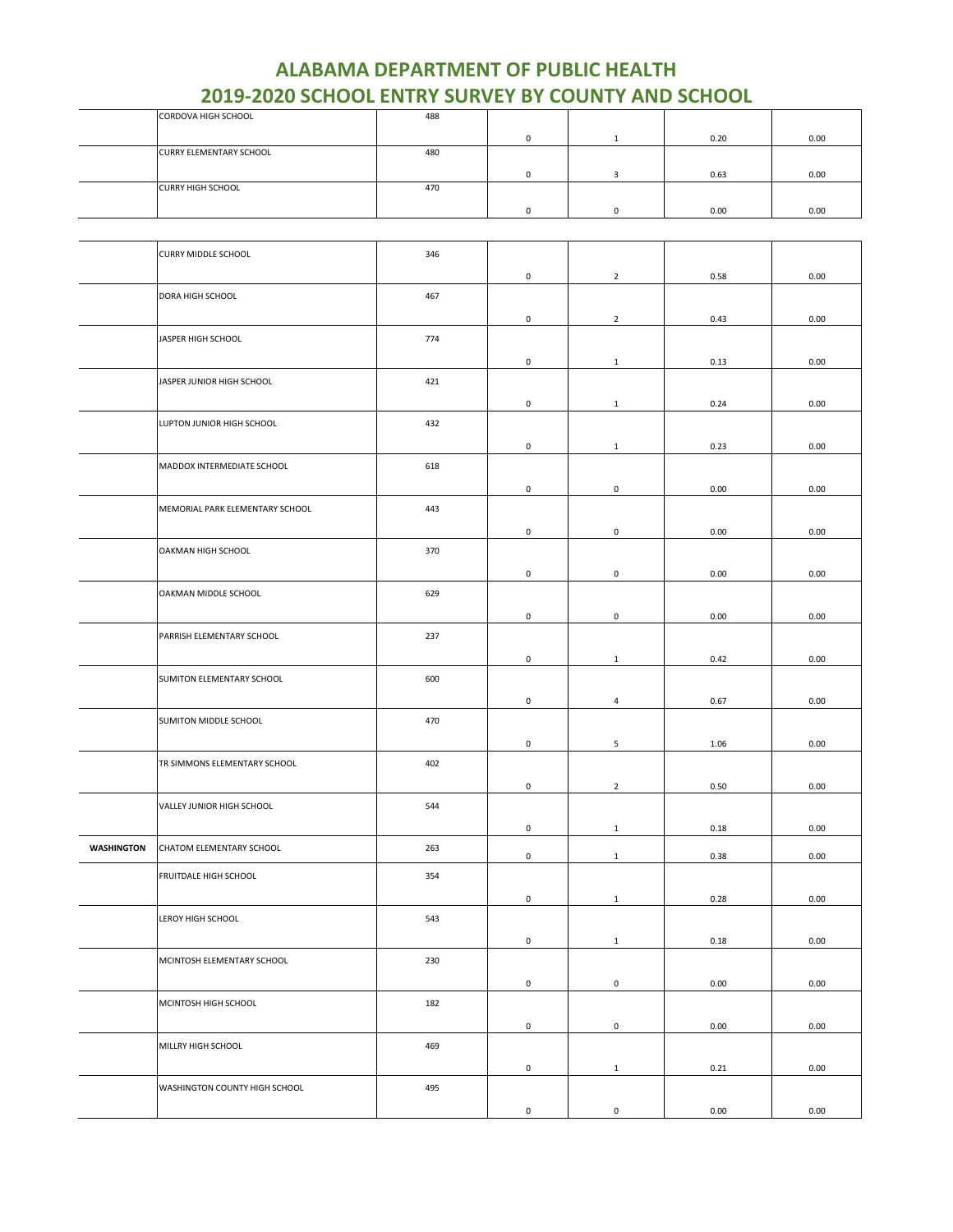| <b>CORDOVA HIGH SCHOOL</b>     | 488 |  |      |      |
|--------------------------------|-----|--|------|------|
|                                |     |  | 0.20 | 0.00 |
| <b>CURRY ELEMENTARY SCHOOL</b> | 480 |  |      |      |
|                                |     |  | 0.63 | 0.00 |
| <b>CURRY HIGH SCHOOL</b>       | 470 |  |      |      |
|                                |     |  | 0.00 | 0.00 |

|                   | <b>CURRY MIDDLE SCHOOL</b>      | 346 |                     |                     |      |      |
|-------------------|---------------------------------|-----|---------------------|---------------------|------|------|
|                   |                                 |     | $\mathbf 0$         | $\overline{2}$      | 0.58 | 0.00 |
|                   | DORA HIGH SCHOOL                | 467 |                     |                     |      |      |
|                   |                                 |     |                     |                     |      |      |
|                   |                                 |     | $\mathsf 0$         | $\overline{2}$      | 0.43 | 0.00 |
|                   | JASPER HIGH SCHOOL              | 774 |                     |                     |      |      |
|                   |                                 |     | 0                   | $\mathbf{1}$        | 0.13 | 0.00 |
|                   |                                 |     |                     |                     |      |      |
|                   | JASPER JUNIOR HIGH SCHOOL       | 421 |                     |                     |      |      |
|                   |                                 |     | 0                   | $\mathbf{1}$        | 0.24 | 0.00 |
|                   | LUPTON JUNIOR HIGH SCHOOL       | 432 |                     |                     |      |      |
|                   |                                 |     |                     |                     |      |      |
|                   |                                 |     | $\mathsf 0$         | $\mathbf{1}$        | 0.23 | 0.00 |
|                   | MADDOX INTERMEDIATE SCHOOL      | 618 |                     |                     |      |      |
|                   |                                 |     | $\mathsf{O}\xspace$ | $\mathbf 0$         | 0.00 | 0.00 |
|                   |                                 |     |                     |                     |      |      |
|                   | MEMORIAL PARK ELEMENTARY SCHOOL | 443 |                     |                     |      |      |
|                   |                                 |     | 0                   | $\mathbf 0$         | 0.00 | 0.00 |
|                   | OAKMAN HIGH SCHOOL              | 370 |                     |                     |      |      |
|                   |                                 |     |                     |                     |      |      |
|                   |                                 |     | 0                   | $\mathbf 0$         | 0.00 | 0.00 |
|                   | OAKMAN MIDDLE SCHOOL            | 629 |                     |                     |      |      |
|                   |                                 |     |                     |                     |      |      |
|                   |                                 |     | $\mathsf{O}\xspace$ | $\mathsf{O}\xspace$ | 0.00 | 0.00 |
|                   | PARRISH ELEMENTARY SCHOOL       | 237 |                     |                     |      |      |
|                   |                                 |     | $\mathbf 0$         | $\mathbf{1}$        | 0.42 | 0.00 |
|                   |                                 |     |                     |                     |      |      |
|                   | SUMITON ELEMENTARY SCHOOL       | 600 |                     |                     |      |      |
|                   |                                 |     | $\mathsf{O}\xspace$ | 4                   | 0.67 | 0.00 |
|                   | SUMITON MIDDLE SCHOOL           | 470 |                     |                     |      |      |
|                   |                                 |     |                     |                     |      |      |
|                   |                                 |     | $\mathsf 0$         | 5                   | 1.06 | 0.00 |
|                   | TR SIMMONS ELEMENTARY SCHOOL    | 402 |                     |                     |      |      |
|                   |                                 |     |                     |                     |      |      |
|                   |                                 |     | $\mathsf 0$         | $\overline{2}$      | 0.50 | 0.00 |
|                   | VALLEY JUNIOR HIGH SCHOOL       | 544 |                     |                     |      |      |
|                   |                                 |     | 0                   | $\mathbf{1}$        | 0.18 | 0.00 |
|                   |                                 |     |                     |                     |      |      |
| <b>WASHINGTON</b> | CHATOM ELEMENTARY SCHOOL        | 263 | $\mathsf 0$         | $\mathbf{1}$        | 0.38 | 0.00 |
|                   | FRUITDALE HIGH SCHOOL           | 354 |                     |                     |      |      |
|                   |                                 |     |                     |                     |      |      |
|                   |                                 |     | 0                   | $\mathbf{1}$        | 0.28 | 0.00 |
|                   | LEROY HIGH SCHOOL               | 543 |                     |                     |      |      |
|                   |                                 |     |                     |                     |      |      |
|                   |                                 |     | $\mathbf 0$         | $\mathbf{1}$        | 0.18 | 0.00 |
|                   | MCINTOSH ELEMENTARY SCHOOL      | 230 |                     |                     |      |      |
|                   |                                 |     | $\mathbf 0$         | $\mathbf 0$         | 0.00 | 0.00 |
|                   |                                 |     |                     |                     |      |      |
|                   | MCINTOSH HIGH SCHOOL            | 182 |                     |                     |      |      |
|                   |                                 |     | $\mathbf 0$         | $\mathbf 0$         | 0.00 | 0.00 |
|                   | MILLRY HIGH SCHOOL              | 469 |                     |                     |      |      |
|                   |                                 |     |                     |                     |      |      |
|                   |                                 |     | $\mathbf 0$         | $\mathbf{1}$        | 0.21 | 0.00 |
|                   | WASHINGTON COUNTY HIGH SCHOOL   | 495 |                     |                     |      |      |
|                   |                                 |     |                     |                     |      |      |
|                   |                                 |     | 0                   | $\mathsf{O}\xspace$ | 0.00 | 0.00 |